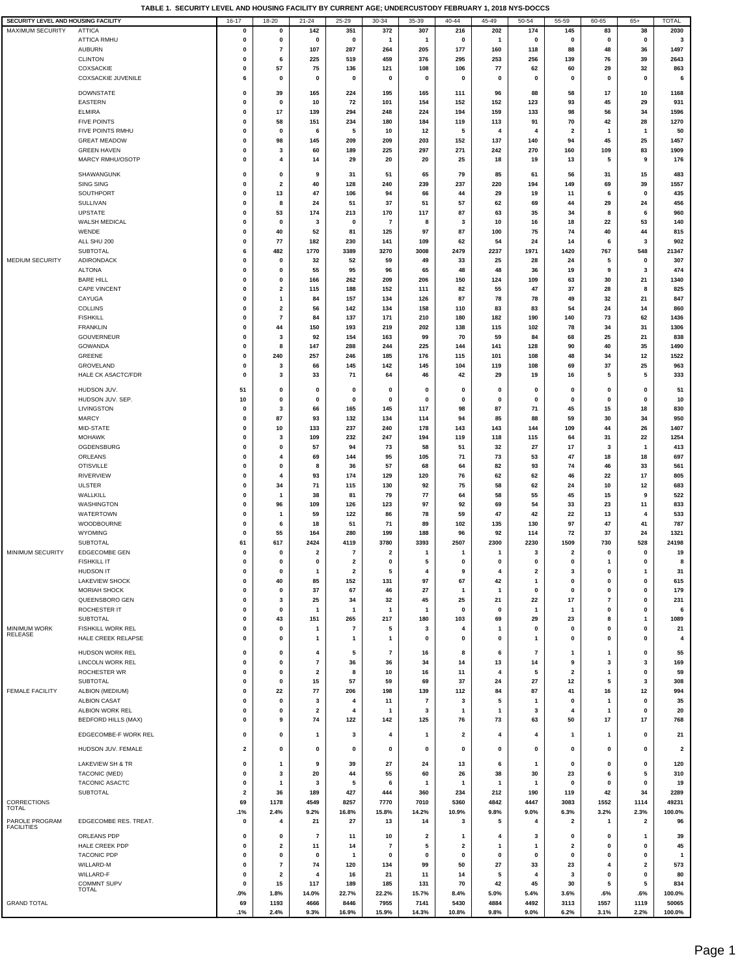| SECURITY LEVEL AND HOUSING FACILITY |                                               | $16 - 17$                  | 18-20             | $21 - 24$                     | 25-29                   | 30-34                    | 35-39                   | $40 - 44$               | 45-49             | 50-54                   | 55-59                   | 60-65                                | $65+$                   | <b>TOTAL</b>            |
|-------------------------------------|-----------------------------------------------|----------------------------|-------------------|-------------------------------|-------------------------|--------------------------|-------------------------|-------------------------|-------------------|-------------------------|-------------------------|--------------------------------------|-------------------------|-------------------------|
| MAXIMUM SECURITY                    | <b>ATTICA</b>                                 | 0                          | $\mathbf 0$       | 142                           | 351                     | 372                      | 307                     | 216                     | 202               | 174                     | 145                     | 83                                   | 38                      | 2030                    |
|                                     | <b>ATTICA RMHU</b>                            | 0                          | $\pmb{0}$         | $\mathbf 0$                   | $\mathbf 0$             | $\mathbf{1}$             | $\mathbf{1}$            | $\pmb{0}$               | $\mathbf{1}$      | 0                       | 0                       | 0                                    | $\pmb{0}$               | 3                       |
|                                     | <b>AUBURN</b>                                 | 0                          | $\bf 7$           | 107                           | 287                     | 264                      | 205                     | 177                     | 160               | 118                     | 88                      | 48                                   | 36                      | 1497                    |
|                                     | <b>CLINTON</b>                                | $\mathbf 0$                | 6                 | 225                           | 519                     | 459                      | 376                     | 295                     | 253               | 256                     | 139                     | 76                                   | 39                      | 2643                    |
|                                     | COXSACKIE<br><b>COXSACKIE JUVENILE</b>        | 0<br>6                     | 57<br>0           | 75<br>0                       | 136<br>$\mathbf 0$      | 121<br>0                 | 108<br>0                | 106<br>0                | 77<br>$\mathbf 0$ | 62<br>$\mathbf 0$       | 60<br>0                 | 29<br>$\mathbf 0$                    | 32<br>0                 | 863<br>6                |
|                                     |                                               |                            |                   |                               |                         |                          |                         |                         |                   |                         |                         |                                      |                         |                         |
|                                     | <b>DOWNSTATE</b>                              | 0                          | 39                | 165                           | 224                     | 195                      | 165                     | 111                     | 96                | 88                      | 58                      | 17                                   | 10                      | 1168                    |
|                                     | <b>EASTERN</b>                                | 0                          | 0                 | 10                            | 72                      | 101                      | 154                     | 152                     | 152               | 123                     | 93                      | 45                                   | 29                      | 931                     |
|                                     | <b>ELMIRA</b><br><b>FIVE POINTS</b>           | 0<br>0                     | 17<br>58          | 139<br>151                    | 294<br>234              | 248<br>180               | 224<br>184              | 194<br>119              | 159<br>113        | 133<br>91               | 98<br>70                | 56<br>42                             | 34<br>28                | 1596<br>1270            |
|                                     | FIVE POINTS RMHU                              | 0                          | 0                 | 6                             | 5                       | 10                       | 12                      | 5                       | 4                 | 4                       | $\overline{\mathbf{2}}$ | $\mathbf{1}$                         | $\mathbf{1}$            | 50                      |
|                                     | <b>GREAT MEADOW</b>                           | $\mathbf 0$                | 98                | 145                           | 209                     | 209                      | 203                     | 152                     | 137               | 140                     | 94                      | 45                                   | 25                      | 1457                    |
|                                     | <b>GREEN HAVEN</b>                            | 0                          | 3                 | 60                            | 189                     | 225                      | 297                     | 271                     | 242               | 270                     | 160                     | 109                                  | 83                      | 1909                    |
|                                     | MARCY RMHU/OSOTP                              | 0                          | 4                 | 14                            | 29                      | 20                       | 20                      | 25                      | 18                | 19                      | 13                      | 5                                    | 9                       | 176                     |
|                                     | SHAWANGUNK                                    | 0                          | 0                 | 9                             | 31                      | 51                       | 65                      | 79                      | 85                | 61                      | 56                      | 31                                   | 15                      | 483                     |
|                                     | <b>SING SING</b>                              | 0                          | 2                 | 40                            | 128                     | 240                      | 239                     | 237                     | 220               | 194                     | 149                     | 69                                   | 39                      | 1557                    |
|                                     | SOUTHPORT                                     | 0                          | 13                | 47                            | 106                     | 94                       | 66                      | 44                      | 29                | 19                      | 11                      | 6                                    | 0                       | 435                     |
|                                     | <b>SULLIVAN</b>                               | 0                          | 8                 | 24                            | 51                      | 37                       | 51                      | 57                      | 62                | 69                      | 44                      | 29                                   | 24                      | 456                     |
|                                     | <b>UPSTATE</b>                                | $\mathbf 0$                | 53                | 174                           | 213                     | 170                      | 117                     | 87                      | 63                | 35                      | 34                      | 8                                    | 6                       | 960                     |
|                                     | WALSH MEDICAL                                 | $\mathbf 0$                | $\mathbf 0$       | 3                             | $\mathbf 0$             | 7                        | 8                       | 3                       | 10                | 16                      | 18                      | 22                                   | 53                      | 140                     |
|                                     | WENDE                                         | 0                          | 40                | 52                            | 81                      | 125                      | 97                      | 87                      | 100               | 75                      | 74                      | 40                                   | 44                      | 815                     |
|                                     | ALL SHU 200<br>SUBTOTAL                       | 0<br>6                     | 77<br>482         | 182<br>1770                   | 230<br>3389             | 141<br>3270              | 109<br>3008             | 62<br>2479              | 54<br>2237        | 24<br>1971              | 14<br>1420              | 6<br>767                             | 3<br>548                | 902<br>21347            |
| <b>MEDIUM SECURITY</b>              | ADIRONDACK                                    | 0                          | 0                 | 32                            | 52                      | 59                       | 49                      | 33                      | 25                | 28                      | 24                      | 5                                    | 0                       | 307                     |
|                                     | <b>ALTONA</b>                                 | 0                          | 0                 | 55                            | 95                      | 96                       | 65                      | 48                      | 48                | 36                      | 19                      | 9                                    | 3                       | 474                     |
|                                     | <b>BARE HILL</b>                              | $\mathbf 0$                | $\mathbf 0$       | 166                           | 262                     | 209                      | 206                     | 150                     | 124               | 109                     | 63                      | 30                                   | 21                      | 1340                    |
|                                     | <b>CAPE VINCENT</b>                           | 0                          | $\mathbf{2}$      | 115                           | 188                     | 152                      | 111                     | 82                      | 55                | 47                      | 37                      | 28                                   | 8                       | 825                     |
|                                     | CAYUGA                                        | 0                          | 1                 | 84                            | 157                     | 134                      | 126                     | 87                      | 78                | 78                      | 49                      | 32                                   | 21                      | 847                     |
|                                     | <b>COLLINS</b>                                | $\mathbf 0$                | 2                 | 56                            | 142                     | 134                      | 158                     | 110                     | 83                | 83                      | 54                      | 24                                   | 14                      | 860                     |
|                                     | <b>FISHKILL</b><br><b>FRANKLIN</b>            | 0<br>0                     | $\bf 7$<br>44     | 84<br>150                     | 137<br>193              | 171<br>219               | 210<br>202              | 180<br>138              | 182<br>115        | 190<br>102              | 140<br>78               | 73<br>34                             | 62<br>31                | 1436<br>1306            |
|                                     | <b>GOUVERNEUR</b>                             | 0                          | 3                 | 92                            | 154                     | 163                      | 99                      | 70                      | 59                | 84                      | 68                      | 25                                   | 21                      | 838                     |
|                                     | GOWANDA                                       | 0                          | 8                 | 147                           | 288                     | 244                      | 225                     | 144                     | 141               | 128                     | 90                      | 40                                   | 35                      | 1490                    |
|                                     | GREENE                                        | 0                          | 240               | 257                           | 246                     | 185                      | 176                     | 115                     | 101               | 108                     | 48                      | 34                                   | 12                      | 1522                    |
|                                     | GROVELAND                                     | 0                          | 3                 | 66                            | 145                     | 142                      | 145                     | 104                     | 119               | 108                     | 69                      | 37                                   | 25                      | 963                     |
|                                     | HALE CK ASACTC/FDR                            | 0                          | 3                 | 33                            | 71                      | 64                       | 46                      | 42                      | 29                | 19                      | 16                      | 5                                    | 5                       | 333                     |
|                                     | HUDSON JUV.                                   | 51                         | $\mathbf 0$       | 0                             | 0                       | 0                        | 0                       | 0                       | 0                 | 0                       | 0                       | 0                                    | 0                       | 51                      |
|                                     | HUDSON JUV. SEP.                              | 10                         | $\mathbf 0$       | $\mathbf 0$                   | $\mathbf 0$             | $\mathbf 0$              | $\mathbf 0$             | 0                       | 0                 | 0                       | 0                       | 0                                    | $\mathbf 0$             | 10                      |
|                                     | LIVINGSTON                                    | 0                          | 3                 | 66                            | 165                     | 145                      | 117                     | 98                      | 87                | 71                      | 45                      | 15                                   | 18                      | 830                     |
|                                     | <b>MARCY</b>                                  | 0                          | 87                | 93                            | 132                     | 134                      | 114                     | 94                      | 85                | 88                      | 59                      | 30                                   | 34                      | 950                     |
|                                     | MID-STATE                                     | 0                          | 10                | 133                           | 237                     | 240                      | 178                     | 143                     | 143               | 144                     | 109                     | 44                                   | 26                      | 1407                    |
|                                     | <b>MOHAWK</b>                                 | 0<br>0                     | 3<br>0            | 109                           | 232                     | 247                      | 194                     | 119                     | 118               | 115                     | 64                      | 31                                   | 22<br>$\overline{1}$    | 1254<br>413             |
|                                     | OGDENSBURG<br>ORLEANS                         | $\mathbf 0$                | 4                 | 57<br>69                      | 94<br>144               | 73<br>95                 | 58<br>105               | 51<br>71                | 32<br>73          | 27<br>53                | 17<br>47                | 3<br>18                              | 18                      | 697                     |
|                                     | <b>OTISVILLE</b>                              | 0                          | $\mathbf 0$       | 8                             | 36                      | 57                       | 68                      | 64                      | 82                | 93                      | 74                      | 46                                   | 33                      | 561                     |
|                                     | RIVERVIEW                                     | 0                          | $\overline{4}$    | 93                            | 174                     | 129                      | 120                     | 76                      | 62                | 62                      | 46                      | 22                                   | 17                      | 805                     |
|                                     | <b>ULSTER</b>                                 | 0                          | 34                | 71                            | 115                     | 130                      | 92                      | 75                      | 58                | 62                      | 24                      | 10                                   | 12                      | 683                     |
|                                     | WALLKILL                                      | 0                          | 1                 | 38                            | 81                      | 79                       | 77                      | 64                      | 58                | 55                      | 45                      | 15                                   | 9                       | 522                     |
|                                     | WASHINGTON                                    | 0                          | 96                | 109                           | 126                     | 123                      | 97                      | 92                      | 69                | 54                      | 33                      | 23                                   | 11                      | 833                     |
|                                     | WATERTOWN                                     | 0                          | 1                 | 59                            | 122                     | 86                       | 78                      | 59                      | 47                | 42                      | 22                      | 13                                   | 4                       | 533                     |
|                                     | WOODBOURNE<br><b>WYOMING</b>                  | $\mathbf 0$<br>$\mathbf 0$ | 6<br>55           | 18<br>164                     | 51<br>280               | 71<br>199                | 89<br>188               | 102<br>96               | 135<br>92         | 130<br>114              | 97<br>72                | 47<br>37                             | 41<br>24                | 787<br>1321             |
|                                     | <b>SUBTOTAL</b>                               | 61                         | 617               | 2424                          | 4119                    | 3780                     | 3393                    | 2507                    | 2300              | 2230                    | 1509                    | 730                                  | 528                     | 24198                   |
| MINIMUM SECURITY                    | EDGECOMBE GEN                                 | 0                          | $\mathbf 0$       | 2                             | 7                       | $\overline{\mathbf{2}}$  | $\mathbf{1}$            | $\mathbf{1}$            | 1                 | 3                       | $\overline{\mathbf{2}}$ | 0                                    | 0                       | 19                      |
|                                     | <b>FISHKILL IT</b>                            | $\Omega$                   | $\Omega$          | O.                            | $\overline{2}$          | $\mathbf{0}$             | 5                       | $\mathbf{0}$            | 0                 | 0                       | $\mathbf{0}$            | $\mathbf{1}$                         | $\mathbf{0}$            | 8                       |
|                                     | <b>HUDSON IT</b>                              | 0                          | 0                 | $\mathbf{1}$                  | $\overline{\mathbf{2}}$ | 5                        | 4                       | 9                       | 4                 | $\overline{\mathbf{2}}$ | 3                       | 0                                    | $\overline{1}$          | 31                      |
|                                     | LAKEVIEW SHOCK                                | 0                          | 40                | 85                            | 152                     | 131                      | 97                      | 67                      | 42                | 1                       | $\pmb{0}$               | $\pmb{0}$                            | $\pmb{0}$               | 615                     |
|                                     | <b>MORIAH SHOCK</b><br>QUEENSBORO GEN         | 0                          | 0<br>$\mathbf{3}$ | 37                            | 67                      | 46                       | 27                      | $\overline{1}$          | 1                 | $\pmb{0}$               | $\pmb{0}$               | $\pmb{0}$                            | $\pmb{0}$               | 179                     |
|                                     | ROCHESTER IT                                  | 0<br>0                     | 0                 | 25<br>$\overline{1}$          | 34<br>$\mathbf{1}$      | 32<br>$\mathbf{1}$       | 45<br>$\mathbf{1}$      | 25<br>0                 | 21<br>0           | 22<br>$\mathbf{1}$      | 17<br>$\mathbf{1}$      | $\overline{\mathbf{r}}$<br>$\pmb{0}$ | $\pmb{0}$<br>0          | 231<br>6                |
|                                     | <b>SUBTOTAL</b>                               | 0                          | 43                | 151                           | 265                     | 217                      | 180                     | 103                     | 69                | 29                      | 23                      | 8                                    | $\overline{1}$          | 1089                    |
| <b>MINIMUM WORK</b>                 | FISHKILL WORK REL                             | 0                          | 0                 | 1                             | $\overline{7}$          | 5                        | 3                       | 4                       | 1                 | $\mathbf 0$             | 0                       | 0                                    | 0                       | 21                      |
| <b>RELEASE</b>                      | HALE CREEK RELAPSE                            | 0                          | $\mathbf 0$       | $\mathbf{1}$                  | $\mathbf{1}$            | $\mathbf{1}$             | 0                       | 0                       | 0                 | $\mathbf{1}$            | 0                       | 0                                    | 0                       | 4                       |
|                                     | HUDSON WORK REL                               | 0                          | 0                 | 4                             | 5                       | $\overline{\phantom{a}}$ | 16                      | 8                       | 6                 | $\overline{7}$          | $\mathbf{1}$            | 1                                    | 0                       | 55                      |
|                                     | LINCOLN WORK REL                              | 0                          | $\mathbf 0$       | $\overline{7}$                | 36                      | 36                       | 34                      | 14                      | 13                | 14                      | 9                       | 3                                    | 3                       | 169                     |
|                                     | ROCHESTER WR                                  | 0                          | $\mathbf{0}$      | $\overline{\mathbf{2}}$       | 8                       | $10\,$                   | 16                      | 11                      | 4                 | 5                       | $\overline{\mathbf{2}}$ | $\mathbf{1}$                         | $\pmb{0}$               | 59                      |
|                                     | SUBTOTAL                                      | 0                          | 0                 | 15                            | 57                      | 59                       | 69                      | 37                      | 24                | 27                      | 12                      | 5                                    | 3                       | 308                     |
| FEMALE FACILITY                     | ALBION (MEDIUM)                               | 0                          | 22                | 77                            | 206                     | 198                      | 139                     | 112                     | 84                | 87                      | 41                      | 16                                   | 12                      | 994                     |
|                                     | <b>ALBION CASAT</b>                           | $\mathbf 0$                | 0                 | 3                             | 4                       | 11                       | $\overline{7}$          | 3                       | 5                 | -1                      | 0                       | $\mathbf{1}$                         | 0                       | 35                      |
|                                     | ALBION WORK REL<br><b>BEDFORD HILLS (MAX)</b> | 0<br>0                     | $\mathbf 0$<br>9  | $\overline{\mathbf{2}}$<br>74 | $\overline{4}$<br>122   | -1<br>142                | 3<br>125                | 1<br>76                 | 1<br>73           | 3<br>63                 | 4<br>50                 | $\mathbf{1}$<br>17                   | 0<br>17                 | 20<br>768               |
|                                     |                                               |                            |                   |                               |                         |                          |                         |                         |                   |                         |                         |                                      |                         |                         |
|                                     | EDGECOMBE-F WORK REL                          | 0                          | 0                 | 1                             | 3                       | 4                        | $\mathbf{1}$            | $\overline{\mathbf{2}}$ | 4                 | 4                       | 1                       | 1                                    | 0                       | 21                      |
|                                     | HUDSON JUV. FEMALE                            | $\overline{\mathbf{2}}$    | 0                 | $\mathbf 0$                   | $\mathbf 0$             | 0                        | $\mathbf 0$             | 0                       | 0                 | 0                       | 0                       | 0                                    | 0                       | $\overline{\mathbf{2}}$ |
|                                     | LAKEVIEW SH & TR                              | 0                          | 1                 | 9                             | 39                      | 27                       | 24                      | 13                      | 6                 | $\mathbf{1}$            | 0                       | 0                                    | 0                       | 120                     |
|                                     | TACONIC (MED)                                 | $\mathbf 0$                | 3                 | 20                            | 44                      | 55                       | 60                      | 26                      | 38                | 30                      | 23                      | 6                                    | 5                       | 310                     |
|                                     | TACONIC ASACTC                                | 0                          | $\mathbf{1}$      | 3                             | 5                       | 6                        | $\mathbf{1}$            | $\mathbf{1}$            | 1                 | $\mathbf{1}$            | $\pmb{0}$               | $\mathbf 0$                          | $\pmb{0}$               | 19                      |
|                                     | SUBTOTAL                                      | $\overline{\mathbf{2}}$    | 36                | 189                           | 427                     | 444                      | 360                     | 234                     | 212               | 190                     | 119                     | 42                                   | 34                      | 2289                    |
| CORRECTIONS                         |                                               | 69                         | 1178              | 4549                          | 8257                    | 7770                     | 7010                    | 5360                    | 4842              | 4447                    | 3083                    | 1552                                 | 1114                    | 49231                   |
| TOTAL                               |                                               | .1%                        | 2.4%              | 9.2%                          | 16.8%                   | 15.8%                    | 14.2%                   | 10.9%                   | 9.8%              | 9.0%                    | 6.3%                    | 3.2%                                 | 2.3%                    | 100.0%                  |
| PAROLE PROGRAM<br><b>FACILITIES</b> | EDGECOMBE RES. TREAT.                         | 0                          | 4                 | 21                            | 27                      | 13                       | 14                      | 3                       | 5                 | 4                       | $\overline{\mathbf{2}}$ | $\mathbf{1}$                         | $\overline{\mathbf{2}}$ | 96                      |
|                                     | ORLEANS PDP                                   | 0                          | 0                 | $\overline{7}$                | 11                      | 10                       | $\overline{\mathbf{2}}$ | 1                       | 4                 | 3                       | 0                       | 0                                    | 1                       | 39                      |
|                                     | HALE CREEK PDP                                | 0                          | $\mathbf{2}$      | 11                            | 14                      | $\overline{7}$           | 5                       | $\overline{\mathbf{2}}$ | 1                 | $\mathbf{1}$            | $\overline{\mathbf{2}}$ | $\pmb{0}$                            | $\pmb{0}$               | 45                      |
|                                     | <b>TACONIC PDP</b>                            | 0                          | $\mathbf 0$       | $\Omega$                      | $\overline{\mathbf{1}}$ | $\mathbf 0$              | $\pmb{0}$               | $\pmb{0}$               | 0                 | $\pmb{0}$               | $\mathbf 0$             | $\pmb{0}$                            | $\mathbf 0$             | $\mathbf{1}$            |
|                                     | WILLARD-M                                     | 0                          | $\bf 7$           | 74                            | 120                     | 134                      | 99                      | 50                      | 27                | 33                      | 23                      | 4                                    | $\overline{\mathbf{2}}$ | 573                     |
|                                     | WILLARD-F                                     | 0<br>0                     | 2                 | 4                             | 16                      | 21                       | 11<br>131               | 14                      | 5                 | 4<br>45                 | 3<br>30                 | 0<br>5                               | 0<br>5                  | 80                      |
|                                     | <b>COMMNT SUPV</b><br><b>TOTAL</b>            | .0%                        | 15<br>1.8%        | 117<br>14.0%                  | 189<br>22.7%            | 185<br>22.2%             | 15.7%                   | 70<br>8.4%              | 42<br>5.0%        | 5.4%                    | 3.6%                    | .6%                                  | .6%                     | 834<br>100.0%           |
| <b>GRAND TOTAL</b>                  |                                               | 69                         | 1193              | 4666                          | 8446                    | 7955                     | 7141                    | 5430                    | 4884              | 4492                    | 3113                    | 1557                                 | 1119                    | 50065                   |
|                                     |                                               | .1%                        | 2.4%              | 9.3%                          | 16.9%                   | 15.9%                    | 14.3%                   | 10.8%                   | 9.8%              | 9.0%                    | 6.2%                    | 3.1%                                 | 2.2%                    | 100.0%                  |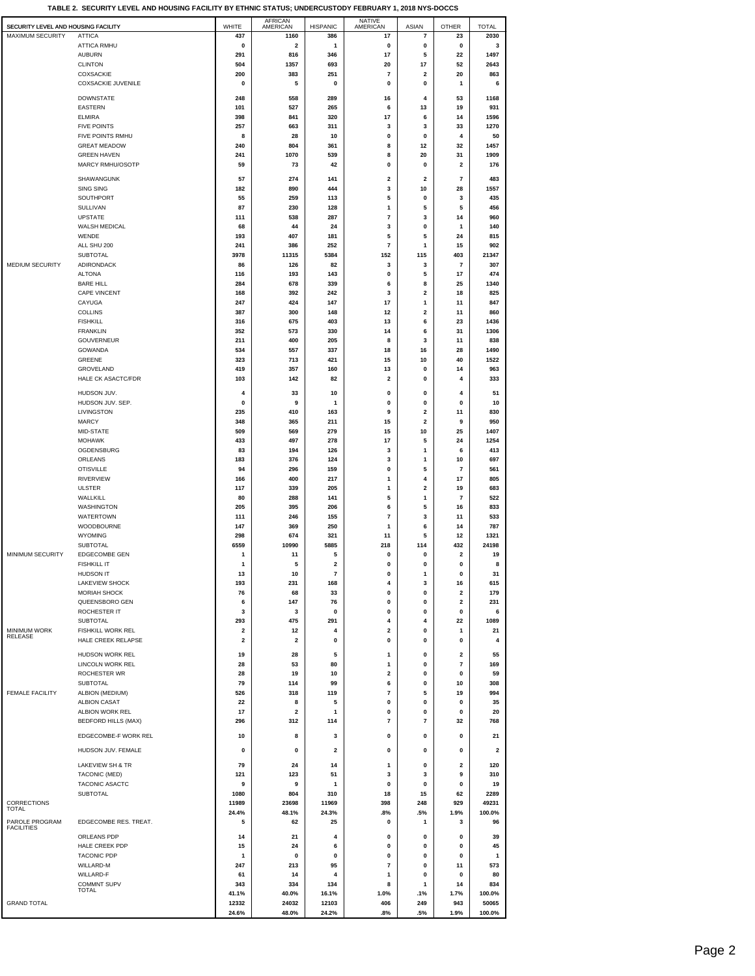|  |  | TABLE 2. SECURITY LEVEL AND HOUSING FACILITY BY ETHNIC STATUS: UNDERCUSTODY FEBRUARY 1. 2018 NYS-DOCCS |  |
|--|--|--------------------------------------------------------------------------------------------------------|--|
|  |  |                                                                                                        |  |
|  |  |                                                                                                        |  |

| SECURITY LEVEL AND HOUSING FACILITY |                                        | WHITE                   | AFRICAN<br>AMERICAN          | <b>HISPANIC</b>         | NATIVE<br>AMERICAN      | <b>ASIAN</b>                  | <b>OTHER</b>             | <b>TOTAL</b>            |
|-------------------------------------|----------------------------------------|-------------------------|------------------------------|-------------------------|-------------------------|-------------------------------|--------------------------|-------------------------|
| <b>MAXIMUM SECURITY</b>             | <b>ATTICA</b>                          | 437                     | 1160                         | 386                     | 17                      | 7                             | 23                       | 2030                    |
|                                     | <b>ATTICA RMHU</b>                     | 0                       | $\overline{\mathbf{2}}$      | 1                       | 0                       | 0                             | 0                        | 3                       |
|                                     | <b>AUBURN</b>                          | 291                     | 816                          | 346                     | 17                      | 5                             | 22                       | 1497                    |
|                                     | <b>CLINTON</b><br><b>COXSACKIE</b>     | 504<br>200              | 1357<br>383                  | 693<br>251              | 20<br>7                 | 17<br>$\overline{\mathbf{2}}$ | 52<br>20                 | 2643<br>863             |
|                                     | <b>COXSACKIE JUVENILE</b>              | 0                       | 5                            | 0                       | 0                       | 0                             | $\mathbf{1}$             | 6                       |
|                                     |                                        |                         |                              |                         |                         |                               |                          |                         |
|                                     | <b>DOWNSTATE</b>                       | 248                     | 558                          | 289                     | 16                      | 4                             | 53                       | 1168                    |
|                                     | EASTERN<br><b>ELMIRA</b>               | 101<br>398              | 527<br>841                   | 265<br>320              | 6<br>17                 | 13<br>6                       | 19<br>14                 | 931<br>1596             |
|                                     | <b>FIVE POINTS</b>                     | 257                     | 663                          | 311                     | 3                       | 3                             | 33                       | 1270                    |
|                                     | FIVE POINTS RMHU                       | 8                       | 28                           | 10                      | 0                       | 0                             | 4                        | 50                      |
|                                     | <b>GREAT MEADOW</b>                    | 240                     | 804                          | 361                     | 8                       | 12                            | 32                       | 1457                    |
|                                     | <b>GREEN HAVEN</b>                     | 241                     | 1070                         | 539                     | 8                       | 20                            | 31                       | 1909                    |
|                                     | MARCY RMHU/OSOTP                       | 59                      | 73                           | 42                      | 0                       | 0                             | $\overline{\mathbf{2}}$  | 176                     |
|                                     | SHAWANGUNK                             | 57                      | 274                          | 141                     | $\overline{\mathbf{2}}$ | $\overline{\mathbf{2}}$       | $\overline{7}$           | 483                     |
|                                     | <b>SING SING</b>                       | 182                     | 890                          | 444                     | 3                       | 10                            | 28                       | 1557                    |
|                                     | SOUTHPORT                              | 55                      | 259                          | 113                     | 5                       | 0                             | 3                        | 435                     |
|                                     | SULLIVAN                               | 87                      | 230                          | 128                     | 1                       | 5                             | 5                        | 456                     |
|                                     | <b>UPSTATE</b><br><b>WALSH MEDICAL</b> | 111<br>68               | 538<br>44                    | 287<br>24               | 7<br>3                  | 3<br>0                        | 14<br>1                  | 960<br>140              |
|                                     | WENDE                                  | 193                     | 407                          | 181                     | 5                       | 5                             | 24                       | 815                     |
|                                     | ALL SHU 200                            | 241                     | 386                          | 252                     | $\overline{7}$          | 1                             | 15                       | 902                     |
|                                     | <b>SUBTOTAL</b>                        | 3978                    | 11315                        | 5384                    | 152                     | 115                           | 403                      | 21347                   |
| <b>MEDIUM SECURITY</b>              | <b>ADIRONDACK</b>                      | 86                      | 126                          | 82                      | 3                       | 3                             | 7                        | 307                     |
|                                     | <b>ALTONA</b>                          | 116                     | 193                          | 143                     | 0                       | 5                             | 17                       | 474                     |
|                                     | <b>BARE HILL</b>                       | 284                     | 678                          | 339                     | 6                       | 8                             | 25                       | 1340                    |
|                                     | <b>CAPE VINCENT</b><br>CAYUGA          | 168<br>247              | 392<br>424                   | 242<br>147              | 3<br>17                 | 2<br>1                        | 18<br>11                 | 825<br>847              |
|                                     | <b>COLLINS</b>                         | 387                     | 300                          | 148                     | 12                      | 2                             | 11                       | 860                     |
|                                     | <b>FISHKILL</b>                        | 316                     | 675                          | 403                     | 13                      | 6                             | 23                       | 1436                    |
|                                     | <b>FRANKLIN</b>                        | 352                     | 573                          | 330                     | 14                      | 6                             | 31                       | 1306                    |
|                                     | GOUVERNEUR                             | 211                     | 400                          | 205                     | 8                       | 3                             | 11                       | 838                     |
|                                     | <b>GOWANDA</b>                         | 534                     | 557                          | 337                     | 18                      | 16                            | 28                       | 1490                    |
|                                     | GREENE<br>GROVELAND                    | 323<br>419              | 713<br>357                   | 421<br>160              | 15<br>13                | 10<br>0                       | 40<br>14                 | 1522<br>963             |
|                                     | <b>HALE CK ASACTC/FDR</b>              | 103                     | 142                          | 82                      | 2                       | 0                             | 4                        | 333                     |
|                                     |                                        |                         |                              |                         |                         |                               |                          |                         |
|                                     | HUDSON JUV.                            | 4                       | 33                           | 10<br>1                 | 0                       | 0                             | 4                        | 51                      |
|                                     | HUDSON JUV. SEP.<br>LIVINGSTON         | 0<br>235                | 9<br>410                     | 163                     | 0<br>9                  | 0<br>$\overline{\mathbf{2}}$  | 0<br>11                  | 10<br>830               |
|                                     | <b>MARCY</b>                           | 348                     | 365                          | 211                     | 15                      | $\overline{\mathbf{2}}$       | 9                        | 950                     |
|                                     | MID-STATE                              | 509                     | 569                          | 279                     | 15                      | 10                            | 25                       | 1407                    |
|                                     | <b>MOHAWK</b>                          | 433                     | 497                          | 278                     | 17                      | 5                             | 24                       | 1254                    |
|                                     | OGDENSBURG                             | 83                      | 194                          | 126                     | 3                       | 1                             | 6                        | 413                     |
|                                     | ORLEANS                                | 183                     | 376                          | 124                     | 3                       | 1                             | 10                       | 697                     |
|                                     | <b>OTISVILLE</b><br><b>RIVERVIEW</b>   | 94<br>166               | 296<br>400                   | 159<br>217              | 0<br>1                  | 5<br>4                        | $\overline{7}$<br>17     | 561<br>805              |
|                                     | <b>ULSTER</b>                          | 117                     | 339                          | 205                     | 1                       | $\overline{\mathbf{2}}$       | 19                       | 683                     |
|                                     | WALLKILL                               | 80                      | 288                          | 141                     | 5                       | $\mathbf{1}$                  | $\overline{7}$           | 522                     |
|                                     | WASHINGTON                             | 205                     | 395                          | 206                     | 6                       | 5                             | 16                       | 833                     |
|                                     | WATERTOWN                              | 111                     | 246                          | 155                     | 7                       | 3                             | 11                       | 533                     |
|                                     | WOODBOURNE                             | 147                     | 369                          | 250                     | 1                       | 6                             | 14                       | 787                     |
|                                     | <b>WYOMING</b><br><b>SUBTOTAL</b>      | 298                     | 674                          | 321                     | 11                      | 5                             | 12                       | 1321                    |
| MINIMUM SECURITY                    | <b>EDGECOMBE GEN</b>                   | 6559<br>1               | 10990<br>11                  | 5885<br>5               | 218<br>0                | 114<br>0                      | 432<br>$\mathbf 2$       | 24198<br>19             |
|                                     | <b>FISHKILL IT</b>                     | 1                       | 5                            | $\overline{\mathbf{2}}$ | $\mathbf 0$             | 0                             | $\mathbf{0}$             | 8                       |
|                                     | <b>HUDSON IT</b>                       | 13                      | 10                           | $\overline{7}$          | $\bf{0}$                | 1                             | $\pmb{0}$                | 31                      |
|                                     | <b>LAKEVIEW SHOCK</b>                  | 193                     | 231                          | 168                     | 4                       | 3                             | 16                       | 615                     |
|                                     | <b>MORIAH SHOCK</b>                    | 76                      | 68                           | 33                      | 0                       | 0                             | 2                        | 179                     |
|                                     | QUEENSBORO GEN                         | 6                       | 147                          | 76                      | 0                       | 0                             | $\overline{\mathbf{2}}$  | 231                     |
|                                     | ROCHESTER IT<br><b>SUBTOTAL</b>        | 3<br>293                | 3<br>475                     | 0<br>291                | 0<br>4                  | 0<br>4                        | 0<br>22                  | 6<br>1089               |
| <b>MINIMUM WORK</b>                 | FISHKILL WORK REL                      | $\overline{\mathbf{2}}$ | 12                           | 4                       | $\overline{\mathbf{2}}$ | 0                             | 1                        | 21                      |
| RELEASE                             | HALE CREEK RELAPSE                     | $\overline{\mathbf{2}}$ | $\overline{\mathbf{2}}$      | 0                       | 0                       | 0                             | $\mathbf 0$              | $\overline{\mathbf{4}}$ |
|                                     | HUDSON WORK REL                        | 19                      | 28                           | 5                       | $\mathbf{1}$            | 0                             | $\overline{\mathbf{2}}$  | 55                      |
|                                     | LINCOLN WORK REL                       | 28                      | 53                           | 80                      | 1                       | 0                             | $\overline{\phantom{a}}$ | 169                     |
|                                     | ROCHESTER WR                           | 28                      | 19                           | 10                      | 2                       | 0                             | 0                        | 59                      |
|                                     | SUBTOTAL                               | 79                      | 114                          | 99                      | 6                       | 0                             | 10                       | 308                     |
| FEMALE FACILITY                     | ALBION (MEDIUM)                        | 526                     | 318                          | 119                     | 7                       | 5                             | 19                       | 994                     |
|                                     | <b>ALBION CASAT</b><br>ALBION WORK REL | 22<br>17                | 8<br>$\overline{\mathbf{2}}$ | 5<br>1                  | 0<br>0                  | 0<br>0                        | 0<br>0                   | 35<br>20                |
|                                     | <b>BEDFORD HILLS (MAX)</b>             | 296                     | 312                          | 114                     | 7                       | 7                             | 32                       | 768                     |
|                                     |                                        |                         |                              |                         |                         |                               |                          |                         |
|                                     | EDGECOMBE-F WORK REL                   | 10                      | 8                            | 3                       | 0                       | 0                             | 0                        | 21                      |
|                                     | HUDSON JUV. FEMALE                     | 0                       | 0                            | $\overline{\mathbf{2}}$ | 0                       | 0                             | 0                        | $\overline{\mathbf{2}}$ |
|                                     | <b>LAKEVIEW SH &amp; TR</b>            | 79                      | 24                           | 14                      | 1                       | 0                             | $\overline{\mathbf{2}}$  | 120                     |
|                                     | TACONIC (MED)                          | 121                     | 123                          | 51                      | 3                       | 3                             | 9                        | 310                     |
|                                     | TACONIC ASACTC                         | 9                       | 9                            | $\mathbf{1}$            | $\mathbf 0$             | 0                             | $\mathbf{0}$             | 19                      |
|                                     | <b>SUBTOTAL</b>                        | 1080                    | 804                          | 310                     | 18                      | 15                            | 62                       | 2289                    |
| CORRECTIONS<br>TOTAL                |                                        | 11989                   | 23698                        | 11969                   | 398                     | 248                           | 929                      | 49231                   |
|                                     |                                        | 24.4%                   | 48.1%                        | 24.3%                   | .8%                     | .5%                           | 1.9%                     | 100.0%                  |
| PAROLE PROGRAM<br><b>FACILITIES</b> | EDGECOMBE RES. TREAT.                  | 5                       | 62                           | 25                      | 0                       | 1                             | 3                        | 96                      |
|                                     | ORLEANS PDP                            | 14                      | 21                           | 4                       | 0                       | 0                             | $\mathbf 0$              | 39                      |
|                                     | HALE CREEK PDP                         | 15                      | 24                           | 6                       | 0                       | 0                             | 0                        | 45                      |
|                                     | <b>TACONIC PDP</b><br>WILLARD-M        | -1<br>247               | 0<br>213                     | 0<br>95                 | 0<br>7                  | 0<br>0                        | 0<br>11                  | 1<br>573                |
|                                     | WILLARD-F                              | 61                      | 14                           | 4                       | 1                       | 0                             | $\mathbf{0}$             | 80                      |
|                                     | <b>COMMNT SUPV</b>                     | 343                     | 334                          | 134                     | 8                       | 1                             | 14                       | 834                     |
|                                     | TOTAL                                  | 41.1%                   | 40.0%                        | 16.1%                   | 1.0%                    | .1%                           | 1.7%                     | 100.0%                  |
| <b>GRAND TOTAL</b>                  |                                        | 12332                   | 24032                        | 12103                   | 406                     | 249                           | 943                      | 50065                   |
|                                     |                                        | 24.6%                   | 48.0%                        | 24.2%                   | .8%                     | .5%                           | 1.9%                     | 100.0%                  |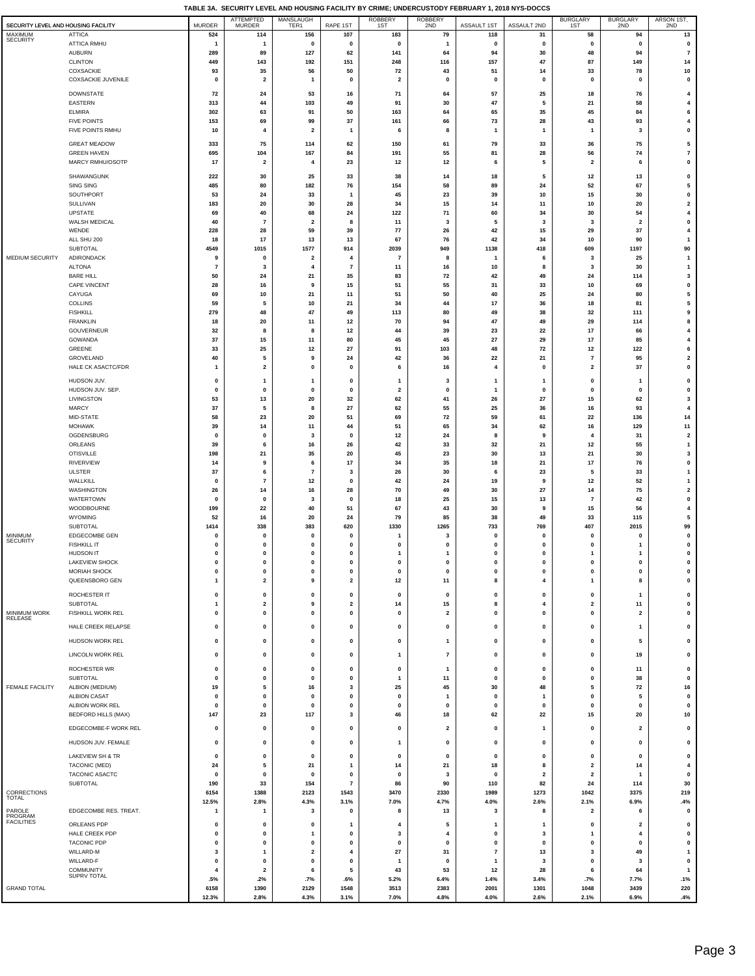$\overline{\phantom{a}}$ 

|                                     |                                           |                         |                                   |                                                    |                                                                                                                                                                                                                                                                                                                                                                                                                         |                               |                         | TABLE 3A. SECURITY LEVEL AND HOUSING FACILITY BY CRIME; UNDERCUSTODY FEBRUARY 1, 2018 NYS-DOCCS |                 |                         |                         |                                      |
|-------------------------------------|-------------------------------------------|-------------------------|-----------------------------------|----------------------------------------------------|-------------------------------------------------------------------------------------------------------------------------------------------------------------------------------------------------------------------------------------------------------------------------------------------------------------------------------------------------------------------------------------------------------------------------|-------------------------------|-------------------------|-------------------------------------------------------------------------------------------------|-----------------|-------------------------|-------------------------|--------------------------------------|
| SECURITY LEVEL AND HOUSING FACILITY |                                           | <b>MURDER</b>           | <b>ATTEMPTED</b><br><b>MURDER</b> | MANSLAUGH<br>TER1                                  | RAPE 1ST                                                                                                                                                                                                                                                                                                                                                                                                                | ROBBERY<br>1ST                | ROBBERY<br>2ND          | <b>ASSAULT 1ST</b>                                                                              | ASSAULT 2ND     | BURGLARY<br>1ST         | BURGLARY<br>2ND         | ARSON 1ST,<br>2ND                    |
| MAXIMUM                             | <b>ATTICA</b>                             | 524                     | 114                               | 156                                                | 107                                                                                                                                                                                                                                                                                                                                                                                                                     | 183                           | 79                      | 118                                                                                             | 31              | 58                      | 94                      | 13                                   |
| <b>SECURITY</b>                     | <b>ATTICA RMHU</b>                        | $\overline{\mathbf{1}}$ | $\overline{1}$                    | $\pmb{0}$                                          | 0                                                                                                                                                                                                                                                                                                                                                                                                                       | 0                             | $\mathbf{1}$            | 0                                                                                               | 0               | $\pmb{0}$               | $\pmb{0}$               | $\pmb{0}$                            |
|                                     | <b>AUBURN</b>                             | 289                     | 89                                | 127                                                | 62                                                                                                                                                                                                                                                                                                                                                                                                                      | 141                           | 64                      | 94                                                                                              | 30              | 48                      | 94                      | $\bf 7$                              |
|                                     | <b>CLINTON</b>                            | 449                     | 143                               | 192                                                | 151                                                                                                                                                                                                                                                                                                                                                                                                                     | 248                           | 116                     | 157                                                                                             | 47              | 87                      | 149                     | 14                                   |
|                                     | COXSACKIE                                 | 93                      | 35                                | 56                                                 | 50                                                                                                                                                                                                                                                                                                                                                                                                                      | 72<br>$\overline{\mathbf{2}}$ | 43                      | 51                                                                                              | 14<br>$\pmb{0}$ | 33                      | 78                      | 10<br>$\pmb{0}$                      |
|                                     | COXSACKIE JUVENILE                        | $\mathbf 0$             | $\overline{\mathbf{2}}$           | $\mathbf{1}$                                       | 0                                                                                                                                                                                                                                                                                                                                                                                                                       |                               | $\pmb{0}$               | 0                                                                                               |                 | $\pmb{0}$               | $\pmb{0}$               |                                      |
|                                     | <b>DOWNSTATE</b>                          | 72                      | 24                                | 53                                                 | 16                                                                                                                                                                                                                                                                                                                                                                                                                      | 71                            | 64                      | 57                                                                                              | 25              | 18                      | 76                      | $\overline{4}$                       |
|                                     | <b>EASTERN</b>                            | 313                     | 44                                | 103                                                | 49                                                                                                                                                                                                                                                                                                                                                                                                                      | 91                            | 30                      | 47                                                                                              | 5               | 21                      | 58                      | 4                                    |
|                                     | <b>ELMIRA</b><br><b>FIVE POINTS</b>       | 302<br>153              | 63<br>69                          | 91<br>99                                           | 50<br>37                                                                                                                                                                                                                                                                                                                                                                                                                | 163<br>161                    | 64<br>66                | 65<br>73                                                                                        | 35<br>28        | 45<br>43                | 84<br>93                | 6<br>4                               |
|                                     | FIVE POINTS RMHU                          | 10                      | $\overline{4}$                    | $\overline{\mathbf{2}}$                            | 1                                                                                                                                                                                                                                                                                                                                                                                                                       | 6                             | 8                       | $\mathbf{1}$                                                                                    | $\mathbf{1}$    | 1                       | 3                       | $\pmb{0}$                            |
|                                     |                                           |                         |                                   |                                                    |                                                                                                                                                                                                                                                                                                                                                                                                                         |                               |                         |                                                                                                 |                 |                         |                         |                                      |
|                                     | <b>GREAT MEADOW</b>                       | 333<br>695              | 75<br>104                         | 114                                                | 62<br>84                                                                                                                                                                                                                                                                                                                                                                                                                | 150<br>191                    | 61<br>55                | 79<br>81                                                                                        | 33<br>28        | 36<br>56                | 75<br>74                | 5<br>$\overline{7}$                  |
|                                     | <b>GREEN HAVEN</b><br>MARCY RMHU/OSOTP    | 17                      | $\overline{\mathbf{2}}$           | 167<br>$\overline{4}$                              | 23                                                                                                                                                                                                                                                                                                                                                                                                                      | 12                            | 12                      | 6                                                                                               | 5               | $\mathbf{2}$            | 6                       | $\mathbf{0}$                         |
|                                     |                                           |                         |                                   |                                                    |                                                                                                                                                                                                                                                                                                                                                                                                                         |                               |                         |                                                                                                 |                 |                         |                         |                                      |
|                                     | SHAWANGUNK                                | 222                     | 30                                | 25                                                 | 33                                                                                                                                                                                                                                                                                                                                                                                                                      | 38                            | 14                      | 18                                                                                              | 5               | 12                      | 13                      | $\pmb{0}$                            |
|                                     | SING SING<br>SOUTHPORT                    | 485<br>53               | 80<br>24                          | 182<br>33                                          | 76<br>$\mathbf{1}$                                                                                                                                                                                                                                                                                                                                                                                                      | 154<br>45                     | 58<br>23                | 89<br>39                                                                                        | 24<br>$10\,$    | 52<br>15                | 67<br>30                | 5<br>$\pmb{0}$                       |
|                                     | SULLIVAN                                  | 183                     | 20                                | 30                                                 | 28                                                                                                                                                                                                                                                                                                                                                                                                                      | 34                            | 15                      | 14                                                                                              | 11              | 10                      | 20                      | $\overline{\mathbf{2}}$              |
|                                     | UPSTATE                                   | 69                      | 40                                | 68                                                 | 24                                                                                                                                                                                                                                                                                                                                                                                                                      | 122                           | ${\bf 71}$              | 60                                                                                              | 34              | 30                      | 54                      | 4                                    |
|                                     | WALSH MEDICAL                             | 40                      | $\overline{7}$                    | $\overline{\mathbf{2}}$                            | 8                                                                                                                                                                                                                                                                                                                                                                                                                       | 11                            | 3                       | 5                                                                                               | 3               | $\overline{\mathbf{3}}$ | $\overline{\mathbf{2}}$ | $\mathbf{0}$                         |
|                                     | WENDE                                     | 228                     | 28                                | 59                                                 | 39                                                                                                                                                                                                                                                                                                                                                                                                                      | 77                            | 26                      | 42                                                                                              | 15              | 29                      | 37                      | $\overline{4}$                       |
|                                     | ALL SHU 200                               | 18                      | 17                                | 13                                                 | 13                                                                                                                                                                                                                                                                                                                                                                                                                      | 67                            | 76                      | 42                                                                                              | 34              | 10                      | 90                      | -1                                   |
| MEDIUM SECURITY                     | SUBTOTAL                                  | 4549                    | 1015                              | 1577                                               | 914                                                                                                                                                                                                                                                                                                                                                                                                                     | 2039                          | 949                     | 1138                                                                                            | 418             | 609                     | 1197                    | 90                                   |
|                                     | ADIRONDACK<br><b>ALTONA</b>               | 9<br>$\overline{7}$     | 0<br>3                            | $\overline{\mathbf{2}}$<br>$\overline{\mathbf{4}}$ | 4<br>$\overline{7}$                                                                                                                                                                                                                                                                                                                                                                                                     | $\overline{7}$<br>11          | 8<br>16                 | $\mathbf{1}$<br>10                                                                              | 6<br>8          | 3<br>3                  | 25<br>30                | $\mathbf{1}$<br>$\mathbf{1}$         |
|                                     | <b>BARE HILL</b>                          | 50                      | 24                                | 21                                                 | 35                                                                                                                                                                                                                                                                                                                                                                                                                      | 83                            | 72                      | 42                                                                                              | 49              | 24                      | 114                     | 3                                    |
|                                     | <b>CAPE VINCENT</b>                       | 28                      | 16                                | 9                                                  | 15                                                                                                                                                                                                                                                                                                                                                                                                                      | 51                            | 55                      | 31                                                                                              | 33              | 10                      | 69                      | $\pmb{0}$                            |
|                                     | CAYUGA                                    | 69                      | 10                                | 21                                                 | 11                                                                                                                                                                                                                                                                                                                                                                                                                      | 51                            | 50                      | 40                                                                                              | 25              | 24                      | 80                      | ${\bf 5}$                            |
|                                     | COLLINS                                   | 59                      | 5                                 | $10\,$                                             | 21                                                                                                                                                                                                                                                                                                                                                                                                                      | 34                            | 44                      | 17                                                                                              | 36              | 18                      | 81                      | ${\bf 5}$                            |
|                                     | <b>FISHKILL</b>                           | 279                     | 48                                | $\bf 47$                                           | 49                                                                                                                                                                                                                                                                                                                                                                                                                      | 113                           | 80                      | 49                                                                                              | 38              | 32                      | 111                     | 9                                    |
|                                     | <b>FRANKLIN</b><br><b>GOUVERNEUR</b>      | 18<br>32                | 20<br>8                           | 11<br>8                                            | 12<br>12                                                                                                                                                                                                                                                                                                                                                                                                                | 70<br>44                      | 94<br>39                | 47<br>23                                                                                        | 49<br>22        | 29<br>17                | 114<br>66               | 8<br>$\overline{4}$                  |
|                                     | <b>GOWANDA</b>                            | 37                      | 15                                | 11                                                 | 80                                                                                                                                                                                                                                                                                                                                                                                                                      | 45                            | 45                      | 27                                                                                              | 29              | 17                      | 85                      | $\overline{4}$                       |
|                                     | GREENE                                    | 33                      | 25                                | 12                                                 | 27                                                                                                                                                                                                                                                                                                                                                                                                                      | 91                            | 103                     | 48                                                                                              | 72              | 12                      | 122                     | 6                                    |
|                                     | GROVELAND                                 | 40                      | 5                                 | 9                                                  | 24                                                                                                                                                                                                                                                                                                                                                                                                                      | 42                            | 36                      | 22                                                                                              | 21              | $\overline{7}$          | 95                      | $\overline{\mathbf{2}}$              |
|                                     | HALE CK ASACTC/FDR                        | 1                       | $\overline{2}$                    | $\pmb{0}$                                          | 0                                                                                                                                                                                                                                                                                                                                                                                                                       | 6                             | 16                      | $\overline{4}$                                                                                  | $\mathbf 0$     | $\overline{\mathbf{2}}$ | 37                      | $\mathbf{0}$                         |
|                                     | HUDSON JUV.                               | 0                       | -1                                | $\mathbf{1}$                                       | 0                                                                                                                                                                                                                                                                                                                                                                                                                       | 1                             | 3                       | $\mathbf{1}$                                                                                    | -1              | 0                       | -1                      | $\pmb{0}$                            |
|                                     | HUDSON JUV. SEP.                          | 0                       | $\mathbf 0$                       | $\pmb{0}$                                          | $\pmb{0}$                                                                                                                                                                                                                                                                                                                                                                                                               | $\overline{2}$                | $\mathbf 0$             | $\overline{1}$                                                                                  | $\pmb{0}$       | $\pmb{0}$               | $\mathbf 0$             | $\pmb{0}$                            |
|                                     | LIVINGSTON                                | 53                      | 13                                | 20                                                 | 32                                                                                                                                                                                                                                                                                                                                                                                                                      | 62                            | 41                      | 26                                                                                              | 27              | 15                      | 62                      | 3                                    |
|                                     | <b>MARCY</b>                              | 37                      | 5                                 | 8                                                  | 27                                                                                                                                                                                                                                                                                                                                                                                                                      | 62                            | 55                      | 25                                                                                              | 36              | 16                      | 93                      | $\overline{4}$                       |
|                                     | MID-STATE                                 | 58                      | 23                                | 20                                                 | 51                                                                                                                                                                                                                                                                                                                                                                                                                      | 69                            | 72                      | 59                                                                                              | 61              | 22                      | 136                     | 14                                   |
|                                     | <b>MOHAWK</b><br>OGDENSBURG               | 39<br>0                 | 14<br>0                           | 11<br>3                                            | 44<br>0                                                                                                                                                                                                                                                                                                                                                                                                                 | 51<br>12                      | 65<br>24                | 34<br>8                                                                                         | 62<br>9         | 16<br>4                 | 129<br>31               | 11<br>$\overline{\mathbf{2}}$        |
|                                     | ORLEANS                                   | 39                      | 6                                 | 16                                                 | 26                                                                                                                                                                                                                                                                                                                                                                                                                      | 42                            | 33                      | 32                                                                                              | 21              | 12                      | 55                      | $\mathbf{1}$                         |
|                                     | <b>OTISVILLE</b>                          | 198                     | 21                                | 35                                                 | 20                                                                                                                                                                                                                                                                                                                                                                                                                      | 45                            | 23                      | 30                                                                                              | 13              | 21                      | 30                      | 3                                    |
|                                     | <b>RIVERVIEW</b>                          | 14                      | 9                                 | 6                                                  | 17                                                                                                                                                                                                                                                                                                                                                                                                                      | 34                            | 35                      | 18                                                                                              | 21              | 17                      | 76                      | $\pmb{0}$                            |
|                                     | <b>ULSTER</b>                             | 37                      | 6                                 | $\boldsymbol{7}$                                   | 3                                                                                                                                                                                                                                                                                                                                                                                                                       | 26                            | 30                      | 6                                                                                               | 23              | 5                       | 33                      | 1                                    |
|                                     | WALLKILL                                  | $\mathbf 0$             | $\overline{7}$                    | 12                                                 | $\pmb{0}$                                                                                                                                                                                                                                                                                                                                                                                                               | 42                            | 24                      | 19                                                                                              | 9               | 12                      | 52                      | -1                                   |
|                                     | WASHINGTON<br>WATERTOWN                   | 26<br>$\mathbf 0$       | 14<br>$\mathbf 0$                 | 16                                                 | 28<br>0                                                                                                                                                                                                                                                                                                                                                                                                                 | 70                            | 49<br>25                | 30                                                                                              | 27<br>13        | 14<br>$\overline{7}$    | 75<br>42                | $\overline{\mathbf{2}}$<br>$\pmb{0}$ |
|                                     | WOODBOURNE                                | 199                     | 22                                | 3<br>40                                            | 51                                                                                                                                                                                                                                                                                                                                                                                                                      | 18<br>67                      | 43                      | 15<br>30                                                                                        | 9               | 15                      | 56                      | $\overline{4}$                       |
|                                     | <b>WYOMING</b>                            | 52                      | 16                                | 20                                                 | 24                                                                                                                                                                                                                                                                                                                                                                                                                      | 79                            | 85                      | 38                                                                                              | 49              | 33                      | 115                     | 5                                    |
|                                     | SUBTOTAL                                  | 1414                    | 338                               | 383                                                | 620                                                                                                                                                                                                                                                                                                                                                                                                                     | 1330                          | 1265                    | 733                                                                                             | 769             | 407                     | 2015                    | 99                                   |
| MINIMUM<br><b>SECURITY</b>          | EDGECOMBE GEN                             | 0                       | 0                                 | 0                                                  | 0                                                                                                                                                                                                                                                                                                                                                                                                                       |                               | 3                       | $\mathbf 0$                                                                                     | 0               | 0                       | 0                       | $\pmb{0}$                            |
|                                     | <b>FISHKILL IT</b>                        | 0                       | 0                                 | $\pmb{0}$                                          | 0                                                                                                                                                                                                                                                                                                                                                                                                                       | 0                             | 0                       | $\mathbf 0$                                                                                     | $\mathbf 0$     | 0                       |                         | $\pmb{0}$                            |
|                                     | <b>HUDSON IT</b><br><b>LAKEVIEW SHOCK</b> | 0<br>0                  | 0<br>0                            | $\pmb{0}$<br>0                                     | 0                                                                                                                                                                                                                                                                                                                                                                                                                       | 1                             | 1<br>0                  | 0                                                                                               | 0               | 1<br>0                  | $\mathbf{1}$            | $\pmb{0}$                            |
|                                     | <b>MORIAH SHOCK</b>                       | 0                       | 0                                 | $\pmb{0}$                                          | 0                                                                                                                                                                                                                                                                                                                                                                                                                       | 0                             | $\mathbf 0$             | 0                                                                                               | 0               | 0                       | 0                       | 0                                    |
|                                     | QUEENSBORO GEN                            | 1                       | $\overline{\mathbf{2}}$           | 9                                                  | $\mathbf{2}% =\mathbf{2}+\mathbf{2}+\mathbf{3}+\mathbf{4}+\mathbf{5}+\mathbf{5}+\mathbf{5}+\mathbf{6}+\mathbf{6}+\mathbf{5}+\mathbf{6}+\mathbf{5}+\mathbf{6}+\mathbf{6}+\mathbf{5}+\mathbf{6}+\mathbf{6}+\mathbf{5}+\mathbf{6}+\mathbf{6}+\mathbf{6}+\mathbf{5}+\mathbf{6}+\mathbf{6}+\mathbf{6}+\mathbf{6}+\mathbf{6}+\mathbf{6}+\mathbf{6}+\mathbf{6}+\mathbf{6}+\mathbf{6}+\mathbf{6}+\mathbf{6}+\mathbf{6}+\mathbf$ | 12                            | 11                      | 8                                                                                               | 4               | 1                       | 8                       | $\pmb{0}$                            |
|                                     | ROCHESTER IT                              | 0                       | $\pmb{0}$                         | $\pmb{0}$                                          | 0                                                                                                                                                                                                                                                                                                                                                                                                                       | $\mathbf 0$                   | $\mathbf 0$             | $\pmb{0}$                                                                                       | $\pmb{0}$       | 0                       | $\overline{1}$          | $\pmb{0}$                            |
|                                     | <b>SUBTOTAL</b>                           | 1                       | $\overline{\mathbf{2}}$           | 9                                                  | $\mathbf{2}$                                                                                                                                                                                                                                                                                                                                                                                                            | 14                            | 15                      | 8                                                                                               | 4               | $\mathbf{2}$            | 11                      | $\pmb{0}$                            |
| MINIMUM WORK                        | FISHKILL WORK REL                         | 0                       | 0                                 | $\pmb{0}$                                          | 0                                                                                                                                                                                                                                                                                                                                                                                                                       | 0                             | $\overline{\mathbf{2}}$ | $\pmb{0}$                                                                                       | $\pmb{0}$       | 0                       | $\overline{\mathbf{2}}$ | $\mathbf{0}$                         |
| RELEASE                             | HALE CREEK RELAPSE                        | 0                       | 0                                 | 0                                                  | 0                                                                                                                                                                                                                                                                                                                                                                                                                       | $\mathbf 0$                   | 0                       | 0                                                                                               | $\pmb{0}$       | 0                       | -1                      | $\pmb{0}$                            |
|                                     |                                           |                         |                                   |                                                    |                                                                                                                                                                                                                                                                                                                                                                                                                         |                               |                         |                                                                                                 |                 |                         |                         |                                      |
|                                     | HUDSON WORK REL                           | 0                       | 0                                 | $\pmb{0}$                                          | 0                                                                                                                                                                                                                                                                                                                                                                                                                       | 0                             | $\mathbf{1}$            | $\pmb{0}$                                                                                       | $\pmb{0}$       | 0                       | 5                       | $\pmb{0}$                            |
|                                     | LINCOLN WORK REL                          | 0                       | 0                                 | 0                                                  | 0                                                                                                                                                                                                                                                                                                                                                                                                                       | 1                             | $\overline{7}$          | 0                                                                                               | 0               | 0                       | 19                      | 0                                    |
|                                     | ROCHESTER WR                              | 0                       | $\pmb{0}$                         | $\pmb{0}$                                          | 0                                                                                                                                                                                                                                                                                                                                                                                                                       | $\mathbf 0$                   | $\overline{1}$          | $\pmb{0}$                                                                                       | $\pmb{0}$       | 0                       | 11                      | $\pmb{0}$                            |
|                                     | SUBTOTAL                                  | 0                       | $\mathbf 0$                       | $\pmb{0}$                                          | 0                                                                                                                                                                                                                                                                                                                                                                                                                       | $\mathbf{1}$                  | 11                      | $\pmb{0}$                                                                                       | $\pmb{0}$       | 0                       | 38                      | $\pmb{0}$                            |
| FEMALE FACILITY                     | ALBION (MEDIUM)                           | 19                      | 5                                 | 16                                                 | 3                                                                                                                                                                                                                                                                                                                                                                                                                       | 25                            | 45                      | 30                                                                                              | 48              | 5                       | 72                      | 16                                   |
|                                     | <b>ALBION CASAT</b>                       | 0                       | 0                                 | $\pmb{0}$                                          | 0                                                                                                                                                                                                                                                                                                                                                                                                                       | 0                             | $\mathbf{1}$            | 0                                                                                               | $\mathbf{1}$    | 0                       | 5                       | $\pmb{0}$                            |
|                                     | ALBION WORK REL                           | $\mathbf{0}$<br>147     | 0<br>23                           | $\pmb{0}$<br>117                                   | 0<br>3                                                                                                                                                                                                                                                                                                                                                                                                                  | 0<br>46                       | $\mathbf 0$<br>18       | $\mathbf 0$                                                                                     | $\pmb{0}$<br>22 | 0<br>15                 | 0<br>20                 | $\pmb{0}$<br>10                      |
|                                     | <b>BEDFORD HILLS (MAX)</b>                |                         |                                   |                                                    |                                                                                                                                                                                                                                                                                                                                                                                                                         |                               |                         | 62                                                                                              |                 |                         |                         |                                      |
|                                     | EDGECOMBE-F WORK REL                      | 0                       | $\mathbf 0$                       | 0                                                  | 0                                                                                                                                                                                                                                                                                                                                                                                                                       | $\mathbf 0$                   | $\overline{\mathbf{2}}$ | 0                                                                                               | 1               | 0                       | 2                       | 0                                    |
|                                     | HUDSON JUV. FEMALE                        | 0                       | $\pmb{0}$                         | $\pmb{0}$                                          | 0                                                                                                                                                                                                                                                                                                                                                                                                                       | 1                             | $\mathbf 0$             | 0                                                                                               | $\pmb{0}$       | 0                       | 0                       | $\pmb{0}$                            |
|                                     | LAKEVIEW SH & TR                          | 0                       | $\mathbf 0$                       | 0                                                  | 0                                                                                                                                                                                                                                                                                                                                                                                                                       | $\mathbf 0$                   | 0                       | $\mathbf{0}$                                                                                    | $\mathbf 0$     | 0                       | 0                       | 0                                    |
|                                     | <b>TACONIC (MED)</b>                      | 24                      | 5                                 | 21                                                 | 1                                                                                                                                                                                                                                                                                                                                                                                                                       | 14                            | 21                      | 18                                                                                              | 8               | $\mathbf{2}$            | 14                      | 4                                    |
|                                     | TACONIC ASACTC                            | $\mathbf{0}$            | $\mathbf 0$                       | 0                                                  | 0                                                                                                                                                                                                                                                                                                                                                                                                                       | $\mathbf 0$                   | 3                       | $\mathbf{0}$                                                                                    | $\mathbf 2$     | $\mathbf{2}$            | -1                      | 0                                    |
|                                     | SUBTOTAL                                  | 190                     | 33                                | 154                                                | $\overline{7}$                                                                                                                                                                                                                                                                                                                                                                                                          | 86                            | 90                      | 110                                                                                             | 82              | 24                      | 114                     | 30                                   |
| CORRECTIONS<br>TOTAL                |                                           | 6154                    | 1388                              | 2123                                               | 1543                                                                                                                                                                                                                                                                                                                                                                                                                    | 3470                          | 2330                    | 1989                                                                                            | 1273            | 1042                    | 3375                    | 219                                  |
|                                     |                                           | 12.5%                   | 2.8%                              | 4.3%                                               | 3.1%                                                                                                                                                                                                                                                                                                                                                                                                                    | 7.0%                          | 4.7%                    | 4.0%                                                                                            | 2.6%            | 2.1%                    | 6.9%                    | .4%                                  |
| PAROLE<br>PROGRAM                   | EDGECOMBE RES. TREAT.                     | 1                       | $\overline{1}$                    | 3                                                  | 0                                                                                                                                                                                                                                                                                                                                                                                                                       | 8                             | 13                      | $\mathbf{3}$                                                                                    | 8               | $\mathbf{2}$            | 6                       | $\pmb{0}$                            |
| <b>FACILITIES</b>                   | ORLEANS PDP                               | 0                       | $\mathbf 0$                       | 0                                                  | 1                                                                                                                                                                                                                                                                                                                                                                                                                       | 4                             | 5                       | $\mathbf{1}$                                                                                    | -1              | 0                       | -2                      | 0                                    |
|                                     | HALE CREEK PDP                            | 0                       | 0                                 | 1                                                  | 0                                                                                                                                                                                                                                                                                                                                                                                                                       | 3                             | 4                       | $\mathbf{0}$                                                                                    | 3               | 1                       | $\overline{4}$          | $\pmb{0}$                            |
|                                     | <b>TACONIC PDP</b><br>WILLARD-M           | 0<br>3                  | $\mathbf{0}$<br>$\mathbf{1}$      | $\mathbf{0}$<br>$\overline{2}$                     | 0<br>4                                                                                                                                                                                                                                                                                                                                                                                                                  | $\mathbf 0$<br>27             | $\mathbf{0}$<br>31      | $\mathbf{0}$<br>$\overline{7}$                                                                  | $\pmb{0}$<br>13 | 0<br>3                  | $\mathbf 0$<br>49       | $\mathbf{0}$<br>$\mathbf{1}$         |
|                                     | WILLARD-F                                 | 0                       | $\pmb{0}$                         | $\pmb{0}$                                          | 0                                                                                                                                                                                                                                                                                                                                                                                                                       | -1                            | $\mathbf 0$             | $\mathbf{1}$                                                                                    | 3               | 0                       | $\overline{\mathbf{3}}$ | $\pmb{0}$                            |
|                                     | <b>COMMUNITY</b>                          | $\overline{\mathbf{4}}$ | $\overline{2}$                    | 6                                                  | 5                                                                                                                                                                                                                                                                                                                                                                                                                       | 43                            | 53                      | 12                                                                                              | 28              | 6                       | 64                      | $\mathbf{1}$                         |
|                                     | SUPRV TOTAL                               | .5%                     | .2%                               | .7%                                                | .6%                                                                                                                                                                                                                                                                                                                                                                                                                     | 5.2%                          | 6.4%                    | 1.4%                                                                                            | 3.4%            | .7%                     | 7.7%                    | .1%                                  |
| <b>GRAND TOTAL</b>                  |                                           | 6158                    | 1390                              | 2129                                               | 1548                                                                                                                                                                                                                                                                                                                                                                                                                    | 3513                          | 2383                    | 2001                                                                                            | 1301            | 1048                    | 3439                    | 220                                  |
|                                     |                                           | 12.3%                   | 2.8%                              | 4.3%                                               | 3.1%                                                                                                                                                                                                                                                                                                                                                                                                                    | 7.0%                          | 4.8%                    | 4.0%                                                                                            | 2.6%            | 2.1%                    | 6.9%                    | .4%                                  |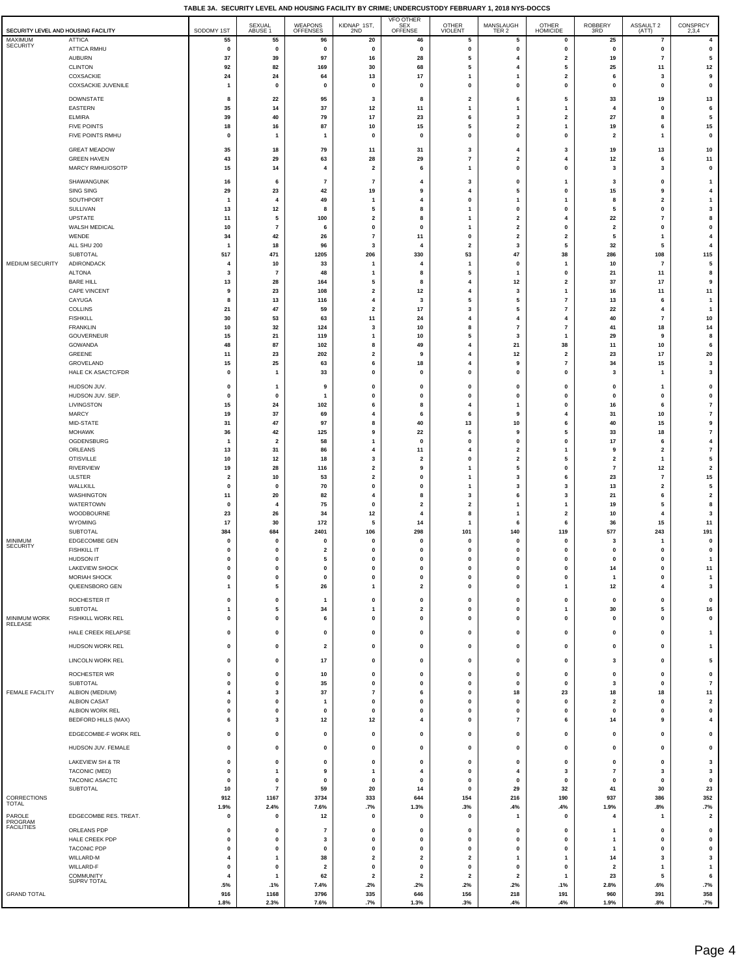|                                     |                                        |                       |                               |                         |                         |                             |                         | $\cdots$                |                                       |                               |                          |                                           |
|-------------------------------------|----------------------------------------|-----------------------|-------------------------------|-------------------------|-------------------------|-----------------------------|-------------------------|-------------------------|---------------------------------------|-------------------------------|--------------------------|-------------------------------------------|
|                                     |                                        |                       | SEXUAL                        | WEAPONS                 | KIDNAP 1ST,             | VFO OTHER<br>SEX<br>OFFENSE | OTHER                   | MANSLAUGH               | OTHER                                 | ROBBERY<br>3RD                | ASSAULT 2                | CONSPRCY                                  |
| SECURITY LEVEL AND HOUSING FACILITY |                                        | SODOMY 1ST            | ABUSE 1                       | <b>OFFENSES</b>         | 2ND                     |                             | <b>VIOLENT</b>          | TER <sub>2</sub>        | <b>HOMICIDE</b>                       |                               | (ATT)                    | 2,3,4                                     |
| MAXIMUM<br><b>SECURITY</b>          | ATTICA                                 | 55                    | 55                            | 96                      | 20                      | 46                          | 5                       | 5                       | 0                                     | 25                            | $\overline{\phantom{a}}$ | $\overline{\mathbf{4}}$                   |
|                                     | <b>ATTICA RMHU</b>                     | $\pmb{0}$<br>37       | $\pmb{0}$<br>39               | 0<br>97                 | 0                       | $\pmb{0}$<br>28             | $\pmb{0}$<br>5          | 0<br>$\overline{4}$     | $\pmb{0}$                             | $\pmb{0}$                     | 0<br>$\overline{7}$      | $\pmb{0}$<br>5                            |
|                                     | AUBURN<br><b>CLINTON</b>               | 92                    | 82                            | 169                     | 16<br>30                | 68                          | 5                       | 4                       | $\mathbf{2}$<br>5                     | 19<br>25                      | 11                       | $12$                                      |
|                                     | COXSACKIE                              | 24                    | 24                            | 64                      | 13                      | 17                          | 1                       | 1                       | $\mathbf 2$                           | 6                             | 3                        | 9                                         |
|                                     | COXSACKIE JUVENILE                     | $\overline{1}$        | $\mathbf 0$                   | $\pmb{0}$               | $\pmb{0}$               | $\pmb{0}$                   | $\pmb{0}$               | $\mathbf{0}$            | 0                                     | $\pmb{0}$                     | $\pmb{0}$                | $\pmb{\mathsf{o}}$                        |
|                                     |                                        |                       |                               |                         |                         |                             |                         |                         |                                       |                               |                          |                                           |
|                                     | <b>DOWNSTATE</b>                       | 8                     | 22                            | 95                      | 3                       | 8                           | $\overline{\mathbf{2}}$ | 6                       | 5                                     | 33                            | 19                       | 13                                        |
|                                     | <b>EASTERN</b>                         | 35                    | 14                            | 37                      | $12$                    | 11                          | 1                       | 1                       | $\mathbf{1}$                          | 4                             | 0                        | 6                                         |
|                                     | <b>ELMIRA</b>                          | 39                    | 40                            | 79                      | 17                      | 23                          | 6                       | 3<br>2                  | 2                                     | 27                            | 8                        | 5                                         |
|                                     | <b>FIVE POINTS</b><br>FIVE POINTS RMHU | 18<br>$\mathbf{0}$    | 16<br>1                       | 87<br>$\overline{1}$    | 10<br>$\mathbf 0$       | 15<br>$\Omega$              | 5<br>$\pmb{0}$          | $\mathbf{0}$            | 1<br>0                                | 19<br>$\overline{\mathbf{2}}$ | 6<br>$\mathbf{1}$        | 15<br>$\pmb{\mathsf{o}}$                  |
|                                     |                                        |                       |                               |                         |                         |                             |                         |                         |                                       |                               |                          |                                           |
|                                     | <b>GREAT MEADOW</b>                    | 35                    | 18                            | 79                      | 11                      | 31                          | 3                       | $\overline{4}$          | 3                                     | 19                            | 13                       | $10$                                      |
|                                     | <b>GREEN HAVEN</b>                     | 43                    | 29                            | 63                      | 28                      | 29                          | $\overline{\mathbf{r}}$ | $\overline{a}$          | 4                                     | 12                            | 6                        | 11                                        |
|                                     | MARCY RMHU/OSOTP                       | 15                    | 14                            | $\overline{4}$          | $\mathbf{2}$            | 6                           | 1                       | 0                       | 0                                     | 3                             | 3                        | $\pmb{0}$                                 |
|                                     | SHAWANGUNK                             | 16                    | 6                             | $\overline{7}$          | $\overline{7}$          | 4                           | 3                       | 0                       | $\mathbf{1}$                          | 3                             | 0                        | -1                                        |
|                                     | SING SING                              | 29                    | 23                            | 42                      | 19                      | 9                           | 4                       | 5                       | 0                                     | $15\,$                        | 9                        | $\overline{\mathbf{4}}$                   |
|                                     | SOUTHPORT                              | $\overline{1}$        | $\overline{4}$                | 49                      | $\overline{1}$          | $\overline{\mathbf{4}}$     | $\mathbf 0$             | 1                       | $\overline{1}$                        | 8                             | $\overline{\mathbf{2}}$  | $\overline{1}$                            |
|                                     | SULLIVAN                               | 13                    | 12                            | 8                       | 5                       | 8                           | $\mathbf{1}$            | $\mathbf 0$             | 0                                     | 5                             | $\pmb{0}$                | $\mathbf{3}$                              |
|                                     | UPSTATE                                | 11                    | 5                             | 100                     | $\overline{2}$          | 8                           | $\mathbf{1}$            | $\overline{2}$          | $\overline{\mathbf{4}}$               | 22                            | $\overline{7}$           | 8                                         |
|                                     | WALSH MEDICAL                          | 10                    | $\overline{7}$                | 6                       | 0                       | $\mathbf{0}$                | 1                       | $\overline{\mathbf{2}}$ | 0                                     | $\overline{\mathbf{2}}$       | 0                        | $\pmb{0}$                                 |
|                                     | WENDE                                  | 34                    | 42                            | 26                      | $\overline{7}$          | 11                          | $\pmb{0}$               | $\overline{\mathbf{2}}$ | $\mathbf{2}$                          | 5                             | $\mathbf{1}$             | 4                                         |
|                                     | ALL SHU 200                            | $\mathbf{1}$          | 18                            | 96                      | 3                       | $\overline{4}$              | $\overline{\mathbf{2}}$ | 3                       | 5                                     | 32                            | 5                        | $\overline{\mathbf{4}}$                   |
|                                     | SUBTOTAL                               | 517                   | 471                           | 1205                    | 206                     | 330                         | 53                      | 47                      | 38                                    | 286                           | 108                      | 115                                       |
| MEDIUM SECURITY                     | ADIRONDACK                             | 4                     | 10                            | 33                      | -1                      | $\overline{4}$              | 1                       | 0                       | $\mathbf{1}$                          | 10                            | $\overline{7}$           | 5                                         |
|                                     | <b>ALTONA</b>                          | 3                     | $\overline{7}$                | 48                      | -1                      | 8                           | 5                       | 1                       | 0                                     | 21                            | 11                       | 8                                         |
|                                     | <b>BARE HILL</b><br>CAPE VINCENT       | 13<br>9               | 28<br>23                      | 164<br>108              | 5                       | 8<br>12                     | 4                       | $12$                    | $\mathbf 2$                           | 37<br>16                      | 17                       | 9                                         |
|                                     |                                        |                       |                               |                         | $\overline{\mathbf{2}}$ |                             | 4                       | 3                       | 1                                     |                               | 11                       | $11$                                      |
|                                     | CAYUGA<br><b>COLLINS</b>               | 8<br>21               | 13<br>47                      | 116<br>59               | 4<br>$\overline{2}$     | 3<br>17                     | 5<br>3                  | 5<br>5                  | $\pmb{7}$<br>$\overline{\phantom{a}}$ | 13<br>22                      | 6<br>4                   | $\mathbf{1}$<br>$\overline{1}$            |
|                                     | <b>FISHKILL</b>                        | 30                    | 53                            | 63                      | 11                      | 24                          | 4                       | $\overline{4}$          | 4                                     | 40                            | $\overline{7}$           | $10$                                      |
|                                     | <b>FRANKLIN</b>                        | 10                    | 32                            | 124                     | 3                       | 10                          | 8                       | 7                       | $\overline{\mathbf{r}}$               | 41                            | 18                       | 14                                        |
|                                     | <b>GOUVERNEUR</b>                      | 15                    | 21                            | 119                     | $\mathbf{1}$            | 10                          | 5                       | 3                       | $\overline{1}$                        | 29                            | 9                        | 8                                         |
|                                     | GOWANDA                                | 48                    | 87                            | 102                     | 8                       | 49                          | 4                       | 21                      | 38                                    | 11                            | 10                       | 6                                         |
|                                     | GREENE                                 | 11                    | 23                            | 202                     | $\overline{\mathbf{2}}$ | 9                           | 4                       | 12                      | 2                                     | 23                            | 17                       | 20                                        |
|                                     | GROVELAND                              | 15                    | 25                            | 63                      | 6                       | 18                          | 4                       | 9                       | $\overline{\mathbf{z}}$               | 34                            | 15                       | 3                                         |
|                                     | HALE CK ASACTC/FDR                     | $\mathbf 0$           | 1                             | 33                      | 0                       | $\mathbf 0$                 | 0                       | 0                       | 0                                     | 3                             | $\mathbf{1}$             | $\mathbf{3}$                              |
|                                     |                                        |                       |                               |                         |                         |                             |                         |                         |                                       |                               |                          |                                           |
|                                     | HUDSON JUV.                            | $\mathbf 0$           | 1                             | 9                       | 0                       | $\pmb{0}$                   | $\mathbf{0}$            | $\mathbf 0$             | 0                                     | $\pmb{0}$                     | -1                       | $\pmb{0}$                                 |
|                                     | HUDSON JUV. SEP.                       | $\mathbf 0$           | $\mathbf{0}$                  | $\mathbf{1}$            | 0                       | $\pmb{0}$                   | $\mathbf{0}$            | $\mathbf 0$             | 0                                     | $\pmb{0}$                     | $\pmb{0}$                | $\pmb{0}$                                 |
|                                     | LIVINGSTON                             | 15                    | 24                            | 102                     | 6                       | 8                           | 4                       | 1                       | 0                                     | 16                            | 6                        | $\overline{7}$                            |
|                                     | <b>MARCY</b>                           | 19                    | 37                            | 69                      | $\overline{4}$          | 6                           | 6                       | 9                       | 4                                     | 31                            | 10                       | $\overline{7}$                            |
|                                     | MID-STATE                              | 31                    | 47                            | 97                      | 8<br>9                  | 40                          | 13                      | 10                      | 6                                     | 40                            | 15                       | 9                                         |
|                                     | <b>MOHAWK</b>                          | 36<br>$\mathbf{1}$    | 42<br>$\overline{\mathbf{2}}$ | 125<br>58               | $\mathbf{1}$            | 22<br>$\mathbf 0$           | 6<br>0                  | 9<br>0                  | 5<br>0                                | 33<br>17                      | 18<br>6                  | $\overline{7}$<br>$\overline{\mathbf{4}}$ |
|                                     | OGDENSBURG<br>ORLEANS                  | 13                    | 31                            | 86                      | $\overline{\mathbf{A}}$ | 11                          | 4                       | 2                       | 1                                     | 9                             | $\overline{\mathbf{2}}$  | $\scriptstyle\rm 7$                       |
|                                     | <b>OTISVILLE</b>                       | 10                    | $12$                          | 18                      | 3                       | $\overline{2}$              | 0                       | 2                       | 5                                     | $\mathbf 2$                   | $\overline{1}$           | 5                                         |
|                                     | RIVERVIEW                              | 19                    | 28                            | 116                     | $\overline{\mathbf{2}}$ | 9                           | 1                       | 5                       | 0                                     | $\overline{7}$                | 12                       | $\overline{\mathbf{2}}$                   |
|                                     | <b>ULSTER</b>                          | $\overline{2}$        | 10                            | 53                      | $\overline{2}$          | $\pmb{0}$                   | $\mathbf{1}$            | 3                       | 6                                     | 23                            | $\overline{7}$           | 15                                        |
|                                     | WALLKILL                               | $\mathbf 0$           | $\mathbf{0}$                  | 70                      | 0                       | $\mathbf{0}$                | $\mathbf{1}$            | 3                       | 3                                     | 13                            | $\overline{\mathbf{2}}$  | 5                                         |
|                                     | WASHINGTON                             | 11                    | 20                            | 82                      | $\overline{4}$          | 8                           | $\mathbf{3}$            | 6                       | 3                                     | 21                            | 6                        | $\mathbf 2$                               |
|                                     | <b>WATERTOWN</b>                       | 0                     | $\overline{4}$                | 75                      | 0                       | $\overline{2}$              | $\overline{\mathbf{2}}$ | 1                       | 1                                     | 19                            | 5                        | 8                                         |
|                                     | WOODBOURNE                             | 23                    | 26                            | 34                      | 12                      | $\overline{4}$              | 8                       | 1                       | $\mathbf{2}$                          | 10                            | $\overline{4}$           | $\mathbf{3}$                              |
|                                     | WYOMING                                | 17                    | 30                            | 172                     | 5                       | 14                          | 1                       | 6                       | 6                                     | 36                            | 15                       | 11                                        |
|                                     | SUBTOTAL                               | 384                   | 684                           | 2401                    | 106                     | 298                         | 101                     | 140                     | 119                                   | 577                           | 243                      | 191                                       |
| MINIMUM                             | EDGECOMBE GEN                          | 0                     | 0                             | 0                       | 0                       | $\mathbf 0$                 | $\mathbf 0$             | 0                       | 0                                     | 3                             | $\mathbf{1}$             | $\pmb{0}$                                 |
| <b>SECURITY</b>                     | <b>FISHKILL IT</b>                     | $\mathbf 0$           | 0                             | $\overline{\mathbf{2}}$ | 0                       | $\mathbf 0$                 | 0                       | 0                       | 0                                     | $\pmb{0}$                     | $\pmb{0}$                | $\pmb{0}$                                 |
|                                     | <b>HUDSON IT</b>                       | $\mathbf 0$           | $\mathbf{0}$                  | 5                       | $\mathbf{0}$            | $\mathbf{0}$                | $\mathbf 0$             | $\mathbf{0}$            | $\mathbf{0}$                          | $\mathbf 0$                   | $\mathbf{0}$             | $\overline{1}$                            |
|                                     | <b>LAKEVIEW SHOCK</b>                  | 0                     | $\mathbf 0$                   | 0                       | $\mathbf 0$             | 0                           | 0                       | 0                       | 0                                     | 14                            | 0                        | 11                                        |
|                                     | MORIAH SHOCK                           | $\pmb{0}$             | $\mathbf{0}$                  | $\pmb{0}$               | $\pmb{0}$               | $\pmb{0}$                   | $\pmb{0}$               | $\mathbf 0$             | $\mathbf 0$                           | $\mathbf{1}$                  | $\pmb{0}$                | $\mathbf{1}$                              |
|                                     | QUEENSBORO GEN                         | $\mathbf{1}$          | 5                             | 26                      | $\mathbf{1}$            | $\overline{\mathbf{2}}$     | $\pmb{0}$               | $\mathbf{0}$            | $\mathbf{1}$                          | 12                            | 4                        | $\overline{\mathbf{3}}$                   |
|                                     | ROCHESTER IT                           | $\pmb{0}$             | 0                             | $\mathbf{1}$            | $\pmb{0}$               | $\pmb{0}$                   | 0                       | 0                       | 0                                     | $\pmb{0}$                     | $\pmb{0}$                | $\pmb{0}$                                 |
|                                     | SUBTOTAL                               | 1                     | 5                             | 34                      | $\mathbf{1}$            | $\overline{\mathbf{2}}$     | 0                       | 0                       | 1                                     | 30                            | 5                        | 16                                        |
| MINIMUM WORK                        | FISHKILL WORK REL                      | 0                     | 0                             | 6                       | $\pmb{0}$               | $\pmb{0}$                   | 0                       | 0                       | 0                                     | 0                             | 0                        | $\pmb{0}$                                 |
| RELEASE                             |                                        | $\mathbf{0}$          | $\mathbf{0}$                  |                         |                         |                             |                         | $\mathbf{0}$            |                                       |                               |                          |                                           |
|                                     | HALE CREEK RELAPSE                     |                       |                               | $\pmb{0}$               | $\pmb{0}$               | $\pmb{0}$                   | $\pmb{0}$               |                         | 0                                     | $\pmb{0}$                     | $\pmb{0}$                | $\overline{1}$                            |
|                                     | <b>HUDSON WORK REL</b>                 | 0                     | 0                             | $\overline{\mathbf{2}}$ | 0                       | $\mathbf 0$                 | 0                       | 0                       | 0                                     | 0                             | 0                        | $\mathbf{1}$                              |
|                                     | <b>LINCOLN WORK REL</b>                | $\mathbf{0}$          | 0                             | 17                      |                         | $\pmb{0}$                   |                         | $\mathbf{0}$            |                                       |                               | $\mathbf 0$              | 5                                         |
|                                     |                                        |                       |                               |                         | 0                       |                             | $\pmb{0}$               |                         | 0                                     | 3                             |                          |                                           |
|                                     | ROCHESTER WR                           | $\pmb{0}$             | 0                             | 10                      | $\pmb{0}$               | $\pmb{0}$                   | $\pmb{0}$               | 0                       | 0                                     | $\pmb{0}$                     | $\pmb{0}$                | $\pmb{0}$                                 |
|                                     | SUBTOTAL                               | $\mathbf 0$           | $\mathbf{0}$                  | 35                      | 0                       | $\mathbf{0}$                | 0                       | 0                       | 0                                     | 3                             | $\pmb{0}$                | $\bf 7$                                   |
| <b>FEMALE FACILITY</b>              | ALBION (MEDIUM)                        | 4                     | 3                             | 37                      | $\overline{7}$          | 6                           | 0                       | 18                      | 23                                    | 18                            | 18                       | 11                                        |
|                                     | <b>ALBION CASAT</b>                    | 0                     | 0                             | $\overline{1}$          | 0                       | $\mathbf 0$                 | 0                       | 0                       | 0                                     | $\overline{\mathbf{2}}$       | 0                        | $\overline{\mathbf{2}}$                   |
|                                     | ALBION WORK REL                        | 0                     | 0                             | 0                       | $\pmb{0}$               | $\pmb{0}$                   | 0                       | 0                       | 0                                     | 0                             | 0                        | $\pmb{0}$                                 |
|                                     | <b>BEDFORD HILLS (MAX)</b>             | 6                     | 3                             | 12                      | 12                      | 4                           | $\pmb{0}$               | 7                       | 6                                     | 14                            | 9                        | $\overline{\mathbf{4}}$                   |
|                                     | EDGECOMBE-F WORK REL                   | $\mathbf 0$           | $\mathbf{0}$                  | $\pmb{0}$               | $\pmb{0}$               | $\pmb{0}$                   | $\mathbf{0}$            | $\mathbf 0$             | 0                                     | $\pmb{0}$                     | $\pmb{0}$                | $\pmb{\mathsf{o}}$                        |
|                                     |                                        |                       |                               |                         |                         |                             |                         |                         |                                       |                               |                          |                                           |
|                                     | HUDSON JUV. FEMALE                     | 0                     | 0                             | 0                       | 0                       | $\pmb{0}$                   | $\pmb{0}$               | 0                       | 0                                     | $\pmb{0}$                     | 0                        | $\pmb{0}$                                 |
|                                     | <b>LAKEVIEW SH &amp; TR</b>            | $\mathbf{0}$          | 0                             | $\pmb{0}$               | $\pmb{0}$               | $\pmb{0}$                   | $\pmb{0}$               | $\mathbf{0}$            | 0                                     | $\pmb{0}$                     | $\pmb{0}$                | $\mathbf{3}$                              |
|                                     | <b>TACONIC (MED)</b>                   | $\mathbf 0$           | $\mathbf{1}$                  | 9                       | $\mathbf{1}$            | $\overline{\mathbf{4}}$     | $\mathbf{0}$            | $\overline{4}$          | 3                                     | $\overline{7}$                | 3                        | 3                                         |
|                                     | TACONIC ASACTC                         | $\mathbf 0$           | 0                             | $\pmb{0}$               | $\pmb{0}$               | $\pmb{0}$                   | $\pmb{0}$               | 0                       | 0                                     | $\pmb{0}$                     | $\pmb{0}$                | $\pmb{0}$                                 |
|                                     | SUBTOTAL                               | 10                    | $\overline{7}$                | 59                      | 20                      | 14                          | $\pmb{0}$               | 29                      | 32                                    | 41                            | 30                       | 23                                        |
| CORRECTIONS                         |                                        | 912                   | 1167                          | 3734                    | 333                     | 644                         | 154                     | 216                     | 190                                   | 937                           | 386                      | 352                                       |
| <b>TOTAL</b>                        |                                        | 1.9%                  | 2.4%                          | 7.6%                    | .7%                     | 1.3%                        | .3%                     | .4%                     | .4%                                   | 1.9%                          | .8%                      | .7%                                       |
| PAROLE                              | EDGECOMBE RES. TREAT.                  | 0                     | 0                             | 12                      | $\mathbf 0$             | 0                           | 0                       | 1                       | 0                                     | 4                             | $\mathbf{1}$             | $\overline{\mathbf{2}}$                   |
| PROGRAM<br><b>FACILITIES</b>        |                                        |                       |                               |                         |                         |                             |                         |                         |                                       |                               |                          |                                           |
|                                     | ORLEANS PDP                            | $\mathbf 0$           | $\mathbf{0}$                  | $\overline{7}$          | $\pmb{0}$               | $\pmb{0}$                   | $\mathbf 0$             | $\mathbf 0$             | 0                                     | $\mathbf{1}$                  | $\pmb{0}$                | $\mathbf 0$                               |
|                                     | HALE CREEK PDP                         | $\mathbf 0$           | $\mathbf{0}$                  | 3                       | $\pmb{0}$               | $\pmb{0}$                   | $\pmb{0}$               | $\mathbf{0}$            | 0                                     | $\mathbf{1}$                  | $\pmb{0}$                | $\mathbf 0$                               |
|                                     | <b>TACONIC PDP</b>                     | $\mathbf 0$           | $\mathbf{0}$                  | $\pmb{0}$               | 0                       | $\pmb{0}$                   | $\mathbf 0$             | $\mathbf 0$             | 0                                     | $\mathbf{1}$                  | $\pmb{0}$                | $\mathbf 0$                               |
|                                     | WILLARD-M                              | $\overline{4}$        | 1                             | 38                      | $\mathbf{2}$            | $\overline{\mathbf{2}}$     | $\mathbf{2}$            | 1                       | $\overline{1}$                        | 14                            | $\mathbf{3}$             | $\mathbf{3}$                              |
|                                     | WILLARD-F                              | 0                     | 0                             | $\overline{\mathbf{2}}$ | $\pmb{0}$               | $\pmb{0}$                   | $\pmb{0}$               | 0                       | 0                                     | $\overline{\mathbf{2}}$       | $\mathbf{1}$             | $\mathbf{1}$                              |
|                                     | COMMUNITY<br>SUPRV TOTAL               | $\overline{4}$<br>.5% | 1                             | 62                      | $\mathbf{2}$            | $\overline{\mathbf{2}}$     | $\overline{\mathbf{2}}$ | $\overline{\mathbf{2}}$ | $\mathbf{1}$                          | 23                            | 5                        | 6                                         |
| <b>GRAND TOTAL</b>                  |                                        | 916                   | .1%<br>1168                   | 7.4%<br>3796            | .2%<br>335              | .2%<br>646                  | .2%<br>156              | .2%<br>218              | .1%<br>191                            | 2.8%<br>960                   | .6%<br>391               | .7%<br>358                                |
|                                     |                                        | 1.8%                  | 2.3%                          | 7.6%                    | .7%                     | 1.3%                        | .3%                     | .4%                     | .4%                                   | 1.9%                          | .8%                      | .7%                                       |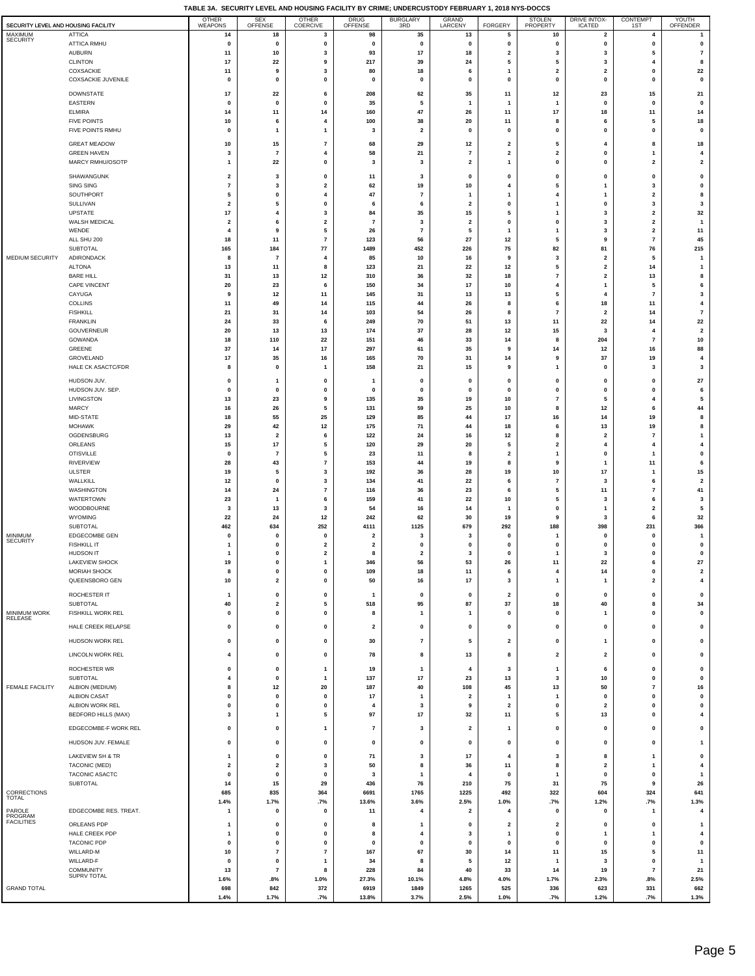|                                     |                                               | TABLE 3A. SECURITY LEVEL AND HOUSING FACILITY BY CRIME; UNDERCUSTODY FEBRUARY 1, 2018 NYS-DOCCS |                                      |                              |                         |                                           |                         |                               |                              |                                                    |                      |                                      |
|-------------------------------------|-----------------------------------------------|-------------------------------------------------------------------------------------------------|--------------------------------------|------------------------------|-------------------------|-------------------------------------------|-------------------------|-------------------------------|------------------------------|----------------------------------------------------|----------------------|--------------------------------------|
| SECURITY LEVEL AND HOUSING FACILITY |                                               | OTHER<br>WEAPONS                                                                                | SEX<br>OFFENSE                       | OTHER<br>COERCIVE            | DRUG<br>OFFENSE         | BURGLARY<br>3RD                           | <b>GRAND</b><br>LARCENY | <b>FORGERY</b>                | STOLEN<br>PROPERTY           | DRIVE INTOX-<br>ICATED                             | CONTEMPT<br>1ST      | YOUTH<br>OFFENDER                    |
| MAXIMUM<br><b>SECURITY</b>          | <b>ATTICA</b><br>ATTICA RMHU                  | 14<br>$\pmb{0}$                                                                                 | 18<br>$\pmb{0}$                      | 3<br>0                       | 98<br>$\pmb{0}$         | 35<br>$\mathbf 0$                         | 13<br>0                 | 5<br>$\mathbf 0$              | 10<br>0                      | $\overline{\mathbf{2}}$<br>$\pmb{0}$               | 4<br>$\mathbf 0$     | 1<br>$\pmb{0}$                       |
|                                     | <b>AUBURN</b>                                 | 11                                                                                              | 10                                   | 3                            | 93                      | 17                                        | 18                      | $\overline{\mathbf{2}}$       | 3                            | 3                                                  | 5                    | $\overline{7}$                       |
|                                     | <b>CLINTON</b><br>COXSACKIE                   | 17<br>11                                                                                        | 22<br>9                              | 9<br>3                       | 217<br>80               | 39<br>18                                  | 24<br>6                 | 5<br>$\mathbf{1}$             | 5<br>$\mathbf{2}$            | 3<br>$\overline{\mathbf{2}}$                       | 4<br>0               | 8<br>22                              |
|                                     | COXSACKIE JUVENILE                            | 0                                                                                               | 0                                    | 0                            | 0                       | 0                                         | 0                       | $\mathbf 0$                   | 0                            | $\mathbf 0$                                        | 0                    | $\pmb{0}$                            |
|                                     | DOWNSTATE                                     | $17\,$                                                                                          | 22                                   | 6                            | 208                     | 62                                        | 35                      | 11                            | $12$                         | 23                                                 | 15                   | 21                                   |
|                                     | <b>EASTERN</b>                                | $\mathbf{0}$                                                                                    | $\pmb{0}$                            | $\mathbf{0}$                 | 35                      | 5                                         | $\mathbf{1}$            | -1                            | $\mathbf{1}$                 | $\pmb{0}$                                          | $\mathbf 0$          | $\pmb{0}$                            |
|                                     | <b>ELMIRA</b><br><b>FIVE POINTS</b>           | 14<br>10                                                                                        | 11<br>6                              | 14<br>$\overline{4}$         | 160<br>100              | 47<br>38                                  | 26<br>20                | 11<br>11                      | 17<br>8                      | 18<br>6                                            | 11<br>5              | 14<br>18                             |
|                                     | FIVE POINTS RMHU                              | $\mathbf 0$                                                                                     | $\mathbf{1}$                         | 1                            | 3                       | $\overline{2}$                            | 0                       | $\pmb{0}$                     | $\mathbf{0}$                 | $\mathbf{0}$                                       | 0                    | $\pmb{0}$                            |
|                                     | <b>GREAT MEADOW</b>                           | 10                                                                                              | 15                                   | 7                            | 68                      | 29                                        | 12                      | $\overline{\mathbf{2}}$       | 5                            | 4                                                  | 8                    | 18                                   |
|                                     | <b>GREEN HAVEN</b>                            | $\mathbf 3$                                                                                     | $\overline{7}$                       | 4                            | 58                      | 21                                        | $\pmb{7}$               | $\overline{\mathbf{2}}$       | $\mathbf{2}$                 | $\pmb{0}$                                          | $\mathbf{1}$         | 4                                    |
|                                     | MARCY RMHU/OSOTP                              | $\mathbf{1}$                                                                                    | 22                                   | $\mathbf 0$                  | 3                       | 3                                         | $\mathbf 2$             | $\mathbf{1}$                  | 0                            | $\Omega$                                           | $\mathbf{2}$         | $\mathbf 2$                          |
|                                     | SHAWANGUNK<br><b>SING SING</b>                | $\overline{\mathbf{2}}$<br>$\pmb{7}$                                                            | 3<br>3                               | 0<br>$\overline{2}$          | 11<br>62                | 3<br>19                                   | 0<br>10                 | $\mathbf{0}$<br>4             | 0<br>5                       | $\mathbf{0}$                                       | 0<br>3               | $\pmb{0}$<br>0                       |
|                                     | SOUTHPORT                                     | 5                                                                                               | 0                                    | 4                            | 47                      | $\overline{7}$                            | 1                       | $\mathbf{1}$                  | 4                            | -1                                                 | $\mathbf{2}$         | 8                                    |
|                                     | SULLIVAN<br>UPSTATE                           | $\overline{\mathbf{2}}$<br>17                                                                   | 5<br>4                               | 0<br>3                       | 6<br>84                 | 6<br>35                                   | $\mathbf{2}$<br>15      | $\mathbf 0$<br>5              | 1<br>1                       | $\mathbf 0$<br>3                                   | 3<br>$\mathbf{2}$    | 3<br>$32\,$                          |
|                                     | WALSH MEDICAL                                 | $\overline{\mathbf{2}}$                                                                         | 6                                    | $\mathbf 2$                  | $\overline{7}$          | $\overline{\mathbf{3}}$                   | $\mathbf 2$             | $\mathbf 0$                   | 0                            | 3                                                  | $\mathbf 2$          | $\mathbf{1}$                         |
|                                     | WENDE                                         | $\overline{4}$                                                                                  | 9                                    | 5                            | 26                      | $\overline{7}$                            | 5                       | -1                            | $\mathbf{1}$                 | 3                                                  | $\mathbf 2$          | $11$                                 |
|                                     | ALL SHU 200<br><b>SUBTOTAL</b>                | 18<br>165                                                                                       | 11<br>184                            | $\overline{7}$<br>$77\,$     | 123<br>1489             | 56<br>452                                 | 27<br>226               | $12$<br>75                    | 5<br>82                      | 9<br>81                                            | $\overline{7}$<br>76 | 45<br>215                            |
| MEDIUM SECURITY                     | ADIRONDACK                                    | 8                                                                                               | $\overline{7}$                       | $\overline{4}$               | 85                      | 10                                        | 16                      | 9                             | 3                            | $\overline{\mathbf{2}}$                            | 5                    | $\overline{1}$                       |
|                                     | <b>ALTONA</b><br><b>BARE HILL</b>             | 13<br>31                                                                                        | 11<br>13                             | 8<br>12                      | 123<br>310              | 21<br>36                                  | 22<br>32                | 12<br>18                      | 5<br>$\overline{7}$          | $\overline{\mathbf{2}}$<br>$\overline{\mathbf{2}}$ | 14<br>13             | $\mathbf{1}$<br>8                    |
|                                     | <b>CAPE VINCENT</b>                           | 20                                                                                              | 23                                   | 6                            | 150                     | 34                                        | 17                      | 10                            | 4                            | -1                                                 | 5                    | 6                                    |
|                                     | CAYUGA                                        | 9                                                                                               | 12                                   | 11                           | 145                     | 31                                        | 13                      | 13                            | 5                            | $\overline{4}$                                     | $\overline{7}$       | 3                                    |
|                                     | COLLINS<br><b>FISHKILL</b>                    | 11<br>21                                                                                        | 49<br>31                             | 14<br>14                     | 115<br>103              | 44<br>54                                  | 26<br>26                | 8<br>8                        | 6<br>$\overline{7}$          | 18<br>$\overline{\mathbf{2}}$                      | 11<br>14             | $\overline{\mathbf{4}}$<br>$\bf 7$   |
|                                     | <b>FRANKLIN</b>                               | 24                                                                                              | 33                                   | 6                            | 249                     | 70                                        | 51                      | 13                            | 11                           | 22                                                 | 14                   | 22                                   |
|                                     | GOUVERNEUR<br>GOWANDA                         | 20<br>18                                                                                        | 13<br>110                            | 13<br>22                     | 174<br>151              | 37<br>46                                  | 28<br>33                | $12\,$<br>14                  | $15\,$<br>8                  | 3<br>204                                           | 4<br>$\overline{7}$  | $\mathbf{2}$<br>${\bf 10}$           |
|                                     | GREENE                                        | 37                                                                                              | 14                                   | 17                           | 297                     | 61                                        | 35                      | 9                             | 14                           | 12                                                 | 16                   | 88                                   |
|                                     | GROVELAND                                     | 17                                                                                              | 35                                   | 16                           | 165                     | 70                                        | 31                      | 14                            | 9                            | 37                                                 | 19<br>3              | $\overline{\mathbf{4}}$              |
|                                     | HALE CK ASACTC/FDR                            | 8                                                                                               | $\pmb{0}$                            | 1                            | 158                     | 21                                        | 15                      | 9                             | $\mathbf{1}$                 | $\pmb{0}$                                          |                      | 3                                    |
|                                     | HUDSON JUV.<br>HUDSON JUV. SEP.               | 0<br>0                                                                                          | 1<br>0                               | 0<br>0                       | $\mathbf{1}$<br>0       | 0<br>0                                    | 0<br>0                  | $\mathbf 0$<br>0              | 0<br>0                       | $\mathbf 0$<br>$\mathbf 0$                         | 0<br>0               | $\bf 27$<br>6                        |
|                                     | LIVINGSTON                                    | 13                                                                                              | 23                                   | 9                            | 135                     | 35                                        | 19                      | 10                            | $\overline{7}$               | -5                                                 | 4                    | 5                                    |
|                                     | <b>MARCY</b><br>MID-STATE                     | 16<br>18                                                                                        | 26<br>55                             | 5<br>25                      | 131<br>129              | 59<br>85                                  | 25<br>44                | 10<br>17                      | 8<br>16                      | 12<br>14                                           | 6<br>19              | 44<br>8                              |
|                                     | <b>MOHAWK</b>                                 | 29                                                                                              | 42                                   | 12                           | 175                     | 71                                        | 44                      | 18                            | 6                            | 13                                                 | 19                   | 8                                    |
|                                     | OGDENSBURG                                    | 13                                                                                              | $\overline{\mathbf{2}}$              | 6                            | 122                     | 24                                        | 16                      | 12                            | 8                            | $\overline{\mathbf{2}}$                            | $\overline{7}$       | $\overline{1}$                       |
|                                     | ORLEANS<br><b>OTISVILLE</b>                   | 15<br>$\mathbf 0$                                                                               | $17\,$<br>$\overline{7}$             | 5<br>5                       | 120<br>23               | 29<br>11                                  | 20<br>8                 | 5<br>$\overline{\mathbf{2}}$  | $\mathbf{2}$<br>$\mathbf{1}$ | 4<br>$\mathbf 0$                                   | $\overline{4}$<br>1  | $\overline{\mathbf{4}}$<br>$\pmb{0}$ |
|                                     | <b>RIVERVIEW</b>                              | 28                                                                                              | 43                                   | 7                            | 153                     | 44                                        | 19                      | 8                             | 9                            |                                                    | 11                   | 6                                    |
|                                     | <b>ULSTER</b><br>WALLKILL                     | 19<br>12                                                                                        | 5<br>0                               | 3<br>3                       | 192<br>134              | 36<br>41                                  | 28<br>22                | 19<br>6                       | 10<br>$\overline{7}$         | 17<br>3                                            | 1<br>6               | 15<br>$\overline{\mathbf{2}}$        |
|                                     | WASHINGTON                                    | 14                                                                                              | 24                                   | $\overline{7}$               | 116                     | 36                                        | 23                      | 6                             | 5                            | 11                                                 | $\overline{7}$       | 41                                   |
|                                     | <b>WATERTOWN</b><br>WOODBOURNE                | 23<br>3                                                                                         | $\mathbf{1}$<br>13                   | 6<br>$\overline{\mathbf{3}}$ | 159<br>54               | 41<br>16                                  | 22<br>14                | 10<br>-1                      | 5<br>0                       | 3<br>$\mathbf{1}$                                  | 6<br>$\mathbf{2}$    | 3<br>5                               |
|                                     | WYOMING                                       | 22                                                                                              | 24                                   | $12$                         | 242                     | 62                                        | 30                      | 19                            | 9                            | 3                                                  | 6                    | $32\,$                               |
| MINIMUM                             | <b>SUBTOTAL</b><br><b>EDGECOMBE GEN</b>       | 462<br>$\pmb{0}$                                                                                | 634<br>$\pmb{0}$                     | 252<br>$\mathbf{0}$          | 4111<br>$\overline{2}$  | 1125<br>3                                 | 679<br>3                | 292<br>$\mathbf 0$            | 188<br>1                     | 398<br>$\mathbf 0$                                 | 231<br>$\mathbf{0}$  | 366<br>$\mathbf{1}$                  |
| <b>SECURITY</b>                     | <b>FISHKILL IT</b>                            | $\overline{1}$                                                                                  | $\pmb{0}$                            | $\mathbf{2}$                 | $\overline{\mathbf{2}}$ | $\mathbf{0}$                              | 0                       | $\mathbf 0$                   | $\mathbf{0}$                 | $\mathbf 0$                                        | $\bf{0}$             | $\pmb{0}$                            |
|                                     | HUDSON IT                                     | $\mathbf{1}$                                                                                    | $\pmb{0}$                            | $\overline{\mathbf{2}}$      | 8                       | $\overline{\mathbf{2}}$                   | 3                       | $\mathbf 0$                   | 1                            | 3                                                  | 0                    | $\pmb{0}$                            |
|                                     | <b>LAKEVIEW SHOCK</b><br><b>MORIAH SHOCK</b>  | 19<br>8                                                                                         | 0<br>$\pmb{0}$                       | 0                            | 346<br>109              | 56<br>18                                  | 53<br>11                | 26<br>6                       | $1^{\circ}$<br>4             | 22<br>14                                           | 6<br>0               | 27<br>$\overline{\mathbf{2}}$        |
|                                     | QUEENSBORO GEN                                | 10                                                                                              | $\overline{\mathbf{2}}$              | 0                            | 50                      | 16                                        | 17                      | 3                             | 1                            | $\mathbf{1}$                                       | $\mathbf{2}$         | 4                                    |
|                                     | ROCHESTER IT                                  | -1                                                                                              | $\pmb{0}$                            | 0                            | $\mathbf{1}$            | $\mathbf 0$                               | 0                       | $\overline{\mathbf{2}}$       | 0                            | $\mathbf 0$                                        | 0                    | 0                                    |
| MINIMUM WORK                        | SUBTOTAL<br>FISHKILL WORK REL                 | 40<br>$\pmb{0}$                                                                                 | $\overline{\mathbf{2}}$<br>$\pmb{0}$ | 5<br>0                       | 518<br>8                | 95<br>$\mathbf{1}$                        | 87<br>$\mathbf{1}$      | 37<br>$\pmb{0}$               | 18<br>0                      | 40<br>$\mathbf{1}$                                 | 8<br>$\bf{0}$        | 34<br>$\pmb{0}$                      |
| <b>RELEASE</b>                      | HALE CREEK RELAPSE                            | 0                                                                                               | 0                                    | 0                            | $\overline{\mathbf{2}}$ | 0                                         | 0                       | 0                             | 0                            | $\pmb{0}$                                          | 0                    | 0                                    |
|                                     |                                               |                                                                                                 |                                      |                              |                         |                                           |                         |                               |                              |                                                    |                      |                                      |
|                                     | HUDSON WORK REL                               | $\pmb{0}$                                                                                       | $\pmb{0}$                            | 0                            | 30                      | $\overline{7}$                            | 5                       | $\overline{\mathbf{2}}$       | 0                            | $\mathbf{1}$                                       | 0                    | $\pmb{0}$                            |
|                                     | LINCOLN WORK REL                              | $\overline{\mathbf{4}}$                                                                         | $\pmb{0}$                            | 0                            | 78                      | 8                                         | 13                      | 8                             | $\mathbf{2}$                 | $\overline{\mathbf{2}}$                            | 0                    | $\pmb{0}$                            |
|                                     | ROCHESTER WR<br>SUBTOTAL                      | $\pmb{0}$<br>4                                                                                  | $\mathbf 0$<br>$\pmb{0}$             | $\mathbf{1}$<br>$\mathbf{1}$ | 19<br>137               | -1<br>17                                  | 4<br>23                 | 3<br>13                       | 1<br>3                       | 6<br>10                                            | 0<br>0               | 0<br>$\pmb{0}$                       |
| <b>FEMALE FACILITY</b>              | ALBION (MEDIUM)                               | 8                                                                                               | 12                                   | 20                           | 187                     | 40                                        | 108                     | 45                            | 13                           | 50                                                 | $\overline{7}$       | 16                                   |
|                                     | <b>ALBION CASAT</b>                           | $\pmb{0}$                                                                                       | $\pmb{0}$                            | $\mathbf{0}$                 | 17                      | $\overline{1}$<br>$\overline{\mathbf{3}}$ | $\overline{\mathbf{2}}$ | $\mathbf{1}$                  | $\mathbf{1}$                 | $\pmb{0}$                                          | 0<br>$\bf{0}$        | $\pmb{0}$                            |
|                                     | ALBION WORK REL<br><b>BEDFORD HILLS (MAX)</b> | $\pmb{0}$<br>3                                                                                  | $\pmb{0}$<br>$\mathbf{1}$            | 0<br>5                       | $\overline{4}$<br>97    | 17                                        | 9<br>32                 | $\overline{\mathbf{2}}$<br>11 | 0<br>5                       | $\overline{\mathbf{2}}$<br>13                      | 0                    | $\pmb{0}$<br>$\overline{\mathbf{4}}$ |
|                                     | EDGECOMBE-F WORK REL                          | 0                                                                                               | $\mathbf 0$                          | 1                            | $\overline{7}$          | 3                                         | 2                       | $\mathbf{1}$                  | 0                            | 0                                                  | 0                    | 0                                    |
|                                     | HUDSON JUV. FEMALE                            | $\pmb{0}$                                                                                       | $\pmb{0}$                            | 0                            | $\pmb{0}$               | $\pmb{0}$                                 | 0                       | $\pmb{0}$                     | 0                            | $\pmb{0}$                                          | $\bf{0}$             | -1                                   |
|                                     | LAKEVIEW SH & TR                              | $\mathbf{1}$                                                                                    | 0                                    | 0                            | 71                      | 3                                         | 17                      | $\overline{4}$                | 3                            | 8                                                  | 1                    | 0                                    |
|                                     | <b>TACONIC (MED)</b>                          | $\overline{\mathbf{2}}$                                                                         | $\overline{\mathbf{2}}$              | 3                            | 50                      | 8                                         | 36                      | 11                            | 8                            | $\overline{\mathbf{2}}$                            | 1                    | 4                                    |
|                                     | TACONIC ASACTC                                | 0                                                                                               | 0                                    | 0                            | 3                       | $\mathbf{1}$                              | 4                       | $\pmb{0}$                     | 1                            | 0                                                  | 0                    | $\mathbf{1}$                         |
| CORRECTIONS                         | SUBTOTAL                                      | 14<br>685                                                                                       | 15<br>835                            | 29<br>364                    | 436<br>6691             | 76<br>1765                                | 210<br>1225             | 75<br>492                     | 31<br>322                    | 75<br>604                                          | 9<br>324             | 26<br>641                            |
| TOTAL                               |                                               | 1.4%                                                                                            | 1.7%                                 | .7%                          | 13.6%                   | 3.6%                                      | 2.5%                    | 1.0%                          | .7%                          | 1.2%                                               | .7%                  | 1.3%                                 |
| PAROLE<br>PROGRAM                   | EDGECOMBE RES. TREAT.                         | $\overline{1}$                                                                                  | $\pmb{0}$                            | $\mathbf{0}$                 | 11                      | $\overline{4}$                            | $\mathbf{2}$            | $\overline{4}$                | 0                            | $\pmb{0}$                                          | $\mathbf{1}$         | $\overline{4}$                       |
| <b>FACILITIES</b>                   | ORLEANS PDP                                   | $\mathbf{1}$                                                                                    | 0                                    | 0                            | 8                       | 1                                         | 0                       | $\overline{\mathbf{2}}$       | 2                            | $\mathbf 0$                                        | 0                    | $\mathbf{1}$                         |
|                                     | HALE CREEK PDP<br>TACONIC PDP                 | $\mathbf{1}$<br>0                                                                               | 0<br>0                               | 0<br>0                       | 8<br>$\mathbf 0$        | $\overline{\mathbf{4}}$<br>0              | 3<br>0                  | $\mathbf{1}$<br>$\mathbf 0$   | 0<br>0                       | $\mathbf{1}$<br>$\mathbf 0$                        | 1<br>0               | 4<br>0                               |
|                                     | WILLARD-M                                     | $10\,$                                                                                          | $\overline{7}$                       | $\overline{7}$               | 167                     | 67                                        | 30                      | 14                            | 11                           | 15                                                 | 5                    | 11                                   |
|                                     | WILLARD-F<br>COMMUNITY                        | $\mathbf 0$<br>13                                                                               | $\mathbf 0$<br>$\overline{7}$        | 1<br>8                       | 34<br>228               | 8<br>84                                   | 5<br>40                 | 12<br>33                      | $\mathbf{1}$<br>14           | 3<br>19                                            | 0<br>$\overline{7}$  | -1<br>21                             |
|                                     | SUPRV TOTAL                                   | 1.6%                                                                                            | .8%                                  | 1.0%                         | 27.3%                   | 10.1%                                     | 4.8%                    | 4.0%                          | 1.7%                         | 2.3%                                               | .8%                  | 2.5%                                 |
| <b>GRAND TOTAL</b>                  |                                               | 698<br>1.4%                                                                                     | 842<br>1.7%                          | 372<br>.7%                   | 6919<br>13.8%           | 1849<br>3.7%                              | 1265<br>2.5%            | 525<br>1.0%                   | 336<br>.7%                   | 623<br>1.2%                                        | 331<br>.7%           | 662<br>1.3%                          |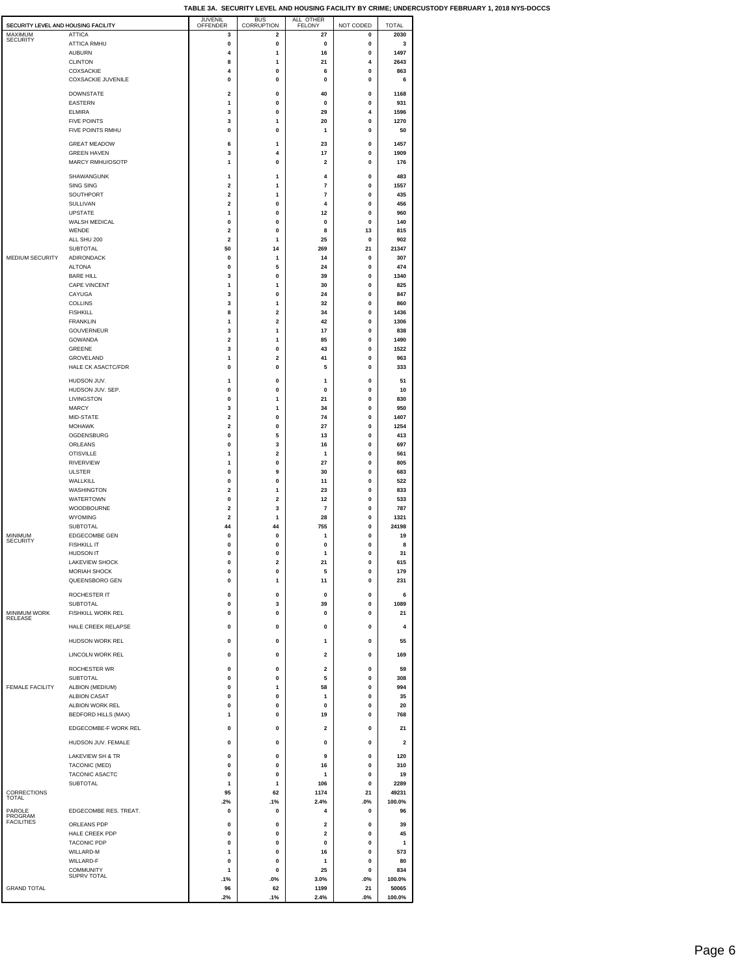| SECURITY LEVEL AND HOUSING FACILITY   |                                           | JUVENIL<br><b>OFFENDER</b>    | BUS<br>CORRUPTION            | ALL OTHER<br>FELONY     | NOT CODED         | <b>TOTAL</b>            |
|---------------------------------------|-------------------------------------------|-------------------------------|------------------------------|-------------------------|-------------------|-------------------------|
| MAXIMUM<br><b>SECURITY</b>            | <b>ATTICA</b>                             | 3                             | 2                            | 27                      | 0                 | 2030                    |
|                                       | <b>ATTICA RMHU</b><br><b>AUBURN</b>       | 0<br>4                        | 0<br>1                       | 0<br>16                 | 0<br>0            | 3<br>1497               |
|                                       | <b>CLINTON</b>                            | 8                             | 1                            | 21                      | 4                 | 2643                    |
|                                       | <b>COXSACKIE</b>                          | 4                             | 0                            | 6                       | 0                 | 863                     |
|                                       | <b>COXSACKIE JUVENILE</b>                 | 0                             | 0                            | 0                       | 0                 | 6                       |
|                                       | <b>DOWNSTATE</b><br><b>EASTERN</b>        | 2<br>1                        | 0<br>0                       | 40<br>0                 | 0<br>0            | 1168<br>931             |
|                                       | <b>ELMIRA</b>                             | 3                             | 0                            | 29                      | 4                 | 1596                    |
|                                       | <b>FIVE POINTS</b>                        | 3                             | 1                            | 20<br>1                 | 0                 | 1270                    |
|                                       | FIVE POINTS RMHU                          | 0                             | 0                            |                         | 0                 | 50                      |
|                                       | <b>GREAT MEADOW</b><br><b>GREEN HAVEN</b> | 6<br>3                        | 1<br>$\overline{\mathbf{4}}$ | 23<br>17                | 0<br>$\pmb{0}$    | 1457<br>1909            |
|                                       | MARCY RMHU/OSOTP                          | 1                             | 0                            | $\overline{\mathbf{2}}$ | 0                 | 176                     |
|                                       | SHAWANGUNK                                | 1                             | 1                            | 4                       | 0                 | 483                     |
|                                       | <b>SING SING</b>                          | 2                             | 1                            | 7                       | 0                 | 1557                    |
|                                       | SOUTHPORT<br>SULLIVAN                     | 2<br>2                        | 1<br>0                       | 7<br>4                  | 0<br>0            | 435<br>456              |
|                                       | <b>UPSTATE</b>                            | 1                             | 0                            | 12                      | 0                 | 960                     |
|                                       | WALSH MEDICAL<br>WENDE                    | 0<br>$\overline{\mathbf{2}}$  | 0<br>0                       | 0<br>8                  | 0<br>13           | 140<br>815              |
|                                       | ALL SHU 200                               | $\overline{\mathbf{2}}$       | 1                            | 25                      | 0                 | 902                     |
| MEDIUM SECURITY                       | <b>SUBTOTAL</b><br><b>ADIRONDACK</b>      | 50<br>0                       | 14<br>1                      | 269<br>14               | 21<br>0           | 21347<br>307            |
|                                       | <b>ALTONA</b>                             | $\mathbf 0$                   | 5                            | 24                      | 0                 | 474                     |
|                                       | <b>BARE HILL</b>                          | 3                             | 0                            | 39                      | 0                 | 1340                    |
|                                       | CAPE VINCENT<br>CAYUGA                    | 1<br>3                        | 1<br>0                       | 30<br>24                | 0<br>0            | 825<br>847              |
|                                       | <b>COLLINS</b>                            | 3                             | 1                            | 32                      | 0                 | 860                     |
|                                       | <b>FISHKILL</b><br><b>FRANKLIN</b>        | 8<br>1                        | 2<br>2                       | 34<br>42                | 0<br>0            | 1436<br>1306            |
|                                       | GOUVERNEUR                                | 3                             | 1                            | 17                      | $\pmb{0}$         | 838                     |
|                                       | <b>GOWANDA</b><br><b>GREENE</b>           | $\overline{\mathbf{2}}$<br>3  | 1<br>0                       | 85<br>43                | 0<br>0            | 1490<br>1522            |
|                                       | <b>GROVELAND</b>                          | 1                             | $\overline{\mathbf{2}}$      | 41                      | 0                 | 963                     |
|                                       | <b>HALE CK ASACTC/FDR</b>                 | $\mathbf 0$                   | 0                            | 5                       | 0                 | 333                     |
|                                       | HUDSON JUV.                               | 1                             | 0                            | 1                       | 0                 | 51                      |
|                                       | HUDSON JUV. SEP.<br>LIVINGSTON            | 0<br>0                        | 0<br>1                       | 0<br>21                 | 0<br>0            | 10<br>830               |
|                                       | <b>MARCY</b>                              | 3                             | 1                            | 34                      | $\pmb{0}$         | 950                     |
|                                       | MID-STATE                                 | $\overline{\mathbf{2}}$       | $\mathbf 0$                  | 74                      | 0                 | 1407                    |
|                                       | <b>MOHAWK</b><br>OGDENSBURG               | $\overline{\mathbf{2}}$<br>0  | 0<br>5                       | 27<br>13                | 0<br>0            | 1254<br>413             |
|                                       | ORLEANS                                   | $\mathbf 0$                   | 3                            | 16                      | $\mathbf 0$       | 697                     |
|                                       | <b>OTISVILLE</b><br>RIVERVIEW             | 1<br>1                        | 2<br>0                       | 1<br>27                 | 0<br>0            | 561<br>805              |
|                                       | <b>ULSTER</b>                             | 0                             | 9                            | 30                      | 0                 | 683                     |
|                                       | WALLKILL                                  | 0                             | 0                            | 11                      | 0                 | 522                     |
|                                       | WASHINGTON<br>WATERTOWN                   | 2<br>0                        | 1<br>2                       | 23<br>12                | 0<br>0            | 833<br>533              |
|                                       | WOODBOURNE                                | $\overline{\mathbf{2}}$       | 3                            | 7                       | $\pmb{0}$         | 787                     |
|                                       | <b>WYOMING</b><br><b>SUBTOTAL</b>         | $\overline{\mathbf{2}}$<br>44 | 1<br>44                      | 28<br>755               | 0<br>0            | 1321<br>24198           |
| MINIMUM<br><b>SECURITY</b>            | <b>EDGECOMBE GEN</b>                      | 0                             | 0                            | 1                       | 0                 | 19                      |
|                                       | <b>FISHKILL IT</b><br>HUDSON IT           | 0<br>0                        | 0<br>0                       | 0<br>1                  | 0<br>0            | 8<br>31                 |
|                                       | LAKEVIEW SHOCK                            | 0                             | $\overline{a}$               | 21                      | 0                 | 615                     |
|                                       | <b>MORIAH SHOCK</b>                       | 0                             | 0                            | 5                       | 0<br>0            | 179                     |
|                                       | QUEENSBORO GEN                            | 0                             | 1                            | 11                      |                   | 231                     |
|                                       | ROCHESTER IT<br><b>SUBTOTAL</b>           | 0<br>$\bf{0}$                 | $\Omega$<br>3                | $\Omega$<br>39          | $\Omega$<br>0     | 6<br>1089               |
| <b>MINIMUM WORK</b><br><b>RELEASE</b> | FISHKILL WORK REL                         | 0                             | 0                            | 0                       | 0                 | 21                      |
|                                       | HALE CREEK RELAPSE                        | 0                             | 0                            | $\mathbf 0$             | 0                 | 4                       |
|                                       | HUDSON WORK REL                           | 0                             | 0                            | 1                       | 0                 | 55                      |
|                                       | <b>LINCOLN WORK REL</b>                   | 0                             | 0                            | $\overline{\mathbf{2}}$ | 0                 | 169                     |
|                                       | ROCHESTER WR                              | 0                             | $\mathbf 0$                  | $\overline{2}$          | $\Omega$          | 59                      |
|                                       | <b>SUBTOTAL</b>                           | $\mathbf{0}$                  | $\mathbf{0}$                 | 5                       | $\mathbf{0}$      | 308                     |
| <b>FEMALE FACILITY</b>                | ALBION (MEDIUM)<br><b>ALBION CASAT</b>    | 0<br>$\bf{0}$                 | 1<br>0                       | 58<br>1                 | 0<br>$\pmb{0}$    | 994<br>35               |
|                                       | ALBION WORK REL                           | 0                             | 0                            | 0                       | 0                 | 20                      |
|                                       | <b>BEDFORD HILLS (MAX)</b>                | 1                             | 0                            | 19                      | 0                 | 768                     |
|                                       | EDGECOMBE-F WORK REL                      | 0                             | 0                            | 2                       | 0                 | 21                      |
|                                       | HUDSON JUV. FEMALE                        | 0                             | 0                            | 0                       | 0                 | $\overline{\mathbf{2}}$ |
|                                       | LAKEVIEW SH & TR                          | 0                             | 0                            | 9                       | 0                 | 120                     |
|                                       | TACONIC (MED)<br>TACONIC ASACTC           | 0<br>0                        | 0<br>0                       | 16<br>1                 | 0<br>0            | 310<br>19               |
|                                       | <b>SUBTOTAL</b>                           | 1                             | $\mathbf{1}$                 | 106                     | 0                 | 2289                    |
| CORRECTIONS<br><b>TOTAL</b>           |                                           | 95                            | 62                           | 1174<br>2.4%            | 21                | 49231<br>100.0%         |
| PAROLE                                | EDGECOMBE RES. TREAT.                     | .2%<br>0                      | .1%<br>0                     | 4                       | .0%<br>0          | 96                      |
| PROGRAM<br><b>FACILITIES</b>          | ORLEANS PDP                               | 0                             | 0                            | 2                       | 0                 | 39                      |
|                                       | HALE CREEK PDP                            | 0                             | 0                            | $\overline{\mathbf{2}}$ | 0                 | 45                      |
|                                       | <b>TACONIC PDP</b><br>WILLARD-M           | 0<br>1                        | 0<br>0                       | $\mathbf 0$<br>16       | 0<br>$\mathbf{0}$ | 1<br>573                |
|                                       | WILLARD-F                                 | 0                             | $\mathbf{0}$                 | 1                       | $\Omega$          | 80                      |
|                                       | <b>COMMUNITY</b><br><b>SUPRV TOTAL</b>    | 1                             | $\pmb{0}$<br>.0%             | 25                      | 0                 | 834<br>100.0%           |
| <b>GRAND TOTAL</b>                    |                                           | .1%<br>96                     | 62                           | 3.0%<br>1199            | .0%<br>21         | 50065                   |
|                                       |                                           | .2%                           | .1%                          | 2.4%                    | .0%               | 100.0%                  |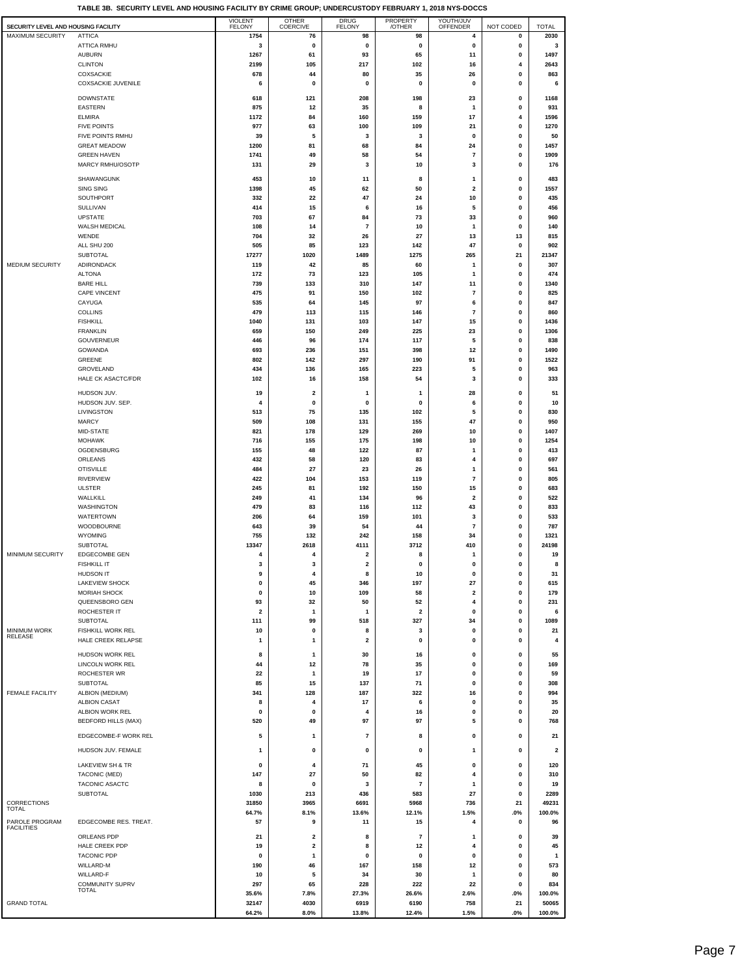| SECURITY LEVEL AND HOUSING FACILITY |                            | <b>VIOLENT</b><br><b>FELONY</b> | OTHER<br>COERCIVE       | <b>DRUG</b><br>FELONY   | PROPERTY<br>/OTHER      | YOUTH/JUV<br>OFFENDER   | NOT CODED | <b>TOTAL</b>            |
|-------------------------------------|----------------------------|---------------------------------|-------------------------|-------------------------|-------------------------|-------------------------|-----------|-------------------------|
| MAXIMUM SECURITY                    | <b>ATTICA</b>              | 1754                            | 76                      | 98                      | 98                      | 4                       | 0         | 2030                    |
|                                     | ATTICA RMHU                | 3                               | 0                       | 0                       | 0                       | 0                       | 0         | 3                       |
|                                     | <b>AUBURN</b>              | 1267                            | 61                      | 93                      | 65                      | 11                      | 0         | 1497                    |
|                                     | <b>CLINTON</b>             | 2199                            | 105                     | 217                     | 102                     | 16                      | 4         | 2643                    |
|                                     | COXSACKIE                  | 678                             | 44                      | 80                      | 35                      | 26                      | 0         | 863                     |
|                                     | COXSACKIE JUVENILE         | 6                               | 0                       | 0                       | 0                       | 0                       | 0         | 6                       |
|                                     |                            |                                 |                         |                         |                         |                         |           |                         |
|                                     | <b>DOWNSTATE</b>           | 618                             | 121                     | 208                     | 198                     | 23                      | 0         | 1168                    |
|                                     | <b>EASTERN</b>             | 875                             | 12                      | 35                      | 8                       | 1                       | 0         | 931                     |
|                                     | <b>ELMIRA</b>              | 1172                            | 84                      | 160                     | 159                     | 17                      | 4         | 1596                    |
|                                     | <b>FIVE POINTS</b>         | 977                             | 63                      | 100                     | 109                     | 21                      | 0         | 1270                    |
|                                     | FIVE POINTS RMHU           | 39                              | 5                       | 3                       | 3                       | 0                       | 0         | 50                      |
|                                     | <b>GREAT MEADOW</b>        | 1200                            | 81                      | 68                      | 84                      | 24                      | 0         | 1457                    |
|                                     | <b>GREEN HAVEN</b>         | 1741                            | 49                      | 58                      | 54                      | $\overline{7}$          | 0         | 1909                    |
|                                     | MARCY RMHU/OSOTP           | 131                             | 29                      | 3                       | 10                      | 3                       | 0         | 176                     |
|                                     |                            |                                 |                         |                         |                         |                         |           |                         |
|                                     | SHAWANGUNK                 | 453                             | 10                      | 11                      | 8                       | 1                       | 0         | 483                     |
|                                     | SING SING                  | 1398                            | 45                      | 62                      | 50                      | 2                       | 0         | 1557                    |
|                                     | SOUTHPORT                  | 332                             | 22                      | 47                      | 24                      | 10                      | 0         | 435                     |
|                                     | <b>SULLIVAN</b>            | 414                             | 15                      | 6                       | 16                      | 5                       | 0         | 456                     |
|                                     | <b>UPSTATE</b>             | 703                             | 67                      | 84                      | 73                      | 33                      | 0         | 960                     |
|                                     | WALSH MEDICAL              | 108                             | 14                      | $\overline{7}$          | 10                      | 1                       | 0         | 140                     |
|                                     | WENDE                      | 704                             | 32                      | 26                      | 27                      | 13                      | 13        | 815                     |
|                                     | ALL SHU 200                | 505                             | 85                      | 123                     | 142                     | 47                      | 0         | 902                     |
|                                     | <b>SUBTOTAL</b>            | 17277                           | 1020                    | 1489                    | 1275                    | 265                     | 21        | 21347                   |
| MEDIUM SECURITY                     | ADIRONDACK                 | 119                             | 42                      | 85                      | 60                      | 1                       | 0         | 307                     |
|                                     | <b>ALTONA</b>              | 172                             | 73                      | 123                     | 105                     | 1                       | 0         | 474                     |
|                                     | <b>BARE HILL</b>           | 739                             | 133                     | 310                     | 147                     | 11                      | 0         | 1340                    |
|                                     | <b>CAPE VINCENT</b>        | 475                             | 91                      | 150                     | 102                     | $\overline{7}$          | 0         | 825                     |
|                                     | CAYUGA                     | 535                             | 64                      | 145                     | 97                      | 6                       | 0         | 847                     |
|                                     | COLLINS                    | 479                             | 113                     | 115                     | 146                     | $\overline{7}$          | 0         | 860                     |
|                                     | <b>FISHKILL</b>            | 1040                            | 131                     | 103                     | 147                     | 15                      | 0         | 1436                    |
|                                     | <b>FRANKLIN</b>            | 659                             | 150                     | 249                     | 225                     | 23                      | 0         | 1306                    |
|                                     | GOUVERNEUR                 | 446                             | 96                      | 174                     | 117                     | 5                       | 0         | 838                     |
|                                     | GOWANDA                    | 693                             | 236                     | 151                     | 398                     | 12                      | 0         | 1490                    |
|                                     | GREENE                     | 802                             | 142                     | 297                     | 190                     | 91                      | 0         | 1522                    |
|                                     | GROVELAND                  | 434                             | 136                     | 165                     | 223                     | 5                       | 0         | 963                     |
|                                     | <b>HALE CK ASACTC/FDR</b>  | 102                             | 16                      | 158                     | 54                      | 3                       | 0         | 333                     |
|                                     | HUDSON JUV.                | 19                              | $\overline{\mathbf{2}}$ | 1                       | 1                       | 28                      | 0         | 51                      |
|                                     | HUDSON JUV. SEP.           | 4                               | 0                       | 0                       | 0                       | 6                       | 0         | 10                      |
|                                     | LIVINGSTON                 | 513                             | 75                      | 135                     | 102                     | 5                       | 0         | 830                     |
|                                     | <b>MARCY</b>               | 509                             | 108                     | 131                     | 155                     | 47                      | 0         | 950                     |
|                                     | MID-STATE                  | 821                             | 178                     | 129                     | 269                     | 10                      | 0         | 1407                    |
|                                     | <b>MOHAWK</b>              | 716                             | 155                     | 175                     | 198                     | 10                      | 0         | 1254                    |
|                                     | OGDENSBURG                 | 155                             | 48                      | 122                     | 87                      | -1                      | 0         | 413                     |
|                                     | ORLEANS                    | 432                             | 58                      | 120                     | 83                      | 4                       | 0         | 697                     |
|                                     | <b>OTISVILLE</b>           | 484                             | 27                      | 23                      | 26                      | $\mathbf{1}$            | 0         | 561                     |
|                                     | RIVERVIEW                  | 422                             | 104                     | 153                     | 119                     | $\overline{7}$          |           | 805                     |
|                                     | <b>ULSTER</b>              | 245                             | 81                      | 192                     | 150                     | 15                      | 0<br>0    | 683                     |
|                                     | WALLKILL                   |                                 |                         |                         |                         | $\overline{\mathbf{2}}$ |           | 522                     |
|                                     | WASHINGTON                 | 249<br>479                      | 41<br>83                | 134<br>116              | 96<br>112               | 43                      | 0<br>0    | 833                     |
|                                     | WATERTOWN                  | 206                             | 64                      | 159                     | 101                     | 3                       | 0         | 533                     |
|                                     | WOODBOURNE                 | 643                             | 39                      | 54                      | 44                      | $\overline{\mathbf{r}}$ | 0         | 787                     |
|                                     | <b>WYOMING</b>             | 755                             | 132                     | 242                     | 158                     | 34                      | 0         | 1321                    |
|                                     | <b>SUBTOTAL</b>            | 13347                           | 2618                    | 4111                    | 3712                    | 410                     | 0         | 24198                   |
| MINIMUM SECURITY                    | EDGECOMBE GEN              | 4                               | 4                       | 2                       | 8                       | -1                      | 0         | 19                      |
|                                     | <b>FISHKILL IT</b>         | 3                               | 3                       | $\mathbf 2$             | 0                       | 0                       | 0         | 8                       |
|                                     | HUDSON IT                  | 9                               | 4                       | 8                       | 10                      | 0                       | 0         | 31                      |
|                                     | <b>LAKEVIEW SHOCK</b>      | 0                               | 45                      | 346                     | 197                     | 27                      | 0         | 615                     |
|                                     | <b>MORIAH SHOCK</b>        | 0                               | 10                      | 109                     | 58                      | 2                       | 0         | 179                     |
|                                     | QUEENSBORO GEN             | 93                              | 32                      | 50                      | 52                      | 4                       | 0         | 231                     |
|                                     | ROCHESTER IT               | $\overline{\mathbf{2}}$         | $\overline{1}$          | 1                       | $\overline{\mathbf{2}}$ | 0                       | 0         | 6                       |
|                                     | SUBTOTAL                   | 111                             | 99                      | 518                     | 327                     | 34                      | 0         | 1089                    |
| <b>MINIMUM WORK</b>                 | FISHKILL WORK REL          | 10                              | 0                       | 8                       | 3                       | 0                       | 0         | 21                      |
| RELEASE                             | HALE CREEK RELAPSE         | 1                               | 1                       | $\overline{\mathbf{2}}$ | 0                       | 0                       | 0         | 4                       |
|                                     |                            |                                 |                         |                         |                         |                         |           |                         |
|                                     | HUDSON WORK REL            | 8                               | 1                       | 30                      | 16                      | 0                       | 0         | 55                      |
|                                     | LINCOLN WORK REL           | 44                              | 12                      | 78                      | 35                      | 0                       | 0         | 169                     |
|                                     | ROCHESTER WR               | 22                              | $\overline{1}$          | 19                      | 17                      | 0                       | 0         | 59                      |
|                                     | SUBTOTAL                   | 85                              | 15                      | 137                     | 71                      | 0                       | 0         | 308                     |
| <b>FEMALE FACILITY</b>              | ALBION (MEDIUM)            | 341                             | 128                     | 187                     | 322                     | 16                      | 0         | 994                     |
|                                     | <b>ALBION CASAT</b>        | 8                               | 4                       | 17                      | 6                       | 0                       | 0         | 35                      |
|                                     | ALBION WORK REL            | 0                               | 0                       | 4                       | 16                      | $\pmb{0}$               | 0         | 20                      |
|                                     | <b>BEDFORD HILLS (MAX)</b> | 520                             | 49                      | 97                      | 97                      | 5                       | 0         | 768                     |
|                                     | EDGECOMBE-F WORK REL       | 5                               | 1                       | $\overline{7}$          | 8                       | 0                       | 0         | 21                      |
|                                     | HUDSON JUV. FEMALE         | -1                              | 0                       | 0                       | 0                       | 1                       | 0         | $\overline{\mathbf{2}}$ |
|                                     | LAKEVIEW SH & TR           | 0                               | 4                       | 71                      |                         |                         |           |                         |
|                                     | TACONIC (MED)              | 147                             | 27                      | 50                      | 45<br>82                | 0<br>4                  | 0<br>0    | 120<br>310              |
|                                     |                            | 8                               |                         |                         |                         |                         |           |                         |
|                                     | TACONIC ASACTC<br>SUBTOTAL | 1030                            | 0<br>213                | 3<br>436                | $\overline{7}$<br>583   | 1<br>27                 | 0<br>0    | 19<br>2289              |
| CORRECTIONS                         |                            | 31850                           | 3965                    | 6691                    | 5968                    | 736                     | 21        | 49231                   |
| <b>TOTAL</b>                        |                            | 64.7%                           | 8.1%                    | 13.6%                   | 12.1%                   | 1.5%                    | .0%       | 100.0%                  |
| PAROLE PROGRAM                      | EDGECOMBE RES. TREAT.      | 57                              |                         |                         |                         |                         |           |                         |
| <b>FACILITIES</b>                   |                            |                                 | 9                       | 11                      | 15                      | 4                       | 0         | 96                      |
|                                     | ORLEANS PDP                | 21                              | 2                       | 8                       | 7                       | 1                       | 0         | 39                      |
|                                     | HALE CREEK PDP             | 19                              | 2                       | 8                       | 12                      | 4                       | 0         | 45                      |
|                                     | <b>TACONIC PDP</b>         | 0                               | 1                       | $\mathbf 0$             | 0                       | 0                       | 0         | $\mathbf{1}$            |
|                                     | WILLARD-M                  | 190                             | 46                      | 167                     | 158                     | 12                      | 0         | 573                     |
|                                     | WILLARD-F                  | 10                              | 5                       | 34                      | 30                      | 1                       | 0         | 80                      |
|                                     | <b>COMMUNITY SUPRV</b>     | 297                             | 65                      | 228                     | 222                     | 22                      | 0         | 834                     |
|                                     | TOTAL                      | 35.6%                           | 7.8%                    | 27.3%                   | 26.6%                   | 2.6%                    | .0%       | 100.0%                  |
| <b>GRAND TOTAL</b>                  |                            | 32147                           | 4030                    | 6919                    | 6190                    | 758                     | 21        | 50065                   |
|                                     |                            | 64.2%                           | 8.0%                    | 13.8%                   | 12.4%                   | 1.5%                    | .0%       | 100.0%                  |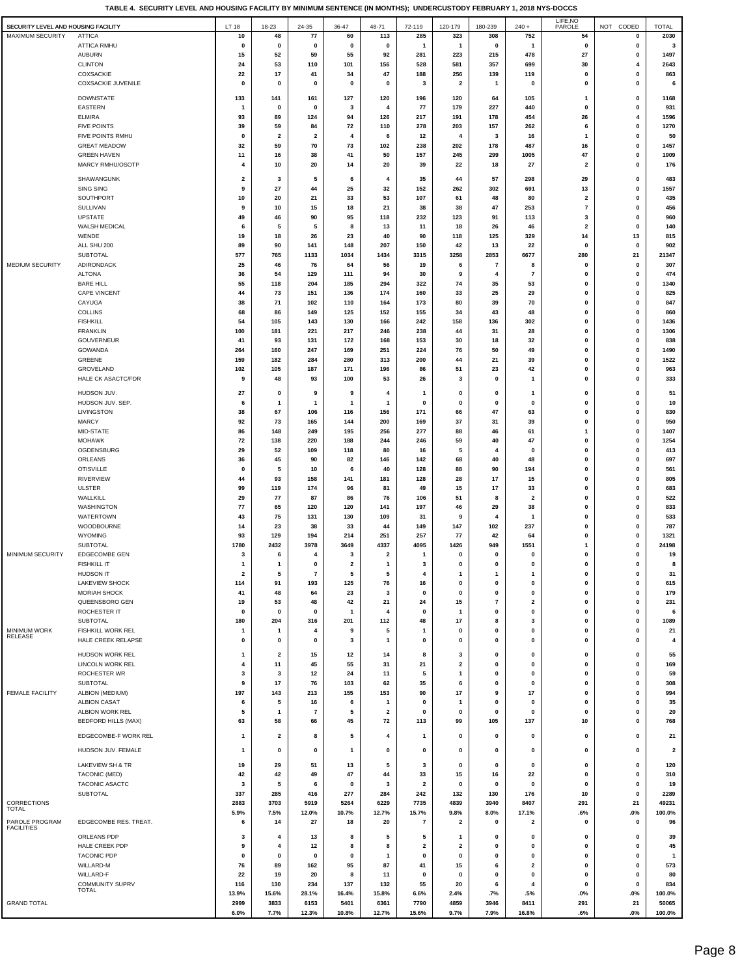**TABLE 4. SECURITY LEVEL AND HOUSING FACILITY BY MINIMUM SENTENCE (IN MONTHS); UNDERCUSTODY FEBRUARY 1, 2018 NYS-DOCCS**

| 2030<br><b>MAXIMUM SECURITY</b><br><b>ATTICA</b><br>113<br>285<br>323<br>308<br>752<br>54<br>10<br>48<br>77<br>60<br>0<br><b>ATTICA RMHU</b><br>$\pmb{0}$<br>$\pmb{0}$<br>$\pmb{0}$<br>$\pmb{0}$<br>$\pmb{\mathsf{o}}$<br>0<br>$\mathbf 0$<br>0<br>1<br>1<br>3<br>$\mathbf{1}$<br><b>AUBURN</b><br>59<br>55<br>478<br>27<br>1497<br>15<br>52<br>92<br>281<br>223<br>215<br>0<br><b>CLINTON</b><br>24<br>53<br>110<br>101<br>156<br>528<br>581<br>357<br>699<br>30<br>2643<br>4<br>COXSACKIE<br>22<br>17<br>41<br>34<br>47<br>188<br>256<br>139<br>119<br>0<br>0<br>863<br><b>COXSACKIE JUVENILE</b><br>0<br>0<br>0<br>0<br>0<br>3<br>2<br>0<br>0<br>0<br>6<br>1<br><b>DOWNSTATE</b><br>133<br>141<br>161<br>127<br>120<br>196<br>120<br>64<br>105<br>$\mathbf{1}$<br>0<br>1168<br><b>EASTERN</b><br>227<br>$\pmb{0}$<br>931<br>$\mathbf 0$<br>0<br>3<br>$\overline{4}$<br>77<br>179<br>440<br>0<br>-1<br>454<br>26<br>1596<br><b>ELMIRA</b><br>93<br>89<br>124<br>94<br>126<br>217<br>191<br>178<br>4<br><b>FIVE POINTS</b><br>59<br>72<br>278<br>203<br>157<br>262<br>6<br>1270<br>39<br>84<br>110<br>0<br>FIVE POINTS RMHU<br>$\mathbf 0$<br>50<br>$\mathbf 0$<br>$\overline{\mathbf{2}}$<br>$\overline{\mathbf{2}}$<br>12<br>3<br>16<br>4<br>6<br>$\mathbf{1}$<br>4<br>73<br>487<br>1457<br><b>GREAT MEADOW</b><br>32<br>59<br>70<br>102<br>238<br>202<br>178<br>16<br>0<br>47<br><b>GREEN HAVEN</b><br>11<br>16<br>38<br>41<br>50<br>157<br>245<br>299<br>1005<br>0<br>1909<br>MARCY RMHU/OSOTP<br>10<br>20<br>14<br>20<br>39<br>22<br>18<br>27<br>$\overline{\mathbf{2}}$<br>0<br>176<br>4<br>SHAWANGUNK<br>$\overline{\mathbf{2}}$<br>3<br>5<br>6<br>4<br>35<br>44<br>57<br>298<br>29<br>0<br>483<br>1557<br><b>SING SING</b><br>9<br>27<br>44<br>25<br>32<br>152<br>262<br>302<br>691<br>13<br>0<br>SOUTHPORT<br>33<br>53<br>435<br>10<br>20<br>21<br>107<br>61<br>48<br>80<br>$\overline{\mathbf{2}}$<br>0<br>21<br>47<br>253<br>$\overline{\mathbf{r}}$<br>456<br><b>SULLIVAN</b><br>9<br>10<br>15<br>18<br>38<br>38<br>0<br><b>UPSTATE</b><br>90<br>95<br>232<br>91<br>960<br>49<br>46<br>118<br>123<br>113<br>3<br>0<br>WALSH MEDICAL<br>5<br>46<br>$\overline{\mathbf{2}}$<br>$\pmb{0}$<br>140<br>5<br>8<br>13<br>11<br>18<br>26<br>6<br>WENDE<br>26<br>23<br>90<br>125<br>329<br>14<br>13<br>815<br>19<br>18<br>40<br>118<br>ALL SHU 200<br>89<br>90<br>141<br>148<br>207<br>150<br>42<br>13<br>22<br>0<br>0<br>902<br>21347<br>SUBTOTAL<br>577<br>765<br>1133<br>1034<br>1434<br>3315<br>3258<br>2853<br>6677<br>280<br>21<br>MEDIUM SECURITY<br>ADIRONDACK<br>25<br>46<br>76<br>64<br>56<br>19<br>7<br>0<br>0<br>307<br>6<br>8<br><b>ALTONA</b><br>$\pmb{0}$<br>474<br>36<br>54<br>129<br>111<br>94<br>30<br>9<br>7<br>0<br>4<br><b>BARE HILL</b><br>74<br>53<br>$\mathbf 0$<br>1340<br>55<br>118<br>204<br>185<br>294<br>322<br>35<br>$\bf{0}$<br>CAPE VINCENT<br>73<br>25<br>29<br>$\pmb{0}$<br>0<br>825<br>44<br>151<br>136<br>174<br>160<br>33<br>CAYUGA<br>71<br>102<br>110<br>164<br>173<br>80<br>39<br>70<br>0<br>0<br>847<br>38<br><b>COLLINS</b><br>68<br>86<br>125<br>152<br>155<br>43<br>48<br>0<br>0<br>860<br>149<br>34<br><b>FISHKILL</b><br>54<br>105<br>143<br>130<br>166<br>242<br>158<br>136<br>302<br>0<br>0<br>1436<br><b>FRANKLIN</b><br>100<br>181<br>221<br>217<br>246<br>238<br>44<br>31<br>28<br>0<br>0<br>1306<br>GOUVERNEUR<br>41<br>131<br>153<br>$\pmb{0}$<br>838<br>93<br>172<br>168<br>30<br>18<br>32<br>0<br>GOWANDA<br>49<br>1490<br>264<br>160<br>247<br>169<br>251<br>224<br>76<br>50<br>0<br>0<br>GREENE<br>280<br>21<br>39<br>$\pmb{0}$<br>0<br>1522<br>159<br>182<br>284<br>313<br>200<br>44<br>105<br>187<br>171<br>196<br>86<br>51<br>23<br>42<br>$\mathbf 0$<br>0<br>963<br>GROVELAND<br>102<br>333<br><b>HALE CK ASACTC/FDR</b><br>48<br>93<br>100<br>53<br>26<br>0<br>0<br>0<br>9<br>3<br>1<br>51<br>HUDSON JUV.<br>27<br>0<br>0<br>0<br>0<br>9<br>9<br>4<br>$\mathbf{1}$<br>0<br>1<br>HUDSON JUV. SEP.<br>0<br>0<br>0<br>10<br>6<br>$\mathbf{1}$<br>$\mathbf{1}$<br>$\mathbf 0$<br>0<br>0<br>-1<br>-1<br>LIVINGSTON<br>38<br>67<br>106<br>116<br>156<br>171<br>66<br>47<br>63<br>0<br>0<br>830<br><b>MARCY</b><br>92<br>73<br>165<br>144<br>200<br>169<br>37<br>31<br>39<br>0<br>0<br>950<br>46<br>1407<br>MID-STATE<br>86<br>148<br>249<br>195<br>256<br>277<br>88<br>61<br>$\mathbf{1}$<br>0<br>72<br>59<br>40<br>47<br>1254<br><b>MOHAWK</b><br>138<br>220<br>188<br>244<br>246<br>0<br>0<br>OGDENSBURG<br>109<br>$\mathbf 0$<br>0<br>413<br>29<br>52<br>118<br>80<br>5<br>$\mathbf{0}$<br>16<br>4<br>697<br>ORLEANS<br>36<br>45<br>82<br>146<br>142<br>68<br>40<br>48<br>0<br>0<br>90<br>561<br><b>OTISVILLE</b><br>5<br>128<br>88<br>90<br>194<br>0<br>0<br>0<br>10<br>6<br>40<br>17<br><b>RIVERVIEW</b><br>44<br>93<br>158<br>141<br>181<br>128<br>28<br>15<br>0<br>0<br>805<br><b>ULSTER</b><br>99<br>119<br>174<br>96<br>81<br>49<br>15<br>17<br>33<br>0<br>0<br>683<br>WALLKILL<br>29<br>77<br>87<br>86<br>76<br>106<br>51<br>8<br>$\overline{\mathbf{2}}$<br>0<br>0<br>522<br><b>WASHINGTON</b><br>77<br>29<br>38<br>833<br>65<br>120<br>120<br>141<br>197<br>46<br>0<br>0<br><b>WATERTOWN</b><br>75<br>130<br>109<br>$\mathbf 0$<br>0<br>533<br>43<br>131<br>31<br>9<br>1<br>4<br>WOODBOURNE<br>23<br>147<br>102<br>237<br>$\pmb{0}$<br>787<br>14<br>38<br>33<br>149<br>0<br>44<br>WYOMING<br>93<br>129<br>251<br>257<br>77<br>42<br>64<br>0<br>0<br>1321<br>194<br>214<br>1551<br>SUBTOTAL<br>1780<br>2432<br>3978<br>3649<br>4337<br>4095<br>1426<br>949<br>0<br>24198<br>$\mathbf{1}$<br>MINIMUM SECURITY<br><b>EDGECOMBE GEN</b><br>3<br>6<br>4<br>3<br>$\overline{\mathbf{2}}$<br>0<br>$\mathbf 0$<br>0<br>0<br>0<br>19<br>$\mathbf{1}$<br><b>FISHKILL IT</b><br>$\pmb{0}$<br>8<br>1<br>$\mathbf{1}$<br>0<br>$\overline{\mathbf{2}}$<br>3<br>0<br>$\mathbf 0$<br>0<br>0<br>$\mathbf{1}$<br><b>HUDSON IT</b><br>$\overline{2}$<br>5<br>$\overline{7}$<br>5<br>$\mathbf 0$<br>$\mathbf 0$<br>31<br>5<br>-1<br>LAKEVIEW SHOCK<br>0<br>615<br>91<br>193<br>125<br>76<br>0<br>0<br>0<br>114<br>16<br>0<br>MORIAH SHOCK<br>48<br>23<br>$\pmb{0}$<br>$\mathbf 0$<br>$\pmb{0}$<br>0<br>179<br>41<br>64<br>0<br>0<br>3<br>QUEENSBORO GEN<br>$\bf 7$<br>53<br>48<br>42<br>21<br>24<br>15<br>2<br>0<br>0<br>231<br>19<br>ROCHESTER IT<br>0<br>0<br>0<br>6<br>$\mathbf 0$<br>$\mathbf 0$<br>$\mathbf 0$<br>$\mathbf{1}$<br>$\overline{4}$<br>$\mathbf 0$<br>1<br>0<br><b>SUBTOTAL</b><br>180<br>204<br>316<br>201<br>112<br>48<br>17<br>8<br>3<br>0<br>0<br>1089<br><b>MINIMUM WORK</b><br>FISHKILL WORK REL<br>4<br>9<br>5<br>0<br>0<br>0<br>0<br>21<br>$\mathbf{1}$<br>$\mathbf{1}$<br>$\mathbf{1}$<br>$\mathbf 0$<br>RELEASE<br>$\pmb{0}$<br>$\pmb{0}$<br>HALE CREEK RELAPSE<br>0<br>0<br>3<br>0<br>0<br>$\mathbf 0$<br>0<br>0<br>4<br>$\mathbf{1}$<br>HUDSON WORK REL<br>$\overline{\mathbf{2}}$<br>15<br>12<br>14<br>8<br>3<br>0<br>0<br>0<br>0<br>55<br>$\mathbf{1}$<br>45<br>55<br>21<br>$\pmb{0}$<br>169<br>LINCOLN WORK REL<br>11<br>31<br>2<br>$\mathbf 0$<br>0<br>0<br>4<br>ROCHESTER WR<br>12<br>11<br>$\mathbf 0$<br>$\pmb{0}$<br>0<br>59<br>3<br>3<br>24<br>5<br>$\mathbf{0}$<br>$\mathbf{1}$<br>SUBTOTAL<br>$\boldsymbol{9}$<br>17<br>76<br>103<br>62<br>35<br>$\mathbf 0$<br>$\mathbf 0$<br>$\mathbf{0}$<br>0<br>308<br>6<br><b>FEMALE FACILITY</b><br>155<br>153<br>17<br>17<br>ALBION (MEDIUM)<br>197<br>143<br>213<br>90<br>0<br>0<br>994<br>9<br><b>ALBION CASAT</b><br>5<br>0<br>0<br>35<br>6<br>16<br>6<br>$\mathbf{1}$<br>0<br>$\mathbf{1}$<br>0<br>$\mathbf 0$<br>ALBION WORK REL<br>5<br>$\mathbf{1}$<br>$\overline{\phantom{a}}$<br>5<br>$\overline{\mathbf{2}}$<br>0<br>0<br>0<br>0<br>0<br>0<br>20<br><b>BEDFORD HILLS (MAX)</b><br>63<br>58<br>66<br>45<br>72<br>113<br>99<br>105<br>137<br>10<br>0<br>768<br>EDGECOMBE-F WORK REL<br>$\overline{\mathbf{2}}$<br>8<br>5<br>4<br>$\mathbf{1}$<br>0<br>0<br>0<br>0<br>0<br>21<br>$\mathbf{1}$<br>HUDSON JUV. FEMALE<br>$\mathbf{1}$<br>0<br>0<br>0<br>0<br>0<br>0<br>0<br>0<br>0<br>$\overline{\mathbf{2}}$<br>$\mathbf{1}$<br>LAKEVIEW SH & TR<br>19<br>29<br>51<br>13<br>5<br>3<br>0<br>0<br>0<br>0<br>0<br>120<br>TACONIC (MED)<br>42<br>42<br>49<br>47<br>44<br>33<br>15<br>16<br>22<br>0<br>0<br>310<br>TACONIC ASACTC<br>3<br>5<br>6<br>0<br>3<br>$\overline{\mathbf{2}}$<br>0<br>0<br>0<br>0<br>0<br>19<br><b>SUBTOTAL</b><br>337<br>285<br>277<br>284<br>242<br>132<br>130<br>176<br>10<br>2289<br>416<br>0<br>CORRECTIONS<br>2883<br>3703<br>5919<br>5264<br>6229<br>7735<br>4839<br>3940<br>8407<br>291<br>21<br>49231<br><b>TOTAL</b><br>5.9%<br>7.5%<br>12.0%<br>10.7%<br>12.7%<br>15.7%<br>9.8%<br>8.0%<br>17.1%<br>.6%<br>.0%<br>100.0%<br>PAROLE PROGRAM<br>EDGECOMBE RES. TREAT.<br>14<br>27<br>18<br>20<br>7<br>0<br>0<br>0<br>96<br>6<br>2<br>2<br><b>FACILITIES</b><br>ORLEANS PDP<br>$\pmb{0}$<br>13<br>8<br>5<br>5<br>0<br>0<br>0<br>39<br>3<br>4<br>1<br>HALE CREEK PDP<br>45<br>12<br>$\overline{\mathbf{2}}$<br>0<br>0<br>9<br>4<br>8<br>8<br>2<br>0<br>$\mathbf 0$<br><b>TACONIC PDP</b><br>$\mathbf 0$<br>0<br>0<br>0<br>0<br>0<br>$\mathbf 0$<br>0<br>0<br>0<br>$\mathbf{1}$<br>$\mathbf{1}$<br>WILLARD-M<br>76<br>89<br>162<br>95<br>87<br>41<br>15<br>6<br>$\overline{\mathbf{2}}$<br>0<br>0<br>573<br>WILLARD-F<br>22<br>19<br>20<br>8<br>11<br>0<br>0<br>0<br>0<br>0<br>0<br>80<br>COMMUNITY SUPRV<br>130<br>234<br>137<br>55<br>20<br>116<br>132<br>6<br>4<br>0<br>0<br>834<br><b>TOTAL</b><br>13.9%<br>15.6%<br>28.1%<br>16.4%<br>15.8%<br>6.6%<br>2.4%<br>.7%<br>.5%<br>.0%<br>.0%<br>100.0%<br><b>GRAND TOTAL</b><br>3833<br>6153<br>5401<br>6361<br>7790<br>4859<br>3946<br>8411<br>291<br>21<br>50065<br>2999<br>6.0%<br>7.7%<br>12.3%<br>10.8%<br>12.7%<br>15.6%<br>7.9%<br>16.8%<br>.6%<br>100.0%<br>9.7%<br>$.0\%$ | SECURITY LEVEL AND HOUSING FACILITY | LT 18 | 18-23 | 24-35 | 36-47 | 48-71 | 72-119 | 120-179 | 180-239 | $240 +$ | LIFE, NO<br>PAROLE | NOT CODED | <b>TOTAL</b> |
|------------------------------------------------------------------------------------------------------------------------------------------------------------------------------------------------------------------------------------------------------------------------------------------------------------------------------------------------------------------------------------------------------------------------------------------------------------------------------------------------------------------------------------------------------------------------------------------------------------------------------------------------------------------------------------------------------------------------------------------------------------------------------------------------------------------------------------------------------------------------------------------------------------------------------------------------------------------------------------------------------------------------------------------------------------------------------------------------------------------------------------------------------------------------------------------------------------------------------------------------------------------------------------------------------------------------------------------------------------------------------------------------------------------------------------------------------------------------------------------------------------------------------------------------------------------------------------------------------------------------------------------------------------------------------------------------------------------------------------------------------------------------------------------------------------------------------------------------------------------------------------------------------------------------------------------------------------------------------------------------------------------------------------------------------------------------------------------------------------------------------------------------------------------------------------------------------------------------------------------------------------------------------------------------------------------------------------------------------------------------------------------------------------------------------------------------------------------------------------------------------------------------------------------------------------------------------------------------------------------------------------------------------------------------------------------------------------------------------------------------------------------------------------------------------------------------------------------------------------------------------------------------------------------------------------------------------------------------------------------------------------------------------------------------------------------------------------------------------------------------------------------------------------------------------------------------------------------------------------------------------------------------------------------------------------------------------------------------------------------------------------------------------------------------------------------------------------------------------------------------------------------------------------------------------------------------------------------------------------------------------------------------------------------------------------------------------------------------------------------------------------------------------------------------------------------------------------------------------------------------------------------------------------------------------------------------------------------------------------------------------------------------------------------------------------------------------------------------------------------------------------------------------------------------------------------------------------------------------------------------------------------------------------------------------------------------------------------------------------------------------------------------------------------------------------------------------------------------------------------------------------------------------------------------------------------------------------------------------------------------------------------------------------------------------------------------------------------------------------------------------------------------------------------------------------------------------------------------------------------------------------------------------------------------------------------------------------------------------------------------------------------------------------------------------------------------------------------------------------------------------------------------------------------------------------------------------------------------------------------------------------------------------------------------------------------------------------------------------------------------------------------------------------------------------------------------------------------------------------------------------------------------------------------------------------------------------------------------------------------------------------------------------------------------------------------------------------------------------------------------------------------------------------------------------------------------------------------------------------------------------------------------------------------------------------------------------------------------------------------------------------------------------------------------------------------------------------------------------------------------------------------------------------------------------------------------------------------------------------------------------------------------------------------------------------------------------------------------------------------------------------------------------------------------------------------------------------------------------------------------------------------------------------------------------------------------------------------------------------------------------------------------------------------------------------------------------------------------------------------------------------------------------------------------------------------------------------------------------------------------------------------------------------------------------------------------------------------------------------------------------------------------------------------------------------------------------------------------------------------------------------------------------------------------------------------------------------------------------------------------------------------------------------------------------------------------------------------------------------------------------------------------------------------------------------------------------------------------------------------------------------------------------------------------------------------------------------------------------------------------------------------------------------------------------------------------------------------------------------------------------------------------------------------------------------------------------------------------------------------------------------------------------------------------------------------------------------------------------------------------------------------------------------------------------------------------------------------------------------------------------------------------------------------------------------------------------------------------------------------------------------------------------------------------------------------------------------------------------------------------------------------------------------------------------------------------------------------------------------------------------------------------------------------------------------------------------------------------------------------------------------------------------------------------------------------------------------------------------------------------------------------------------------------------------------------------------------------------------------------------------------------------------------------------------------------------------------------------------------------------------------------------------------------------------------------------------------------------------------------------------------------------------------------------------------------------------------------------------------------------------------------------------------------------------------------------------------------------------------------------------------------------------------------------------------------------------------------------------------------------------------------------------------------------------------------------------------------------------------------------------------------------------------------------------------------------------------------------------------------------------------------------------------------------------|-------------------------------------|-------|-------|-------|-------|-------|--------|---------|---------|---------|--------------------|-----------|--------------|
|                                                                                                                                                                                                                                                                                                                                                                                                                                                                                                                                                                                                                                                                                                                                                                                                                                                                                                                                                                                                                                                                                                                                                                                                                                                                                                                                                                                                                                                                                                                                                                                                                                                                                                                                                                                                                                                                                                                                                                                                                                                                                                                                                                                                                                                                                                                                                                                                                                                                                                                                                                                                                                                                                                                                                                                                                                                                                                                                                                                                                                                                                                                                                                                                                                                                                                                                                                                                                                                                                                                                                                                                                                                                                                                                                                                                                                                                                                                                                                                                                                                                                                                                                                                                                                                                                                                                                                                                                                                                                                                                                                                                                                                                                                                                                                                                                                                                                                                                                                                                                                                                                                                                                                                                                                                                                                                                                                                                                                                                                                                                                                                                                                                                                                                                                                                                                                                                                                                                                                                                                                                                                                                                                                                                                                                                                                                                                                                                                                                                                                                                                                                                                                                                                                                                                                                                                                                                                                                                                                                                                                                                                                                                                                                                                                                                                                                                                                                                                                                                                                                                                                                                                                                                                                                                                                                                                                                                                                                                                                                                                                                                                                                                                                                                                                                                                                                                                                                                                                                                                                                                                                                                                                                                                                                                                                                                                                                                                                                                                                                                                                                                                                                                                                                                                                                                                                                                                                                                                                                                                                                                                                                                                                                                                                                                                                                                      |                                     |       |       |       |       |       |        |         |         |         |                    |           |              |
|                                                                                                                                                                                                                                                                                                                                                                                                                                                                                                                                                                                                                                                                                                                                                                                                                                                                                                                                                                                                                                                                                                                                                                                                                                                                                                                                                                                                                                                                                                                                                                                                                                                                                                                                                                                                                                                                                                                                                                                                                                                                                                                                                                                                                                                                                                                                                                                                                                                                                                                                                                                                                                                                                                                                                                                                                                                                                                                                                                                                                                                                                                                                                                                                                                                                                                                                                                                                                                                                                                                                                                                                                                                                                                                                                                                                                                                                                                                                                                                                                                                                                                                                                                                                                                                                                                                                                                                                                                                                                                                                                                                                                                                                                                                                                                                                                                                                                                                                                                                                                                                                                                                                                                                                                                                                                                                                                                                                                                                                                                                                                                                                                                                                                                                                                                                                                                                                                                                                                                                                                                                                                                                                                                                                                                                                                                                                                                                                                                                                                                                                                                                                                                                                                                                                                                                                                                                                                                                                                                                                                                                                                                                                                                                                                                                                                                                                                                                                                                                                                                                                                                                                                                                                                                                                                                                                                                                                                                                                                                                                                                                                                                                                                                                                                                                                                                                                                                                                                                                                                                                                                                                                                                                                                                                                                                                                                                                                                                                                                                                                                                                                                                                                                                                                                                                                                                                                                                                                                                                                                                                                                                                                                                                                                                                                                                                                      |                                     |       |       |       |       |       |        |         |         |         |                    |           |              |
|                                                                                                                                                                                                                                                                                                                                                                                                                                                                                                                                                                                                                                                                                                                                                                                                                                                                                                                                                                                                                                                                                                                                                                                                                                                                                                                                                                                                                                                                                                                                                                                                                                                                                                                                                                                                                                                                                                                                                                                                                                                                                                                                                                                                                                                                                                                                                                                                                                                                                                                                                                                                                                                                                                                                                                                                                                                                                                                                                                                                                                                                                                                                                                                                                                                                                                                                                                                                                                                                                                                                                                                                                                                                                                                                                                                                                                                                                                                                                                                                                                                                                                                                                                                                                                                                                                                                                                                                                                                                                                                                                                                                                                                                                                                                                                                                                                                                                                                                                                                                                                                                                                                                                                                                                                                                                                                                                                                                                                                                                                                                                                                                                                                                                                                                                                                                                                                                                                                                                                                                                                                                                                                                                                                                                                                                                                                                                                                                                                                                                                                                                                                                                                                                                                                                                                                                                                                                                                                                                                                                                                                                                                                                                                                                                                                                                                                                                                                                                                                                                                                                                                                                                                                                                                                                                                                                                                                                                                                                                                                                                                                                                                                                                                                                                                                                                                                                                                                                                                                                                                                                                                                                                                                                                                                                                                                                                                                                                                                                                                                                                                                                                                                                                                                                                                                                                                                                                                                                                                                                                                                                                                                                                                                                                                                                                                                                      |                                     |       |       |       |       |       |        |         |         |         |                    |           |              |
|                                                                                                                                                                                                                                                                                                                                                                                                                                                                                                                                                                                                                                                                                                                                                                                                                                                                                                                                                                                                                                                                                                                                                                                                                                                                                                                                                                                                                                                                                                                                                                                                                                                                                                                                                                                                                                                                                                                                                                                                                                                                                                                                                                                                                                                                                                                                                                                                                                                                                                                                                                                                                                                                                                                                                                                                                                                                                                                                                                                                                                                                                                                                                                                                                                                                                                                                                                                                                                                                                                                                                                                                                                                                                                                                                                                                                                                                                                                                                                                                                                                                                                                                                                                                                                                                                                                                                                                                                                                                                                                                                                                                                                                                                                                                                                                                                                                                                                                                                                                                                                                                                                                                                                                                                                                                                                                                                                                                                                                                                                                                                                                                                                                                                                                                                                                                                                                                                                                                                                                                                                                                                                                                                                                                                                                                                                                                                                                                                                                                                                                                                                                                                                                                                                                                                                                                                                                                                                                                                                                                                                                                                                                                                                                                                                                                                                                                                                                                                                                                                                                                                                                                                                                                                                                                                                                                                                                                                                                                                                                                                                                                                                                                                                                                                                                                                                                                                                                                                                                                                                                                                                                                                                                                                                                                                                                                                                                                                                                                                                                                                                                                                                                                                                                                                                                                                                                                                                                                                                                                                                                                                                                                                                                                                                                                                                                                      |                                     |       |       |       |       |       |        |         |         |         |                    |           |              |
|                                                                                                                                                                                                                                                                                                                                                                                                                                                                                                                                                                                                                                                                                                                                                                                                                                                                                                                                                                                                                                                                                                                                                                                                                                                                                                                                                                                                                                                                                                                                                                                                                                                                                                                                                                                                                                                                                                                                                                                                                                                                                                                                                                                                                                                                                                                                                                                                                                                                                                                                                                                                                                                                                                                                                                                                                                                                                                                                                                                                                                                                                                                                                                                                                                                                                                                                                                                                                                                                                                                                                                                                                                                                                                                                                                                                                                                                                                                                                                                                                                                                                                                                                                                                                                                                                                                                                                                                                                                                                                                                                                                                                                                                                                                                                                                                                                                                                                                                                                                                                                                                                                                                                                                                                                                                                                                                                                                                                                                                                                                                                                                                                                                                                                                                                                                                                                                                                                                                                                                                                                                                                                                                                                                                                                                                                                                                                                                                                                                                                                                                                                                                                                                                                                                                                                                                                                                                                                                                                                                                                                                                                                                                                                                                                                                                                                                                                                                                                                                                                                                                                                                                                                                                                                                                                                                                                                                                                                                                                                                                                                                                                                                                                                                                                                                                                                                                                                                                                                                                                                                                                                                                                                                                                                                                                                                                                                                                                                                                                                                                                                                                                                                                                                                                                                                                                                                                                                                                                                                                                                                                                                                                                                                                                                                                                                                                      |                                     |       |       |       |       |       |        |         |         |         |                    |           |              |
|                                                                                                                                                                                                                                                                                                                                                                                                                                                                                                                                                                                                                                                                                                                                                                                                                                                                                                                                                                                                                                                                                                                                                                                                                                                                                                                                                                                                                                                                                                                                                                                                                                                                                                                                                                                                                                                                                                                                                                                                                                                                                                                                                                                                                                                                                                                                                                                                                                                                                                                                                                                                                                                                                                                                                                                                                                                                                                                                                                                                                                                                                                                                                                                                                                                                                                                                                                                                                                                                                                                                                                                                                                                                                                                                                                                                                                                                                                                                                                                                                                                                                                                                                                                                                                                                                                                                                                                                                                                                                                                                                                                                                                                                                                                                                                                                                                                                                                                                                                                                                                                                                                                                                                                                                                                                                                                                                                                                                                                                                                                                                                                                                                                                                                                                                                                                                                                                                                                                                                                                                                                                                                                                                                                                                                                                                                                                                                                                                                                                                                                                                                                                                                                                                                                                                                                                                                                                                                                                                                                                                                                                                                                                                                                                                                                                                                                                                                                                                                                                                                                                                                                                                                                                                                                                                                                                                                                                                                                                                                                                                                                                                                                                                                                                                                                                                                                                                                                                                                                                                                                                                                                                                                                                                                                                                                                                                                                                                                                                                                                                                                                                                                                                                                                                                                                                                                                                                                                                                                                                                                                                                                                                                                                                                                                                                                                                      |                                     |       |       |       |       |       |        |         |         |         |                    |           |              |
|                                                                                                                                                                                                                                                                                                                                                                                                                                                                                                                                                                                                                                                                                                                                                                                                                                                                                                                                                                                                                                                                                                                                                                                                                                                                                                                                                                                                                                                                                                                                                                                                                                                                                                                                                                                                                                                                                                                                                                                                                                                                                                                                                                                                                                                                                                                                                                                                                                                                                                                                                                                                                                                                                                                                                                                                                                                                                                                                                                                                                                                                                                                                                                                                                                                                                                                                                                                                                                                                                                                                                                                                                                                                                                                                                                                                                                                                                                                                                                                                                                                                                                                                                                                                                                                                                                                                                                                                                                                                                                                                                                                                                                                                                                                                                                                                                                                                                                                                                                                                                                                                                                                                                                                                                                                                                                                                                                                                                                                                                                                                                                                                                                                                                                                                                                                                                                                                                                                                                                                                                                                                                                                                                                                                                                                                                                                                                                                                                                                                                                                                                                                                                                                                                                                                                                                                                                                                                                                                                                                                                                                                                                                                                                                                                                                                                                                                                                                                                                                                                                                                                                                                                                                                                                                                                                                                                                                                                                                                                                                                                                                                                                                                                                                                                                                                                                                                                                                                                                                                                                                                                                                                                                                                                                                                                                                                                                                                                                                                                                                                                                                                                                                                                                                                                                                                                                                                                                                                                                                                                                                                                                                                                                                                                                                                                                                                      |                                     |       |       |       |       |       |        |         |         |         |                    |           |              |
|                                                                                                                                                                                                                                                                                                                                                                                                                                                                                                                                                                                                                                                                                                                                                                                                                                                                                                                                                                                                                                                                                                                                                                                                                                                                                                                                                                                                                                                                                                                                                                                                                                                                                                                                                                                                                                                                                                                                                                                                                                                                                                                                                                                                                                                                                                                                                                                                                                                                                                                                                                                                                                                                                                                                                                                                                                                                                                                                                                                                                                                                                                                                                                                                                                                                                                                                                                                                                                                                                                                                                                                                                                                                                                                                                                                                                                                                                                                                                                                                                                                                                                                                                                                                                                                                                                                                                                                                                                                                                                                                                                                                                                                                                                                                                                                                                                                                                                                                                                                                                                                                                                                                                                                                                                                                                                                                                                                                                                                                                                                                                                                                                                                                                                                                                                                                                                                                                                                                                                                                                                                                                                                                                                                                                                                                                                                                                                                                                                                                                                                                                                                                                                                                                                                                                                                                                                                                                                                                                                                                                                                                                                                                                                                                                                                                                                                                                                                                                                                                                                                                                                                                                                                                                                                                                                                                                                                                                                                                                                                                                                                                                                                                                                                                                                                                                                                                                                                                                                                                                                                                                                                                                                                                                                                                                                                                                                                                                                                                                                                                                                                                                                                                                                                                                                                                                                                                                                                                                                                                                                                                                                                                                                                                                                                                                                                                      |                                     |       |       |       |       |       |        |         |         |         |                    |           |              |
|                                                                                                                                                                                                                                                                                                                                                                                                                                                                                                                                                                                                                                                                                                                                                                                                                                                                                                                                                                                                                                                                                                                                                                                                                                                                                                                                                                                                                                                                                                                                                                                                                                                                                                                                                                                                                                                                                                                                                                                                                                                                                                                                                                                                                                                                                                                                                                                                                                                                                                                                                                                                                                                                                                                                                                                                                                                                                                                                                                                                                                                                                                                                                                                                                                                                                                                                                                                                                                                                                                                                                                                                                                                                                                                                                                                                                                                                                                                                                                                                                                                                                                                                                                                                                                                                                                                                                                                                                                                                                                                                                                                                                                                                                                                                                                                                                                                                                                                                                                                                                                                                                                                                                                                                                                                                                                                                                                                                                                                                                                                                                                                                                                                                                                                                                                                                                                                                                                                                                                                                                                                                                                                                                                                                                                                                                                                                                                                                                                                                                                                                                                                                                                                                                                                                                                                                                                                                                                                                                                                                                                                                                                                                                                                                                                                                                                                                                                                                                                                                                                                                                                                                                                                                                                                                                                                                                                                                                                                                                                                                                                                                                                                                                                                                                                                                                                                                                                                                                                                                                                                                                                                                                                                                                                                                                                                                                                                                                                                                                                                                                                                                                                                                                                                                                                                                                                                                                                                                                                                                                                                                                                                                                                                                                                                                                                                                      |                                     |       |       |       |       |       |        |         |         |         |                    |           |              |
|                                                                                                                                                                                                                                                                                                                                                                                                                                                                                                                                                                                                                                                                                                                                                                                                                                                                                                                                                                                                                                                                                                                                                                                                                                                                                                                                                                                                                                                                                                                                                                                                                                                                                                                                                                                                                                                                                                                                                                                                                                                                                                                                                                                                                                                                                                                                                                                                                                                                                                                                                                                                                                                                                                                                                                                                                                                                                                                                                                                                                                                                                                                                                                                                                                                                                                                                                                                                                                                                                                                                                                                                                                                                                                                                                                                                                                                                                                                                                                                                                                                                                                                                                                                                                                                                                                                                                                                                                                                                                                                                                                                                                                                                                                                                                                                                                                                                                                                                                                                                                                                                                                                                                                                                                                                                                                                                                                                                                                                                                                                                                                                                                                                                                                                                                                                                                                                                                                                                                                                                                                                                                                                                                                                                                                                                                                                                                                                                                                                                                                                                                                                                                                                                                                                                                                                                                                                                                                                                                                                                                                                                                                                                                                                                                                                                                                                                                                                                                                                                                                                                                                                                                                                                                                                                                                                                                                                                                                                                                                                                                                                                                                                                                                                                                                                                                                                                                                                                                                                                                                                                                                                                                                                                                                                                                                                                                                                                                                                                                                                                                                                                                                                                                                                                                                                                                                                                                                                                                                                                                                                                                                                                                                                                                                                                                                                                      |                                     |       |       |       |       |       |        |         |         |         |                    |           |              |
|                                                                                                                                                                                                                                                                                                                                                                                                                                                                                                                                                                                                                                                                                                                                                                                                                                                                                                                                                                                                                                                                                                                                                                                                                                                                                                                                                                                                                                                                                                                                                                                                                                                                                                                                                                                                                                                                                                                                                                                                                                                                                                                                                                                                                                                                                                                                                                                                                                                                                                                                                                                                                                                                                                                                                                                                                                                                                                                                                                                                                                                                                                                                                                                                                                                                                                                                                                                                                                                                                                                                                                                                                                                                                                                                                                                                                                                                                                                                                                                                                                                                                                                                                                                                                                                                                                                                                                                                                                                                                                                                                                                                                                                                                                                                                                                                                                                                                                                                                                                                                                                                                                                                                                                                                                                                                                                                                                                                                                                                                                                                                                                                                                                                                                                                                                                                                                                                                                                                                                                                                                                                                                                                                                                                                                                                                                                                                                                                                                                                                                                                                                                                                                                                                                                                                                                                                                                                                                                                                                                                                                                                                                                                                                                                                                                                                                                                                                                                                                                                                                                                                                                                                                                                                                                                                                                                                                                                                                                                                                                                                                                                                                                                                                                                                                                                                                                                                                                                                                                                                                                                                                                                                                                                                                                                                                                                                                                                                                                                                                                                                                                                                                                                                                                                                                                                                                                                                                                                                                                                                                                                                                                                                                                                                                                                                                                                      |                                     |       |       |       |       |       |        |         |         |         |                    |           |              |
|                                                                                                                                                                                                                                                                                                                                                                                                                                                                                                                                                                                                                                                                                                                                                                                                                                                                                                                                                                                                                                                                                                                                                                                                                                                                                                                                                                                                                                                                                                                                                                                                                                                                                                                                                                                                                                                                                                                                                                                                                                                                                                                                                                                                                                                                                                                                                                                                                                                                                                                                                                                                                                                                                                                                                                                                                                                                                                                                                                                                                                                                                                                                                                                                                                                                                                                                                                                                                                                                                                                                                                                                                                                                                                                                                                                                                                                                                                                                                                                                                                                                                                                                                                                                                                                                                                                                                                                                                                                                                                                                                                                                                                                                                                                                                                                                                                                                                                                                                                                                                                                                                                                                                                                                                                                                                                                                                                                                                                                                                                                                                                                                                                                                                                                                                                                                                                                                                                                                                                                                                                                                                                                                                                                                                                                                                                                                                                                                                                                                                                                                                                                                                                                                                                                                                                                                                                                                                                                                                                                                                                                                                                                                                                                                                                                                                                                                                                                                                                                                                                                                                                                                                                                                                                                                                                                                                                                                                                                                                                                                                                                                                                                                                                                                                                                                                                                                                                                                                                                                                                                                                                                                                                                                                                                                                                                                                                                                                                                                                                                                                                                                                                                                                                                                                                                                                                                                                                                                                                                                                                                                                                                                                                                                                                                                                                                                      |                                     |       |       |       |       |       |        |         |         |         |                    |           |              |
|                                                                                                                                                                                                                                                                                                                                                                                                                                                                                                                                                                                                                                                                                                                                                                                                                                                                                                                                                                                                                                                                                                                                                                                                                                                                                                                                                                                                                                                                                                                                                                                                                                                                                                                                                                                                                                                                                                                                                                                                                                                                                                                                                                                                                                                                                                                                                                                                                                                                                                                                                                                                                                                                                                                                                                                                                                                                                                                                                                                                                                                                                                                                                                                                                                                                                                                                                                                                                                                                                                                                                                                                                                                                                                                                                                                                                                                                                                                                                                                                                                                                                                                                                                                                                                                                                                                                                                                                                                                                                                                                                                                                                                                                                                                                                                                                                                                                                                                                                                                                                                                                                                                                                                                                                                                                                                                                                                                                                                                                                                                                                                                                                                                                                                                                                                                                                                                                                                                                                                                                                                                                                                                                                                                                                                                                                                                                                                                                                                                                                                                                                                                                                                                                                                                                                                                                                                                                                                                                                                                                                                                                                                                                                                                                                                                                                                                                                                                                                                                                                                                                                                                                                                                                                                                                                                                                                                                                                                                                                                                                                                                                                                                                                                                                                                                                                                                                                                                                                                                                                                                                                                                                                                                                                                                                                                                                                                                                                                                                                                                                                                                                                                                                                                                                                                                                                                                                                                                                                                                                                                                                                                                                                                                                                                                                                                                                      |                                     |       |       |       |       |       |        |         |         |         |                    |           |              |
|                                                                                                                                                                                                                                                                                                                                                                                                                                                                                                                                                                                                                                                                                                                                                                                                                                                                                                                                                                                                                                                                                                                                                                                                                                                                                                                                                                                                                                                                                                                                                                                                                                                                                                                                                                                                                                                                                                                                                                                                                                                                                                                                                                                                                                                                                                                                                                                                                                                                                                                                                                                                                                                                                                                                                                                                                                                                                                                                                                                                                                                                                                                                                                                                                                                                                                                                                                                                                                                                                                                                                                                                                                                                                                                                                                                                                                                                                                                                                                                                                                                                                                                                                                                                                                                                                                                                                                                                                                                                                                                                                                                                                                                                                                                                                                                                                                                                                                                                                                                                                                                                                                                                                                                                                                                                                                                                                                                                                                                                                                                                                                                                                                                                                                                                                                                                                                                                                                                                                                                                                                                                                                                                                                                                                                                                                                                                                                                                                                                                                                                                                                                                                                                                                                                                                                                                                                                                                                                                                                                                                                                                                                                                                                                                                                                                                                                                                                                                                                                                                                                                                                                                                                                                                                                                                                                                                                                                                                                                                                                                                                                                                                                                                                                                                                                                                                                                                                                                                                                                                                                                                                                                                                                                                                                                                                                                                                                                                                                                                                                                                                                                                                                                                                                                                                                                                                                                                                                                                                                                                                                                                                                                                                                                                                                                                                                                      |                                     |       |       |       |       |       |        |         |         |         |                    |           |              |
|                                                                                                                                                                                                                                                                                                                                                                                                                                                                                                                                                                                                                                                                                                                                                                                                                                                                                                                                                                                                                                                                                                                                                                                                                                                                                                                                                                                                                                                                                                                                                                                                                                                                                                                                                                                                                                                                                                                                                                                                                                                                                                                                                                                                                                                                                                                                                                                                                                                                                                                                                                                                                                                                                                                                                                                                                                                                                                                                                                                                                                                                                                                                                                                                                                                                                                                                                                                                                                                                                                                                                                                                                                                                                                                                                                                                                                                                                                                                                                                                                                                                                                                                                                                                                                                                                                                                                                                                                                                                                                                                                                                                                                                                                                                                                                                                                                                                                                                                                                                                                                                                                                                                                                                                                                                                                                                                                                                                                                                                                                                                                                                                                                                                                                                                                                                                                                                                                                                                                                                                                                                                                                                                                                                                                                                                                                                                                                                                                                                                                                                                                                                                                                                                                                                                                                                                                                                                                                                                                                                                                                                                                                                                                                                                                                                                                                                                                                                                                                                                                                                                                                                                                                                                                                                                                                                                                                                                                                                                                                                                                                                                                                                                                                                                                                                                                                                                                                                                                                                                                                                                                                                                                                                                                                                                                                                                                                                                                                                                                                                                                                                                                                                                                                                                                                                                                                                                                                                                                                                                                                                                                                                                                                                                                                                                                                                                      |                                     |       |       |       |       |       |        |         |         |         |                    |           |              |
|                                                                                                                                                                                                                                                                                                                                                                                                                                                                                                                                                                                                                                                                                                                                                                                                                                                                                                                                                                                                                                                                                                                                                                                                                                                                                                                                                                                                                                                                                                                                                                                                                                                                                                                                                                                                                                                                                                                                                                                                                                                                                                                                                                                                                                                                                                                                                                                                                                                                                                                                                                                                                                                                                                                                                                                                                                                                                                                                                                                                                                                                                                                                                                                                                                                                                                                                                                                                                                                                                                                                                                                                                                                                                                                                                                                                                                                                                                                                                                                                                                                                                                                                                                                                                                                                                                                                                                                                                                                                                                                                                                                                                                                                                                                                                                                                                                                                                                                                                                                                                                                                                                                                                                                                                                                                                                                                                                                                                                                                                                                                                                                                                                                                                                                                                                                                                                                                                                                                                                                                                                                                                                                                                                                                                                                                                                                                                                                                                                                                                                                                                                                                                                                                                                                                                                                                                                                                                                                                                                                                                                                                                                                                                                                                                                                                                                                                                                                                                                                                                                                                                                                                                                                                                                                                                                                                                                                                                                                                                                                                                                                                                                                                                                                                                                                                                                                                                                                                                                                                                                                                                                                                                                                                                                                                                                                                                                                                                                                                                                                                                                                                                                                                                                                                                                                                                                                                                                                                                                                                                                                                                                                                                                                                                                                                                                                                      |                                     |       |       |       |       |       |        |         |         |         |                    |           |              |
|                                                                                                                                                                                                                                                                                                                                                                                                                                                                                                                                                                                                                                                                                                                                                                                                                                                                                                                                                                                                                                                                                                                                                                                                                                                                                                                                                                                                                                                                                                                                                                                                                                                                                                                                                                                                                                                                                                                                                                                                                                                                                                                                                                                                                                                                                                                                                                                                                                                                                                                                                                                                                                                                                                                                                                                                                                                                                                                                                                                                                                                                                                                                                                                                                                                                                                                                                                                                                                                                                                                                                                                                                                                                                                                                                                                                                                                                                                                                                                                                                                                                                                                                                                                                                                                                                                                                                                                                                                                                                                                                                                                                                                                                                                                                                                                                                                                                                                                                                                                                                                                                                                                                                                                                                                                                                                                                                                                                                                                                                                                                                                                                                                                                                                                                                                                                                                                                                                                                                                                                                                                                                                                                                                                                                                                                                                                                                                                                                                                                                                                                                                                                                                                                                                                                                                                                                                                                                                                                                                                                                                                                                                                                                                                                                                                                                                                                                                                                                                                                                                                                                                                                                                                                                                                                                                                                                                                                                                                                                                                                                                                                                                                                                                                                                                                                                                                                                                                                                                                                                                                                                                                                                                                                                                                                                                                                                                                                                                                                                                                                                                                                                                                                                                                                                                                                                                                                                                                                                                                                                                                                                                                                                                                                                                                                                                                                      |                                     |       |       |       |       |       |        |         |         |         |                    |           |              |
|                                                                                                                                                                                                                                                                                                                                                                                                                                                                                                                                                                                                                                                                                                                                                                                                                                                                                                                                                                                                                                                                                                                                                                                                                                                                                                                                                                                                                                                                                                                                                                                                                                                                                                                                                                                                                                                                                                                                                                                                                                                                                                                                                                                                                                                                                                                                                                                                                                                                                                                                                                                                                                                                                                                                                                                                                                                                                                                                                                                                                                                                                                                                                                                                                                                                                                                                                                                                                                                                                                                                                                                                                                                                                                                                                                                                                                                                                                                                                                                                                                                                                                                                                                                                                                                                                                                                                                                                                                                                                                                                                                                                                                                                                                                                                                                                                                                                                                                                                                                                                                                                                                                                                                                                                                                                                                                                                                                                                                                                                                                                                                                                                                                                                                                                                                                                                                                                                                                                                                                                                                                                                                                                                                                                                                                                                                                                                                                                                                                                                                                                                                                                                                                                                                                                                                                                                                                                                                                                                                                                                                                                                                                                                                                                                                                                                                                                                                                                                                                                                                                                                                                                                                                                                                                                                                                                                                                                                                                                                                                                                                                                                                                                                                                                                                                                                                                                                                                                                                                                                                                                                                                                                                                                                                                                                                                                                                                                                                                                                                                                                                                                                                                                                                                                                                                                                                                                                                                                                                                                                                                                                                                                                                                                                                                                                                                                      |                                     |       |       |       |       |       |        |         |         |         |                    |           |              |
|                                                                                                                                                                                                                                                                                                                                                                                                                                                                                                                                                                                                                                                                                                                                                                                                                                                                                                                                                                                                                                                                                                                                                                                                                                                                                                                                                                                                                                                                                                                                                                                                                                                                                                                                                                                                                                                                                                                                                                                                                                                                                                                                                                                                                                                                                                                                                                                                                                                                                                                                                                                                                                                                                                                                                                                                                                                                                                                                                                                                                                                                                                                                                                                                                                                                                                                                                                                                                                                                                                                                                                                                                                                                                                                                                                                                                                                                                                                                                                                                                                                                                                                                                                                                                                                                                                                                                                                                                                                                                                                                                                                                                                                                                                                                                                                                                                                                                                                                                                                                                                                                                                                                                                                                                                                                                                                                                                                                                                                                                                                                                                                                                                                                                                                                                                                                                                                                                                                                                                                                                                                                                                                                                                                                                                                                                                                                                                                                                                                                                                                                                                                                                                                                                                                                                                                                                                                                                                                                                                                                                                                                                                                                                                                                                                                                                                                                                                                                                                                                                                                                                                                                                                                                                                                                                                                                                                                                                                                                                                                                                                                                                                                                                                                                                                                                                                                                                                                                                                                                                                                                                                                                                                                                                                                                                                                                                                                                                                                                                                                                                                                                                                                                                                                                                                                                                                                                                                                                                                                                                                                                                                                                                                                                                                                                                                                                      |                                     |       |       |       |       |       |        |         |         |         |                    |           |              |
|                                                                                                                                                                                                                                                                                                                                                                                                                                                                                                                                                                                                                                                                                                                                                                                                                                                                                                                                                                                                                                                                                                                                                                                                                                                                                                                                                                                                                                                                                                                                                                                                                                                                                                                                                                                                                                                                                                                                                                                                                                                                                                                                                                                                                                                                                                                                                                                                                                                                                                                                                                                                                                                                                                                                                                                                                                                                                                                                                                                                                                                                                                                                                                                                                                                                                                                                                                                                                                                                                                                                                                                                                                                                                                                                                                                                                                                                                                                                                                                                                                                                                                                                                                                                                                                                                                                                                                                                                                                                                                                                                                                                                                                                                                                                                                                                                                                                                                                                                                                                                                                                                                                                                                                                                                                                                                                                                                                                                                                                                                                                                                                                                                                                                                                                                                                                                                                                                                                                                                                                                                                                                                                                                                                                                                                                                                                                                                                                                                                                                                                                                                                                                                                                                                                                                                                                                                                                                                                                                                                                                                                                                                                                                                                                                                                                                                                                                                                                                                                                                                                                                                                                                                                                                                                                                                                                                                                                                                                                                                                                                                                                                                                                                                                                                                                                                                                                                                                                                                                                                                                                                                                                                                                                                                                                                                                                                                                                                                                                                                                                                                                                                                                                                                                                                                                                                                                                                                                                                                                                                                                                                                                                                                                                                                                                                                                                      |                                     |       |       |       |       |       |        |         |         |         |                    |           |              |
|                                                                                                                                                                                                                                                                                                                                                                                                                                                                                                                                                                                                                                                                                                                                                                                                                                                                                                                                                                                                                                                                                                                                                                                                                                                                                                                                                                                                                                                                                                                                                                                                                                                                                                                                                                                                                                                                                                                                                                                                                                                                                                                                                                                                                                                                                                                                                                                                                                                                                                                                                                                                                                                                                                                                                                                                                                                                                                                                                                                                                                                                                                                                                                                                                                                                                                                                                                                                                                                                                                                                                                                                                                                                                                                                                                                                                                                                                                                                                                                                                                                                                                                                                                                                                                                                                                                                                                                                                                                                                                                                                                                                                                                                                                                                                                                                                                                                                                                                                                                                                                                                                                                                                                                                                                                                                                                                                                                                                                                                                                                                                                                                                                                                                                                                                                                                                                                                                                                                                                                                                                                                                                                                                                                                                                                                                                                                                                                                                                                                                                                                                                                                                                                                                                                                                                                                                                                                                                                                                                                                                                                                                                                                                                                                                                                                                                                                                                                                                                                                                                                                                                                                                                                                                                                                                                                                                                                                                                                                                                                                                                                                                                                                                                                                                                                                                                                                                                                                                                                                                                                                                                                                                                                                                                                                                                                                                                                                                                                                                                                                                                                                                                                                                                                                                                                                                                                                                                                                                                                                                                                                                                                                                                                                                                                                                                                                      |                                     |       |       |       |       |       |        |         |         |         |                    |           |              |
|                                                                                                                                                                                                                                                                                                                                                                                                                                                                                                                                                                                                                                                                                                                                                                                                                                                                                                                                                                                                                                                                                                                                                                                                                                                                                                                                                                                                                                                                                                                                                                                                                                                                                                                                                                                                                                                                                                                                                                                                                                                                                                                                                                                                                                                                                                                                                                                                                                                                                                                                                                                                                                                                                                                                                                                                                                                                                                                                                                                                                                                                                                                                                                                                                                                                                                                                                                                                                                                                                                                                                                                                                                                                                                                                                                                                                                                                                                                                                                                                                                                                                                                                                                                                                                                                                                                                                                                                                                                                                                                                                                                                                                                                                                                                                                                                                                                                                                                                                                                                                                                                                                                                                                                                                                                                                                                                                                                                                                                                                                                                                                                                                                                                                                                                                                                                                                                                                                                                                                                                                                                                                                                                                                                                                                                                                                                                                                                                                                                                                                                                                                                                                                                                                                                                                                                                                                                                                                                                                                                                                                                                                                                                                                                                                                                                                                                                                                                                                                                                                                                                                                                                                                                                                                                                                                                                                                                                                                                                                                                                                                                                                                                                                                                                                                                                                                                                                                                                                                                                                                                                                                                                                                                                                                                                                                                                                                                                                                                                                                                                                                                                                                                                                                                                                                                                                                                                                                                                                                                                                                                                                                                                                                                                                                                                                                                                      |                                     |       |       |       |       |       |        |         |         |         |                    |           |              |
|                                                                                                                                                                                                                                                                                                                                                                                                                                                                                                                                                                                                                                                                                                                                                                                                                                                                                                                                                                                                                                                                                                                                                                                                                                                                                                                                                                                                                                                                                                                                                                                                                                                                                                                                                                                                                                                                                                                                                                                                                                                                                                                                                                                                                                                                                                                                                                                                                                                                                                                                                                                                                                                                                                                                                                                                                                                                                                                                                                                                                                                                                                                                                                                                                                                                                                                                                                                                                                                                                                                                                                                                                                                                                                                                                                                                                                                                                                                                                                                                                                                                                                                                                                                                                                                                                                                                                                                                                                                                                                                                                                                                                                                                                                                                                                                                                                                                                                                                                                                                                                                                                                                                                                                                                                                                                                                                                                                                                                                                                                                                                                                                                                                                                                                                                                                                                                                                                                                                                                                                                                                                                                                                                                                                                                                                                                                                                                                                                                                                                                                                                                                                                                                                                                                                                                                                                                                                                                                                                                                                                                                                                                                                                                                                                                                                                                                                                                                                                                                                                                                                                                                                                                                                                                                                                                                                                                                                                                                                                                                                                                                                                                                                                                                                                                                                                                                                                                                                                                                                                                                                                                                                                                                                                                                                                                                                                                                                                                                                                                                                                                                                                                                                                                                                                                                                                                                                                                                                                                                                                                                                                                                                                                                                                                                                                                                                      |                                     |       |       |       |       |       |        |         |         |         |                    |           |              |
|                                                                                                                                                                                                                                                                                                                                                                                                                                                                                                                                                                                                                                                                                                                                                                                                                                                                                                                                                                                                                                                                                                                                                                                                                                                                                                                                                                                                                                                                                                                                                                                                                                                                                                                                                                                                                                                                                                                                                                                                                                                                                                                                                                                                                                                                                                                                                                                                                                                                                                                                                                                                                                                                                                                                                                                                                                                                                                                                                                                                                                                                                                                                                                                                                                                                                                                                                                                                                                                                                                                                                                                                                                                                                                                                                                                                                                                                                                                                                                                                                                                                                                                                                                                                                                                                                                                                                                                                                                                                                                                                                                                                                                                                                                                                                                                                                                                                                                                                                                                                                                                                                                                                                                                                                                                                                                                                                                                                                                                                                                                                                                                                                                                                                                                                                                                                                                                                                                                                                                                                                                                                                                                                                                                                                                                                                                                                                                                                                                                                                                                                                                                                                                                                                                                                                                                                                                                                                                                                                                                                                                                                                                                                                                                                                                                                                                                                                                                                                                                                                                                                                                                                                                                                                                                                                                                                                                                                                                                                                                                                                                                                                                                                                                                                                                                                                                                                                                                                                                                                                                                                                                                                                                                                                                                                                                                                                                                                                                                                                                                                                                                                                                                                                                                                                                                                                                                                                                                                                                                                                                                                                                                                                                                                                                                                                                                                      |                                     |       |       |       |       |       |        |         |         |         |                    |           |              |
|                                                                                                                                                                                                                                                                                                                                                                                                                                                                                                                                                                                                                                                                                                                                                                                                                                                                                                                                                                                                                                                                                                                                                                                                                                                                                                                                                                                                                                                                                                                                                                                                                                                                                                                                                                                                                                                                                                                                                                                                                                                                                                                                                                                                                                                                                                                                                                                                                                                                                                                                                                                                                                                                                                                                                                                                                                                                                                                                                                                                                                                                                                                                                                                                                                                                                                                                                                                                                                                                                                                                                                                                                                                                                                                                                                                                                                                                                                                                                                                                                                                                                                                                                                                                                                                                                                                                                                                                                                                                                                                                                                                                                                                                                                                                                                                                                                                                                                                                                                                                                                                                                                                                                                                                                                                                                                                                                                                                                                                                                                                                                                                                                                                                                                                                                                                                                                                                                                                                                                                                                                                                                                                                                                                                                                                                                                                                                                                                                                                                                                                                                                                                                                                                                                                                                                                                                                                                                                                                                                                                                                                                                                                                                                                                                                                                                                                                                                                                                                                                                                                                                                                                                                                                                                                                                                                                                                                                                                                                                                                                                                                                                                                                                                                                                                                                                                                                                                                                                                                                                                                                                                                                                                                                                                                                                                                                                                                                                                                                                                                                                                                                                                                                                                                                                                                                                                                                                                                                                                                                                                                                                                                                                                                                                                                                                                                                      |                                     |       |       |       |       |       |        |         |         |         |                    |           |              |
|                                                                                                                                                                                                                                                                                                                                                                                                                                                                                                                                                                                                                                                                                                                                                                                                                                                                                                                                                                                                                                                                                                                                                                                                                                                                                                                                                                                                                                                                                                                                                                                                                                                                                                                                                                                                                                                                                                                                                                                                                                                                                                                                                                                                                                                                                                                                                                                                                                                                                                                                                                                                                                                                                                                                                                                                                                                                                                                                                                                                                                                                                                                                                                                                                                                                                                                                                                                                                                                                                                                                                                                                                                                                                                                                                                                                                                                                                                                                                                                                                                                                                                                                                                                                                                                                                                                                                                                                                                                                                                                                                                                                                                                                                                                                                                                                                                                                                                                                                                                                                                                                                                                                                                                                                                                                                                                                                                                                                                                                                                                                                                                                                                                                                                                                                                                                                                                                                                                                                                                                                                                                                                                                                                                                                                                                                                                                                                                                                                                                                                                                                                                                                                                                                                                                                                                                                                                                                                                                                                                                                                                                                                                                                                                                                                                                                                                                                                                                                                                                                                                                                                                                                                                                                                                                                                                                                                                                                                                                                                                                                                                                                                                                                                                                                                                                                                                                                                                                                                                                                                                                                                                                                                                                                                                                                                                                                                                                                                                                                                                                                                                                                                                                                                                                                                                                                                                                                                                                                                                                                                                                                                                                                                                                                                                                                                                                      |                                     |       |       |       |       |       |        |         |         |         |                    |           |              |
|                                                                                                                                                                                                                                                                                                                                                                                                                                                                                                                                                                                                                                                                                                                                                                                                                                                                                                                                                                                                                                                                                                                                                                                                                                                                                                                                                                                                                                                                                                                                                                                                                                                                                                                                                                                                                                                                                                                                                                                                                                                                                                                                                                                                                                                                                                                                                                                                                                                                                                                                                                                                                                                                                                                                                                                                                                                                                                                                                                                                                                                                                                                                                                                                                                                                                                                                                                                                                                                                                                                                                                                                                                                                                                                                                                                                                                                                                                                                                                                                                                                                                                                                                                                                                                                                                                                                                                                                                                                                                                                                                                                                                                                                                                                                                                                                                                                                                                                                                                                                                                                                                                                                                                                                                                                                                                                                                                                                                                                                                                                                                                                                                                                                                                                                                                                                                                                                                                                                                                                                                                                                                                                                                                                                                                                                                                                                                                                                                                                                                                                                                                                                                                                                                                                                                                                                                                                                                                                                                                                                                                                                                                                                                                                                                                                                                                                                                                                                                                                                                                                                                                                                                                                                                                                                                                                                                                                                                                                                                                                                                                                                                                                                                                                                                                                                                                                                                                                                                                                                                                                                                                                                                                                                                                                                                                                                                                                                                                                                                                                                                                                                                                                                                                                                                                                                                                                                                                                                                                                                                                                                                                                                                                                                                                                                                                                                      |                                     |       |       |       |       |       |        |         |         |         |                    |           |              |
|                                                                                                                                                                                                                                                                                                                                                                                                                                                                                                                                                                                                                                                                                                                                                                                                                                                                                                                                                                                                                                                                                                                                                                                                                                                                                                                                                                                                                                                                                                                                                                                                                                                                                                                                                                                                                                                                                                                                                                                                                                                                                                                                                                                                                                                                                                                                                                                                                                                                                                                                                                                                                                                                                                                                                                                                                                                                                                                                                                                                                                                                                                                                                                                                                                                                                                                                                                                                                                                                                                                                                                                                                                                                                                                                                                                                                                                                                                                                                                                                                                                                                                                                                                                                                                                                                                                                                                                                                                                                                                                                                                                                                                                                                                                                                                                                                                                                                                                                                                                                                                                                                                                                                                                                                                                                                                                                                                                                                                                                                                                                                                                                                                                                                                                                                                                                                                                                                                                                                                                                                                                                                                                                                                                                                                                                                                                                                                                                                                                                                                                                                                                                                                                                                                                                                                                                                                                                                                                                                                                                                                                                                                                                                                                                                                                                                                                                                                                                                                                                                                                                                                                                                                                                                                                                                                                                                                                                                                                                                                                                                                                                                                                                                                                                                                                                                                                                                                                                                                                                                                                                                                                                                                                                                                                                                                                                                                                                                                                                                                                                                                                                                                                                                                                                                                                                                                                                                                                                                                                                                                                                                                                                                                                                                                                                                                                                      |                                     |       |       |       |       |       |        |         |         |         |                    |           |              |
|                                                                                                                                                                                                                                                                                                                                                                                                                                                                                                                                                                                                                                                                                                                                                                                                                                                                                                                                                                                                                                                                                                                                                                                                                                                                                                                                                                                                                                                                                                                                                                                                                                                                                                                                                                                                                                                                                                                                                                                                                                                                                                                                                                                                                                                                                                                                                                                                                                                                                                                                                                                                                                                                                                                                                                                                                                                                                                                                                                                                                                                                                                                                                                                                                                                                                                                                                                                                                                                                                                                                                                                                                                                                                                                                                                                                                                                                                                                                                                                                                                                                                                                                                                                                                                                                                                                                                                                                                                                                                                                                                                                                                                                                                                                                                                                                                                                                                                                                                                                                                                                                                                                                                                                                                                                                                                                                                                                                                                                                                                                                                                                                                                                                                                                                                                                                                                                                                                                                                                                                                                                                                                                                                                                                                                                                                                                                                                                                                                                                                                                                                                                                                                                                                                                                                                                                                                                                                                                                                                                                                                                                                                                                                                                                                                                                                                                                                                                                                                                                                                                                                                                                                                                                                                                                                                                                                                                                                                                                                                                                                                                                                                                                                                                                                                                                                                                                                                                                                                                                                                                                                                                                                                                                                                                                                                                                                                                                                                                                                                                                                                                                                                                                                                                                                                                                                                                                                                                                                                                                                                                                                                                                                                                                                                                                                                                                      |                                     |       |       |       |       |       |        |         |         |         |                    |           |              |
|                                                                                                                                                                                                                                                                                                                                                                                                                                                                                                                                                                                                                                                                                                                                                                                                                                                                                                                                                                                                                                                                                                                                                                                                                                                                                                                                                                                                                                                                                                                                                                                                                                                                                                                                                                                                                                                                                                                                                                                                                                                                                                                                                                                                                                                                                                                                                                                                                                                                                                                                                                                                                                                                                                                                                                                                                                                                                                                                                                                                                                                                                                                                                                                                                                                                                                                                                                                                                                                                                                                                                                                                                                                                                                                                                                                                                                                                                                                                                                                                                                                                                                                                                                                                                                                                                                                                                                                                                                                                                                                                                                                                                                                                                                                                                                                                                                                                                                                                                                                                                                                                                                                                                                                                                                                                                                                                                                                                                                                                                                                                                                                                                                                                                                                                                                                                                                                                                                                                                                                                                                                                                                                                                                                                                                                                                                                                                                                                                                                                                                                                                                                                                                                                                                                                                                                                                                                                                                                                                                                                                                                                                                                                                                                                                                                                                                                                                                                                                                                                                                                                                                                                                                                                                                                                                                                                                                                                                                                                                                                                                                                                                                                                                                                                                                                                                                                                                                                                                                                                                                                                                                                                                                                                                                                                                                                                                                                                                                                                                                                                                                                                                                                                                                                                                                                                                                                                                                                                                                                                                                                                                                                                                                                                                                                                                                                                      |                                     |       |       |       |       |       |        |         |         |         |                    |           |              |
|                                                                                                                                                                                                                                                                                                                                                                                                                                                                                                                                                                                                                                                                                                                                                                                                                                                                                                                                                                                                                                                                                                                                                                                                                                                                                                                                                                                                                                                                                                                                                                                                                                                                                                                                                                                                                                                                                                                                                                                                                                                                                                                                                                                                                                                                                                                                                                                                                                                                                                                                                                                                                                                                                                                                                                                                                                                                                                                                                                                                                                                                                                                                                                                                                                                                                                                                                                                                                                                                                                                                                                                                                                                                                                                                                                                                                                                                                                                                                                                                                                                                                                                                                                                                                                                                                                                                                                                                                                                                                                                                                                                                                                                                                                                                                                                                                                                                                                                                                                                                                                                                                                                                                                                                                                                                                                                                                                                                                                                                                                                                                                                                                                                                                                                                                                                                                                                                                                                                                                                                                                                                                                                                                                                                                                                                                                                                                                                                                                                                                                                                                                                                                                                                                                                                                                                                                                                                                                                                                                                                                                                                                                                                                                                                                                                                                                                                                                                                                                                                                                                                                                                                                                                                                                                                                                                                                                                                                                                                                                                                                                                                                                                                                                                                                                                                                                                                                                                                                                                                                                                                                                                                                                                                                                                                                                                                                                                                                                                                                                                                                                                                                                                                                                                                                                                                                                                                                                                                                                                                                                                                                                                                                                                                                                                                                                                                      |                                     |       |       |       |       |       |        |         |         |         |                    |           |              |
|                                                                                                                                                                                                                                                                                                                                                                                                                                                                                                                                                                                                                                                                                                                                                                                                                                                                                                                                                                                                                                                                                                                                                                                                                                                                                                                                                                                                                                                                                                                                                                                                                                                                                                                                                                                                                                                                                                                                                                                                                                                                                                                                                                                                                                                                                                                                                                                                                                                                                                                                                                                                                                                                                                                                                                                                                                                                                                                                                                                                                                                                                                                                                                                                                                                                                                                                                                                                                                                                                                                                                                                                                                                                                                                                                                                                                                                                                                                                                                                                                                                                                                                                                                                                                                                                                                                                                                                                                                                                                                                                                                                                                                                                                                                                                                                                                                                                                                                                                                                                                                                                                                                                                                                                                                                                                                                                                                                                                                                                                                                                                                                                                                                                                                                                                                                                                                                                                                                                                                                                                                                                                                                                                                                                                                                                                                                                                                                                                                                                                                                                                                                                                                                                                                                                                                                                                                                                                                                                                                                                                                                                                                                                                                                                                                                                                                                                                                                                                                                                                                                                                                                                                                                                                                                                                                                                                                                                                                                                                                                                                                                                                                                                                                                                                                                                                                                                                                                                                                                                                                                                                                                                                                                                                                                                                                                                                                                                                                                                                                                                                                                                                                                                                                                                                                                                                                                                                                                                                                                                                                                                                                                                                                                                                                                                                                                                      |                                     |       |       |       |       |       |        |         |         |         |                    |           |              |
|                                                                                                                                                                                                                                                                                                                                                                                                                                                                                                                                                                                                                                                                                                                                                                                                                                                                                                                                                                                                                                                                                                                                                                                                                                                                                                                                                                                                                                                                                                                                                                                                                                                                                                                                                                                                                                                                                                                                                                                                                                                                                                                                                                                                                                                                                                                                                                                                                                                                                                                                                                                                                                                                                                                                                                                                                                                                                                                                                                                                                                                                                                                                                                                                                                                                                                                                                                                                                                                                                                                                                                                                                                                                                                                                                                                                                                                                                                                                                                                                                                                                                                                                                                                                                                                                                                                                                                                                                                                                                                                                                                                                                                                                                                                                                                                                                                                                                                                                                                                                                                                                                                                                                                                                                                                                                                                                                                                                                                                                                                                                                                                                                                                                                                                                                                                                                                                                                                                                                                                                                                                                                                                                                                                                                                                                                                                                                                                                                                                                                                                                                                                                                                                                                                                                                                                                                                                                                                                                                                                                                                                                                                                                                                                                                                                                                                                                                                                                                                                                                                                                                                                                                                                                                                                                                                                                                                                                                                                                                                                                                                                                                                                                                                                                                                                                                                                                                                                                                                                                                                                                                                                                                                                                                                                                                                                                                                                                                                                                                                                                                                                                                                                                                                                                                                                                                                                                                                                                                                                                                                                                                                                                                                                                                                                                                                                                      |                                     |       |       |       |       |       |        |         |         |         |                    |           |              |
|                                                                                                                                                                                                                                                                                                                                                                                                                                                                                                                                                                                                                                                                                                                                                                                                                                                                                                                                                                                                                                                                                                                                                                                                                                                                                                                                                                                                                                                                                                                                                                                                                                                                                                                                                                                                                                                                                                                                                                                                                                                                                                                                                                                                                                                                                                                                                                                                                                                                                                                                                                                                                                                                                                                                                                                                                                                                                                                                                                                                                                                                                                                                                                                                                                                                                                                                                                                                                                                                                                                                                                                                                                                                                                                                                                                                                                                                                                                                                                                                                                                                                                                                                                                                                                                                                                                                                                                                                                                                                                                                                                                                                                                                                                                                                                                                                                                                                                                                                                                                                                                                                                                                                                                                                                                                                                                                                                                                                                                                                                                                                                                                                                                                                                                                                                                                                                                                                                                                                                                                                                                                                                                                                                                                                                                                                                                                                                                                                                                                                                                                                                                                                                                                                                                                                                                                                                                                                                                                                                                                                                                                                                                                                                                                                                                                                                                                                                                                                                                                                                                                                                                                                                                                                                                                                                                                                                                                                                                                                                                                                                                                                                                                                                                                                                                                                                                                                                                                                                                                                                                                                                                                                                                                                                                                                                                                                                                                                                                                                                                                                                                                                                                                                                                                                                                                                                                                                                                                                                                                                                                                                                                                                                                                                                                                                                                                      |                                     |       |       |       |       |       |        |         |         |         |                    |           |              |
|                                                                                                                                                                                                                                                                                                                                                                                                                                                                                                                                                                                                                                                                                                                                                                                                                                                                                                                                                                                                                                                                                                                                                                                                                                                                                                                                                                                                                                                                                                                                                                                                                                                                                                                                                                                                                                                                                                                                                                                                                                                                                                                                                                                                                                                                                                                                                                                                                                                                                                                                                                                                                                                                                                                                                                                                                                                                                                                                                                                                                                                                                                                                                                                                                                                                                                                                                                                                                                                                                                                                                                                                                                                                                                                                                                                                                                                                                                                                                                                                                                                                                                                                                                                                                                                                                                                                                                                                                                                                                                                                                                                                                                                                                                                                                                                                                                                                                                                                                                                                                                                                                                                                                                                                                                                                                                                                                                                                                                                                                                                                                                                                                                                                                                                                                                                                                                                                                                                                                                                                                                                                                                                                                                                                                                                                                                                                                                                                                                                                                                                                                                                                                                                                                                                                                                                                                                                                                                                                                                                                                                                                                                                                                                                                                                                                                                                                                                                                                                                                                                                                                                                                                                                                                                                                                                                                                                                                                                                                                                                                                                                                                                                                                                                                                                                                                                                                                                                                                                                                                                                                                                                                                                                                                                                                                                                                                                                                                                                                                                                                                                                                                                                                                                                                                                                                                                                                                                                                                                                                                                                                                                                                                                                                                                                                                                                                      |                                     |       |       |       |       |       |        |         |         |         |                    |           |              |
|                                                                                                                                                                                                                                                                                                                                                                                                                                                                                                                                                                                                                                                                                                                                                                                                                                                                                                                                                                                                                                                                                                                                                                                                                                                                                                                                                                                                                                                                                                                                                                                                                                                                                                                                                                                                                                                                                                                                                                                                                                                                                                                                                                                                                                                                                                                                                                                                                                                                                                                                                                                                                                                                                                                                                                                                                                                                                                                                                                                                                                                                                                                                                                                                                                                                                                                                                                                                                                                                                                                                                                                                                                                                                                                                                                                                                                                                                                                                                                                                                                                                                                                                                                                                                                                                                                                                                                                                                                                                                                                                                                                                                                                                                                                                                                                                                                                                                                                                                                                                                                                                                                                                                                                                                                                                                                                                                                                                                                                                                                                                                                                                                                                                                                                                                                                                                                                                                                                                                                                                                                                                                                                                                                                                                                                                                                                                                                                                                                                                                                                                                                                                                                                                                                                                                                                                                                                                                                                                                                                                                                                                                                                                                                                                                                                                                                                                                                                                                                                                                                                                                                                                                                                                                                                                                                                                                                                                                                                                                                                                                                                                                                                                                                                                                                                                                                                                                                                                                                                                                                                                                                                                                                                                                                                                                                                                                                                                                                                                                                                                                                                                                                                                                                                                                                                                                                                                                                                                                                                                                                                                                                                                                                                                                                                                                                                                      |                                     |       |       |       |       |       |        |         |         |         |                    |           |              |
|                                                                                                                                                                                                                                                                                                                                                                                                                                                                                                                                                                                                                                                                                                                                                                                                                                                                                                                                                                                                                                                                                                                                                                                                                                                                                                                                                                                                                                                                                                                                                                                                                                                                                                                                                                                                                                                                                                                                                                                                                                                                                                                                                                                                                                                                                                                                                                                                                                                                                                                                                                                                                                                                                                                                                                                                                                                                                                                                                                                                                                                                                                                                                                                                                                                                                                                                                                                                                                                                                                                                                                                                                                                                                                                                                                                                                                                                                                                                                                                                                                                                                                                                                                                                                                                                                                                                                                                                                                                                                                                                                                                                                                                                                                                                                                                                                                                                                                                                                                                                                                                                                                                                                                                                                                                                                                                                                                                                                                                                                                                                                                                                                                                                                                                                                                                                                                                                                                                                                                                                                                                                                                                                                                                                                                                                                                                                                                                                                                                                                                                                                                                                                                                                                                                                                                                                                                                                                                                                                                                                                                                                                                                                                                                                                                                                                                                                                                                                                                                                                                                                                                                                                                                                                                                                                                                                                                                                                                                                                                                                                                                                                                                                                                                                                                                                                                                                                                                                                                                                                                                                                                                                                                                                                                                                                                                                                                                                                                                                                                                                                                                                                                                                                                                                                                                                                                                                                                                                                                                                                                                                                                                                                                                                                                                                                                                                      |                                     |       |       |       |       |       |        |         |         |         |                    |           |              |
|                                                                                                                                                                                                                                                                                                                                                                                                                                                                                                                                                                                                                                                                                                                                                                                                                                                                                                                                                                                                                                                                                                                                                                                                                                                                                                                                                                                                                                                                                                                                                                                                                                                                                                                                                                                                                                                                                                                                                                                                                                                                                                                                                                                                                                                                                                                                                                                                                                                                                                                                                                                                                                                                                                                                                                                                                                                                                                                                                                                                                                                                                                                                                                                                                                                                                                                                                                                                                                                                                                                                                                                                                                                                                                                                                                                                                                                                                                                                                                                                                                                                                                                                                                                                                                                                                                                                                                                                                                                                                                                                                                                                                                                                                                                                                                                                                                                                                                                                                                                                                                                                                                                                                                                                                                                                                                                                                                                                                                                                                                                                                                                                                                                                                                                                                                                                                                                                                                                                                                                                                                                                                                                                                                                                                                                                                                                                                                                                                                                                                                                                                                                                                                                                                                                                                                                                                                                                                                                                                                                                                                                                                                                                                                                                                                                                                                                                                                                                                                                                                                                                                                                                                                                                                                                                                                                                                                                                                                                                                                                                                                                                                                                                                                                                                                                                                                                                                                                                                                                                                                                                                                                                                                                                                                                                                                                                                                                                                                                                                                                                                                                                                                                                                                                                                                                                                                                                                                                                                                                                                                                                                                                                                                                                                                                                                                                                      |                                     |       |       |       |       |       |        |         |         |         |                    |           |              |
|                                                                                                                                                                                                                                                                                                                                                                                                                                                                                                                                                                                                                                                                                                                                                                                                                                                                                                                                                                                                                                                                                                                                                                                                                                                                                                                                                                                                                                                                                                                                                                                                                                                                                                                                                                                                                                                                                                                                                                                                                                                                                                                                                                                                                                                                                                                                                                                                                                                                                                                                                                                                                                                                                                                                                                                                                                                                                                                                                                                                                                                                                                                                                                                                                                                                                                                                                                                                                                                                                                                                                                                                                                                                                                                                                                                                                                                                                                                                                                                                                                                                                                                                                                                                                                                                                                                                                                                                                                                                                                                                                                                                                                                                                                                                                                                                                                                                                                                                                                                                                                                                                                                                                                                                                                                                                                                                                                                                                                                                                                                                                                                                                                                                                                                                                                                                                                                                                                                                                                                                                                                                                                                                                                                                                                                                                                                                                                                                                                                                                                                                                                                                                                                                                                                                                                                                                                                                                                                                                                                                                                                                                                                                                                                                                                                                                                                                                                                                                                                                                                                                                                                                                                                                                                                                                                                                                                                                                                                                                                                                                                                                                                                                                                                                                                                                                                                                                                                                                                                                                                                                                                                                                                                                                                                                                                                                                                                                                                                                                                                                                                                                                                                                                                                                                                                                                                                                                                                                                                                                                                                                                                                                                                                                                                                                                                                                      |                                     |       |       |       |       |       |        |         |         |         |                    |           |              |
|                                                                                                                                                                                                                                                                                                                                                                                                                                                                                                                                                                                                                                                                                                                                                                                                                                                                                                                                                                                                                                                                                                                                                                                                                                                                                                                                                                                                                                                                                                                                                                                                                                                                                                                                                                                                                                                                                                                                                                                                                                                                                                                                                                                                                                                                                                                                                                                                                                                                                                                                                                                                                                                                                                                                                                                                                                                                                                                                                                                                                                                                                                                                                                                                                                                                                                                                                                                                                                                                                                                                                                                                                                                                                                                                                                                                                                                                                                                                                                                                                                                                                                                                                                                                                                                                                                                                                                                                                                                                                                                                                                                                                                                                                                                                                                                                                                                                                                                                                                                                                                                                                                                                                                                                                                                                                                                                                                                                                                                                                                                                                                                                                                                                                                                                                                                                                                                                                                                                                                                                                                                                                                                                                                                                                                                                                                                                                                                                                                                                                                                                                                                                                                                                                                                                                                                                                                                                                                                                                                                                                                                                                                                                                                                                                                                                                                                                                                                                                                                                                                                                                                                                                                                                                                                                                                                                                                                                                                                                                                                                                                                                                                                                                                                                                                                                                                                                                                                                                                                                                                                                                                                                                                                                                                                                                                                                                                                                                                                                                                                                                                                                                                                                                                                                                                                                                                                                                                                                                                                                                                                                                                                                                                                                                                                                                                                                      |                                     |       |       |       |       |       |        |         |         |         |                    |           |              |
|                                                                                                                                                                                                                                                                                                                                                                                                                                                                                                                                                                                                                                                                                                                                                                                                                                                                                                                                                                                                                                                                                                                                                                                                                                                                                                                                                                                                                                                                                                                                                                                                                                                                                                                                                                                                                                                                                                                                                                                                                                                                                                                                                                                                                                                                                                                                                                                                                                                                                                                                                                                                                                                                                                                                                                                                                                                                                                                                                                                                                                                                                                                                                                                                                                                                                                                                                                                                                                                                                                                                                                                                                                                                                                                                                                                                                                                                                                                                                                                                                                                                                                                                                                                                                                                                                                                                                                                                                                                                                                                                                                                                                                                                                                                                                                                                                                                                                                                                                                                                                                                                                                                                                                                                                                                                                                                                                                                                                                                                                                                                                                                                                                                                                                                                                                                                                                                                                                                                                                                                                                                                                                                                                                                                                                                                                                                                                                                                                                                                                                                                                                                                                                                                                                                                                                                                                                                                                                                                                                                                                                                                                                                                                                                                                                                                                                                                                                                                                                                                                                                                                                                                                                                                                                                                                                                                                                                                                                                                                                                                                                                                                                                                                                                                                                                                                                                                                                                                                                                                                                                                                                                                                                                                                                                                                                                                                                                                                                                                                                                                                                                                                                                                                                                                                                                                                                                                                                                                                                                                                                                                                                                                                                                                                                                                                                                                      |                                     |       |       |       |       |       |        |         |         |         |                    |           |              |
|                                                                                                                                                                                                                                                                                                                                                                                                                                                                                                                                                                                                                                                                                                                                                                                                                                                                                                                                                                                                                                                                                                                                                                                                                                                                                                                                                                                                                                                                                                                                                                                                                                                                                                                                                                                                                                                                                                                                                                                                                                                                                                                                                                                                                                                                                                                                                                                                                                                                                                                                                                                                                                                                                                                                                                                                                                                                                                                                                                                                                                                                                                                                                                                                                                                                                                                                                                                                                                                                                                                                                                                                                                                                                                                                                                                                                                                                                                                                                                                                                                                                                                                                                                                                                                                                                                                                                                                                                                                                                                                                                                                                                                                                                                                                                                                                                                                                                                                                                                                                                                                                                                                                                                                                                                                                                                                                                                                                                                                                                                                                                                                                                                                                                                                                                                                                                                                                                                                                                                                                                                                                                                                                                                                                                                                                                                                                                                                                                                                                                                                                                                                                                                                                                                                                                                                                                                                                                                                                                                                                                                                                                                                                                                                                                                                                                                                                                                                                                                                                                                                                                                                                                                                                                                                                                                                                                                                                                                                                                                                                                                                                                                                                                                                                                                                                                                                                                                                                                                                                                                                                                                                                                                                                                                                                                                                                                                                                                                                                                                                                                                                                                                                                                                                                                                                                                                                                                                                                                                                                                                                                                                                                                                                                                                                                                                                                      |                                     |       |       |       |       |       |        |         |         |         |                    |           |              |
|                                                                                                                                                                                                                                                                                                                                                                                                                                                                                                                                                                                                                                                                                                                                                                                                                                                                                                                                                                                                                                                                                                                                                                                                                                                                                                                                                                                                                                                                                                                                                                                                                                                                                                                                                                                                                                                                                                                                                                                                                                                                                                                                                                                                                                                                                                                                                                                                                                                                                                                                                                                                                                                                                                                                                                                                                                                                                                                                                                                                                                                                                                                                                                                                                                                                                                                                                                                                                                                                                                                                                                                                                                                                                                                                                                                                                                                                                                                                                                                                                                                                                                                                                                                                                                                                                                                                                                                                                                                                                                                                                                                                                                                                                                                                                                                                                                                                                                                                                                                                                                                                                                                                                                                                                                                                                                                                                                                                                                                                                                                                                                                                                                                                                                                                                                                                                                                                                                                                                                                                                                                                                                                                                                                                                                                                                                                                                                                                                                                                                                                                                                                                                                                                                                                                                                                                                                                                                                                                                                                                                                                                                                                                                                                                                                                                                                                                                                                                                                                                                                                                                                                                                                                                                                                                                                                                                                                                                                                                                                                                                                                                                                                                                                                                                                                                                                                                                                                                                                                                                                                                                                                                                                                                                                                                                                                                                                                                                                                                                                                                                                                                                                                                                                                                                                                                                                                                                                                                                                                                                                                                                                                                                                                                                                                                                                                                      |                                     |       |       |       |       |       |        |         |         |         |                    |           |              |
|                                                                                                                                                                                                                                                                                                                                                                                                                                                                                                                                                                                                                                                                                                                                                                                                                                                                                                                                                                                                                                                                                                                                                                                                                                                                                                                                                                                                                                                                                                                                                                                                                                                                                                                                                                                                                                                                                                                                                                                                                                                                                                                                                                                                                                                                                                                                                                                                                                                                                                                                                                                                                                                                                                                                                                                                                                                                                                                                                                                                                                                                                                                                                                                                                                                                                                                                                                                                                                                                                                                                                                                                                                                                                                                                                                                                                                                                                                                                                                                                                                                                                                                                                                                                                                                                                                                                                                                                                                                                                                                                                                                                                                                                                                                                                                                                                                                                                                                                                                                                                                                                                                                                                                                                                                                                                                                                                                                                                                                                                                                                                                                                                                                                                                                                                                                                                                                                                                                                                                                                                                                                                                                                                                                                                                                                                                                                                                                                                                                                                                                                                                                                                                                                                                                                                                                                                                                                                                                                                                                                                                                                                                                                                                                                                                                                                                                                                                                                                                                                                                                                                                                                                                                                                                                                                                                                                                                                                                                                                                                                                                                                                                                                                                                                                                                                                                                                                                                                                                                                                                                                                                                                                                                                                                                                                                                                                                                                                                                                                                                                                                                                                                                                                                                                                                                                                                                                                                                                                                                                                                                                                                                                                                                                                                                                                                                                      |                                     |       |       |       |       |       |        |         |         |         |                    |           |              |
|                                                                                                                                                                                                                                                                                                                                                                                                                                                                                                                                                                                                                                                                                                                                                                                                                                                                                                                                                                                                                                                                                                                                                                                                                                                                                                                                                                                                                                                                                                                                                                                                                                                                                                                                                                                                                                                                                                                                                                                                                                                                                                                                                                                                                                                                                                                                                                                                                                                                                                                                                                                                                                                                                                                                                                                                                                                                                                                                                                                                                                                                                                                                                                                                                                                                                                                                                                                                                                                                                                                                                                                                                                                                                                                                                                                                                                                                                                                                                                                                                                                                                                                                                                                                                                                                                                                                                                                                                                                                                                                                                                                                                                                                                                                                                                                                                                                                                                                                                                                                                                                                                                                                                                                                                                                                                                                                                                                                                                                                                                                                                                                                                                                                                                                                                                                                                                                                                                                                                                                                                                                                                                                                                                                                                                                                                                                                                                                                                                                                                                                                                                                                                                                                                                                                                                                                                                                                                                                                                                                                                                                                                                                                                                                                                                                                                                                                                                                                                                                                                                                                                                                                                                                                                                                                                                                                                                                                                                                                                                                                                                                                                                                                                                                                                                                                                                                                                                                                                                                                                                                                                                                                                                                                                                                                                                                                                                                                                                                                                                                                                                                                                                                                                                                                                                                                                                                                                                                                                                                                                                                                                                                                                                                                                                                                                                                                      |                                     |       |       |       |       |       |        |         |         |         |                    |           |              |
|                                                                                                                                                                                                                                                                                                                                                                                                                                                                                                                                                                                                                                                                                                                                                                                                                                                                                                                                                                                                                                                                                                                                                                                                                                                                                                                                                                                                                                                                                                                                                                                                                                                                                                                                                                                                                                                                                                                                                                                                                                                                                                                                                                                                                                                                                                                                                                                                                                                                                                                                                                                                                                                                                                                                                                                                                                                                                                                                                                                                                                                                                                                                                                                                                                                                                                                                                                                                                                                                                                                                                                                                                                                                                                                                                                                                                                                                                                                                                                                                                                                                                                                                                                                                                                                                                                                                                                                                                                                                                                                                                                                                                                                                                                                                                                                                                                                                                                                                                                                                                                                                                                                                                                                                                                                                                                                                                                                                                                                                                                                                                                                                                                                                                                                                                                                                                                                                                                                                                                                                                                                                                                                                                                                                                                                                                                                                                                                                                                                                                                                                                                                                                                                                                                                                                                                                                                                                                                                                                                                                                                                                                                                                                                                                                                                                                                                                                                                                                                                                                                                                                                                                                                                                                                                                                                                                                                                                                                                                                                                                                                                                                                                                                                                                                                                                                                                                                                                                                                                                                                                                                                                                                                                                                                                                                                                                                                                                                                                                                                                                                                                                                                                                                                                                                                                                                                                                                                                                                                                                                                                                                                                                                                                                                                                                                                                                      |                                     |       |       |       |       |       |        |         |         |         |                    |           |              |
|                                                                                                                                                                                                                                                                                                                                                                                                                                                                                                                                                                                                                                                                                                                                                                                                                                                                                                                                                                                                                                                                                                                                                                                                                                                                                                                                                                                                                                                                                                                                                                                                                                                                                                                                                                                                                                                                                                                                                                                                                                                                                                                                                                                                                                                                                                                                                                                                                                                                                                                                                                                                                                                                                                                                                                                                                                                                                                                                                                                                                                                                                                                                                                                                                                                                                                                                                                                                                                                                                                                                                                                                                                                                                                                                                                                                                                                                                                                                                                                                                                                                                                                                                                                                                                                                                                                                                                                                                                                                                                                                                                                                                                                                                                                                                                                                                                                                                                                                                                                                                                                                                                                                                                                                                                                                                                                                                                                                                                                                                                                                                                                                                                                                                                                                                                                                                                                                                                                                                                                                                                                                                                                                                                                                                                                                                                                                                                                                                                                                                                                                                                                                                                                                                                                                                                                                                                                                                                                                                                                                                                                                                                                                                                                                                                                                                                                                                                                                                                                                                                                                                                                                                                                                                                                                                                                                                                                                                                                                                                                                                                                                                                                                                                                                                                                                                                                                                                                                                                                                                                                                                                                                                                                                                                                                                                                                                                                                                                                                                                                                                                                                                                                                                                                                                                                                                                                                                                                                                                                                                                                                                                                                                                                                                                                                                                                                      |                                     |       |       |       |       |       |        |         |         |         |                    |           |              |
|                                                                                                                                                                                                                                                                                                                                                                                                                                                                                                                                                                                                                                                                                                                                                                                                                                                                                                                                                                                                                                                                                                                                                                                                                                                                                                                                                                                                                                                                                                                                                                                                                                                                                                                                                                                                                                                                                                                                                                                                                                                                                                                                                                                                                                                                                                                                                                                                                                                                                                                                                                                                                                                                                                                                                                                                                                                                                                                                                                                                                                                                                                                                                                                                                                                                                                                                                                                                                                                                                                                                                                                                                                                                                                                                                                                                                                                                                                                                                                                                                                                                                                                                                                                                                                                                                                                                                                                                                                                                                                                                                                                                                                                                                                                                                                                                                                                                                                                                                                                                                                                                                                                                                                                                                                                                                                                                                                                                                                                                                                                                                                                                                                                                                                                                                                                                                                                                                                                                                                                                                                                                                                                                                                                                                                                                                                                                                                                                                                                                                                                                                                                                                                                                                                                                                                                                                                                                                                                                                                                                                                                                                                                                                                                                                                                                                                                                                                                                                                                                                                                                                                                                                                                                                                                                                                                                                                                                                                                                                                                                                                                                                                                                                                                                                                                                                                                                                                                                                                                                                                                                                                                                                                                                                                                                                                                                                                                                                                                                                                                                                                                                                                                                                                                                                                                                                                                                                                                                                                                                                                                                                                                                                                                                                                                                                                                                      |                                     |       |       |       |       |       |        |         |         |         |                    |           |              |
|                                                                                                                                                                                                                                                                                                                                                                                                                                                                                                                                                                                                                                                                                                                                                                                                                                                                                                                                                                                                                                                                                                                                                                                                                                                                                                                                                                                                                                                                                                                                                                                                                                                                                                                                                                                                                                                                                                                                                                                                                                                                                                                                                                                                                                                                                                                                                                                                                                                                                                                                                                                                                                                                                                                                                                                                                                                                                                                                                                                                                                                                                                                                                                                                                                                                                                                                                                                                                                                                                                                                                                                                                                                                                                                                                                                                                                                                                                                                                                                                                                                                                                                                                                                                                                                                                                                                                                                                                                                                                                                                                                                                                                                                                                                                                                                                                                                                                                                                                                                                                                                                                                                                                                                                                                                                                                                                                                                                                                                                                                                                                                                                                                                                                                                                                                                                                                                                                                                                                                                                                                                                                                                                                                                                                                                                                                                                                                                                                                                                                                                                                                                                                                                                                                                                                                                                                                                                                                                                                                                                                                                                                                                                                                                                                                                                                                                                                                                                                                                                                                                                                                                                                                                                                                                                                                                                                                                                                                                                                                                                                                                                                                                                                                                                                                                                                                                                                                                                                                                                                                                                                                                                                                                                                                                                                                                                                                                                                                                                                                                                                                                                                                                                                                                                                                                                                                                                                                                                                                                                                                                                                                                                                                                                                                                                                                                                      |                                     |       |       |       |       |       |        |         |         |         |                    |           |              |
|                                                                                                                                                                                                                                                                                                                                                                                                                                                                                                                                                                                                                                                                                                                                                                                                                                                                                                                                                                                                                                                                                                                                                                                                                                                                                                                                                                                                                                                                                                                                                                                                                                                                                                                                                                                                                                                                                                                                                                                                                                                                                                                                                                                                                                                                                                                                                                                                                                                                                                                                                                                                                                                                                                                                                                                                                                                                                                                                                                                                                                                                                                                                                                                                                                                                                                                                                                                                                                                                                                                                                                                                                                                                                                                                                                                                                                                                                                                                                                                                                                                                                                                                                                                                                                                                                                                                                                                                                                                                                                                                                                                                                                                                                                                                                                                                                                                                                                                                                                                                                                                                                                                                                                                                                                                                                                                                                                                                                                                                                                                                                                                                                                                                                                                                                                                                                                                                                                                                                                                                                                                                                                                                                                                                                                                                                                                                                                                                                                                                                                                                                                                                                                                                                                                                                                                                                                                                                                                                                                                                                                                                                                                                                                                                                                                                                                                                                                                                                                                                                                                                                                                                                                                                                                                                                                                                                                                                                                                                                                                                                                                                                                                                                                                                                                                                                                                                                                                                                                                                                                                                                                                                                                                                                                                                                                                                                                                                                                                                                                                                                                                                                                                                                                                                                                                                                                                                                                                                                                                                                                                                                                                                                                                                                                                                                                                                      |                                     |       |       |       |       |       |        |         |         |         |                    |           |              |
|                                                                                                                                                                                                                                                                                                                                                                                                                                                                                                                                                                                                                                                                                                                                                                                                                                                                                                                                                                                                                                                                                                                                                                                                                                                                                                                                                                                                                                                                                                                                                                                                                                                                                                                                                                                                                                                                                                                                                                                                                                                                                                                                                                                                                                                                                                                                                                                                                                                                                                                                                                                                                                                                                                                                                                                                                                                                                                                                                                                                                                                                                                                                                                                                                                                                                                                                                                                                                                                                                                                                                                                                                                                                                                                                                                                                                                                                                                                                                                                                                                                                                                                                                                                                                                                                                                                                                                                                                                                                                                                                                                                                                                                                                                                                                                                                                                                                                                                                                                                                                                                                                                                                                                                                                                                                                                                                                                                                                                                                                                                                                                                                                                                                                                                                                                                                                                                                                                                                                                                                                                                                                                                                                                                                                                                                                                                                                                                                                                                                                                                                                                                                                                                                                                                                                                                                                                                                                                                                                                                                                                                                                                                                                                                                                                                                                                                                                                                                                                                                                                                                                                                                                                                                                                                                                                                                                                                                                                                                                                                                                                                                                                                                                                                                                                                                                                                                                                                                                                                                                                                                                                                                                                                                                                                                                                                                                                                                                                                                                                                                                                                                                                                                                                                                                                                                                                                                                                                                                                                                                                                                                                                                                                                                                                                                                                                                      |                                     |       |       |       |       |       |        |         |         |         |                    |           |              |
|                                                                                                                                                                                                                                                                                                                                                                                                                                                                                                                                                                                                                                                                                                                                                                                                                                                                                                                                                                                                                                                                                                                                                                                                                                                                                                                                                                                                                                                                                                                                                                                                                                                                                                                                                                                                                                                                                                                                                                                                                                                                                                                                                                                                                                                                                                                                                                                                                                                                                                                                                                                                                                                                                                                                                                                                                                                                                                                                                                                                                                                                                                                                                                                                                                                                                                                                                                                                                                                                                                                                                                                                                                                                                                                                                                                                                                                                                                                                                                                                                                                                                                                                                                                                                                                                                                                                                                                                                                                                                                                                                                                                                                                                                                                                                                                                                                                                                                                                                                                                                                                                                                                                                                                                                                                                                                                                                                                                                                                                                                                                                                                                                                                                                                                                                                                                                                                                                                                                                                                                                                                                                                                                                                                                                                                                                                                                                                                                                                                                                                                                                                                                                                                                                                                                                                                                                                                                                                                                                                                                                                                                                                                                                                                                                                                                                                                                                                                                                                                                                                                                                                                                                                                                                                                                                                                                                                                                                                                                                                                                                                                                                                                                                                                                                                                                                                                                                                                                                                                                                                                                                                                                                                                                                                                                                                                                                                                                                                                                                                                                                                                                                                                                                                                                                                                                                                                                                                                                                                                                                                                                                                                                                                                                                                                                                                                                      |                                     |       |       |       |       |       |        |         |         |         |                    |           |              |
|                                                                                                                                                                                                                                                                                                                                                                                                                                                                                                                                                                                                                                                                                                                                                                                                                                                                                                                                                                                                                                                                                                                                                                                                                                                                                                                                                                                                                                                                                                                                                                                                                                                                                                                                                                                                                                                                                                                                                                                                                                                                                                                                                                                                                                                                                                                                                                                                                                                                                                                                                                                                                                                                                                                                                                                                                                                                                                                                                                                                                                                                                                                                                                                                                                                                                                                                                                                                                                                                                                                                                                                                                                                                                                                                                                                                                                                                                                                                                                                                                                                                                                                                                                                                                                                                                                                                                                                                                                                                                                                                                                                                                                                                                                                                                                                                                                                                                                                                                                                                                                                                                                                                                                                                                                                                                                                                                                                                                                                                                                                                                                                                                                                                                                                                                                                                                                                                                                                                                                                                                                                                                                                                                                                                                                                                                                                                                                                                                                                                                                                                                                                                                                                                                                                                                                                                                                                                                                                                                                                                                                                                                                                                                                                                                                                                                                                                                                                                                                                                                                                                                                                                                                                                                                                                                                                                                                                                                                                                                                                                                                                                                                                                                                                                                                                                                                                                                                                                                                                                                                                                                                                                                                                                                                                                                                                                                                                                                                                                                                                                                                                                                                                                                                                                                                                                                                                                                                                                                                                                                                                                                                                                                                                                                                                                                                                                      |                                     |       |       |       |       |       |        |         |         |         |                    |           |              |
|                                                                                                                                                                                                                                                                                                                                                                                                                                                                                                                                                                                                                                                                                                                                                                                                                                                                                                                                                                                                                                                                                                                                                                                                                                                                                                                                                                                                                                                                                                                                                                                                                                                                                                                                                                                                                                                                                                                                                                                                                                                                                                                                                                                                                                                                                                                                                                                                                                                                                                                                                                                                                                                                                                                                                                                                                                                                                                                                                                                                                                                                                                                                                                                                                                                                                                                                                                                                                                                                                                                                                                                                                                                                                                                                                                                                                                                                                                                                                                                                                                                                                                                                                                                                                                                                                                                                                                                                                                                                                                                                                                                                                                                                                                                                                                                                                                                                                                                                                                                                                                                                                                                                                                                                                                                                                                                                                                                                                                                                                                                                                                                                                                                                                                                                                                                                                                                                                                                                                                                                                                                                                                                                                                                                                                                                                                                                                                                                                                                                                                                                                                                                                                                                                                                                                                                                                                                                                                                                                                                                                                                                                                                                                                                                                                                                                                                                                                                                                                                                                                                                                                                                                                                                                                                                                                                                                                                                                                                                                                                                                                                                                                                                                                                                                                                                                                                                                                                                                                                                                                                                                                                                                                                                                                                                                                                                                                                                                                                                                                                                                                                                                                                                                                                                                                                                                                                                                                                                                                                                                                                                                                                                                                                                                                                                                                                                      |                                     |       |       |       |       |       |        |         |         |         |                    |           |              |
|                                                                                                                                                                                                                                                                                                                                                                                                                                                                                                                                                                                                                                                                                                                                                                                                                                                                                                                                                                                                                                                                                                                                                                                                                                                                                                                                                                                                                                                                                                                                                                                                                                                                                                                                                                                                                                                                                                                                                                                                                                                                                                                                                                                                                                                                                                                                                                                                                                                                                                                                                                                                                                                                                                                                                                                                                                                                                                                                                                                                                                                                                                                                                                                                                                                                                                                                                                                                                                                                                                                                                                                                                                                                                                                                                                                                                                                                                                                                                                                                                                                                                                                                                                                                                                                                                                                                                                                                                                                                                                                                                                                                                                                                                                                                                                                                                                                                                                                                                                                                                                                                                                                                                                                                                                                                                                                                                                                                                                                                                                                                                                                                                                                                                                                                                                                                                                                                                                                                                                                                                                                                                                                                                                                                                                                                                                                                                                                                                                                                                                                                                                                                                                                                                                                                                                                                                                                                                                                                                                                                                                                                                                                                                                                                                                                                                                                                                                                                                                                                                                                                                                                                                                                                                                                                                                                                                                                                                                                                                                                                                                                                                                                                                                                                                                                                                                                                                                                                                                                                                                                                                                                                                                                                                                                                                                                                                                                                                                                                                                                                                                                                                                                                                                                                                                                                                                                                                                                                                                                                                                                                                                                                                                                                                                                                                                                                      |                                     |       |       |       |       |       |        |         |         |         |                    |           |              |
|                                                                                                                                                                                                                                                                                                                                                                                                                                                                                                                                                                                                                                                                                                                                                                                                                                                                                                                                                                                                                                                                                                                                                                                                                                                                                                                                                                                                                                                                                                                                                                                                                                                                                                                                                                                                                                                                                                                                                                                                                                                                                                                                                                                                                                                                                                                                                                                                                                                                                                                                                                                                                                                                                                                                                                                                                                                                                                                                                                                                                                                                                                                                                                                                                                                                                                                                                                                                                                                                                                                                                                                                                                                                                                                                                                                                                                                                                                                                                                                                                                                                                                                                                                                                                                                                                                                                                                                                                                                                                                                                                                                                                                                                                                                                                                                                                                                                                                                                                                                                                                                                                                                                                                                                                                                                                                                                                                                                                                                                                                                                                                                                                                                                                                                                                                                                                                                                                                                                                                                                                                                                                                                                                                                                                                                                                                                                                                                                                                                                                                                                                                                                                                                                                                                                                                                                                                                                                                                                                                                                                                                                                                                                                                                                                                                                                                                                                                                                                                                                                                                                                                                                                                                                                                                                                                                                                                                                                                                                                                                                                                                                                                                                                                                                                                                                                                                                                                                                                                                                                                                                                                                                                                                                                                                                                                                                                                                                                                                                                                                                                                                                                                                                                                                                                                                                                                                                                                                                                                                                                                                                                                                                                                                                                                                                                                                                      |                                     |       |       |       |       |       |        |         |         |         |                    |           |              |
|                                                                                                                                                                                                                                                                                                                                                                                                                                                                                                                                                                                                                                                                                                                                                                                                                                                                                                                                                                                                                                                                                                                                                                                                                                                                                                                                                                                                                                                                                                                                                                                                                                                                                                                                                                                                                                                                                                                                                                                                                                                                                                                                                                                                                                                                                                                                                                                                                                                                                                                                                                                                                                                                                                                                                                                                                                                                                                                                                                                                                                                                                                                                                                                                                                                                                                                                                                                                                                                                                                                                                                                                                                                                                                                                                                                                                                                                                                                                                                                                                                                                                                                                                                                                                                                                                                                                                                                                                                                                                                                                                                                                                                                                                                                                                                                                                                                                                                                                                                                                                                                                                                                                                                                                                                                                                                                                                                                                                                                                                                                                                                                                                                                                                                                                                                                                                                                                                                                                                                                                                                                                                                                                                                                                                                                                                                                                                                                                                                                                                                                                                                                                                                                                                                                                                                                                                                                                                                                                                                                                                                                                                                                                                                                                                                                                                                                                                                                                                                                                                                                                                                                                                                                                                                                                                                                                                                                                                                                                                                                                                                                                                                                                                                                                                                                                                                                                                                                                                                                                                                                                                                                                                                                                                                                                                                                                                                                                                                                                                                                                                                                                                                                                                                                                                                                                                                                                                                                                                                                                                                                                                                                                                                                                                                                                                                                                      |                                     |       |       |       |       |       |        |         |         |         |                    |           |              |
|                                                                                                                                                                                                                                                                                                                                                                                                                                                                                                                                                                                                                                                                                                                                                                                                                                                                                                                                                                                                                                                                                                                                                                                                                                                                                                                                                                                                                                                                                                                                                                                                                                                                                                                                                                                                                                                                                                                                                                                                                                                                                                                                                                                                                                                                                                                                                                                                                                                                                                                                                                                                                                                                                                                                                                                                                                                                                                                                                                                                                                                                                                                                                                                                                                                                                                                                                                                                                                                                                                                                                                                                                                                                                                                                                                                                                                                                                                                                                                                                                                                                                                                                                                                                                                                                                                                                                                                                                                                                                                                                                                                                                                                                                                                                                                                                                                                                                                                                                                                                                                                                                                                                                                                                                                                                                                                                                                                                                                                                                                                                                                                                                                                                                                                                                                                                                                                                                                                                                                                                                                                                                                                                                                                                                                                                                                                                                                                                                                                                                                                                                                                                                                                                                                                                                                                                                                                                                                                                                                                                                                                                                                                                                                                                                                                                                                                                                                                                                                                                                                                                                                                                                                                                                                                                                                                                                                                                                                                                                                                                                                                                                                                                                                                                                                                                                                                                                                                                                                                                                                                                                                                                                                                                                                                                                                                                                                                                                                                                                                                                                                                                                                                                                                                                                                                                                                                                                                                                                                                                                                                                                                                                                                                                                                                                                                                                      |                                     |       |       |       |       |       |        |         |         |         |                    |           |              |
|                                                                                                                                                                                                                                                                                                                                                                                                                                                                                                                                                                                                                                                                                                                                                                                                                                                                                                                                                                                                                                                                                                                                                                                                                                                                                                                                                                                                                                                                                                                                                                                                                                                                                                                                                                                                                                                                                                                                                                                                                                                                                                                                                                                                                                                                                                                                                                                                                                                                                                                                                                                                                                                                                                                                                                                                                                                                                                                                                                                                                                                                                                                                                                                                                                                                                                                                                                                                                                                                                                                                                                                                                                                                                                                                                                                                                                                                                                                                                                                                                                                                                                                                                                                                                                                                                                                                                                                                                                                                                                                                                                                                                                                                                                                                                                                                                                                                                                                                                                                                                                                                                                                                                                                                                                                                                                                                                                                                                                                                                                                                                                                                                                                                                                                                                                                                                                                                                                                                                                                                                                                                                                                                                                                                                                                                                                                                                                                                                                                                                                                                                                                                                                                                                                                                                                                                                                                                                                                                                                                                                                                                                                                                                                                                                                                                                                                                                                                                                                                                                                                                                                                                                                                                                                                                                                                                                                                                                                                                                                                                                                                                                                                                                                                                                                                                                                                                                                                                                                                                                                                                                                                                                                                                                                                                                                                                                                                                                                                                                                                                                                                                                                                                                                                                                                                                                                                                                                                                                                                                                                                                                                                                                                                                                                                                                                                                      |                                     |       |       |       |       |       |        |         |         |         |                    |           |              |
|                                                                                                                                                                                                                                                                                                                                                                                                                                                                                                                                                                                                                                                                                                                                                                                                                                                                                                                                                                                                                                                                                                                                                                                                                                                                                                                                                                                                                                                                                                                                                                                                                                                                                                                                                                                                                                                                                                                                                                                                                                                                                                                                                                                                                                                                                                                                                                                                                                                                                                                                                                                                                                                                                                                                                                                                                                                                                                                                                                                                                                                                                                                                                                                                                                                                                                                                                                                                                                                                                                                                                                                                                                                                                                                                                                                                                                                                                                                                                                                                                                                                                                                                                                                                                                                                                                                                                                                                                                                                                                                                                                                                                                                                                                                                                                                                                                                                                                                                                                                                                                                                                                                                                                                                                                                                                                                                                                                                                                                                                                                                                                                                                                                                                                                                                                                                                                                                                                                                                                                                                                                                                                                                                                                                                                                                                                                                                                                                                                                                                                                                                                                                                                                                                                                                                                                                                                                                                                                                                                                                                                                                                                                                                                                                                                                                                                                                                                                                                                                                                                                                                                                                                                                                                                                                                                                                                                                                                                                                                                                                                                                                                                                                                                                                                                                                                                                                                                                                                                                                                                                                                                                                                                                                                                                                                                                                                                                                                                                                                                                                                                                                                                                                                                                                                                                                                                                                                                                                                                                                                                                                                                                                                                                                                                                                                                                                      |                                     |       |       |       |       |       |        |         |         |         |                    |           |              |
|                                                                                                                                                                                                                                                                                                                                                                                                                                                                                                                                                                                                                                                                                                                                                                                                                                                                                                                                                                                                                                                                                                                                                                                                                                                                                                                                                                                                                                                                                                                                                                                                                                                                                                                                                                                                                                                                                                                                                                                                                                                                                                                                                                                                                                                                                                                                                                                                                                                                                                                                                                                                                                                                                                                                                                                                                                                                                                                                                                                                                                                                                                                                                                                                                                                                                                                                                                                                                                                                                                                                                                                                                                                                                                                                                                                                                                                                                                                                                                                                                                                                                                                                                                                                                                                                                                                                                                                                                                                                                                                                                                                                                                                                                                                                                                                                                                                                                                                                                                                                                                                                                                                                                                                                                                                                                                                                                                                                                                                                                                                                                                                                                                                                                                                                                                                                                                                                                                                                                                                                                                                                                                                                                                                                                                                                                                                                                                                                                                                                                                                                                                                                                                                                                                                                                                                                                                                                                                                                                                                                                                                                                                                                                                                                                                                                                                                                                                                                                                                                                                                                                                                                                                                                                                                                                                                                                                                                                                                                                                                                                                                                                                                                                                                                                                                                                                                                                                                                                                                                                                                                                                                                                                                                                                                                                                                                                                                                                                                                                                                                                                                                                                                                                                                                                                                                                                                                                                                                                                                                                                                                                                                                                                                                                                                                                                                                      |                                     |       |       |       |       |       |        |         |         |         |                    |           |              |
|                                                                                                                                                                                                                                                                                                                                                                                                                                                                                                                                                                                                                                                                                                                                                                                                                                                                                                                                                                                                                                                                                                                                                                                                                                                                                                                                                                                                                                                                                                                                                                                                                                                                                                                                                                                                                                                                                                                                                                                                                                                                                                                                                                                                                                                                                                                                                                                                                                                                                                                                                                                                                                                                                                                                                                                                                                                                                                                                                                                                                                                                                                                                                                                                                                                                                                                                                                                                                                                                                                                                                                                                                                                                                                                                                                                                                                                                                                                                                                                                                                                                                                                                                                                                                                                                                                                                                                                                                                                                                                                                                                                                                                                                                                                                                                                                                                                                                                                                                                                                                                                                                                                                                                                                                                                                                                                                                                                                                                                                                                                                                                                                                                                                                                                                                                                                                                                                                                                                                                                                                                                                                                                                                                                                                                                                                                                                                                                                                                                                                                                                                                                                                                                                                                                                                                                                                                                                                                                                                                                                                                                                                                                                                                                                                                                                                                                                                                                                                                                                                                                                                                                                                                                                                                                                                                                                                                                                                                                                                                                                                                                                                                                                                                                                                                                                                                                                                                                                                                                                                                                                                                                                                                                                                                                                                                                                                                                                                                                                                                                                                                                                                                                                                                                                                                                                                                                                                                                                                                                                                                                                                                                                                                                                                                                                                                                                      |                                     |       |       |       |       |       |        |         |         |         |                    |           |              |
|                                                                                                                                                                                                                                                                                                                                                                                                                                                                                                                                                                                                                                                                                                                                                                                                                                                                                                                                                                                                                                                                                                                                                                                                                                                                                                                                                                                                                                                                                                                                                                                                                                                                                                                                                                                                                                                                                                                                                                                                                                                                                                                                                                                                                                                                                                                                                                                                                                                                                                                                                                                                                                                                                                                                                                                                                                                                                                                                                                                                                                                                                                                                                                                                                                                                                                                                                                                                                                                                                                                                                                                                                                                                                                                                                                                                                                                                                                                                                                                                                                                                                                                                                                                                                                                                                                                                                                                                                                                                                                                                                                                                                                                                                                                                                                                                                                                                                                                                                                                                                                                                                                                                                                                                                                                                                                                                                                                                                                                                                                                                                                                                                                                                                                                                                                                                                                                                                                                                                                                                                                                                                                                                                                                                                                                                                                                                                                                                                                                                                                                                                                                                                                                                                                                                                                                                                                                                                                                                                                                                                                                                                                                                                                                                                                                                                                                                                                                                                                                                                                                                                                                                                                                                                                                                                                                                                                                                                                                                                                                                                                                                                                                                                                                                                                                                                                                                                                                                                                                                                                                                                                                                                                                                                                                                                                                                                                                                                                                                                                                                                                                                                                                                                                                                                                                                                                                                                                                                                                                                                                                                                                                                                                                                                                                                                                                                      |                                     |       |       |       |       |       |        |         |         |         |                    |           |              |
|                                                                                                                                                                                                                                                                                                                                                                                                                                                                                                                                                                                                                                                                                                                                                                                                                                                                                                                                                                                                                                                                                                                                                                                                                                                                                                                                                                                                                                                                                                                                                                                                                                                                                                                                                                                                                                                                                                                                                                                                                                                                                                                                                                                                                                                                                                                                                                                                                                                                                                                                                                                                                                                                                                                                                                                                                                                                                                                                                                                                                                                                                                                                                                                                                                                                                                                                                                                                                                                                                                                                                                                                                                                                                                                                                                                                                                                                                                                                                                                                                                                                                                                                                                                                                                                                                                                                                                                                                                                                                                                                                                                                                                                                                                                                                                                                                                                                                                                                                                                                                                                                                                                                                                                                                                                                                                                                                                                                                                                                                                                                                                                                                                                                                                                                                                                                                                                                                                                                                                                                                                                                                                                                                                                                                                                                                                                                                                                                                                                                                                                                                                                                                                                                                                                                                                                                                                                                                                                                                                                                                                                                                                                                                                                                                                                                                                                                                                                                                                                                                                                                                                                                                                                                                                                                                                                                                                                                                                                                                                                                                                                                                                                                                                                                                                                                                                                                                                                                                                                                                                                                                                                                                                                                                                                                                                                                                                                                                                                                                                                                                                                                                                                                                                                                                                                                                                                                                                                                                                                                                                                                                                                                                                                                                                                                                                                                      |                                     |       |       |       |       |       |        |         |         |         |                    |           |              |
|                                                                                                                                                                                                                                                                                                                                                                                                                                                                                                                                                                                                                                                                                                                                                                                                                                                                                                                                                                                                                                                                                                                                                                                                                                                                                                                                                                                                                                                                                                                                                                                                                                                                                                                                                                                                                                                                                                                                                                                                                                                                                                                                                                                                                                                                                                                                                                                                                                                                                                                                                                                                                                                                                                                                                                                                                                                                                                                                                                                                                                                                                                                                                                                                                                                                                                                                                                                                                                                                                                                                                                                                                                                                                                                                                                                                                                                                                                                                                                                                                                                                                                                                                                                                                                                                                                                                                                                                                                                                                                                                                                                                                                                                                                                                                                                                                                                                                                                                                                                                                                                                                                                                                                                                                                                                                                                                                                                                                                                                                                                                                                                                                                                                                                                                                                                                                                                                                                                                                                                                                                                                                                                                                                                                                                                                                                                                                                                                                                                                                                                                                                                                                                                                                                                                                                                                                                                                                                                                                                                                                                                                                                                                                                                                                                                                                                                                                                                                                                                                                                                                                                                                                                                                                                                                                                                                                                                                                                                                                                                                                                                                                                                                                                                                                                                                                                                                                                                                                                                                                                                                                                                                                                                                                                                                                                                                                                                                                                                                                                                                                                                                                                                                                                                                                                                                                                                                                                                                                                                                                                                                                                                                                                                                                                                                                                                                      |                                     |       |       |       |       |       |        |         |         |         |                    |           |              |
|                                                                                                                                                                                                                                                                                                                                                                                                                                                                                                                                                                                                                                                                                                                                                                                                                                                                                                                                                                                                                                                                                                                                                                                                                                                                                                                                                                                                                                                                                                                                                                                                                                                                                                                                                                                                                                                                                                                                                                                                                                                                                                                                                                                                                                                                                                                                                                                                                                                                                                                                                                                                                                                                                                                                                                                                                                                                                                                                                                                                                                                                                                                                                                                                                                                                                                                                                                                                                                                                                                                                                                                                                                                                                                                                                                                                                                                                                                                                                                                                                                                                                                                                                                                                                                                                                                                                                                                                                                                                                                                                                                                                                                                                                                                                                                                                                                                                                                                                                                                                                                                                                                                                                                                                                                                                                                                                                                                                                                                                                                                                                                                                                                                                                                                                                                                                                                                                                                                                                                                                                                                                                                                                                                                                                                                                                                                                                                                                                                                                                                                                                                                                                                                                                                                                                                                                                                                                                                                                                                                                                                                                                                                                                                                                                                                                                                                                                                                                                                                                                                                                                                                                                                                                                                                                                                                                                                                                                                                                                                                                                                                                                                                                                                                                                                                                                                                                                                                                                                                                                                                                                                                                                                                                                                                                                                                                                                                                                                                                                                                                                                                                                                                                                                                                                                                                                                                                                                                                                                                                                                                                                                                                                                                                                                                                                                                                      |                                     |       |       |       |       |       |        |         |         |         |                    |           |              |
|                                                                                                                                                                                                                                                                                                                                                                                                                                                                                                                                                                                                                                                                                                                                                                                                                                                                                                                                                                                                                                                                                                                                                                                                                                                                                                                                                                                                                                                                                                                                                                                                                                                                                                                                                                                                                                                                                                                                                                                                                                                                                                                                                                                                                                                                                                                                                                                                                                                                                                                                                                                                                                                                                                                                                                                                                                                                                                                                                                                                                                                                                                                                                                                                                                                                                                                                                                                                                                                                                                                                                                                                                                                                                                                                                                                                                                                                                                                                                                                                                                                                                                                                                                                                                                                                                                                                                                                                                                                                                                                                                                                                                                                                                                                                                                                                                                                                                                                                                                                                                                                                                                                                                                                                                                                                                                                                                                                                                                                                                                                                                                                                                                                                                                                                                                                                                                                                                                                                                                                                                                                                                                                                                                                                                                                                                                                                                                                                                                                                                                                                                                                                                                                                                                                                                                                                                                                                                                                                                                                                                                                                                                                                                                                                                                                                                                                                                                                                                                                                                                                                                                                                                                                                                                                                                                                                                                                                                                                                                                                                                                                                                                                                                                                                                                                                                                                                                                                                                                                                                                                                                                                                                                                                                                                                                                                                                                                                                                                                                                                                                                                                                                                                                                                                                                                                                                                                                                                                                                                                                                                                                                                                                                                                                                                                                                                                      |                                     |       |       |       |       |       |        |         |         |         |                    |           |              |
|                                                                                                                                                                                                                                                                                                                                                                                                                                                                                                                                                                                                                                                                                                                                                                                                                                                                                                                                                                                                                                                                                                                                                                                                                                                                                                                                                                                                                                                                                                                                                                                                                                                                                                                                                                                                                                                                                                                                                                                                                                                                                                                                                                                                                                                                                                                                                                                                                                                                                                                                                                                                                                                                                                                                                                                                                                                                                                                                                                                                                                                                                                                                                                                                                                                                                                                                                                                                                                                                                                                                                                                                                                                                                                                                                                                                                                                                                                                                                                                                                                                                                                                                                                                                                                                                                                                                                                                                                                                                                                                                                                                                                                                                                                                                                                                                                                                                                                                                                                                                                                                                                                                                                                                                                                                                                                                                                                                                                                                                                                                                                                                                                                                                                                                                                                                                                                                                                                                                                                                                                                                                                                                                                                                                                                                                                                                                                                                                                                                                                                                                                                                                                                                                                                                                                                                                                                                                                                                                                                                                                                                                                                                                                                                                                                                                                                                                                                                                                                                                                                                                                                                                                                                                                                                                                                                                                                                                                                                                                                                                                                                                                                                                                                                                                                                                                                                                                                                                                                                                                                                                                                                                                                                                                                                                                                                                                                                                                                                                                                                                                                                                                                                                                                                                                                                                                                                                                                                                                                                                                                                                                                                                                                                                                                                                                                                                      |                                     |       |       |       |       |       |        |         |         |         |                    |           |              |
|                                                                                                                                                                                                                                                                                                                                                                                                                                                                                                                                                                                                                                                                                                                                                                                                                                                                                                                                                                                                                                                                                                                                                                                                                                                                                                                                                                                                                                                                                                                                                                                                                                                                                                                                                                                                                                                                                                                                                                                                                                                                                                                                                                                                                                                                                                                                                                                                                                                                                                                                                                                                                                                                                                                                                                                                                                                                                                                                                                                                                                                                                                                                                                                                                                                                                                                                                                                                                                                                                                                                                                                                                                                                                                                                                                                                                                                                                                                                                                                                                                                                                                                                                                                                                                                                                                                                                                                                                                                                                                                                                                                                                                                                                                                                                                                                                                                                                                                                                                                                                                                                                                                                                                                                                                                                                                                                                                                                                                                                                                                                                                                                                                                                                                                                                                                                                                                                                                                                                                                                                                                                                                                                                                                                                                                                                                                                                                                                                                                                                                                                                                                                                                                                                                                                                                                                                                                                                                                                                                                                                                                                                                                                                                                                                                                                                                                                                                                                                                                                                                                                                                                                                                                                                                                                                                                                                                                                                                                                                                                                                                                                                                                                                                                                                                                                                                                                                                                                                                                                                                                                                                                                                                                                                                                                                                                                                                                                                                                                                                                                                                                                                                                                                                                                                                                                                                                                                                                                                                                                                                                                                                                                                                                                                                                                                                                                      |                                     |       |       |       |       |       |        |         |         |         |                    |           |              |
|                                                                                                                                                                                                                                                                                                                                                                                                                                                                                                                                                                                                                                                                                                                                                                                                                                                                                                                                                                                                                                                                                                                                                                                                                                                                                                                                                                                                                                                                                                                                                                                                                                                                                                                                                                                                                                                                                                                                                                                                                                                                                                                                                                                                                                                                                                                                                                                                                                                                                                                                                                                                                                                                                                                                                                                                                                                                                                                                                                                                                                                                                                                                                                                                                                                                                                                                                                                                                                                                                                                                                                                                                                                                                                                                                                                                                                                                                                                                                                                                                                                                                                                                                                                                                                                                                                                                                                                                                                                                                                                                                                                                                                                                                                                                                                                                                                                                                                                                                                                                                                                                                                                                                                                                                                                                                                                                                                                                                                                                                                                                                                                                                                                                                                                                                                                                                                                                                                                                                                                                                                                                                                                                                                                                                                                                                                                                                                                                                                                                                                                                                                                                                                                                                                                                                                                                                                                                                                                                                                                                                                                                                                                                                                                                                                                                                                                                                                                                                                                                                                                                                                                                                                                                                                                                                                                                                                                                                                                                                                                                                                                                                                                                                                                                                                                                                                                                                                                                                                                                                                                                                                                                                                                                                                                                                                                                                                                                                                                                                                                                                                                                                                                                                                                                                                                                                                                                                                                                                                                                                                                                                                                                                                                                                                                                                                                                      |                                     |       |       |       |       |       |        |         |         |         |                    |           |              |
|                                                                                                                                                                                                                                                                                                                                                                                                                                                                                                                                                                                                                                                                                                                                                                                                                                                                                                                                                                                                                                                                                                                                                                                                                                                                                                                                                                                                                                                                                                                                                                                                                                                                                                                                                                                                                                                                                                                                                                                                                                                                                                                                                                                                                                                                                                                                                                                                                                                                                                                                                                                                                                                                                                                                                                                                                                                                                                                                                                                                                                                                                                                                                                                                                                                                                                                                                                                                                                                                                                                                                                                                                                                                                                                                                                                                                                                                                                                                                                                                                                                                                                                                                                                                                                                                                                                                                                                                                                                                                                                                                                                                                                                                                                                                                                                                                                                                                                                                                                                                                                                                                                                                                                                                                                                                                                                                                                                                                                                                                                                                                                                                                                                                                                                                                                                                                                                                                                                                                                                                                                                                                                                                                                                                                                                                                                                                                                                                                                                                                                                                                                                                                                                                                                                                                                                                                                                                                                                                                                                                                                                                                                                                                                                                                                                                                                                                                                                                                                                                                                                                                                                                                                                                                                                                                                                                                                                                                                                                                                                                                                                                                                                                                                                                                                                                                                                                                                                                                                                                                                                                                                                                                                                                                                                                                                                                                                                                                                                                                                                                                                                                                                                                                                                                                                                                                                                                                                                                                                                                                                                                                                                                                                                                                                                                                                                                      |                                     |       |       |       |       |       |        |         |         |         |                    |           |              |
|                                                                                                                                                                                                                                                                                                                                                                                                                                                                                                                                                                                                                                                                                                                                                                                                                                                                                                                                                                                                                                                                                                                                                                                                                                                                                                                                                                                                                                                                                                                                                                                                                                                                                                                                                                                                                                                                                                                                                                                                                                                                                                                                                                                                                                                                                                                                                                                                                                                                                                                                                                                                                                                                                                                                                                                                                                                                                                                                                                                                                                                                                                                                                                                                                                                                                                                                                                                                                                                                                                                                                                                                                                                                                                                                                                                                                                                                                                                                                                                                                                                                                                                                                                                                                                                                                                                                                                                                                                                                                                                                                                                                                                                                                                                                                                                                                                                                                                                                                                                                                                                                                                                                                                                                                                                                                                                                                                                                                                                                                                                                                                                                                                                                                                                                                                                                                                                                                                                                                                                                                                                                                                                                                                                                                                                                                                                                                                                                                                                                                                                                                                                                                                                                                                                                                                                                                                                                                                                                                                                                                                                                                                                                                                                                                                                                                                                                                                                                                                                                                                                                                                                                                                                                                                                                                                                                                                                                                                                                                                                                                                                                                                                                                                                                                                                                                                                                                                                                                                                                                                                                                                                                                                                                                                                                                                                                                                                                                                                                                                                                                                                                                                                                                                                                                                                                                                                                                                                                                                                                                                                                                                                                                                                                                                                                                                                                      |                                     |       |       |       |       |       |        |         |         |         |                    |           |              |
|                                                                                                                                                                                                                                                                                                                                                                                                                                                                                                                                                                                                                                                                                                                                                                                                                                                                                                                                                                                                                                                                                                                                                                                                                                                                                                                                                                                                                                                                                                                                                                                                                                                                                                                                                                                                                                                                                                                                                                                                                                                                                                                                                                                                                                                                                                                                                                                                                                                                                                                                                                                                                                                                                                                                                                                                                                                                                                                                                                                                                                                                                                                                                                                                                                                                                                                                                                                                                                                                                                                                                                                                                                                                                                                                                                                                                                                                                                                                                                                                                                                                                                                                                                                                                                                                                                                                                                                                                                                                                                                                                                                                                                                                                                                                                                                                                                                                                                                                                                                                                                                                                                                                                                                                                                                                                                                                                                                                                                                                                                                                                                                                                                                                                                                                                                                                                                                                                                                                                                                                                                                                                                                                                                                                                                                                                                                                                                                                                                                                                                                                                                                                                                                                                                                                                                                                                                                                                                                                                                                                                                                                                                                                                                                                                                                                                                                                                                                                                                                                                                                                                                                                                                                                                                                                                                                                                                                                                                                                                                                                                                                                                                                                                                                                                                                                                                                                                                                                                                                                                                                                                                                                                                                                                                                                                                                                                                                                                                                                                                                                                                                                                                                                                                                                                                                                                                                                                                                                                                                                                                                                                                                                                                                                                                                                                                                                      |                                     |       |       |       |       |       |        |         |         |         |                    |           |              |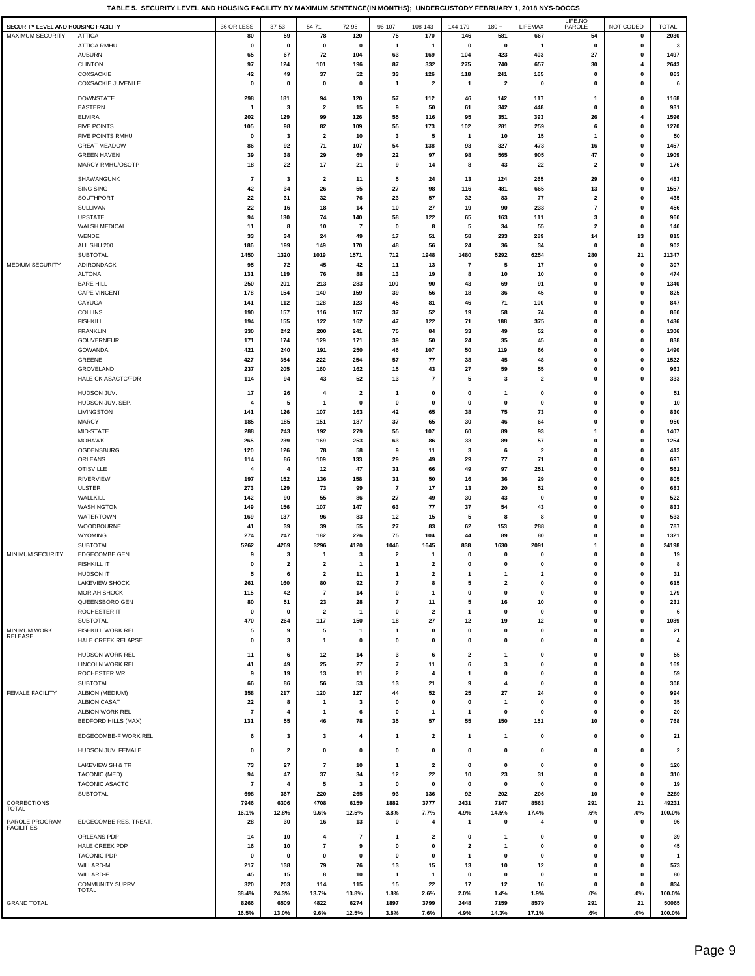**TABLE 5. SECURITY LEVEL AND HOUSING FACILITY BY MAXIMUM SENTENCE(IN MONTHS); UNDERCUSTODY FEBRUARY 1, 2018 NYS-DOCCS**

| SECURITY LEVEL AND HOUSING FACILITY |                                              | 36 OR LESS     | 37-53          | 54-71                         | 72-95                                  | 96-107                   | 108-143                       | 144-179           | $180 +$                      | LIFEMAX                       | LIFE, NO<br>PAROLE      | NOT CODED               | <b>TOTAL</b>            |
|-------------------------------------|----------------------------------------------|----------------|----------------|-------------------------------|----------------------------------------|--------------------------|-------------------------------|-------------------|------------------------------|-------------------------------|-------------------------|-------------------------|-------------------------|
| <b>MAXIMUM SECURITY</b>             | <b>ATTICA</b>                                | 80             | 59             | 78                            | 120                                    | 75                       | 170                           | 146               | 581                          | 667                           | 54                      | 0                       | 2030                    |
|                                     | <b>ATTICA RMHU</b>                           | 0              | 0              | 0                             | $\mathbf 0$                            | 1                        | $\mathbf{1}$                  | 0                 | 0                            | 1                             | 0                       | 0                       | 3                       |
|                                     | <b>AUBURN</b><br><b>CLINTON</b>              | 65<br>97       | 67<br>124      | 72<br>101                     | 104<br>196                             | 63<br>87                 | 169<br>332                    | 104<br>275        | 423<br>740                   | 403<br>657                    | 27<br>30                | 0<br>4                  | 1497<br>2643            |
|                                     | COXSACKIE                                    | 42             | 49             | 37                            | 52                                     | 33                       | 126                           | 118               | 241                          | 165                           | 0                       | 0                       | 863                     |
|                                     | COXSACKIE JUVENILE                           | $\mathbf 0$    | $\mathbf 0$    | $\mathbf 0$                   | $\mathbf 0$                            | $\mathbf{1}$             | $\overline{\mathbf{2}}$       | 1                 | $\overline{\mathbf{2}}$      | $\mathbf{0}$                  | 0                       | 0                       | 6                       |
|                                     | <b>DOWNSTATE</b>                             | 298            | 181            | 94                            | 120                                    | 57                       | 112                           | 46                | 142                          | 117                           | $\mathbf{1}$            | 0                       | 1168                    |
|                                     | EASTERN                                      | 1              | 3              | $\overline{\mathbf{2}}$       | 15                                     | 9                        | 50                            | 61                | 342                          | 448                           | 0                       | 0                       | 931                     |
|                                     | <b>ELMIRA</b>                                | 202            | 129            | 99                            | 126                                    | 55                       | 116                           | 95                | 351                          | 393                           | 26                      | $\overline{\mathbf{4}}$ | 1596                    |
|                                     | <b>FIVE POINTS</b><br>FIVE POINTS RMHU       | 105<br>0       | 98<br>3        | 82<br>$\overline{\mathbf{2}}$ | 109<br>10                              | 55<br>3                  | 173<br>5                      | 102<br>1          | 281<br>10                    | 259<br>15                     | 6<br>1                  | 0<br>0                  | 1270<br>50              |
|                                     | <b>GREAT MEADOW</b>                          | 86             | 92             | 71                            | 107                                    | 54                       | 138                           | 93                | 327                          | 473                           | 16                      | 0                       | 1457                    |
|                                     | <b>GREEN HAVEN</b>                           | 39             | 38             | 29                            | 69                                     | 22                       | 97                            | 98                | 565                          | 905                           | 47                      | 0                       | 1909                    |
|                                     | MARCY RMHU/OSOTP                             | 18             | 22             | 17                            | 21                                     | 9                        | 14                            | 8                 | 43                           | 22                            | $\overline{\mathbf{2}}$ | 0                       | 176                     |
|                                     | SHAWANGUNK                                   | $\overline{7}$ | 3              | $\overline{\mathbf{2}}$       | 11                                     | 5                        | 24                            | 13                | 124                          | 265                           | 29                      | 0                       | 483                     |
|                                     | SING SING                                    | 42             | 34             | 26                            | 55                                     | 27                       | 98                            | 116               | 481                          | 665                           | 13                      | 0                       | 1557                    |
|                                     | SOUTHPORT<br>SULLIVAN                        | 22<br>22       | 31<br>16       | 32<br>18                      | 76<br>14                               | 23<br>10                 | 57<br>27                      | 32<br>19          | 83<br>90                     | 77<br>233                     | 2<br>$\bf 7$            | 0<br>0                  | 435<br>456              |
|                                     | <b>UPSTATE</b>                               | 94             | 130            | 74                            | 140                                    | 58                       | 122                           | 65                | 163                          | 111                           | 3                       | 0                       | 960                     |
|                                     | WALSH MEDICAL                                | 11             | 8              | 10                            | 7                                      | 0                        | 8                             | 5                 | 34                           | 55                            | 2                       | 0                       | 140                     |
|                                     | WENDE<br>ALL SHU 200                         | 33<br>186      | 34<br>199      | 24<br>149                     | 49<br>170                              | 17<br>48                 | 51<br>56                      | 58<br>24          | 233<br>36                    | 289<br>34                     | 14<br>$\mathbf 0$       | 13<br>0                 | 815<br>902              |
|                                     | <b>SUBTOTAL</b>                              | 1450           | 1320           | 1019                          | 1571                                   | 712                      | 1948                          | 1480              | 5292                         | 6254                          | 280                     | 21                      | 21347                   |
| <b>MEDIUM SECURITY</b>              | ADIRONDACK                                   | 95             | 72             | 45                            | 42                                     | 11                       | 13                            | $\overline{7}$    | 5                            | 17                            | 0                       | 0                       | 307                     |
|                                     | <b>ALTONA</b>                                | 131            | 119            | 76                            | 88                                     | 13                       | 19                            | 8                 | 10                           | 10                            | 0                       | 0                       | 474                     |
|                                     | <b>BARE HILL</b><br>CAPE VINCENT             | 250<br>178     | 201<br>154     | 213<br>140                    | 283<br>159                             | 100<br>39                | 90<br>56                      | 43<br>18          | 69<br>36                     | 91<br>45                      | 0<br>0                  | 0<br>0                  | 1340<br>825             |
|                                     | CAYUGA                                       | 141            | 112            | 128                           | 123                                    | 45                       | 81                            | 46                | 71                           | 100                           | 0                       | 0                       | 847                     |
|                                     | <b>COLLINS</b>                               | 190            | 157            | 116                           | 157                                    | 37                       | 52                            | 19                | 58                           | 74                            | 0                       | 0                       | 860                     |
|                                     | <b>FISHKILL</b>                              | 194            | 155            | 122                           | 162                                    | 47                       | 122                           | 71                | 188                          | 375                           | 0                       | 0                       | 1436                    |
|                                     | <b>FRANKLIN</b><br>GOUVERNEUR                | 330<br>171     | 242<br>174     | 200<br>129                    | 241<br>171                             | 75<br>39                 | 84<br>50                      | 33<br>24          | 49<br>35                     | 52<br>45                      | 0<br>0                  | 0<br>0                  | 1306<br>838             |
|                                     | GOWANDA                                      | 421            | 240            | 191                           | 250                                    | 46                       | 107                           | 50                | 119                          | 66                            | 0                       | 0                       | 1490                    |
|                                     | GREENE                                       | 427            | 354            | 222                           | 254                                    | 57                       | 77                            | 38                | 45                           | 48                            | 0                       | 0                       | 1522                    |
|                                     | GROVELAND                                    | 237            | 205            | 160                           | 162                                    | 15                       | 43<br>$\overline{7}$          | 27<br>5           | 59                           | 55<br>$\overline{2}$          | 0<br>$\mathbf 0$        | 0                       | 963                     |
|                                     | <b>HALE CK ASACTC/FDR</b>                    | 114            | 94             | 43                            | 52                                     | 13                       |                               |                   | 3                            |                               |                         | 0                       | 333                     |
|                                     | HUDSON JUV.                                  | 17             | 26<br>5        | $\overline{\mathbf{4}}$       | $\overline{\mathbf{2}}$<br>$\mathbf 0$ | 1                        | 0                             | 0                 | $\mathbf{1}$                 | 0                             | 0                       | 0                       | 51                      |
|                                     | HUDSON JUV. SEP.<br>LIVINGSTON               | 4<br>141       | 126            | $\mathbf{1}$<br>107           | 163                                    | $\mathbf 0$<br>42        | 0<br>65                       | 0<br>38           | 0<br>75                      | 0<br>73                       | 0<br>0                  | 0<br>0                  | 10<br>830               |
|                                     | <b>MARCY</b>                                 | 185            | 185            | 151                           | 187                                    | 37                       | 65                            | 30                | 46                           | 64                            | 0                       | 0                       | 950                     |
|                                     | MID-STATE                                    | 288            | 243            | 192                           | 279                                    | 55                       | 107                           | 60                | 89                           | 93                            | $\mathbf{1}$            | 0                       | 1407                    |
|                                     | <b>MOHAWK</b>                                | 265            | 239            | 169                           | 253                                    | 63                       | 86                            | 33                | 89                           | 57                            | 0                       | 0                       | 1254                    |
|                                     | OGDENSBURG<br>ORLEANS                        | 120<br>114     | 126<br>86      | 78<br>109                     | 58<br>133                              | 9<br>29                  | 11<br>49                      | 3<br>29           | 6<br>77                      | $\overline{\mathbf{2}}$<br>71 | 0<br>$\mathbf 0$        | 0<br>0                  | 413<br>697              |
|                                     | <b>OTISVILLE</b>                             | 4              | 4              | 12                            | 47                                     | 31                       | 66                            | 49                | 97                           | 251                           | 0                       | 0                       | 561                     |
|                                     | <b>RIVERVIEW</b>                             | 197            | 152            | 136                           | 158                                    | 31                       | 50                            | 16                | 36                           | 29                            | 0                       | 0                       | 805                     |
|                                     | <b>ULSTER</b>                                | 273            | 129            | 73                            | 99                                     | $\overline{7}$           | 17                            | 13                | 20                           | 52                            | 0                       | 0                       | 683                     |
|                                     | WALLKILL<br>WASHINGTON                       | 142<br>149     | 90<br>156      | 55<br>107                     | 86<br>147                              | 27<br>63                 | 49<br>77                      | 30<br>37          | 43<br>54                     | $\mathbf 0$<br>43             | 0<br>0                  | 0<br>0                  | 522<br>833              |
|                                     | WATERTOWN                                    | 169            | 137            | 96                            | 83                                     | 12                       | 15                            | 5                 | 8                            | 8                             | 0                       | 0                       | 533                     |
|                                     | WOODBOURNE                                   | 41             | 39             | 39                            | 55                                     | 27                       | 83                            | 62                | 153                          | 288                           | 0                       | 0                       | 787                     |
|                                     | WYOMING<br>SUBTOTAL                          | 274<br>5262    | 247<br>4269    | 182<br>3296                   | 226<br>4120                            | 75<br>1046               | 104<br>1645                   | 44<br>838         | 89<br>1630                   | 80<br>2091                    | 0<br>1                  | 0<br>0                  | 1321<br>24198           |
| MINIMUM SECURITY                    | <b>EDGECOMBE GEN</b>                         | 9              | 3              | -1                            | 3                                      | $\overline{\mathbf{2}}$  | $\mathbf{1}$                  | $\mathbf 0$       | 0                            | $\mathbf 0$                   | 0                       | 0                       | 19                      |
|                                     | <b>FISHKILL IT</b>                           | $\mathbf 0$    | $\overline{2}$ | $\overline{2}$                | $\overline{1}$                         | $\mathbf{1}$             | $\overline{2}$                | 0                 | 0                            | $\mathbf 0$                   | $\mathbf 0$             | $\mathbf 0$             | 8                       |
|                                     | <b>HUDSON IT</b>                             | 5              | 6              | 2                             | 11                                     | -1                       | $\overline{\mathbf{2}}$       | 1                 | $\mathbf{1}$                 | $\mathbf{2}$                  | 0                       | 0                       | 31                      |
|                                     | <b>LAKEVIEW SHOCK</b><br><b>MORIAH SHOCK</b> | 261<br>115     | 160<br>42      | 80<br>$\overline{7}$          | 92<br>14                               | $\boldsymbol{7}$<br>0    | 8<br>$\mathbf{1}$             | 5<br>0            | $\overline{\mathbf{2}}$<br>0 | $\mathbf 0$<br>0              | 0<br>0                  | $\pmb{0}$<br>0          | 615<br>179              |
|                                     | QUEENSBORO GEN                               | 80             | 51             | 23                            | 28                                     | $\overline{\phantom{a}}$ | 11                            | 5                 | 16                           | 10                            | 0                       | 0                       | 231                     |
|                                     | ROCHESTER IT                                 | $\mathbf 0$    | $\mathbf 0$    | $\overline{\mathbf{2}}$       | $\mathbf{1}$                           | $\mathbf 0$              | $\overline{\mathbf{2}}$       | 1                 | $\mathbf 0$                  | $\mathbf{0}$                  | 0                       | 0                       | 6                       |
| <b>MINIMUM WORK</b>                 | <b>SUBTOTAL</b>                              | 470<br>5       | 264<br>9       | 117<br>5                      | 150<br>$\mathbf{1}$                    | 18<br>$\mathbf{1}$       | 27<br>0                       | 12<br>$\mathbf 0$ | 19<br>$\mathbf 0$            | 12<br>$\mathbf{0}$            | 0<br>0                  | 0<br>0                  | 1089<br>21              |
| <b>RELEASE</b>                      | FISHKILL WORK REL<br>HALE CREEK RELAPSE      | 0              | 3              | $\mathbf{1}$                  | 0                                      | 0                        | $\pmb{0}$                     | 0                 | 0                            | 0                             | $\mathbf 0$             | $\pmb{0}$               | 4                       |
|                                     | HUDSON WORK REL                              |                | 6              |                               |                                        |                          | 6                             | 2                 | 1                            | 0                             | 0                       | 0                       | 55                      |
|                                     | LINCOLN WORK REL                             | 11<br>41       | 49             | 12<br>25                      | 14<br>27                               | 3<br>$\overline{7}$      | 11                            | 6                 | 3                            | 0                             | $\mathbf 0$             | $\pmb{0}$               | 169                     |
|                                     | ROCHESTER WR                                 | 9              | 19             | 13                            | 11                                     | $\overline{\mathbf{2}}$  | 4                             | 1                 | 0                            | 0                             | 0                       | 0                       | 59                      |
|                                     | SUBTOTAL                                     | 66             | 86             | 56                            | 53                                     | 13                       | 21                            | 9                 | 4                            | 0                             | 0                       | 0                       | 308                     |
| <b>FEMALE FACILITY</b>              | ALBION (MEDIUM)<br><b>ALBION CASAT</b>       | 358<br>22      | 217<br>8       | 120<br>$\mathbf{1}$           | 127<br>3                               | 44<br>0                  | 52<br>0                       | 25<br>0           | 27<br>-1                     | 24<br>0                       | $\mathbf 0$<br>0        | 0<br>0                  | 994<br>35               |
|                                     | ALBION WORK REL                              | $\overline{7}$ | $\overline{4}$ | $\mathbf{1}$                  | 6                                      | 0                        | $\mathbf{1}$                  | 1                 | 0                            | 0                             | 0                       | 0                       | 20                      |
|                                     | <b>BEDFORD HILLS (MAX)</b>                   | 131            | 55             | 46                            | 78                                     | 35                       | 57                            | 55                | 150                          | 151                           | 10                      | 0                       | 768                     |
|                                     | EDGECOMBE-F WORK REL                         | 6              | 3              | 3                             | 4                                      | -1                       | $\mathbf{2}$                  | 1                 | $\mathbf{1}$                 | $\mathbf{0}$                  | 0                       | 0                       | 21                      |
|                                     | HUDSON JUV. FEMALE                           | 0              | $\overline{2}$ | $\mathbf 0$                   | 0                                      | 0                        | 0                             | 0                 | 0                            | $\mathbf{0}$                  | 0                       | 0                       | $\overline{\mathbf{2}}$ |
|                                     |                                              |                |                |                               |                                        |                          |                               |                   |                              |                               |                         |                         |                         |
|                                     | <b>LAKEVIEW SH &amp; TR</b><br>TACONIC (MED) | 73<br>94       | 27<br>47       | $\overline{7}$<br>37          | 10<br>34                               | -1<br>12                 | $\overline{\mathbf{2}}$<br>22 | 0<br>10           | 0<br>23                      | 0<br>31                       | 0<br>0                  | 0<br>0                  | 120<br>310              |
|                                     | TACONIC ASACTC                               | $\overline{7}$ | $\overline{4}$ | 5                             | 3                                      | 0                        | $\pmb{0}$                     | 0                 | 0                            | 0                             | 0                       | 0                       | 19                      |
|                                     | SUBTOTAL                                     | 698            | 367            | 220                           | 265                                    | 93                       | 136                           | 92                | 202                          | 206                           | 10                      | 0                       | 2289                    |
| CORRECTIONS<br>TOTAL                |                                              | 7946           | 6306           | 4708                          | 6159                                   | 1882                     | 3777                          | 2431              | 7147                         | 8563                          | 291                     | 21                      | 49231                   |
| PAROLE PROGRAM                      | EDGECOMBE RES. TREAT.                        | 16.1%<br>28    | 12.8%<br>30    | 9.6%<br>16                    | 12.5%<br>13                            | 3.8%<br>0                | 7.7%<br>4                     | 4.9%<br>1         | 14.5%<br>0                   | 17.4%<br>4                    | .6%<br>$\mathbf 0$      | $.0\%$<br>0             | 100.0%<br>96            |
| <b>FACILITIES</b>                   | ORLEANS PDP                                  |                |                | $\overline{4}$                |                                        | 1                        |                               |                   | $\mathbf{1}$                 | 0                             |                         |                         | 39                      |
|                                     | HALE CREEK PDP                               | 14<br>16       | 10<br>10       | $\overline{7}$                | 7<br>9                                 | 0                        | 2<br>0                        | 0<br>2            | 1                            | 0                             | 0<br>0                  | 0<br>0                  | 45                      |
|                                     | <b>TACONIC PDP</b>                           | 0              | $\mathbf 0$    | $\mathbf 0$                   | 0                                      | 0                        | 0                             | 1                 | 0                            | $\mathbf{0}$                  | 0                       | 0                       | 1                       |
|                                     | WILLARD-M                                    | 217            | 138            | 79                            | 76                                     | 13                       | 15                            | 13                | 10                           | 12                            | 0                       | 0                       | 573                     |
|                                     | WILLARD-F<br><b>COMMUNITY SUPRV</b>          | 45<br>320      | 15<br>203      | 8<br>114                      | 10<br>115                              | -1<br>15                 | $\overline{1}$<br>22          | 0<br>17           | 0<br>12                      | 0<br>16                       | 0<br>0                  | 0<br>0                  | 80<br>834               |
|                                     | TOTAL                                        | 38.4%          | 24.3%          | 13.7%                         | 13.8%                                  | 1.8%                     | 2.6%                          | 2.0%              | 1.4%                         | 1.9%                          | .0%                     | $.0\%$                  | 100.0%                  |
| <b>GRAND TOTAL</b>                  |                                              | 8266           | 6509           | 4822                          | 6274                                   | 1897                     | 3799                          | 2448              | 7159                         | 8579                          | 291                     | 21                      | 50065                   |
|                                     |                                              | 16.5%          | 13.0%          | 9.6%                          | 12.5%                                  | 3.8%                     | 7.6%                          | 4.9%              | 14.3%                        | 17.1%                         | .6%                     | $.0\%$                  | 100.0%                  |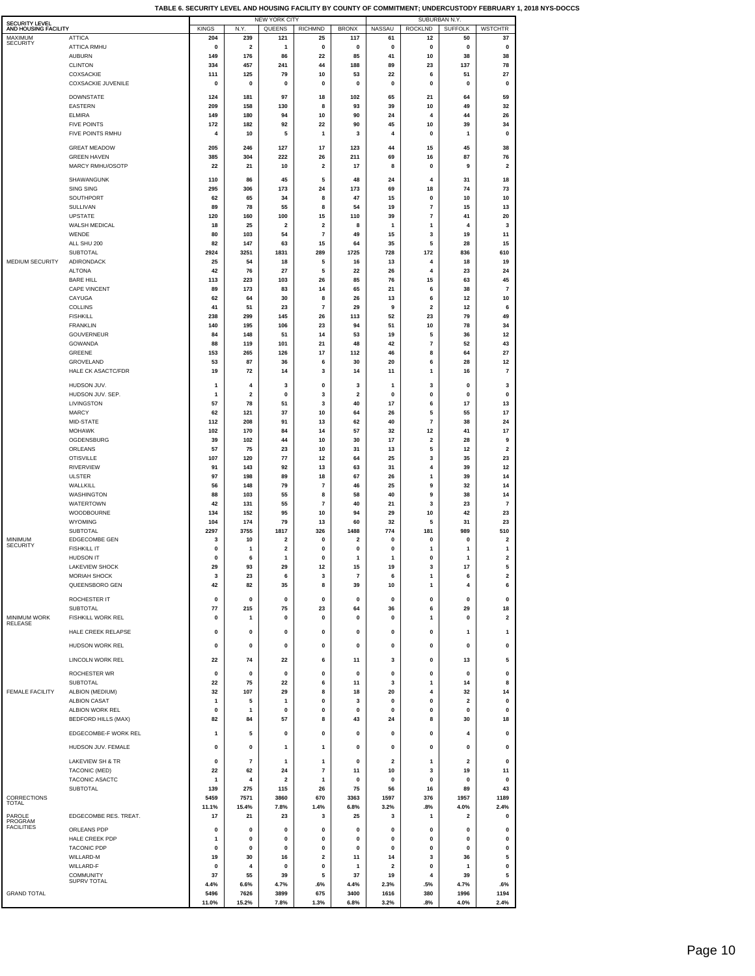| <b>SECURITY LEVEL</b>           |                                               |                     |                         | <b>NEW YORK CITY</b>          |                         |                                 |                      | SUBURBAN N.Y.                    |                         |                              |
|---------------------------------|-----------------------------------------------|---------------------|-------------------------|-------------------------------|-------------------------|---------------------------------|----------------------|----------------------------------|-------------------------|------------------------------|
| AND HOUSING FACILITY<br>MAXIMUM | <b>ATTICA</b>                                 | <b>KINGS</b><br>204 | N.Y.<br>239             | QUEENS<br>121                 | <b>RICHMND</b><br>25    | <b>BRONX</b><br>117             | <b>NASSAU</b><br>61  | <b>ROCKLND</b><br>12             | <b>SUFFOLK</b><br>50    | <b>WSTCHTR</b><br>37         |
| <b>SECURITY</b>                 | <b>ATTICA RMHU</b>                            | 0                   | 2                       | 1                             | 0                       | 0                               | 0                    | 0                                | 0                       | 0                            |
|                                 | <b>AUBURN</b>                                 | 149                 | 176                     | 86                            | 22                      | 85                              | 41                   | 10                               | 38                      | 38                           |
|                                 | <b>CLINTON</b>                                | 334                 | 457                     | 241                           | 44<br>10                | 188                             | 89<br>22             | 23                               | 137                     | 78                           |
|                                 | COXSACKIE<br><b>COXSACKIE JUVENILE</b>        | 111<br>0            | 125<br>0                | 79<br>0                       | $\mathbf 0$             | 53<br>0                         | 0                    | 6<br>0                           | 51<br>$\pmb{0}$         | 27<br>0                      |
|                                 | <b>DOWNSTATE</b>                              | 124                 | 181                     | 97                            | 18                      | 102                             | 65                   | 21                               | 64                      | 59                           |
|                                 | EASTERN                                       | 209                 | 158                     | 130                           | 8                       | 93                              | 39                   | 10                               | 49                      | 32                           |
|                                 | <b>ELMIRA</b>                                 | 149                 | 180                     | 94                            | 10                      | 90                              | 24                   | 4                                | 44                      | 26                           |
|                                 | <b>FIVE POINTS</b>                            | 172                 | 182                     | 92                            | 22                      | 90                              | 45                   | 10                               | 39                      | 34                           |
|                                 | FIVE POINTS RMHU                              | 4                   | 10                      | 5                             | 1                       | 3                               | 4                    | 0                                | 1                       | 0                            |
|                                 | <b>GREAT MEADOW</b><br><b>GREEN HAVEN</b>     | 205<br>385          | 246<br>304              | 127<br>222                    | 17<br>26                | 123<br>211                      | 44<br>69             | 15<br>16                         | 45<br>87                | 38<br>76                     |
|                                 | MARCY RMHU/OSOTP                              | 22                  | 21                      | 10                            | $\mathbf{2}$            | 17                              | 8                    | 0                                | 9                       | $\overline{\mathbf{2}}$      |
|                                 | SHAWANGUNK                                    | 110                 | 86                      | 45                            | 5                       | 48                              | 24                   | 4                                | 31                      | 18                           |
|                                 | <b>SING SING</b>                              | 295                 | 306                     | 173                           | 24                      | 173                             | 69                   | 18                               | 74                      | 73                           |
|                                 | SOUTHPORT                                     | 62                  | 65                      | 34                            | 8                       | 47                              | 15                   | $\mathbf 0$                      | 10                      | 10                           |
|                                 | SULLIVAN<br><b>UPSTATE</b>                    | 89<br>120           | 78<br>160               | 55<br>100                     | 8<br>15                 | 54<br>110                       | 19<br>39             | $\overline{7}$<br>$\overline{7}$ | 15<br>41                | 13<br>20                     |
|                                 | WALSH MEDICAL                                 | 18                  | 25                      | $\overline{\mathbf{2}}$       | $\mathbf{2}$            | 8                               | 1                    | $\mathbf{1}$                     | 4                       | 3                            |
|                                 | WENDE                                         | 80                  | 103                     | 54                            | 7                       | 49                              | 15                   | 3                                | 19                      | 11                           |
|                                 | ALL SHU 200<br><b>SUBTOTAL</b>                | 82<br>2924          | 147<br>3251             | 63<br>1831                    | 15<br>289               | 64<br>1725                      | 35<br>728            | 5<br>172                         | 28<br>836               | 15<br>610                    |
| MEDIUM SECURITY                 | ADIRONDACK                                    | 25                  | 54                      | 18                            | 5                       | 16                              | 13                   | 4                                | 18                      | 19                           |
|                                 | <b>ALTONA</b>                                 | 42                  | 76                      | 27                            | 5                       | 22                              | 26                   | 4                                | 23                      | 24                           |
|                                 | <b>BARE HILL</b><br>CAPE VINCENT              | 113<br>89           | 223<br>173              | 103<br>83                     | 26<br>14                | 85<br>65                        | 76<br>21             | 15<br>6                          | 63<br>38                | 45<br>7                      |
|                                 | CAYUGA                                        | 62                  | 64                      | 30                            | 8                       | 26                              | 13                   | 6                                | 12                      | 10                           |
|                                 | <b>COLLINS</b>                                | 41                  | 51                      | 23                            | $\overline{\mathbf{r}}$ | 29                              | 9                    | $\mathbf 2$                      | 12                      | 6                            |
|                                 | <b>FISHKILL</b><br><b>FRANKLIN</b>            | 238                 | 299<br>195              | 145<br>106                    | 26<br>23                | 113<br>94                       | 52<br>51             | 23<br>10                         | 79<br>78                | 49                           |
|                                 | GOUVERNEUR                                    | 140<br>84           | 148                     | 51                            | 14                      | 53                              | 19                   | 5                                | 36                      | 34<br>12                     |
|                                 | GOWANDA                                       | 88                  | 119                     | 101                           | 21                      | 48                              | 42                   | $\overline{7}$                   | 52                      | 43                           |
|                                 | GREENE                                        | 153                 | 265                     | 126                           | 17                      | 112                             | 46                   | 8                                | 64                      | 27                           |
|                                 | GROVELAND<br><b>HALE CK ASACTC/FDR</b>        | 53<br>19            | 87<br>72                | 36<br>14                      | 6<br>3                  | 30<br>14                        | 20<br>11             | 6<br>$\mathbf{1}$                | 28<br>16                | 12<br>$\overline{7}$         |
|                                 | HUDSON JUV.                                   | 1                   | 4                       | 3                             | 0                       | 3                               | 1                    | 3                                | 0                       | 3                            |
|                                 | HUDSON JUV. SEP.                              | $\mathbf{1}$        | 2                       | 0                             | 3                       | 2                               | 0                    | 0                                | 0                       | 0                            |
|                                 | LIVINGSTON                                    | 57                  | 78                      | 51                            | 3                       | 40                              | 17                   | 6                                | 17                      | 13                           |
|                                 | <b>MARCY</b>                                  | 62                  | 121                     | 37                            | 10                      | 64                              | 26                   | 5<br>$\overline{7}$              | 55                      | 17                           |
|                                 | MID-STATE<br><b>MOHAWK</b>                    | 112<br>102          | 208<br>170              | 91<br>84                      | 13<br>14                | 62<br>57                        | 40<br>32             | 12                               | 38<br>41                | 24<br>17                     |
|                                 | OGDENSBURG                                    | 39                  | 102                     | 44                            | 10                      | 30                              | 17                   | $\overline{\mathbf{2}}$          | 28                      | 9                            |
|                                 | ORLEANS                                       | 57                  | 75                      | 23                            | 10                      | 31                              | 13                   | 5                                | 12                      | $\overline{\mathbf{2}}$      |
|                                 | <b>OTISVILLE</b><br><b>RIVERVIEW</b>          | 107<br>91           | 120<br>143              | 77<br>92                      | 12<br>13                | 64<br>63                        | 25<br>31             | 3<br>4                           | 35<br>39                | 23<br>12                     |
|                                 | <b>ULSTER</b>                                 | 97                  | 198                     | 89                            | 18                      | 67                              | 26                   | $\mathbf{1}$                     | 39                      | 14                           |
|                                 | WALLKILL                                      | 56                  | 148                     | 79                            | 7                       | 46                              | 25                   | 9                                | 32                      | 14                           |
|                                 | WASHINGTON<br><b>WATERTOWN</b>                | 88<br>42            | 103<br>131              | 55<br>55                      | 8<br>7                  | 58<br>40                        | 40<br>21             | 9<br>3                           | 38<br>23                | 14<br>7                      |
|                                 | WOODBOURNE                                    | 134                 | 152                     | 95                            | 10                      | 94                              | 29                   | 10                               | 42                      | 23                           |
|                                 | WYOMING                                       | 104                 | 174                     | 79                            | 13                      | 60                              | 32                   | 5                                | 31                      | 23                           |
| <b>MINIMUM</b>                  | <b>SUBTOTAL</b><br>EDGECOMBE GEN              | 2297<br>3           | 3755<br>10              | 1817<br>$\mathbf 2$           | 326<br>0                | 1488<br>$\overline{\mathbf{2}}$ | 774<br>0             | 181<br>$\mathbf 0$               | 989<br>0                | 510<br>2                     |
| <b>SECURITY</b>                 | <b>FISHKILL IT</b>                            | 0                   | 1                       | $\mathbf 2$                   | $\mathbf 0$             | $\mathbf{0}$                    | $\mathbf{0}$         | 1                                | $\mathbf{1}$            | $\mathbf{1}$                 |
|                                 | HUDSON IT                                     | 0                   | 6                       | 1                             | 0                       | 1                               | 1                    | 0                                | $\mathbf{1}$            | $\overline{\mathbf{2}}$      |
|                                 | <b>LAKEVIEW SHOCK</b><br><b>MORIAH SHOCK</b>  | 29<br>3             | 93<br>23                | 29<br>6                       | 12<br>3                 | 15<br>$\overline{7}$            | 19<br>6              | з<br>$\mathbf{1}$                | 17<br>6                 | э<br>$\overline{\mathbf{2}}$ |
|                                 | QUEENSBORO GEN                                | 42                  | 82                      | 35                            | 8                       | 39                              | 10                   | 1                                | 4                       | 6                            |
|                                 | ROCHESTER IT                                  | 0                   | 0                       | 0                             | 0                       | 0                               | 0                    | 0                                | 0                       | 0                            |
|                                 | <b>SUBTOTAL</b>                               | 77                  | 215                     | 75                            | 23                      | 64                              | 36                   | 6                                | 29                      | 18                           |
| MINIMUM WORK<br>RELEASE         | <b>FISHKILL WORK REL</b>                      | $\mathbf 0$         | $\mathbf{1}$            | $\mathbf 0$                   | 0                       | $\mathbf{0}$                    | 0                    | $\mathbf{1}$                     | $\pmb{0}$               | 2                            |
|                                 | HALE CREEK RELAPSE                            | 0                   | 0                       | $\pmb{0}$                     | 0                       | 0                               | 0                    | 0                                | 1                       | $\mathbf{1}$                 |
|                                 | <b>HUDSON WORK REL</b>                        | 0                   | 0                       | 0                             | 0                       | 0                               | 0                    | 0                                | 0                       | 0                            |
|                                 | <b>LINCOLN WORK REL</b>                       | 22                  | 74                      | 22                            | 6                       | 11                              | 3                    | 0                                | 13                      | 5                            |
|                                 | ROCHESTER WR                                  | 0                   | 0                       | $\pmb{0}$                     | 0                       | 0                               | 0                    | 0                                | 0                       | 0                            |
|                                 | SUBTOTAL                                      | 22                  | 75                      | 22                            | 6                       | 11                              | 3                    | 1                                | 14                      | 8                            |
| <b>FEMALE FACILITY</b>          | ALBION (MEDIUM)                               | 32                  | 107                     | 29                            | 8                       | 18                              | 20                   | 4                                | 32                      | 14                           |
|                                 | <b>ALBION CASAT</b>                           | 1                   | 5<br>$\mathbf{1}$       | 1                             | 0                       | 3                               | $\mathbf{0}$         | $\mathbf 0$                      | 2                       | 0                            |
|                                 | ALBION WORK REL<br><b>BEDFORD HILLS (MAX)</b> | $\mathbf 0$<br>82   | 84                      | 0<br>57                       | 0<br>8                  | 0<br>43                         | 0<br>24              | 0<br>8                           | $\pmb{0}$<br>30         | $\pmb{0}$<br>18              |
|                                 | EDGECOMBE-F WORK REL                          | 1                   | 5                       | $\pmb{0}$                     | 0                       | 0                               | 0                    | 0                                | 4                       | 0                            |
|                                 |                                               |                     |                         |                               |                         |                                 |                      |                                  |                         |                              |
|                                 | HUDSON JUV. FEMALE                            | 0                   | 0                       | 1                             | 1                       | $\mathbf{0}$                    | $\mathbf{0}$         | 0                                | 0                       | 0                            |
|                                 | LAKEVIEW SH & TR                              | 0                   | $\overline{\mathbf{r}}$ | $\mathbf{1}$                  | 1                       | 0                               | 2                    | $\mathbf{1}$                     | $\overline{\mathbf{2}}$ | 0                            |
|                                 | TACONIC (MED)<br>TACONIC ASACTC               | 22<br>1             | 62<br>4                 | 24<br>$\overline{\mathbf{2}}$ | 7<br>1                  | 11<br>0                         | 10<br>0              | 3<br>$\pmb{0}$                   | 19<br>0                 | 11<br>$\pmb{0}$              |
|                                 | SUBTOTAL                                      | 139                 | 275                     | 115                           | 26                      | 75                              | 56                   | 16                               | 89                      | 43                           |
| CORRECTIONS<br><b>TOTAL</b>     |                                               | 5459                | 7571                    | 3860                          | 670                     | 3363                            | 1597                 | 376                              | 1957                    | 1189                         |
| PAROLE                          | EDGECOMBE RES. TREAT.                         | 11.1%<br>17         | 15.4%<br>21             | 7.8%<br>23                    | 1.4%<br>3               | 6.8%<br>25                      | 3.2%<br>3            | .8%<br>1                         | 4.0%<br>2               | 2.4%<br>0                    |
| PROGRAM<br><b>FACILITIES</b>    |                                               |                     |                         |                               |                         |                                 |                      |                                  |                         |                              |
|                                 | ORLEANS PDP<br>HALE CREEK PDP                 | 0<br>1              | 0<br>0                  | $\mathbf 0$<br>$\pmb{0}$      | 0<br>0                  | $\mathbf{0}$<br>0               | $\mathbf 0$<br>0     | 0<br>0                           | $\mathbf 0$<br>0        | $\mathbf 0$<br>$\pmb{0}$     |
|                                 | <b>TACONIC PDP</b>                            | 0                   | 0                       | $\pmb{0}$                     | 0                       | 0                               | 0                    | 0                                | $\pmb{0}$               | $\pmb{0}$                    |
|                                 | WILLARD-M                                     | 19                  | 30                      | 16                            | $\mathbf{2}$            | 11                              | 14                   | 3                                | 36                      | 5                            |
|                                 | WILLARD-F<br>COMMUNITY                        | 0<br>37             | 4<br>55                 | $\pmb{0}$<br>39               | 0<br>5                  | 1<br>37                         | $\overline{2}$<br>19 | 0<br>4                           | -1<br>39                | 0<br>5                       |
|                                 | SUPRV TOTAL                                   | 4.4%                | 6.6%                    | 4.7%                          | .6%                     | 4.4%                            | 2.3%                 | .5%                              | 4.7%                    | .6%                          |
| <b>GRAND TOTAL</b>              |                                               | 5496                | 7626                    | 3899                          | 675                     | 3400                            | 1616                 | 380                              | 1996                    | 1194                         |
|                                 |                                               | 11.0%               | 15.2%                   | 7.8%                          | 1.3%                    | 6.8%                            | 3.2%                 | .8%                              | 4.0%                    | 2.4%                         |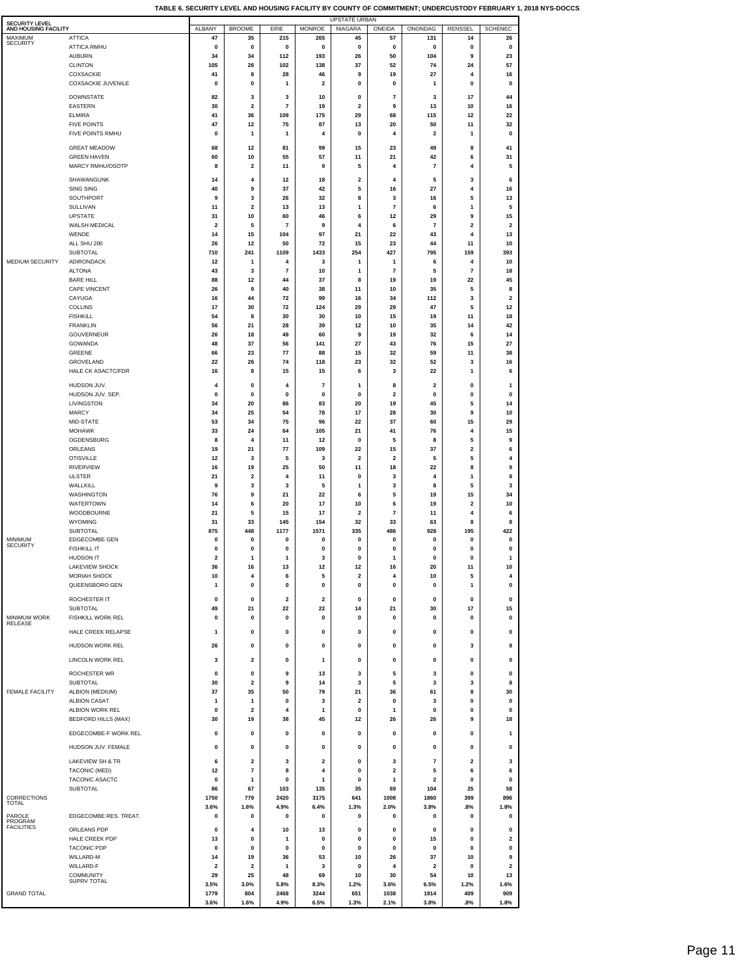| <b>SECURITY LEVEL</b>           |                                        |                     |                               |                               |                         | <b>UPSTATE URBAN</b>          |                               |                |                               |                               |
|---------------------------------|----------------------------------------|---------------------|-------------------------------|-------------------------------|-------------------------|-------------------------------|-------------------------------|----------------|-------------------------------|-------------------------------|
| AND HOUSING FACILITY<br>MAXIMUM | <b>ATTICA</b>                          | ALBANY<br>47        | <b>BROOME</b><br>35           | ERIE<br>215                   | <b>MONROE</b><br>265    | <b>NIAGARA</b><br>45          | ONEIDA<br>57                  | ONONDAG<br>131 | <b>RENSSEL</b><br>14          | <b>SCHENEC</b><br>26          |
| <b>SECURITY</b>                 | <b>ATTICA RMHU</b>                     | $\pmb{0}$           | 0                             | 0                             | 0                       | $\pmb{0}$                     | $\mathbf 0$                   | 0              | 0                             | $\pmb{0}$                     |
|                                 | <b>AUBURN</b><br><b>CLINTON</b>        | 34<br>105           | 34<br>26                      | 112<br>102                    | 193<br>138              | 26<br>37                      | 50<br>52                      | 104<br>74      | 9<br>24                       | 23<br>57                      |
|                                 | COXSACKIE                              | 41                  | 8                             | 28                            | 46                      | 9                             | 19                            | 27             | 4                             | 16                            |
|                                 | <b>COXSACKIE JUVENILE</b>              | $\mathbf 0$         | 0                             | 1                             | $\overline{\mathbf{2}}$ | 0                             | 0                             | 1              | 0                             | 0                             |
|                                 | <b>DOWNSTATE</b>                       | 82                  | 3                             | 3                             | 10                      | $\pmb{0}$                     | $\overline{7}$                | 3              | 17                            | 44                            |
|                                 | <b>EASTERN</b><br><b>ELMIRA</b>        | 30<br>41            | $\overline{\mathbf{2}}$<br>36 | $\overline{7}$<br>109         | 19<br>175               | $\overline{\mathbf{2}}$<br>29 | 9<br>68                       | 13<br>115      | 10<br>12                      | 16<br>22                      |
|                                 | <b>FIVE POINTS</b>                     | 47                  | 12                            | 75                            | 87                      | 13                            | 20                            | 50             | 11                            | 32                            |
|                                 | FIVE POINTS RMHU                       | $\pmb{0}$           | $\mathbf{1}$                  | $\mathbf{1}$                  | 4                       | $\pmb{0}$                     | 4                             | 2              | $\mathbf{1}$                  | 0                             |
|                                 | <b>GREAT MEADOW</b>                    | 68                  | 12                            | 81                            | 99                      | 15                            | 23                            | 49             | 8                             | 41                            |
|                                 | <b>GREEN HAVEN</b><br>MARCY RMHU/OSOTP | 60<br>8             | 10<br>$\mathbf 2$             | 55<br>11                      | 57<br>9                 | 11<br>5                       | 21<br>4                       | 42<br>7        | 6<br>4                        | 31<br>5                       |
|                                 | SHAWANGUNK                             | 14                  | 4                             | 12                            | 18                      | $\overline{\mathbf{2}}$       | 4                             | 5              | 3                             | 6                             |
|                                 | SING SING                              | 40                  | 9                             | 37                            | 42                      | 5                             | 16                            | 27             | 4                             | 16                            |
|                                 | SOUTHPORT<br>SULLIVAN                  | 9<br>11             | 3<br>$\mathbf 2$              | 26<br>13                      | 32<br>13                | 8<br>1                        | 3<br>$\overline{\mathbf{r}}$  | 16<br>6        | 5<br>1                        | 13<br>5                       |
|                                 | <b>UPSTATE</b>                         | 31                  | 10                            | 60                            | 46                      | 6                             | 12                            | 29             | 9                             | 15                            |
|                                 | WALSH MEDICAL<br>WENDE                 | $\overline{2}$      | 5<br>15                       | 7                             | 9                       | 4<br>21                       | 6                             | 7              | $\overline{\mathbf{2}}$<br>4  | $\overline{\mathbf{2}}$<br>13 |
|                                 | ALL SHU 200                            | 14<br>26            | 12                            | 104<br>50                     | 97<br>72                | 15                            | 22<br>23                      | 43<br>44       | 11                            | 10                            |
|                                 | SUBTOTAL                               | 710                 | 241                           | 1109                          | 1433                    | 254                           | 427                           | 795            | 159                           | 393                           |
| MEDIUM SECURITY                 | ADIRONDACK<br><b>ALTONA</b>            | 12<br>43            | -1<br>3                       | 4<br>$\overline{7}$           | 3<br>10                 | $\mathbf{1}$<br>1             | 1<br>$\overline{7}$           | 6<br>5         | 4<br>$\overline{7}$           | 10<br>18                      |
|                                 | <b>BARE HILL</b>                       | 88                  | 12                            | 44                            | 37                      | 8                             | 19                            | 19             | 22                            | 45                            |
|                                 | <b>CAPE VINCENT</b><br>CAYUGA          | 26<br>16            | 9<br>44                       | 40<br>72                      | 38<br>99                | 11<br>16                      | 10<br>34                      | 35<br>112      | 5<br>3                        | 8<br>$\overline{\mathbf{2}}$  |
|                                 | <b>COLLINS</b>                         | 17                  | 30                            | 72                            | 124                     | 29                            | 29                            | 47             | 5                             | 12                            |
|                                 | <b>FISHKILL</b>                        | 54                  | 8                             | 30                            | 30                      | 10                            | 15                            | 19             | 11                            | 18                            |
|                                 | <b>FRANKLIN</b><br><b>GOUVERNEUR</b>   | 56<br>26            | 21<br>18                      | 28<br>49                      | 39<br>60                | 12<br>9                       | 10<br>19                      | 35<br>32       | 14<br>6                       | 42<br>14                      |
|                                 | GOWANDA                                | 48                  | 37                            | 56                            | 141                     | 27                            | 43                            | 76             | 15                            | 27                            |
|                                 | GREENE<br>GROVELAND                    | 66<br>22            | 23<br>26                      | 77<br>74                      | 88<br>118               | 15<br>23                      | 32<br>32                      | 59<br>52       | 11<br>3                       | 38<br>16                      |
|                                 | <b>HALE CK ASACTC/FDR</b>              | 16                  | 8                             | 15                            | 15                      | 6                             | 3                             | 22             | 1                             | 6                             |
|                                 | HUDSON JUV.                            | 4                   | 0                             | 4                             | 7                       | 1                             | 8                             | 2              | 0                             | $\mathbf{1}$                  |
|                                 | HUDSON JUV. SEP.<br>LIVINGSTON         | 0<br>34             | 0<br>20                       | 0<br>86                       | 0<br>83                 | $\pmb{0}$<br>20               | $\overline{\mathbf{2}}$<br>19 | 0<br>45        | 0<br>5                        | $\pmb{0}$<br>14               |
|                                 | <b>MARCY</b>                           | 34                  | 25                            | 54                            | 78                      | 17                            | 28                            | 30             | 9                             | 10                            |
|                                 | MID-STATE                              | 53                  | 34                            | 75                            | 96                      | 22                            | 37                            | 60             | 15                            | 29                            |
|                                 | <b>MOHAWK</b><br>OGDENSBURG            | 33<br>8             | 24<br>$\overline{4}$          | 64<br>11                      | 105<br>12               | 21<br>0                       | 41<br>5                       | 76<br>8        | 4<br>5                        | 15<br>9                       |
|                                 | ORLEANS                                | 19                  | 21                            | 77                            | 109                     | 22                            | 15                            | 37             | $\mathbf 2$                   | 6                             |
|                                 | <b>OTISVILLE</b><br><b>RIVERVIEW</b>   | 12<br>16            | 3<br>19                       | 5<br>25                       | 3<br>50                 | $\overline{\mathbf{2}}$<br>11 | $\mathbf 2$<br>18             | 5<br>22        | 5<br>8                        | 4<br>9                        |
|                                 | <b>ULSTER</b>                          | 21                  | $\mathbf 2$                   | 4                             | 11                      | 0                             | 3                             | 4              | $\mathbf{1}$                  | 8                             |
|                                 | WALLKILL                               | 9                   | 3                             | 3                             | 5                       | 1                             | 3                             | 8              | 5                             | 3                             |
|                                 | WASHINGTON<br><b>WATERTOWN</b>         | 76<br>14            | 9<br>6                        | 21<br>20                      | 22<br>17                | 6<br>10                       | 5<br>6                        | 19<br>19       | 15<br>$\overline{\mathbf{2}}$ | 34<br>10                      |
|                                 | WOODBOURNE                             | 21                  | 5                             | 15                            | 17                      | $\overline{\mathbf{2}}$       | $\overline{\mathbf{r}}$       | 11             | 4                             | 6                             |
|                                 | <b>WYOMING</b><br><b>SUBTOTAL</b>      | 31<br>875           | 33<br>448                     | 145<br>1177                   | 154<br>1571             | 32<br>335                     | 33<br>486                     | 63<br>928      | 8<br>195                      | 8<br>422                      |
| MINIMUM<br><b>SECURITY</b>      | <b>EDGECOMBE GEN</b>                   | 0                   | 0                             | 0                             | 0                       | 0                             | 0                             | 0              | O                             | 0                             |
|                                 | <b>FISHKILL IT</b><br>HUDSON IT        | 0<br>$\overline{2}$ | 0<br>1                        | 0<br>1                        | 0<br>3                  | 0<br>0                        | 0<br>1                        | 0<br>0         | 0<br>$\mathbf 0$              | 0<br>1                        |
|                                 | LAKEVIEW SHOCK                         | 36                  | 16                            | 13                            | 12                      | 12                            | 16                            | 20             |                               | 10                            |
|                                 | <b>MORIAH SHOCK</b>                    | 10                  | 4                             | 6                             | 5                       | $\overline{\mathbf{2}}$       | 4                             | 10             | 5                             | 4                             |
|                                 | QUEENSBORO GEN                         | 1                   | $\pmb{0}$                     | 0                             | 0                       | 0                             | $\pmb{0}$                     | 0              | 1                             | 0                             |
|                                 | ROCHESTER IT<br><b>SUBTOTAL</b>        | $\pmb{0}$<br>49     | $\pmb{0}$<br>21               | $\overline{\mathbf{2}}$<br>22 | $\mathbf{2}$<br>22      | $\pmb{0}$<br>14               | $\pmb{0}$<br>21               | 0<br>30        | $\pmb{0}$<br>17               | $\pmb{0}$<br>15               |
| MINIMUM WORK<br><b>RELEASE</b>  | FISHKILL WORK REL                      | $\pmb{0}$           | 0                             | 0                             | 0                       | 0                             | 0                             | 0              | 0                             | 0                             |
|                                 | HALE CREEK RELAPSE                     | 1                   | $\mathbf 0$                   | 0                             | $\mathbf 0$             | $\mathbf 0$                   | $\mathbf 0$                   | 0              | $\mathbf 0$                   | $\pmb{0}$                     |
|                                 | HUDSON WORK REL                        | 26                  | $\pmb{0}$                     | 0                             | 0                       | 0                             | $\pmb{0}$                     | 0              | 3                             | 8                             |
|                                 | LINCOLN WORK REL                       | 3                   | 2                             | 0                             | 1                       | 0                             | 0                             | 0              | 0                             | 0                             |
|                                 | ROCHESTER WR                           | $\mathbf{0}$        | $\pmb{0}$                     | 9                             | 13                      | 3                             | 5                             | 3              | $\mathbf 0$                   | $\mathbf 0$                   |
|                                 | SUBTOTAL                               | 30                  | $\overline{\mathbf{2}}$       | 9                             | 14                      | 3                             | 5                             | 3              | 3                             | 8                             |
| <b>FEMALE FACILITY</b>          | ALBION (MEDIUM)<br><b>ALBION CASAT</b> | 37<br>1             | 35<br>$\mathbf{1}$            | 50<br>0                       | 79<br>3                 | 21<br>$\overline{\mathbf{2}}$ | 36<br>$\pmb{0}$               | 61<br>3        | 8<br>0                        | 30<br>$\pmb{0}$               |
|                                 | ALBION WORK REL                        | 0                   | $\mathbf 2$                   | 4                             | 1                       | $\pmb{0}$                     | 1                             | 0              | 0                             | 0                             |
|                                 | <b>BEDFORD HILLS (MAX)</b>             | 30                  | 19                            | 38                            | 45                      | 12                            | 26                            | 26             | 9                             | 18                            |
|                                 | EDGECOMBE-F WORK REL                   | $\mathbf 0$         | $\mathbf 0$                   | 0                             | 0                       | $\mathbf 0$                   | $\mathbf 0$                   | 0              | $\mathbf 0$                   | $\mathbf{1}$                  |
|                                 | HUDSON JUV. FEMALE                     | $\pmb{0}$           | $\pmb{0}$                     | 0                             | 0                       | $\pmb{0}$                     | $\pmb{0}$                     | 0              | 0                             | $\pmb{0}$                     |
|                                 | LAKEVIEW SH & TR                       | 6                   | 2                             | 3                             | 2                       | 0                             | 3                             | 7              | $\overline{\mathbf{c}}$       | 3                             |
|                                 | TACONIC (MED)<br>TACONIC ASACTC        | 12<br>0             | $\overline{7}$<br>1           | 8<br>$\mathbf 0$              | 4<br>1                  | 0<br>0                        | 2<br>1                        | 5<br>2         | 6<br>0                        | 6<br>0                        |
|                                 | <b>SUBTOTAL</b>                        | 86                  | 67                            | 103                           | 135                     | 35                            | 69                            | 104            | 25                            | 58                            |
| CORRECTIONS<br>TOTAL            |                                        | 1750                | 779<br>1.6%                   | 2420                          | 3175<br>6.4%            | 641                           | 1008                          | 1860           | 399                           | 896                           |
| PAROLE                          | EDGECOMBE RES. TREAT.                  | 3.6%<br>$\pmb{0}$   | $\pmb{0}$                     | 4.9%<br>0                     | 0                       | 1.3%<br>0                     | 2.0%<br>$\pmb{0}$             | 3.8%<br>0      | .8%<br>$\mathbf 0$            | 1.8%<br>0                     |
| PROGRAM<br><b>FACILITIES</b>    | ORLEANS PDP                            | 0                   | 4                             | 10                            | 13                      | 0                             | 0                             | 0              | 0                             | 0                             |
|                                 | HALE CREEK PDP                         | 13                  | 0                             | 1                             | 0                       | 0                             | 0                             | 15             | 0                             | 2                             |
|                                 | <b>TACONIC PDP</b><br>WILLARD-M        | 0<br>14             | 0<br>19                       | 0<br>36                       | 0<br>53                 | 0<br>10                       | 0<br>26                       | 0<br>37        | 0<br>10                       | 0<br>9                        |
|                                 | WILLARD-F                              | $\overline{2}$      | $\overline{\mathbf{2}}$       | 1                             | 3                       | 0                             | 4                             | 2              | 0                             | 2                             |
|                                 | COMMUNITY<br><b>SUPRV TOTAL</b>        | 29<br>3.5%          | 25<br>3.0%                    | 48<br>5.8%                    | 69<br>8.3%              | 10<br>1.2%                    | 30<br>3.6%                    | 54<br>6.5%     | 10<br>1.2%                    | 13<br>1.6%                    |
| <b>GRAND TOTAL</b>              |                                        | 1779                | 804                           | 2468                          | 3244                    | 651                           | 1038                          | 1914           | 409                           | 909                           |
|                                 |                                        | 3.6%                | 1.6%                          | 4.9%                          | 6.5%                    | 1.3%                          | 2.1%                          | 3.8%           | .8%                           | 1.8%                          |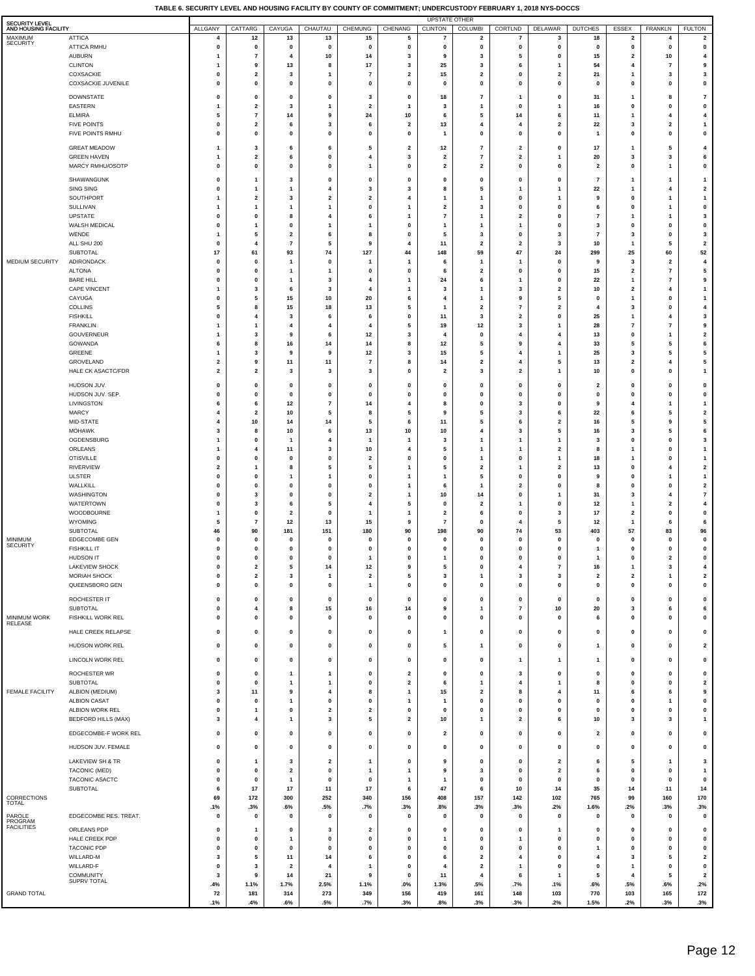| <b>SECURITY LEVEL</b><br>AND HOUSING FACILITY |                                               | ALLGANY                                            | CATTARG                                            | CAYUGA                       | CHAUTAU                                   | CHEMUNG                        | CHENANG                     | <b>UPSTATE OTHER</b><br><b>CLINTON</b>             | <b>COLUMBI</b>                            | CORTLND                                   | DELAWAR                                   | <b>DUTCHES</b>                | ESSEX                                     | FRANKLN                              | <b>FULTON</b>                                      |
|-----------------------------------------------|-----------------------------------------------|----------------------------------------------------|----------------------------------------------------|------------------------------|-------------------------------------------|--------------------------------|-----------------------------|----------------------------------------------------|-------------------------------------------|-------------------------------------------|-------------------------------------------|-------------------------------|-------------------------------------------|--------------------------------------|----------------------------------------------------|
| MAXIMUM                                       | <b>ATTICA</b>                                 | 4                                                  | 12                                                 | 13                           | 13                                        | 15                             | 5                           | 7                                                  | $\overline{\mathbf{2}}$                   | 7                                         | 3                                         | 18                            | 2                                         | 4                                    | $\overline{\mathbf{2}}$                            |
| <b>SECURITY</b>                               | <b>ATTICA RMHU</b>                            | $\pmb{0}$                                          | $\pmb{0}$                                          | $\pmb{0}$                    | $\pmb{0}$                                 | $\pmb{0}$                      | $\pmb{0}$                   | 0                                                  | $\pmb{0}$                                 | 0                                         | $\pmb{0}$                                 | $\mathbf 0$                   | $\pmb{0}$                                 | $\pmb{0}$                            | 0                                                  |
|                                               | <b>AUBURN</b><br><b>CLINTON</b>               | $\mathbf{1}$<br>$\mathbf{1}$                       | $\overline{\mathbf{r}}$<br>9                       | 4<br>13                      | 10<br>8                                   | 14<br>17                       | 3<br>3                      | 9<br>25                                            | 3<br>3                                    | 5<br>6                                    | $\pmb{0}$<br>$\mathbf{1}$                 | 15<br>54                      | $\overline{\mathbf{2}}$<br>$\overline{4}$ | 10<br>$\overline{7}$                 | $\overline{4}$<br>9                                |
|                                               | COXSACKIE                                     | $\mathbf 0$                                        | $\overline{\mathbf{2}}$                            | 3                            | -1                                        | $\overline{7}$                 | $\mathbf{2}$                | 15                                                 | $\overline{\mathbf{2}}$                   | 0                                         | 2                                         | 21                            | 1                                         | 3                                    | 3                                                  |
|                                               | <b>COXSACKIE JUVENILE</b>                     | $\mathbf 0$                                        | $\pmb{0}$                                          | $\pmb{0}$                    | $\mathbf 0$                               | 0                              | 0                           | $\mathbf 0$                                        | $\mathbf 0$                               | $\mathbf 0$                               | 0                                         | 0                             | $\mathbf 0$                               | $\pmb{0}$                            | $\pmb{0}$                                          |
|                                               | <b>DOWNSTATE</b>                              | $\pmb{0}$                                          | 0                                                  | $\pmb{0}$                    | $\pmb{0}$                                 | 3                              | $\pmb{0}$                   | 18                                                 | $\overline{7}$                            | -1                                        | 0                                         | 31                            | -1                                        | 8                                    | $\overline{7}$                                     |
|                                               | <b>EASTERN</b><br><b>ELMIRA</b>               | $\mathbf{1}$<br>5                                  | $\overline{\mathbf{2}}$<br>$\overline{\mathbf{r}}$ | 3<br>14                      | $\overline{1}$<br>9                       | $\overline{\mathbf{2}}$<br>24  | $\overline{1}$<br>10        | $\overline{\mathbf{3}}$<br>6                       | $\mathbf{1}$<br>5                         | 0<br>14                                   | $\mathbf{1}$<br>6                         | 16<br>11                      | $\pmb{0}$<br>$\mathbf{1}$                 | $\pmb{0}$<br>4                       | 0<br>4                                             |
|                                               | <b>FIVE POINTS</b>                            | $\mathbf 0$                                        | $\overline{\mathbf{2}}$                            | 6                            | 3                                         | 6                              | $\overline{\mathbf{2}}$     | 13                                                 | 4                                         | 4                                         | $\overline{\mathbf{2}}$                   | 22                            | $\overline{\mathbf{3}}$                   | $\overline{\mathbf{2}}$              | $\overline{1}$                                     |
|                                               | FIVE POINTS RMHU                              | $\pmb{0}$                                          | $\pmb{0}$                                          | $\pmb{0}$                    | $\pmb{0}$                                 | 0                              | $\pmb{0}$                   | $\mathbf{1}$                                       | $\mathbf 0$                               | 0                                         | $\pmb{0}$                                 | $\mathbf{1}$                  | 0                                         | $\pmb{0}$                            | $\pmb{0}$                                          |
|                                               | <b>GREAT MEADOW</b>                           | $\mathbf{1}$                                       | 3                                                  | 6                            | 6                                         | 5                              | $\overline{\mathbf{2}}$     | $12$                                               | $\overline{7}$<br>$\overline{7}$          | $\overline{\mathbf{2}}$<br>$\overline{2}$ | $\mathbf 0$                               | 17                            | -1                                        | 5                                    | $\overline{4}$<br>6                                |
|                                               | <b>GREEN HAVEN</b><br>MARCY RMHU/OSOTP        | $\mathbf{1}$<br>$\mathbf 0$                        | $\overline{\mathbf{2}}$<br>$\pmb{0}$               | 6<br>$\pmb{0}$               | $\pmb{0}$<br>$\pmb{0}$                    | 4<br>1                         | 3<br>$\pmb{0}$              | $\overline{\mathbf{2}}$<br>$\overline{\mathbf{2}}$ | $\overline{\mathbf{2}}$                   | $\mathbf 0$                               | -1<br>0                                   | 20<br>$\overline{\mathbf{2}}$ | 3<br>$\mathbf 0$                          | $\mathbf 3$<br>$\mathbf{1}$          | 0                                                  |
|                                               | SHAWANGUNK                                    | $\mathbf 0$                                        | $\mathbf{1}$                                       | 3                            | $\pmb{0}$                                 | 0                              | $\pmb{0}$                   | $\mathbf 0$                                        | $\mathbf 0$                               | 0                                         | 0                                         | $\overline{7}$                | -1                                        | $\mathbf{1}$                         | $\mathbf{1}$                                       |
|                                               | <b>SING SING</b>                              | $\mathbf 0$                                        | $\mathbf{1}$                                       | $\mathbf{1}$                 | $\overline{4}$                            | 3                              | 3                           | 8                                                  | 5                                         | 1                                         | $\mathbf{1}$                              | 22                            | $\mathbf{1}$                              | 4                                    | $\overline{\mathbf{2}}$                            |
|                                               | SOUTHPORT<br><b>SULLIVAN</b>                  | 1                                                  | 2<br>$\mathbf{1}$                                  | 3<br>$\overline{\mathbf{1}}$ | $\overline{\mathbf{2}}$<br>$\overline{1}$ | $\overline{\mathbf{2}}$<br>0   | 4<br>$\mathbf{1}$           | 1<br>$\overline{\mathbf{2}}$                       | $\mathbf{1}$<br>3                         | 0<br>0                                    | $\mathbf{1}$<br>$\mathbf 0$               | 9<br>6                        | $\mathbf 0$<br>0                          | $\mathbf{1}$<br>$\mathbf{1}$         | $\overline{1}$<br>$\pmb{0}$                        |
|                                               | <b>UPSTATE</b>                                | $\mathbf 0$                                        | 0                                                  | 8                            | $\overline{4}$                            | 6                              | $\mathbf{1}$                | $\overline{7}$                                     | $\overline{1}$                            | $\overline{2}$                            | $\mathbf 0$                               | $\overline{7}$                | $\mathbf{1}$                              | $\mathbf{1}$                         | 3                                                  |
|                                               | WALSH MEDICAL                                 | $\mathbf 0$                                        | $\mathbf{1}$                                       | $\pmb{0}$                    | -1                                        | 1                              | $\pmb{0}$                   | $\mathbf{1}$                                       | -1                                        | -1                                        | $\mathbf 0$                               | $\mathbf{3}$                  | $\mathbf 0$                               | $\pmb{0}$                            | $\mathbf 0$                                        |
|                                               | WENDE<br>ALL SHU 200                          | $\mathbf{1}$<br>$\Omega$                           | 5<br>$\overline{4}$                                | $\mathbf 2$<br>$\bf 7$       | 6<br>5                                    | 8<br>9                         | $\pmb{0}$<br>$\overline{4}$ | 5<br>11                                            | 3<br>$\overline{\mathbf{2}}$              | $\Omega$<br>$\overline{2}$                | -3<br>$\mathbf{3}$                        | $\overline{7}$<br>10          | 3<br>$\mathbf{1}$                         | $\pmb{0}$<br>5                       | $\overline{\mathbf{3}}$<br>$\overline{\mathbf{2}}$ |
|                                               | <b>SUBTOTAL</b>                               | 17                                                 | 61                                                 | 93                           | 74                                        | 127                            | 44                          | 148                                                | 59                                        | 47                                        | 24                                        | 299                           | 25                                        | 60                                   | 52                                                 |
| MEDIUM SECURITY                               | ADIRONDACK<br><b>ALTONA</b>                   | $\mathbf{0}$<br>$\pmb{0}$                          | 0<br>0                                             | $\mathbf{1}$<br>$\mathbf{1}$ | $\pmb{0}$<br>$\overline{1}$               | $\mathbf{1}$<br>$\mathbf 0$    | $\mathbf{1}$<br>$\pmb{0}$   | 6<br>6                                             | $\overline{1}$<br>$\overline{\mathbf{2}}$ | $\mathbf{1}$<br>0                         | 0<br>0                                    | 9<br>15                       | 3<br>$\overline{2}$                       | $\overline{\mathbf{2}}$<br>$\bf 7$   | $\overline{\mathbf{4}}$<br>5                       |
|                                               | <b>BARE HILL</b>                              | $\mathbf{0}$                                       | 0                                                  | $\overline{1}$               | 3                                         | $\overline{4}$                 | $\overline{1}$              | 24                                                 | 6                                         | 1                                         | 0                                         | 22                            | $\mathbf{1}$                              | $\overline{7}$                       | 9                                                  |
|                                               | <b>CAPE VINCENT</b>                           |                                                    | 3                                                  | 6                            | 3                                         | 4                              | $\mathbf{1}$                | 3                                                  | $\mathbf{1}$                              | 3                                         | $\overline{2}$                            | 10                            | $\overline{\mathbf{2}}$                   | $\overline{\mathbf{4}}$              | $\overline{1}$                                     |
|                                               | CAYUGA<br><b>COLLINS</b>                      | $\mathbf 0$<br>5                                   | 5<br>8                                             | 15<br>15                     | 10<br>18                                  | 20<br>13                       | 6<br>5                      | 4<br>$\overline{1}$                                | $\overline{1}$<br>$\overline{\mathbf{2}}$ | 9<br>$\overline{7}$                       | 5<br>$\overline{\mathbf{2}}$              | $\mathbf 0$<br>4              | $\mathbf{1}$<br>$\overline{\mathbf{3}}$   | $\pmb{0}$<br>$\pmb{0}$               | $\overline{1}$<br>$\overline{4}$                   |
|                                               | <b>FISHKILL</b>                               | $\mathbf 0$                                        | 4                                                  | 3                            | 6                                         | 6                              | 0                           | 11                                                 | 3                                         | $\overline{2}$                            | $\mathbf 0$                               | 25                            | $\overline{1}$                            | $\overline{\mathbf{4}}$              | $\overline{\mathbf{3}}$                            |
|                                               | <b>FRANKLIN</b><br><b>GOUVERNEUR</b>          |                                                    | $\mathbf{1}$<br>3                                  | 4<br>9                       | $\overline{4}$<br>6                       | 4<br>12                        | 5<br>3                      | 19<br>$\Delta$                                     | 12<br>$\mathbf 0$                         | 3<br>$\overline{4}$                       | 1<br>4                                    | 28<br>13                      | $\overline{7}$<br>$\mathbf 0$             | $\pmb{7}$<br>$\mathbf{1}$            | 9<br>$\overline{\mathbf{2}}$                       |
|                                               | GOWANDA                                       | 6                                                  | 8                                                  | 16                           | 14                                        | 14                             | 8                           | 12                                                 | 5                                         | 9                                         | 4                                         | 33                            | 5                                         | 5                                    | 6                                                  |
|                                               | GREENE                                        | $\mathbf{1}$                                       | 3                                                  | 9                            | 9                                         | 12                             | 3                           | 15                                                 | 5                                         | $\overline{4}$                            | -1                                        | 25                            | 3                                         | 5                                    | ${\bf 5}$                                          |
|                                               | GROVELAND<br>HALE CK ASACTC/FDR               | $\overline{\mathbf{2}}$<br>$\overline{\mathbf{2}}$ | 9<br>$\overline{\mathbf{2}}$                       | 11<br>3                      | 11<br>$\overline{\mathbf{3}}$             | $\overline{7}$<br>3            | 8<br>$\pmb{0}$              | 14<br>$\overline{\mathbf{2}}$                      | $\overline{\mathbf{2}}$<br>3              | 4<br>$\overline{2}$                       | 5<br>$\mathbf{1}$                         | 13<br>10                      | $\overline{2}$<br>$\pmb{0}$               | $\overline{\mathbf{4}}$<br>$\pmb{0}$ | 5<br>$\overline{1}$                                |
|                                               | HUDSON JUV.                                   | $\pmb{0}$                                          | 0                                                  | $\pmb{0}$                    | $\pmb{0}$                                 | 0                              | $\pmb{0}$                   | $\mathbf{0}$                                       | $\mathbf 0$                               | 0                                         | 0                                         | $\overline{\mathbf{2}}$       | $\mathbf 0$                               | $\pmb{0}$                            | 0                                                  |
|                                               | HUDSON JUV. SEP.                              | $\mathbf 0$                                        | $\pmb{0}$                                          | $\pmb{0}$                    | $\pmb{0}$                                 | $\mathbf 0$                    | $\pmb{0}$                   | 0                                                  | $\mathbf 0$                               | 0                                         | 0                                         | 0                             | 0                                         | $\pmb{0}$                            | 0                                                  |
|                                               | LIVINGSTON                                    | 6<br>$\overline{4}$                                | 6                                                  | 12                           | $\overline{7}$<br>5                       | 14                             | 4                           | 8<br>9                                             | 0<br>5                                    | 3                                         | $\mathbf 0$                               | 9                             | $\overline{4}$<br>6                       | $\mathbf{1}$                         | $\mathbf{1}$<br>$\overline{\mathbf{2}}$            |
|                                               | <b>MARCY</b><br>MID-STATE                     | $\overline{4}$                                     | $\overline{\mathbf{2}}$<br>10                      | 10<br>14                     | 14                                        | 8<br>5                         | 5<br>6                      | 11                                                 | 5                                         | 3<br>6                                    | 6<br>2                                    | 22<br>16                      | 5                                         | 5<br>9                               | ${\bf 5}$                                          |
|                                               | <b>MOHAWK</b>                                 | 3                                                  | 8                                                  | 10                           | 6                                         | 13                             | $10\,$                      | 10                                                 | $\overline{4}$                            | 3                                         | 5                                         | 16                            | 3                                         | 5                                    | 6                                                  |
|                                               | OGDENSBURG<br>ORLEANS                         | $\mathbf{1}$<br>$\mathbf{1}$                       | $\pmb{0}$<br>4                                     | $\overline{1}$<br>11         | $\overline{\mathbf{4}}$<br>$\mathbf{3}$   | -1<br>10                       | $\mathbf{1}$<br>4           | 3<br>5                                             | -1<br>$\mathbf{1}$                        | -1<br>-1                                  | $\mathbf{1}$<br>$\overline{2}$            | 3<br>8                        | $\pmb{0}$<br>$\mathbf{1}$                 | $\pmb{0}$<br>$\pmb{0}$               | $\overline{\mathbf{3}}$<br>$\overline{1}$          |
|                                               | <b>OTISVILLE</b>                              | $\mathbf 0$                                        | 0                                                  | $\pmb{0}$                    | $\pmb{0}$                                 | $\overline{\mathbf{2}}$        | 0                           | $\mathbf 0$                                        | -1                                        | 0                                         | -1                                        | 18                            | -1                                        | $\pmb{0}$                            | $\overline{1}$                                     |
|                                               | <b>RIVERVIEW</b>                              | $\overline{\mathbf{2}}$                            | $\mathbf{1}$                                       | 8                            | 5                                         | 5                              | $\mathbf{1}$                | 5                                                  | $\overline{\mathbf{2}}$                   | 1                                         | $\overline{\mathbf{2}}$                   | 13                            | $\pmb{0}$                                 | $\overline{4}$                       | $\mathbf 2$                                        |
|                                               | <b>ULSTER</b><br>WALLKILL                     | $\pmb{0}$<br>$\pmb{0}$                             | 0<br>0                                             | $\overline{1}$<br>$\pmb{0}$  | $\overline{1}$<br>$\pmb{0}$               | 0<br>$\mathbf 0$               | $\mathbf{1}$<br>1           | $\mathbf{1}$<br>6                                  | 5<br>$\overline{1}$                       | 0<br>$\overline{2}$                       | 0<br>0                                    | 9<br>8                        | $\mathbf 0$<br>$\pmb{0}$                  | $\mathbf{1}$<br>$\pmb{0}$            | $\overline{1}$<br>$\overline{\mathbf{2}}$          |
|                                               | WASHINGTON                                    | $\mathbf 0$                                        | 3                                                  | $\pmb{0}$                    | $\pmb{0}$                                 | $\overline{\mathbf{2}}$        | $\mathbf{1}$                | 10                                                 | 14                                        | 0                                         |                                           | 31                            | 3                                         | $\overline{4}$                       | $\overline{7}$                                     |
|                                               | WATERTOWN<br>WOODBOURNE                       | $\mathbf 0$                                        | 3<br>$\pmb{0}$                                     | 6<br>$\overline{\mathbf{2}}$ | 5<br>$\pmb{0}$                            | $\overline{4}$<br>$\mathbf{1}$ | 5<br>$\mathbf{1}$           | $\mathbf 0$<br>$\overline{2}$                      | $\overline{\mathbf{2}}$<br>6              | 1<br>0                                    | 0<br>3                                    | 12<br>17                      | $\mathbf{1}$<br>$\overline{\mathbf{2}}$   | $\overline{\mathbf{2}}$<br>$\pmb{0}$ | $\overline{4}$<br>0                                |
|                                               | WYOMING                                       | 5                                                  | $\overline{7}$                                     | 12                           | 13                                        | 15                             | 9                           | $\overline{7}$                                     | $\mathbf 0$                               | $\overline{4}$                            | 5                                         | 12                            | 1                                         | 6                                    | 6                                                  |
|                                               | <b>SUBTOTAL</b>                               | 46                                                 | 90                                                 | 181                          | 151                                       | 180                            | 90                          | 198                                                | 90                                        | 74                                        | 53                                        | 403                           | 57                                        | 83                                   | 96                                                 |
| MINIMUM<br><b>SECURITY</b>                    | EDGECOMBE GEN<br><b>FISHKILL IT</b>           | $\mathbf 0$<br>$\mathbf 0$                         | $\mathbf{0}$<br>0                                  | $\mathbf 0$<br>0             | $\mathbf 0$<br>$\mathbf 0$                | $\mathbf 0$<br>$\mathbf 0$     | 0<br>0                      | 0<br>$\mathbf 0$                                   | $\mathbf 0$<br>$\mathbf 0$                | 0<br>0                                    | $\mathbf 0$<br>0                          | 0<br>1                        | $\mathbf 0$<br>$\mathbf 0$                | 0<br>$\pmb{0}$                       | $\mathbf 0$<br>$\pmb{0}$                           |
|                                               | HUDSON IT                                     | $\pmb{0}$                                          | 0                                                  | $\pmb{0}$                    | $\pmb{0}$                                 | $\mathbf{1}$                   | $\pmb{0}$                   | 1                                                  | $\mathbf 0$                               | $\Omega$                                  | 0                                         | $\mathbf{1}$                  | $\mathbf 0$                               | $\overline{\mathbf{2}}$              | 0                                                  |
|                                               | <b>LAKEVIEW SHOCK</b><br><b>MORIAH SHOCK</b>  | 0<br>0                                             | $\overline{\mathbf{2}}$                            | 5<br>3                       | 14<br>-1                                  | $\overline{\mathbf{2}}$        | 5                           | 5<br>3                                             | -1                                        | 3                                         | 3                                         | 16<br>$\overline{\mathbf{2}}$ | $\overline{\mathbf{2}}$                   | $\mathbf{1}$                         | $\overline{\mathbf{2}}$                            |
|                                               | QUEENSBORO GEN                                | $\pmb{0}$                                          | 0                                                  | $\pmb{0}$                    | $\pmb{0}$                                 | $\mathbf{1}$                   | $\pmb{0}$                   | $\pmb{0}$                                          | $\pmb{0}$                                 | $\mathbf{0}$                              | 0                                         | $\pmb{0}$                     | $\pmb{0}$                                 | $\pmb{0}$                            | $\pmb{\mathsf{o}}$                                 |
|                                               | ROCHESTER IT                                  | $\pmb{0}$                                          | $\pmb{0}$                                          | $\pmb{0}$                    | $\pmb{0}$                                 | $\pmb{0}$                      | $\pmb{0}$                   | $\mathbf 0$                                        | $\pmb{0}$                                 | 0                                         | 0                                         | $\mathbf 0$                   | $\pmb{0}$                                 | $\pmb{0}$                            | $\pmb{0}$                                          |
|                                               | <b>SUBTOTAL</b>                               | 0                                                  | 4                                                  | 8                            | 15                                        | 16                             | 14                          | 9                                                  | $\mathbf{1}$                              | $\overline{7}$                            | 10                                        | 20                            | 3                                         | 6                                    | 6                                                  |
| MINIMUM WORK<br><b>RELEASE</b>                | FISHKILL WORK REL                             | 0                                                  | $\pmb{0}$                                          | $\pmb{0}$                    | 0                                         | 0                              | 0                           | 0                                                  | 0                                         | 0                                         | 0                                         | 6                             | 0                                         | $\pmb{0}$                            | $\pmb{0}$                                          |
|                                               | HALE CREEK RELAPSE                            | $\pmb{0}$                                          | $\pmb{0}$                                          | $\pmb{0}$                    | $\pmb{0}$                                 | 0                              | $\pmb{0}$                   | $\mathbf{1}$                                       | $\pmb{0}$                                 | $\mathbf{0}$                              | 0                                         | $\pmb{0}$                     | $\pmb{0}$                                 | $\pmb{0}$                            | $\mathbf 0$                                        |
|                                               | HUDSON WORK REL                               | $\pmb{0}$                                          | $\pmb{0}$                                          | $\pmb{0}$                    | $\pmb{0}$                                 | 0                              | $\pmb{0}$                   | 5                                                  | $\mathbf{1}$                              | $\pmb{0}$                                 | $\pmb{0}$                                 | $\mathbf{1}$                  | $\pmb{0}$                                 | $\pmb{0}$                            | $\overline{\mathbf{2}}$                            |
|                                               | LINCOLN WORK REL                              | 0                                                  | $\pmb{0}$                                          | $\pmb{0}$                    | $\pmb{0}$                                 | $\pmb{0}$                      | $\pmb{0}$                   | $\mathbf 0$                                        | 0                                         | 1                                         | $\mathbf{1}$                              | $\mathbf{1}$                  | $\mathbf 0$                               | $\pmb{0}$                            | $\mathbf 0$                                        |
|                                               | ROCHESTER WR                                  | $\pmb{0}$                                          | 0                                                  | $\mathbf{1}$                 | $\overline{1}$                            | $\mathbf 0$                    | $\mathbf{2}$                | $\pmb{0}$                                          | $\pmb{0}$                                 | $\overline{\mathbf{3}}$                   | 0                                         | $\pmb{0}$                     | $\pmb{0}$                                 | $\pmb{0}$                            | $\mathbf 0$                                        |
| FEMALE FACILITY                               | <b>SUBTOTAL</b><br>ALBION (MEDIUM)            | $\pmb{0}$<br>3                                     | $\pmb{0}$<br>11                                    | $\mathbf{1}$<br>9            | $\overline{1}$<br>$\overline{\mathbf{4}}$ | 0<br>8                         | $\mathbf{2}$<br>1           | 6<br>15                                            | $\overline{1}$<br>$\overline{\mathbf{2}}$ | 4<br>8                                    | $\mathbf{1}$<br>4                         | 8<br>11                       | 0<br>6                                    | $\pmb{0}$<br>6                       | $\overline{\mathbf{2}}$<br>9                       |
|                                               | <b>ALBION CASAT</b>                           | $\pmb{0}$                                          | $\pmb{0}$                                          | $\mathbf{1}$                 | $\pmb{0}$                                 | 0                              | $\mathbf{1}$                | $\mathbf{1}$                                       | $\mathbf 0$                               | 0                                         | 0                                         | 0                             | $\pmb{0}$                                 | $\mathbf{1}$                         | 0                                                  |
|                                               | ALBION WORK REL<br><b>BEDFORD HILLS (MAX)</b> | $\mathbf 0$<br>3                                   | $\mathbf{1}$<br>4                                  | 0<br>$\mathbf{1}$            | $\overline{\mathbf{2}}$<br>$\mathbf{3}$   | $\mathbf{2}$<br>5              | 0<br>$\mathbf{2}$           | 0<br>10                                            | 0<br>$\mathbf{1}$                         | 0<br>$\mathbf{2}$                         | 0<br>6                                    | 0<br>10                       | 0<br>$\mathbf{3}$                         | 0<br>$\mathbf{3}$                    | $\pmb{0}$<br>$\mathbf{1}$                          |
|                                               | EDGECOMBE-F WORK REL                          |                                                    |                                                    |                              |                                           |                                |                             |                                                    |                                           |                                           |                                           |                               |                                           |                                      | $\mathbf 0$                                        |
|                                               |                                               | $\pmb{0}$                                          | $\pmb{0}$                                          | $\pmb{0}$                    | $\pmb{0}$                                 | 0                              | $\pmb{0}$                   | $\overline{2}$                                     | $\pmb{0}$                                 | 0                                         | 0                                         | $\overline{\mathbf{2}}$       | $\pmb{0}$                                 | $\pmb{0}$                            |                                                    |
|                                               | HUDSON JUV. FEMALE                            | $\pmb{0}$                                          | $\pmb{0}$                                          | $\pmb{0}$                    | $\pmb{0}$                                 | 0                              | $\pmb{0}$                   | $\pmb{0}$                                          | $\pmb{0}$                                 | $\pmb{0}$                                 | $\pmb{0}$                                 | $\pmb{0}$                     | $\pmb{0}$                                 | $\pmb{0}$                            | $\pmb{0}$                                          |
|                                               | LAKEVIEW SH & TR<br>TACONIC (MED)             | $\mathbf 0$<br>$\mathbf 0$                         | $\mathbf{1}$<br>$\pmb{0}$                          | 3<br>$\overline{\mathbf{2}}$ | $\overline{\mathbf{2}}$<br>$\pmb{0}$      | $\mathbf{1}$<br>$\mathbf{1}$   | $\pmb{0}$<br>$\mathbf{1}$   | 9<br>9                                             | 0<br>3                                    | $\mathbf{0}$<br>$\Omega$                  | $\overline{2}$<br>$\overline{\mathbf{2}}$ | 6<br>6                        | 5<br>$\pmb{0}$                            | $\mathbf{1}$<br>$\pmb{0}$            | $\boldsymbol{\mathsf{3}}$<br>$\overline{1}$        |
|                                               | TACONIC ASACTC                                | 0                                                  | $\pmb{0}$                                          | $\mathbf{1}$                 | $\pmb{0}$                                 | $\pmb{0}$                      | $\mathbf{1}$                | $\mathbf{1}$                                       | $\pmb{0}$                                 | $\mathbf 0$                               | 0                                         | $\pmb{0}$                     | $\pmb{0}$                                 | $\pmb{0}$                            | $\mathbf 0$                                        |
|                                               | SUBTOTAL                                      | 6                                                  | 17                                                 | 17                           | 11                                        | 17                             | 6                           | 47                                                 | 6                                         | 10                                        | 14                                        | 35                            | 14                                        | 11                                   | 14                                                 |
| CORRECTIONS<br>TOTAL                          |                                               | 69<br>.1%                                          | 172<br>.3%                                         | 300<br>.6%                   | 252<br>.5%                                | 340<br>.7%                     | 156<br>.3%                  | 408<br>.8%                                         | 157<br>.3%                                | 142<br>.3%                                | 102<br>.2%                                | 765<br>1.6%                   | 99<br>.2%                                 | 160<br>.3%                           | 170<br>.3%                                         |
| PAROLE<br>PROGRAM                             | EDGECOMBE RES. TREAT.                         | $\mathbf 0$                                        | $\pmb{0}$                                          | $\pmb{0}$                    | $\pmb{0}$                                 | $\pmb{0}$                      | $\pmb{0}$                   | $\pmb{0}$                                          | $\pmb{0}$                                 | 0                                         | $\pmb{0}$                                 | $\mathbf 0$                   | 0                                         | $\pmb{0}$                            | $\mathbf 0$                                        |
| <b>FACILITIES</b>                             | ORLEANS PDP                                   | 0                                                  | $\mathbf{1}$                                       | 0                            | 3                                         | $\overline{\mathbf{2}}$        | 0                           | 0                                                  | 0                                         | 0                                         | $\mathbf{1}$                              | 0                             | 0                                         | 0                                    | $\mathbf 0$                                        |
|                                               | HALE CREEK PDP                                | $\mathbf 0$                                        | $\pmb{0}$                                          | $\mathbf{1}$                 | $\pmb{0}$                                 | 0                              | $\pmb{0}$                   | $\mathbf{1}$                                       | $\mathbf 0$                               | -1                                        | $\mathbf 0$                               | $\pmb{0}$                     | $\mathbf 0$                               | $\pmb{0}$                            | $\mathbf 0$                                        |
|                                               | <b>TACONIC PDP</b><br>WILLARD-M               | $\mathbf 0$<br>3                                   | 0<br>5                                             | $\pmb{0}$<br>11              | $\pmb{0}$<br>14                           | $\mathbf 0$<br>6               | $\pmb{0}$<br>$\pmb{0}$      | $\pmb{0}$<br>6                                     | $\pmb{0}$<br>$\overline{\mathbf{2}}$      | $\Omega$<br>4                             | $\mathbf 0$<br>$\mathbf 0$                | $\mathbf{1}$<br>4             | $\pmb{0}$<br>$\mathbf{3}$                 | $\pmb{0}$<br>5                       | $\mathbf 0$<br>$\overline{\mathbf{2}}$             |
|                                               | WILLARD-F                                     | $\mathbf 0$                                        | 3                                                  | $\overline{\mathbf{2}}$      | $\overline{\mathbf{4}}$                   | -1                             | $\pmb{0}$                   | $\overline{4}$                                     | $\overline{2}$                            | $\overline{1}$                            | $\mathbf 0$                               | $\mathbf 0$                   | $\overline{1}$                            | $\pmb{0}$                            | $\pmb{0}$                                          |
|                                               | <b>COMMUNITY</b><br>SUPRV TOTAL               | $\mathbf{3}$<br>.4%                                | 9<br>1.1%                                          | 14<br>1.7%                   | 21<br>2.5%                                | 9<br>1.1%                      | $\pmb{0}$<br>$.0\%$         | 11<br>1.3%                                         | $\overline{\mathbf{4}}$<br>.5%            | 6<br>.7%                                  | $\mathbf{1}$<br>.1%                       | 5<br>.6%                      | $\overline{4}$<br>.5%                     | 5<br>.6%                             | $\overline{2}$<br>.2%                              |
| <b>GRAND TOTAL</b>                            |                                               | 72                                                 | 181                                                | 314                          | 273                                       | 349                            | 156                         | 419                                                | 161                                       | 148                                       | 103                                       | 770                           | 103                                       | 165                                  | 172                                                |
|                                               |                                               | .1%                                                | .4%                                                | .6%                          | .5%                                       | .7%                            | .3%                         | .8%                                                | .3%                                       | .3%                                       | .2%                                       | 1.5%                          | .2%                                       | .3%                                  | .3%                                                |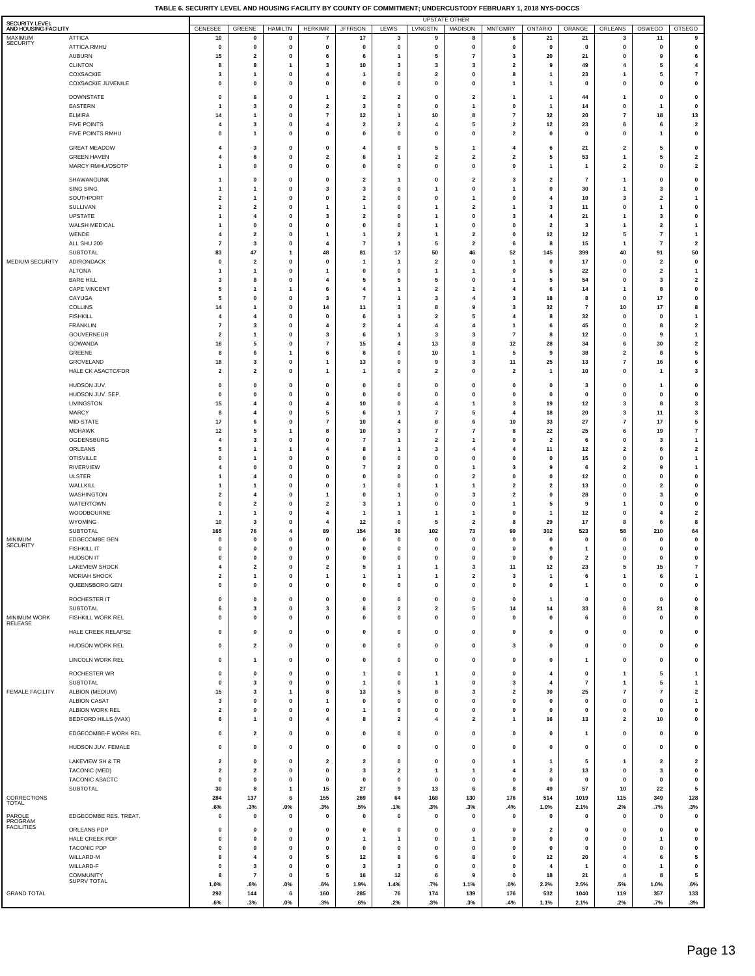| <b>SECURITY LEVEL</b>           |                                           |                                           |                                                    |                        |                                  |                                         |                                      |                              | <b>UPSTATE OTHER</b>          |                                                    |                            |                                |                                           |                               |                               |
|---------------------------------|-------------------------------------------|-------------------------------------------|----------------------------------------------------|------------------------|----------------------------------|-----------------------------------------|--------------------------------------|------------------------------|-------------------------------|----------------------------------------------------|----------------------------|--------------------------------|-------------------------------------------|-------------------------------|-------------------------------|
| AND HOUSING FACILITY<br>MAXIMUM | <b>ATTICA</b>                             | GENESEE<br>10                             | GREENE<br>$\mathbf 0$                              | HAMILTN<br>0           | <b>HERKIMR</b><br>$\overline{7}$ | <b>JFFRSON</b><br>17                    | LEWIS<br>3                           | LVNGSTN<br>9                 | <b>MADISON</b><br>8           | <b>MNTGMRY</b><br>6                                | <b>ONTARIO</b><br>21       | ORANGE<br>21                   | ORLEANS<br>3                              | OSWEGO<br>11                  | <b>OTSEGO</b><br>9            |
| <b>SECURITY</b>                 | ATTICA RMHU                               | $\mathbf 0$                               | $\pmb{0}$                                          | 0                      | $\pmb{0}$                        | $\mathbf 0$                             | $\pmb{0}$                            | 0                            | 0                             | 0                                                  | 0                          | $\pmb{0}$                      | $\pmb{0}$                                 | 0                             | 0                             |
|                                 | <b>AUBURN</b>                             | 15                                        | $\overline{\mathbf{2}}$                            | 0                      | 6                                | 6                                       | $\mathbf{1}$                         | 5                            | $\overline{7}$                | 3                                                  | 20                         | 21                             | $\mathbf 0$                               | 9                             | 6                             |
|                                 | <b>CLINTON</b><br>COXSACKIE               | 8<br>3                                    | 8<br>$\overline{1}$                                | 1<br>0                 | 3<br>4                           | 10<br>$\mathbf{1}$                      | 3<br>0                               | 3<br>$\mathbf{2}$            | 3<br>0                        | $\overline{\mathbf{2}}$<br>8                       | 9<br>1                     | 49<br>23                       | 4<br>1                                    | 5<br>5                        | 4<br>$\pmb{7}$                |
|                                 | COXSACKIE JUVENILE                        | 0                                         | 0                                                  | 0                      | 0                                | 0                                       | 0                                    | 0                            | 0                             | 1                                                  | 1                          | 0                              | $\mathbf 0$                               | 0                             | 0                             |
|                                 | <b>DOWNSTATE</b>                          | $\mathbf 0$                               | 6                                                  | $\mathbf{0}$           | $\overline{1}$                   | $\overline{2}$                          | $\overline{\mathbf{2}}$              | 0                            | $\overline{\mathbf{2}}$       | $\mathbf{1}$                                       | $\mathbf{1}$               | 44                             | $\mathbf{1}$                              | 0                             | 0                             |
|                                 | EASTERN                                   | $\overline{1}$                            | 3                                                  | $\mathbf 0$            | $\overline{2}$                   | 3                                       | 0                                    | 0                            | $\mathbf{1}$                  | $\mathbf 0$                                        | 1                          | 14                             | 0                                         | $\mathbf{1}$                  | 0                             |
|                                 | <b>ELMIRA</b>                             | 14                                        | $\overline{1}$                                     | 0                      | $\overline{\phantom{a}}$         | 12                                      | $\overline{1}$                       | 10                           | 8                             | $\overline{7}$                                     | 32                         | 20                             | $\overline{7}$                            | 18                            | 13                            |
|                                 | <b>FIVE POINTS</b><br>FIVE POINTS RMHU    | 4<br>0                                    | 3<br>$\overline{1}$                                | 0<br>0                 | 4<br>$\pmb{0}$                   | $\overline{\mathbf{2}}$<br>0            | $\overline{\mathbf{2}}$<br>$\pmb{0}$ | 4<br>0                       | 5<br>0                        | $\overline{\mathbf{2}}$<br>$\overline{\mathbf{2}}$ | 12<br>0                    | 23<br>0                        | 6<br>0                                    | 6<br>$\overline{1}$           | $\mathbf{2}$<br>0             |
|                                 |                                           |                                           |                                                    |                        |                                  |                                         |                                      |                              |                               |                                                    |                            |                                |                                           |                               |                               |
|                                 | <b>GREAT MEADOW</b><br><b>GREEN HAVEN</b> | $\overline{4}$<br>4                       | 3<br>6                                             | 0<br>0                 | 0<br>$\overline{\mathbf{2}}$     | 4<br>6                                  | 0<br>$\mathbf{1}$                    | 5<br>$\mathbf 2$             | $\mathbf{1}$<br>$\mathbf{2}$  | 4<br>$\overline{\mathbf{2}}$                       | 6<br>5                     | 21<br>53                       | $\overline{2}$<br>$\mathbf{1}$            | 5<br>5                        | 0<br>$\mathbf 2$              |
|                                 | MARCY RMHU/OSOTP                          | 1                                         | $\mathbf 0$                                        | 0                      | 0                                | $\mathbf 0$                             | 0                                    | 0                            | 0                             | $\mathbf 0$                                        | 1                          | 1                              | $\overline{\mathbf{2}}$                   | $\pmb{0}$                     | $\mathbf{2}$                  |
|                                 | SHAWANGUNK                                | 1                                         | $\pmb{0}$                                          | 0                      | $\pmb{0}$                        | $\overline{\mathbf{2}}$                 | $\mathbf{1}$                         | 0                            | $\mathbf{2}$                  | 3                                                  | $\overline{\mathbf{2}}$    | $\overline{7}$                 | $\mathbf{1}$                              | 0                             | 0                             |
|                                 | SING SING                                 | 1                                         | $\overline{1}$                                     | 0                      | 3                                | 3                                       | $\pmb{0}$                            | $\overline{1}$               | 0                             | 1                                                  | 0                          | 30                             | $\mathbf{1}$                              | 3                             | 0                             |
|                                 | SOUTHPORT                                 | $\overline{2}$                            | $\mathbf{1}$                                       | 0                      | 0                                | $\overline{\mathbf{2}}$                 | 0                                    | 0                            | $\mathbf{1}$                  | 0                                                  | 4                          | 10                             | 3                                         | $\mathbf{2}$                  | 1                             |
|                                 | SULLIVAN<br><b>UPSTATE</b>                | $\overline{\mathbf{2}}$<br>1              | $\overline{\mathbf{2}}$<br>$\overline{\mathbf{4}}$ | 0<br>0                 | $\mathbf{1}$<br>3                | $\mathbf{1}$<br>$\overline{\mathbf{2}}$ | 0<br>0                               | $\mathbf{1}$<br>1            | 2<br>0                        | 1<br>3                                             | 3<br>4                     | 11<br>21                       | $\mathbf 0$<br>$\mathbf{1}$               | 1<br>3                        | 0<br>0                        |
|                                 | WALSH MEDICAL                             | 1                                         | $\mathbf 0$                                        | 0                      | $\mathbf 0$                      | $\mathbf 0$                             | 0                                    | 1                            | 0                             | $\Omega$                                           | $\overline{\mathbf{2}}$    | 3                              | -1                                        | $\mathbf 2$                   | $\mathbf{1}$                  |
|                                 | WENDE                                     | 4                                         | $\overline{\mathbf{2}}$                            | 0                      | $\mathbf{1}$                     | $\mathbf{1}$                            | $\mathbf 2$                          | 1                            | $\mathbf 2$                   | $\mathbf 0$                                        | $12\,$                     | $12\,$                         | 5                                         | $\pmb{7}$                     | $\mathbf{1}$                  |
|                                 | ALL SHU 200<br><b>SUBTOTAL</b>            | $\overline{7}$<br>83                      | $\overline{\mathbf{3}}$<br>47                      | $\mathbf{0}$<br>1      | 4<br>48                          | $\overline{7}$<br>81                    | $\mathbf{1}$<br>$17\,$               | 5<br>50                      | $\overline{\mathbf{2}}$<br>46 | 6<br>52                                            | 8<br>145                   | 15<br>399                      | $\mathbf{1}$<br>40                        | $\overline{7}$<br>91          | $\overline{\mathbf{2}}$<br>50 |
| MEDIUM SECURITY                 | ADIRONDACK                                | $\mathbf 0$                               | $\overline{\mathbf{2}}$                            | $\mathbf 0$            | $\pmb{0}$                        | $\mathbf{1}$                            | $\mathbf{1}$                         | $\overline{\mathbf{2}}$      | 0                             | $\overline{1}$                                     | $\mathbf 0$                | 17                             | 0                                         | $\overline{\mathbf{2}}$       | 0                             |
|                                 | <b>ALTONA</b>                             | $\overline{1}$                            | $\overline{1}$                                     | 0                      | $\overline{1}$                   | $\pmb{0}$                               | $\pmb{0}$                            | $\overline{1}$               | $\overline{1}$                | $\pmb{0}$                                          | 5                          | 22                             | $\mathbf 0$                               | $\mathbf{2}$                  | $\mathbf{1}$                  |
|                                 | <b>BARE HILL</b><br>CAPE VINCENT          | 3<br>5                                    | 8<br>$\overline{1}$                                | $\mathbf 0$<br>1       | 4<br>6                           | 5<br>$\overline{4}$                     | 5<br>$\mathbf{1}$                    | 5<br>$\mathbf{2}$            | 0<br>$\mathbf{1}$             | 1<br>4                                             | 5<br>6                     | 54<br>14                       | 0<br>$\mathbf{1}$                         | 3<br>8                        | $\mathbf{2}$<br>0             |
|                                 | CAYUGA                                    | 5                                         | $\pmb{0}$                                          | 0                      | 3                                | $\overline{7}$                          | $\mathbf{1}$                         | 3                            | 4                             | 3                                                  | 18                         | 8                              | $\mathbf 0$                               | 17                            | 0                             |
|                                 | <b>COLLINS</b>                            | 14                                        | $\overline{1}$                                     | 0                      | 14                               | 11                                      | 3                                    | 8                            | 9                             | 3                                                  | 32                         | $\scriptstyle\rm 7$            | 10                                        | 17                            | 8                             |
|                                 | <b>FISHKILL</b><br><b>FRANKLIN</b>        | 4<br>$\overline{7}$                       | $\overline{\mathbf{4}}$<br>3                       | 0<br>0                 | 0<br>4                           | 6<br>$\overline{\mathbf{2}}$            | $\mathbf{1}$<br>4                    | 2<br>4                       | 5<br>4                        | 4<br>$\mathbf{1}$                                  | 8<br>6                     | 32<br>45                       | $\mathbf 0$<br>$\mathbf 0$                | 0<br>8                        | 1<br>$\mathbf{2}$             |
|                                 | GOUVERNEUR                                | $\overline{\mathbf{2}}$                   | $\mathbf{1}$                                       | 0                      | 3                                | 6                                       | $\mathbf{1}$                         | 3                            | 3                             | $\overline{\phantom{a}}$                           | 8                          | 12                             | $\mathbf 0$                               | 9                             | 1                             |
|                                 | GOWANDA                                   | 16                                        | 5                                                  | 0                      | $\overline{\phantom{a}}$         | 15                                      | 4                                    | 13                           | 8                             | 12                                                 | 28                         | 34                             | 6                                         | 30                            | $\mathbf{2}$                  |
|                                 | GREENE<br>GROVELAND                       | 8<br>18                                   | 6<br>3                                             | 1<br>0                 | 6<br>$\mathbf{1}$                | 8<br>13                                 | $\pmb{0}$<br>0                       | $10\,$<br>9                  | $\mathbf{1}$<br>3             | 5<br>11                                            | 9<br>25                    | 38<br>13                       | $\overline{\mathbf{2}}$<br>$\overline{7}$ | 8<br>16                       | 5<br>6                        |
|                                 | <b>HALE CK ASACTC/FDR</b>                 | $\overline{\mathbf{2}}$                   | $\overline{\mathbf{2}}$                            | 0                      | $\mathbf{1}$                     | $\mathbf{1}$                            | $\pmb{0}$                            | $\overline{\mathbf{2}}$      | 0                             | $\overline{2}$                                     | 1                          | 10                             | $\mathbf 0$                               | -1                            | $\mathbf 3$                   |
|                                 | HUDSON JUV.                               | 0                                         | $\pmb{0}$                                          | 0                      | $\pmb{0}$                        | 0                                       | 0                                    | $\pmb{0}$                    | $\pmb{0}$                     | 0                                                  | 0                          | 3                              | $\mathbf 0$                               | 1                             | 0                             |
|                                 | HUDSON JUV. SEP.                          | 0                                         | $\pmb{0}$                                          | 0                      | $\mathbf{0}$                     | $\mathbf 0$                             | $\pmb{0}$                            | 0                            | 0                             | $\mathbf 0$                                        | $\mathbf 0$                | $\pmb{0}$                      | $\mathbf 0$                               | 0                             | 0                             |
|                                 | LIVINGSTON                                | 15                                        | $\overline{4}$                                     | 0                      | 4                                | 10                                      | 0                                    | 4                            | $\mathbf{1}$                  | 3                                                  | 19                         | 12                             | 3                                         | 8                             | 3                             |
|                                 | <b>MARCY</b><br>MID-STATE                 | 8<br>17                                   | $\overline{\mathbf{4}}$<br>6                       | 0<br>0                 | 5<br>$\overline{7}$              | 6<br>10                                 | $\mathbf{1}$<br>4                    | $\overline{\mathbf{r}}$<br>8 | 5<br>6                        | 4<br>10                                            | 18<br>33                   | 20<br>27                       | $\mathbf{3}$<br>$\overline{7}$            | 11<br>17                      | 3<br>5                        |
|                                 | MOHAWK                                    | 12                                        | 5                                                  | 1                      | 8                                | 10                                      | 3                                    | $\overline{7}$               | $\overline{7}$                | 8                                                  | 22                         | 25                             | 6                                         | 19                            | $\pmb{7}$                     |
|                                 | OGDENSBURG                                | 4                                         | 3                                                  | 0                      | 0                                | $\overline{7}$                          | $\mathbf{1}$                         | $\mathbf{2}$                 | $\mathbf{1}$                  | $\mathbf 0$                                        | 2                          | 6                              | $\pmb{0}$                                 | 3                             | $\overline{1}$                |
|                                 | ORLEANS<br><b>OTISVILLE</b>               | 5<br>0                                    | $\mathbf{1}$<br>$\mathbf{1}$                       | 1<br>0                 | 4<br>0                           | 8<br>$\mathbf 0$                        | $\mathbf{1}$<br>0                    | $\mathbf 3$<br>0             | 4<br>0                        | 4<br>$\mathbf 0$                                   | 11<br>$\mathbf 0$          | $12\,$<br>15                   | $\overline{\mathbf{2}}$<br>$\pmb{0}$      | 6<br>0                        | $\mathbf 2$<br>$\overline{1}$ |
|                                 | <b>RIVERVIEW</b>                          | $\overline{4}$                            | $\mathbf 0$                                        | $\mathbf{0}$           | $\pmb{0}$                        | $\overline{7}$                          | $\overline{\mathbf{2}}$              | 0                            | $\overline{1}$                | 3                                                  | 9                          | 6                              | $\overline{\mathbf{2}}$                   | 9                             | $\mathbf{1}$                  |
|                                 | <b>ULSTER</b>                             | -1                                        | $\overline{4}$                                     | $\mathbf 0$            | $\pmb{0}$                        | $\mathbf 0$                             | 0                                    | 0                            | $\overline{\mathbf{2}}$       | $\pmb{0}$                                          | 0                          | 12                             | 0                                         | 0                             | 0                             |
|                                 | WALLKILL<br>WASHINGTON                    | $\overline{1}$<br>$\overline{\mathbf{2}}$ | $\overline{1}$<br>$\overline{\mathbf{4}}$          | $\mathbf{0}$<br>0      | $\pmb{0}$<br>$\mathbf{1}$        | -1<br>$\pmb{0}$                         | $\pmb{0}$<br>$\mathbf{1}$            | $\overline{1}$<br>0          | $\overline{1}$<br>3           | $\overline{2}$<br>$\overline{\mathbf{2}}$          | 2<br>0                     | 13<br>28                       | 0<br>$\mathbf 0$                          | $\mathbf{2}$<br>3             | 0<br>0                        |
|                                 | WATERTOWN                                 | 0                                         | $\overline{\mathbf{2}}$                            | 0                      | $\overline{\mathbf{2}}$          | 3                                       | $\mathbf{1}$                         | 0                            | $\pmb{0}$                     | $\mathbf{1}$                                       | 5                          | 9                              | $\mathbf{1}$                              | 0                             | 0                             |
|                                 | WOODBOURNE                                | 1                                         | $\mathbf{1}$                                       | 0                      | 4                                | $\mathbf{1}$                            | $\mathbf{1}$                         | $\mathbf{1}$                 | $\mathbf{1}$                  | $\mathbf 0$                                        | 1                          | 12                             | 0                                         | 4                             | $\mathbf{2}$                  |
|                                 | <b>WYOMING</b><br><b>SUBTOTAL</b>         | 10<br>165                                 | 3<br>76                                            | 0<br>4                 | 4<br>89                          | 12<br>154                               | 0<br>36                              | 5<br>102                     | 2<br>73                       | 8<br>99                                            | 29<br>302                  | 17<br>523                      | 8<br>58                                   | 6<br>210                      | 8<br>64                       |
| <b>MINIMUM</b>                  | EDGECOMBE GEN                             | 0                                         | 0                                                  | 0                      | 0                                | $\mathbf 0$                             | 0                                    | 0                            | 0                             | $\mathbf 0$                                        | $\mathbf 0$                | 0                              | $\mathbf 0$                               | 0                             | 0                             |
| <b>SECURITY</b>                 | <b>FISHKILL IT</b>                        | 0                                         | 0                                                  | 0                      | 0                                | $\mathbf 0$                             | 0                                    | 0                            | 0                             | $\mathbf 0$                                        | $\mathbf 0$                | 1                              | $\mathbf 0$                               | 0                             | 0                             |
|                                 | HUDSON IT<br>LAKEVIEW SHOCK               | $\mathbf 0$                               | $\mathbf 0$                                        | 0                      | $\pmb{0}$                        | $\Omega$                                | 0                                    | 0                            | 0                             | $\Omega$                                           | $\bf{0}$                   | $\mathbf{2}$<br>$\overline{2}$ | $\pmb{0}$                                 | 0                             | $\mathbf 0$                   |
|                                 | <b>MORIAH SHOCK</b>                       | $\overline{\mathbf{2}}$                   | $\mathbf{1}$                                       | 0                      | $\mathbf{1}$                     | $\mathbf{1}$                            | $\mathbf{1}$                         | 1                            | $\mathbf 2$                   | 3                                                  | 1                          | 6                              | $\mathbf{1}$                              | 6                             | $\mathbf{1}$                  |
|                                 | QUEENSBORO GEN                            | 0                                         | $\mathbf 0$                                        | 0                      | $\pmb{0}$                        | $\pmb{0}$                               | $\pmb{0}$                            | 0                            | 0                             | $\pmb{0}$                                          | 0                          | 1                              | 0                                         | 0                             | 0                             |
|                                 | ROCHESTER IT                              | 0                                         | $\pmb{0}$                                          | 0                      | $\pmb{0}$                        | $\pmb{0}$                               | $\pmb{0}$                            | 0                            | 0                             | 0                                                  | 1                          | $\pmb{0}$                      | 0                                         | 0                             | 0                             |
| MINIMUM WORK                    | <b>SUBTOTAL</b><br>FISHKILL WORK REL      | 6                                         | 3                                                  | 0<br>0                 | 3                                | 6                                       | 2                                    | 2                            | 5                             | 14                                                 | 14                         | 33                             | 6<br>$\mathbf 0$                          | 21                            | 8                             |
| RELEASE                         |                                           | 0                                         | 0                                                  |                        | 0                                | 0                                       | 0                                    | 0                            | 0                             | 0                                                  | 0                          | 6                              |                                           | 0                             | 0                             |
|                                 | HALE CREEK RELAPSE                        | $\mathbf 0$                               | $\mathbf 0$                                        | 0                      | $\pmb{0}$                        | $\pmb{0}$                               | 0                                    | 0                            | 0                             | $\pmb{0}$                                          | 0                          | $\pmb{0}$                      | 0                                         | 0                             | 0                             |
|                                 | HUDSON WORK REL                           | 0                                         | $\overline{\mathbf{2}}$                            | 0                      | $\pmb{0}$                        | $\pmb{0}$                               | $\pmb{0}$                            | 0                            | 0                             | 3                                                  | 0                          | $\pmb{0}$                      | $\pmb{0}$                                 | 0                             | 0                             |
|                                 | LINCOLN WORK REL                          | 0                                         | $\mathbf{1}$                                       | 0                      | $\pmb{0}$                        | 0                                       | $\pmb{0}$                            | 0                            | 0                             | 0                                                  | 0                          | 1                              | 0                                         | 0                             | 0                             |
|                                 | ROCHESTER WR                              | $\pmb{0}$                                 | $\mathbf 0$                                        | $\mathbf{0}$           | $\pmb{0}$                        | $\mathbf{1}$                            | 0                                    | 1                            | 0                             | $\pmb{0}$                                          | $\overline{\mathbf{4}}$    | $\pmb{0}$                      | $\mathbf{1}$                              | 5                             | $\mathbf{1}$                  |
|                                 | SUBTOTAL                                  | 0                                         | 3                                                  | 0                      | $\mathbf{0}$                     | $\mathbf{1}$                            | $\pmb{0}$                            | $\mathbf{1}$                 | 0                             | 3                                                  | 4                          | $\scriptstyle\rm 7$            | $\mathbf{1}$                              | 5                             | $\mathbf{1}$                  |
| FEMALE FACILITY                 | ALBION (MEDIUM)<br><b>ALBION CASAT</b>    | 15<br>3                                   | 3<br>$\pmb{0}$                                     | 1<br>0                 | 8<br>$\mathbf{1}$                | 13<br>$\pmb{0}$                         | 5<br>$\pmb{0}$                       | 8<br>0                       | 3<br>0                        | $\overline{\mathbf{2}}$<br>$\pmb{0}$               | 30<br>$\mathbf{0}$         | 25<br>$\pmb{0}$                | $\overline{7}$<br>0                       | $\overline{\phantom{a}}$<br>0 | $\mathbf{2}$<br>$\mathbf{1}$  |
|                                 | ALBION WORK REL                           | $\overline{\mathbf{2}}$                   | 0                                                  | 0                      | 0                                | $\mathbf{1}$                            | 0                                    | 0                            | 0                             | 0                                                  | $\mathbf 0$                | 0                              | $\mathbf 0$                               | 0                             | 0                             |
|                                 | <b>BEDFORD HILLS (MAX)</b>                | 6                                         | $\mathbf{1}$                                       | 0                      | 4                                | 8                                       | 2                                    | 4                            | $\mathbf{2}$                  | 1                                                  | 16                         | 13                             | $\overline{\mathbf{2}}$                   | 10                            | 0                             |
|                                 | EDGECOMBE-F WORK REL                      | 0                                         | $\overline{\mathbf{2}}$                            | 0                      | $\pmb{0}$                        | $\pmb{0}$                               | $\pmb{0}$                            | 0                            | 0                             | $\pmb{0}$                                          | 0                          | $\mathbf{1}$                   | 0                                         | 0                             | 0                             |
|                                 | HUDSON JUV. FEMALE                        | 0                                         | $\pmb{0}$                                          | 0                      | $\pmb{0}$                        | $\pmb{0}$                               | $\pmb{0}$                            | 0                            | 0                             | $\pmb{0}$                                          | 0                          | $\pmb{0}$                      | $\pmb{0}$                                 | 0                             | 0                             |
|                                 | LAKEVIEW SH & TR                          | $\overline{\mathbf{2}}$                   | $\mathbf 0$                                        | 0                      | $\overline{2}$                   | $\overline{2}$                          | 0                                    | 0                            | 0                             | $\mathbf{1}$                                       | 1                          | 5                              | -1                                        | $\mathbf{2}$                  | $\overline{\mathbf{2}}$       |
|                                 | TACONIC (MED)                             | $\overline{\mathbf{2}}$                   | $\overline{\mathbf{2}}$                            | 0                      | $\pmb{0}$                        | 3                                       | $\overline{\mathbf{2}}$              | 1                            | 1                             | 4                                                  | $\overline{\mathbf{2}}$    | 13                             | $\mathbf 0$                               | $\mathbf 3$                   | 0                             |
|                                 | TACONIC ASACTC                            | $\mathbf 0$                               | $\pmb{0}$                                          | 0                      | $\mathbf 0$                      | $\Omega$                                | $\pmb{0}$                            | 0                            | 0                             | $\mathbf 0$                                        | $\mathbf 0$                | $\pmb{0}$                      | $\mathbf 0$                               | 0                             | 0                             |
| CORRECTIONS                     | SUBTOTAL                                  | 30<br>284                                 | 8<br>137                                           | $\mathbf{1}$<br>6      | 15<br>155                        | 27<br>269                               | 9<br>64                              | 13<br>168                    | 6<br>130                      | 8<br>176                                           | 49<br>514                  | 57<br>1019                     | 10<br>115                                 | 22<br>349                     | 5<br>128                      |
| <b>TOTAL</b>                    |                                           | .6%                                       | .3%                                                | $.0\%$                 | .3%                              | .5%                                     | .1%                                  | .3%                          | .3%                           | .4%                                                | 1.0%                       | 2.1%                           | .2%                                       | .7%                           | .3%                           |
| PAROLE<br>PROGRAM               | EDGECOMBE RES. TREAT.                     | 0                                         | $\pmb{0}$                                          | 0                      | $\pmb{0}$                        | $\pmb{0}$                               | 0                                    | 0                            | $\pmb{0}$                     | $\pmb{0}$                                          | 0                          | 0                              | 0                                         | 0                             | 0                             |
| <b>FACILITIES</b>               | ORLEANS PDP                               | 0                                         | 0                                                  | 0                      | 0                                | 0                                       | 0                                    | 0                            | 0                             | 0                                                  | 2                          | 0                              | 0                                         | 0                             | 0                             |
|                                 | HALE CREEK PDP<br>TACONIC PDP             | 0<br>0                                    | $\mathbf 0$<br>$\pmb{0}$                           | 0<br>0                 | $\mathbf 0$<br>$\pmb{0}$         | -1<br>$\pmb{0}$                         | $\mathbf{1}$<br>$\pmb{0}$            | 0<br>0                       | $\mathbf{1}$<br>0             | $\Omega$<br>$\mathbf 0$                            | $\mathbf 0$<br>$\mathbf 0$ | $\pmb{0}$<br>$\pmb{0}$         | $\mathbf 0$<br>$\mathbf 0$                | 1<br>0                        | 0<br>0                        |
|                                 | WILLARD-M                                 | 8                                         | $\overline{4}$                                     | 0                      | 5                                | $12$                                    | 8                                    | 6                            | 8                             | $\mathbf 0$                                        | 12                         | 20                             | $\overline{a}$                            | 6                             | 5                             |
|                                 | WILLARD-F                                 | 0                                         | 3                                                  | 0                      | $\pmb{0}$                        | 3                                       | 3                                    | 0                            | 0                             | $\mathbf 0$                                        | 4                          | $\mathbf{1}$                   | $\mathbf 0$                               | $\mathbf{1}$                  | $\pmb{0}$                     |
|                                 | <b>COMMUNITY</b><br>SUPRV TOTAL           | 8<br>1.0%                                 | $\overline{7}$<br>.8%                              | $\mathbf{0}$<br>$.0\%$ | 5<br>.6%                         | 16<br>1.9%                              | 12<br>1.4%                           | 6<br>.7%                     | 9<br>1.1%                     | $\pmb{0}$<br>$.0\%$                                | 18<br>2.2%                 | 21<br>2.5%                     | 4<br>.5%                                  | 8<br>1.0%                     | 5<br>.6%                      |
| <b>GRAND TOTAL</b>              |                                           | 292                                       | 144                                                | 6                      | 160                              | 285                                     | 76                                   | 174                          | 139                           | 176                                                | 532                        | 1040                           | 119                                       | 357                           | 133                           |
|                                 |                                           | .6%                                       | .3%                                                | $.0\%$                 | .3%                              | .6%                                     | .2%                                  | .3%                          | .3%                           | .4%                                                | 1.1%                       | 2.1%                           | .2%                                       | .7%                           | .3%                           |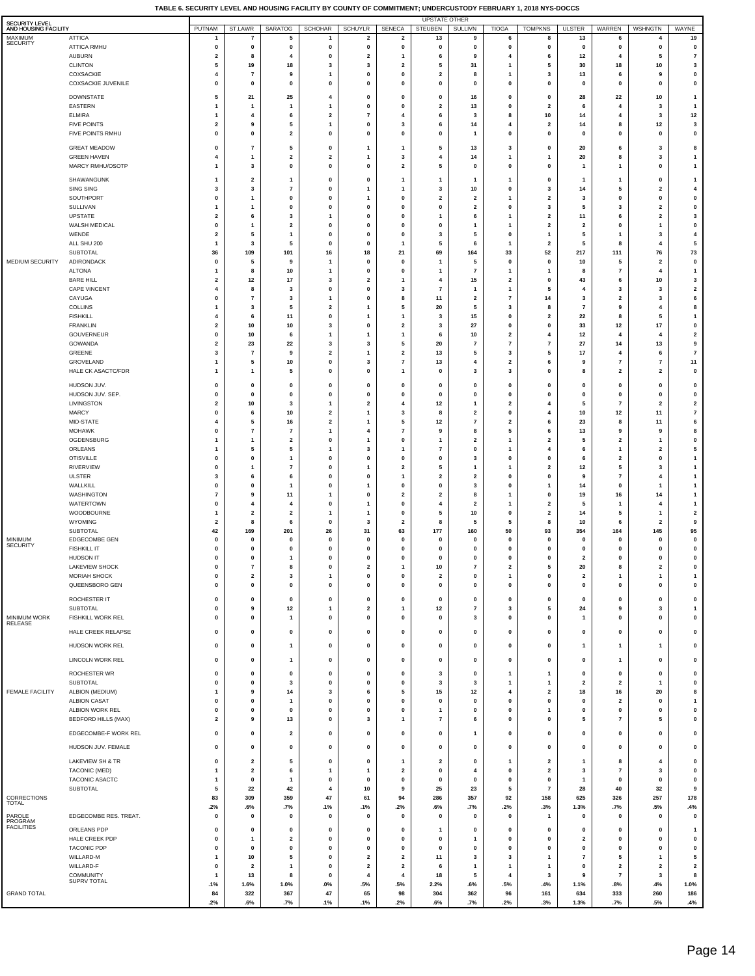| <b>SECURITY LEVEL</b>           |                                           |                                         |                                  |                                |                         |                                           |                                          | <b>UPSTATE OTHER</b>          |                                |                                |                                                    |                                      |                                         |                                                    |                              |
|---------------------------------|-------------------------------------------|-----------------------------------------|----------------------------------|--------------------------------|-------------------------|-------------------------------------------|------------------------------------------|-------------------------------|--------------------------------|--------------------------------|----------------------------------------------------|--------------------------------------|-----------------------------------------|----------------------------------------------------|------------------------------|
| AND HOUSING FACILITY<br>MAXIMUM | <b>ATTICA</b>                             | PUTNAM                                  | ST.LAWR<br>$\overline{7}$        | <b>SARATOG</b><br>5            | <b>SCHOHAR</b><br>-1    | <b>SCHUYLR</b><br>$\overline{\mathbf{2}}$ | <b>SENECA</b><br>$\overline{\mathbf{2}}$ | <b>STEUBEN</b><br>13          | <b>SULLIVN</b><br>9            | <b>TIOGA</b><br>6              | <b>TOMPKNS</b><br>8                                | <b>ULSTER</b><br>13                  | <b>WARREN</b><br>6                      | <b>WSHNGTN</b><br>$\overline{4}$                   | WAYNE<br>19                  |
| <b>SECURITY</b>                 | <b>ATTICA RMHU</b>                        | $\mathbf 0$                             | $\mathbf 0$                      | $\pmb{0}$                      | 0                       | $\pmb{0}$                                 | 0                                        | $\pmb{0}$                     | $\mathbf 0$                    | $\mathbf{0}$                   | $\mathbf 0$                                        | $\pmb{0}$                            | 0                                       | $\pmb{0}$                                          | 0                            |
|                                 | <b>AUBURN</b>                             | $\overline{\mathbf{2}}$                 | 8                                | 4                              | 0                       | $\overline{\mathbf{2}}$                   | $\mathbf{1}$                             | 6                             | 9                              | $\overline{4}$                 | 6                                                  | 12                                   | 4                                       | 5                                                  | $\overline{7}$               |
|                                 | <b>CLINTON</b>                            | 5<br>$\overline{4}$                     | 19                               | 18                             | 3                       | 3                                         | $\mathbf{2}$                             | 5                             | 31<br>8                        | 1<br>1                         | 5                                                  | 30                                   | 18                                      | 10                                                 | 3                            |
|                                 | COXSACKIE<br>COXSACKIE JUVENILE           | 0                                       | 7<br>0                           | 9<br>$\pmb{0}$                 | 1<br>0                  | 0<br>$\pmb{0}$                            | 0<br>0                                   | $\mathbf 2$<br>$\pmb{0}$      | 0                              | 0                              | $\overline{\mathbf{3}}$<br>$\mathbf 0$             | 13<br>$\pmb{0}$                      | 6<br>0                                  | 9<br>$\pmb{0}$                                     | 0<br>0                       |
|                                 | <b>DOWNSTATE</b>                          | 5                                       | 21                               | 25                             | 4                       | 0                                         | 0                                        | 0                             | 16                             | 0                              | 0                                                  | 28                                   | 22                                      | 10                                                 | -1                           |
|                                 | <b>EASTERN</b>                            | $\mathbf{1}$                            | 1                                | -1                             | 1                       | $\mathbf 0$                               | 0                                        | $\mathbf{2}$                  | 13                             | 0                              | $\overline{\mathbf{2}}$                            | 6                                    | $\overline{4}$                          | 3                                                  | $\mathbf{1}$                 |
|                                 | <b>ELMIRA</b>                             | $\mathbf{1}$                            | $\overline{4}$                   | 6                              | $\overline{\mathbf{2}}$ | $\overline{7}$                            | $\overline{4}$                           | 6                             | 3                              | 8                              | 10                                                 | 14                                   | 4                                       | 3                                                  | 12                           |
|                                 | <b>FIVE POINTS</b>                        | $\overline{\mathbf{2}}$<br>$\pmb{0}$    | 9<br>0                           | 5                              | $\mathbf{1}$<br>0       | $\pmb{0}$<br>$\pmb{0}$                    | 3                                        | 6                             | 14<br>$\overline{1}$           | $\overline{4}$<br>$\mathbf{0}$ | $\overline{\mathbf{2}}$<br>$\mathbf 0$             | 14<br>$\pmb{0}$                      | 8<br>0                                  | 12<br>$\pmb{0}$                                    | 3<br>0                       |
|                                 | FIVE POINTS RMHU                          |                                         |                                  | $\overline{\mathbf{2}}$        |                         |                                           | 0                                        | $\pmb{0}$                     |                                |                                |                                                    |                                      |                                         |                                                    |                              |
|                                 | <b>GREAT MEADOW</b><br><b>GREEN HAVEN</b> | 0<br>$\overline{4}$                     | 7<br>1                           | 5<br>$\overline{\mathbf{2}}$   | 0<br>2                  | 1<br>1                                    | 1<br>3                                   | 5<br>4                        | 13<br>14                       | 3<br>1                         | 0<br>$\mathbf{1}$                                  | 20<br>20                             | 6<br>8                                  | 3<br>3                                             | 8<br>1                       |
|                                 | MARCY RMHU/OSOTP                          | $\mathbf{1}$                            | 3                                | 0                              | 0                       | 0                                         | $\mathbf{2}$                             | 5                             | 0                              | 0                              | 0                                                  | $\mathbf{1}$                         | 1                                       | 0                                                  | 1                            |
|                                 | SHAWANGUNK                                | -1                                      | $\overline{\mathbf{2}}$          | $\mathbf{1}$                   | 0                       | $\pmb{0}$                                 | 1                                        | 1                             | 1                              | 1                              | $\mathbf 0$                                        | -1                                   | -1                                      | $\pmb{0}$                                          | 1                            |
|                                 | <b>SING SING</b>                          | 3                                       | 3                                | $\overline{7}$                 | 0                       | $\mathbf{1}$                              | $\mathbf{1}$                             | 3                             | 10                             | $\bf{0}$                       | 3                                                  | 14                                   | 5                                       | $\overline{\mathbf{2}}$                            | 4                            |
|                                 | SOUTHPORT                                 | 0                                       | 1                                | 0                              | 0                       | 1                                         | 0                                        | $\mathbf 2$                   | 2                              | 1                              | $\overline{\mathbf{2}}$                            | 3                                    | 0                                       | $\pmb{0}$                                          | 0                            |
|                                 | SULLIVAN<br><b>UPSTATE</b>                | $\mathbf{1}$<br>$\overline{\mathbf{2}}$ | 1<br>6                           | $\pmb{0}$<br>3                 | 0<br>1                  | 0<br>0                                    | 0<br>0                                   | $\pmb{0}$<br>1                | $\overline{2}$<br>6            | 0<br>1                         | 3<br>$\overline{\mathbf{2}}$                       | 5<br>11                              | 3<br>6                                  | $\overline{\mathbf{2}}$<br>$\overline{\mathbf{2}}$ | 0<br>3                       |
|                                 | WALSH MEDICAL                             | 0                                       | 1                                | $\overline{\mathbf{2}}$        | 0                       | 0                                         | 0                                        | 0                             | $\overline{1}$                 | 1                              | $\overline{\mathbf{2}}$                            | $\overline{\mathbf{2}}$              | 0                                       | 1                                                  | 0                            |
|                                 | WENDE                                     | $\overline{\mathbf{2}}$                 | 5                                | 1                              | 0                       | 0                                         | 0                                        | 3                             | 5                              | 0                              | $\mathbf{1}$                                       | 5                                    | 1                                       | 3                                                  | 4                            |
|                                 | ALL SHU 200                               | $\mathbf{1}$                            | 3                                | 5                              | 0                       | 0                                         | 1                                        | 5                             | 6                              | 1                              | $\overline{\mathbf{2}}$                            | 5                                    | 8                                       | $\overline{4}$                                     | 5                            |
| MEDIUM SECURITY                 | <b>SUBTOTAL</b><br>ADIRONDACK             | 36<br>$\mathbf 0$                       | 109<br>5                         | 101<br>9                       | 16<br>1                 | 18<br>0                                   | 21<br>0                                  | 69<br>1                       | 164<br>5                       | 33<br>$\mathbf 0$              | 52<br>$\mathbf 0$                                  | 217<br>10                            | 111<br>5                                | 76<br>$\overline{\mathbf{2}}$                      | 73<br>$\pmb{0}$              |
|                                 | <b>ALTONA</b>                             | $\mathbf{1}$                            | 8                                | 10                             | 1                       | 0                                         | 0                                        | 1                             | $\overline{7}$                 | 1                              | -1                                                 | 8                                    | $\overline{\mathbf{r}}$                 | $\overline{4}$                                     | 1                            |
|                                 | <b>BARE HILL</b>                          | $\overline{\mathbf{2}}$                 | $12$                             | 17                             | 3                       | $\overline{\mathbf{2}}$                   | 1                                        | 4                             | 15                             | $\overline{2}$                 | 0                                                  | 43                                   | 6                                       | 10                                                 | 3                            |
|                                 | CAPE VINCENT<br>CAYUGA                    | 4<br>$\mathbf 0$                        | 8<br>$\overline{7}$              | 3<br>3                         | 0<br>$\mathbf{1}$       | $\pmb{0}$<br>$\pmb{0}$                    | 3<br>8                                   | $\overline{\mathbf{r}}$<br>11 | $\mathbf{1}$<br>$\overline{2}$ | $\mathbf{1}$<br>$\overline{7}$ | 5<br>14                                            | $\overline{\mathbf{4}}$<br>3         | $\overline{\mathbf{3}}$<br>$\mathbf{2}$ | 3<br>3                                             | $\mathbf{2}$<br>6            |
|                                 | <b>COLLINS</b>                            | $\mathbf{1}$                            | 3                                | 5                              | $\mathbf{2}$            | $\mathbf{1}$                              | 5                                        | 20                            | 5                              | 3                              | 8                                                  | $\overline{7}$                       | 9                                       | $\overline{\mathbf{4}}$                            | 8                            |
|                                 | <b>FISHKILL</b>                           | 4                                       | 6                                | 11                             | 0                       | 1                                         | 1                                        | 3                             | 15                             | 0                              | $\overline{\mathbf{2}}$                            | 22                                   | 8                                       | 5                                                  | $\mathbf{1}$                 |
|                                 | <b>FRANKLIN</b><br>GOUVERNEUR             | $\overline{\mathbf{2}}$<br>0            | 10<br>10                         | 10<br>6                        | 3<br>1                  | 0<br>1                                    | $\mathbf{2}$<br>1                        | 3<br>6                        | 27<br>10                       | 0<br>$\overline{\mathbf{2}}$   | $\mathbf 0$<br>$\overline{4}$                      | 33<br>12                             | 12<br>$\overline{4}$                    | 17<br>$\overline{4}$                               | 0<br>$\mathbf{2}$            |
|                                 | GOWANDA                                   | $\overline{\mathbf{2}}$                 | 23                               | 22                             | 3                       | 3                                         | 5                                        | 20                            | $\overline{7}$                 | 7                              | $\overline{7}$                                     | 27                                   | 14                                      | 13                                                 | 9                            |
|                                 | GREENE                                    | 3                                       | $\overline{7}$                   | 9                              | 2                       | 1                                         | $\mathbf{2}$                             | 13                            | 5                              | 3                              | 5                                                  | 17                                   | 4                                       | 6                                                  | $\pmb{7}$                    |
|                                 | GROVELAND                                 | $\mathbf{1}$<br>$\mathbf{1}$            | 5<br>1                           | 10<br>5                        | 0<br>0                  | 3<br>0                                    | $\pmb{7}$<br>1                           | 13<br>0                       | $\overline{4}$<br>3            | 2<br>3                         | 6<br>0                                             | 9<br>8                               | $\overline{7}$<br>2                     | $\bf 7$<br>$\overline{\mathbf{2}}$                 | 11<br>0                      |
|                                 | HALE CK ASACTC/FDR                        |                                         |                                  |                                |                         |                                           |                                          |                               |                                |                                |                                                    |                                      |                                         |                                                    |                              |
|                                 | HUDSON JUV.<br>HUDSON JUV. SEP.           | $\mathbf 0$<br>$\mathbf 0$              | 0<br>$\mathbf 0$                 | $\pmb{0}$<br>$\pmb{0}$         | $\mathbf 0$<br>0        | $\mathbf 0$<br>$\pmb{0}$                  | 0<br>0                                   | $\pmb{0}$<br>$\pmb{0}$        | $\mathbf 0$<br>$\mathbf 0$     | $\mathbf 0$<br>$\mathbf{0}$    | $\mathbf 0$<br>$\mathbf 0$                         | $\pmb{0}$<br>$\pmb{0}$               | 0<br>0                                  | $\pmb{0}$<br>$\pmb{0}$                             | 0<br>0                       |
|                                 | LIVINGSTON                                | $\overline{\mathbf{2}}$                 | 10                               | 3                              | 1                       | 2                                         | 4                                        | 12                            | 1                              | $\overline{\mathbf{2}}$        | 4                                                  | 5                                    | 7                                       | $\overline{\mathbf{2}}$                            | $\mathbf{2}$                 |
|                                 | <b>MARCY</b>                              | 0                                       | 6                                | 10                             | $\mathbf{2}$            | 1                                         | 3                                        | 8                             | $\overline{\mathbf{2}}$        | 0                              | $\overline{4}$                                     | 10                                   | 12                                      | 11                                                 | $\overline{\phantom{a}}$     |
|                                 | MID-STATE<br><b>MOHAWK</b>                | $\overline{4}$<br>0                     | 5<br>7                           | 16<br>$\overline{\phantom{a}}$ | $\mathbf{2}$<br>1       | 1<br>4                                    | 5<br>$\overline{7}$                      | 12<br>9                       | $\overline{7}$<br>8            | $\overline{\mathbf{2}}$<br>5   | 6<br>6                                             | 23<br>13                             | 8<br>9                                  | 11<br>9                                            | 6<br>8                       |
|                                 | OGDENSBURG                                | $\mathbf{1}$                            | 1                                | $\overline{\mathbf{2}}$        | 0                       | 1                                         | 0                                        | 1                             | 2                              | 1                              | $\overline{\mathbf{2}}$                            | 5                                    | $\overline{\mathbf{2}}$                 | 1                                                  | 0                            |
|                                 | ORLEANS                                   | $\mathbf{1}$                            | 5                                | 5                              | 1                       | 3                                         | 1                                        | $\scriptstyle\rm 7$           | 0                              | 1                              | $\overline{4}$                                     | 6                                    | 1                                       | $\overline{\mathbf{2}}$                            | 5                            |
|                                 | <b>OTISVILLE</b>                          | 0                                       | 0                                | 1                              | 0                       | 0                                         | 0                                        | 0                             | 3                              | 0                              | 0                                                  | 6                                    | $\overline{\mathbf{2}}$                 | 0                                                  | 1                            |
|                                 | <b>RIVERVIEW</b><br><b>ULSTER</b>         | $\mathbf 0$<br>3                        | 1<br>6                           | $\bf 7$<br>6                   | 0<br>$\mathbf 0$        | $\mathbf{1}$<br>0                         | $\overline{\mathbf{2}}$<br>1             | 5<br>2                        | -1<br>2                        | 1<br>$\mathbf 0$               | $\overline{\mathbf{2}}$<br>$\mathbf 0$             | 12<br>9                              | 5<br>$\overline{7}$                     | 3<br>$\overline{4}$                                | 1<br>$\mathbf{1}$            |
|                                 | WALLKILL                                  | $\mathbf 0$                             | 0                                | -1                             | 0                       | $\mathbf{1}$                              | 0                                        | $\pmb{0}$                     | 3                              | 0                              | -1                                                 | 14                                   | 0                                       | $\mathbf{1}$                                       | 1                            |
|                                 | WASHINGTON                                | $\overline{7}$                          | 9                                | 11                             | $\mathbf{1}$            | $\pmb{0}$                                 | $\mathbf{2}$                             | $\mathbf{2}$                  | 8                              | 1                              | $\mathbf 0$                                        | 19                                   | 16                                      | 14                                                 | 1                            |
|                                 | WATERTOWN<br><b>WOODBOURNE</b>            | $\mathbf 0$<br>-1                       | $\overline{4}$<br>$\overline{2}$ | 4<br>$\overline{\mathbf{2}}$   | 0<br>$\mathbf{1}$       | $\mathbf{1}$<br>$\mathbf{1}$              | 0<br>0                                   | $\overline{4}$<br>5           | $\overline{2}$<br>10           | 1<br>$\mathbf{0}$              | $\overline{\mathbf{2}}$<br>$\overline{\mathbf{2}}$ | 5<br>14                              | $\mathbf{1}$<br>5                       | $\overline{4}$<br>$\mathbf{1}$                     | 1<br>$\overline{\mathbf{2}}$ |
|                                 | <b>WYOMING</b>                            | $\overline{\mathbf{2}}$                 | 8                                | 6                              | 0                       | 3                                         | $\mathbf{2}$                             | 8                             | 5                              | 5                              | 8                                                  | 10                                   | 6                                       | $\overline{\mathbf{2}}$                            | 9                            |
|                                 | <b>SUBTOTAL</b>                           | 42                                      | 169                              | 201                            | 26                      | 31                                        | 63                                       | 177                           | 160                            | 50                             | 93                                                 | 354                                  | 164                                     | 145                                                | 95                           |
| MINIMUM<br><b>SECURITY</b>      | EDGECOMBE GEN<br><b>FISHKILL IT</b>       | 0<br>0                                  | 0<br>0                           | 0<br>0                         | 0<br>0                  | 0<br>0                                    | 0<br>0                                   | 0<br>0                        | O<br>0                         | 0<br>0                         | $\mathbf 0$<br>$\mathbf 0$                         | $\mathbf 0$<br>$\pmb{0}$             | $\mathbf 0$<br>0                        | 0<br>0                                             | 0<br>0                       |
|                                 | <b>HUDSON IT</b>                          | 0                                       | 0                                | 1                              | $\mathbf 0$             | 0                                         | 0                                        | 0                             | $\mathbf 0$                    | 0                              | 0                                                  | $\overline{\mathbf{2}}$              | 0                                       | 0                                                  | 0                            |
|                                 | <b>LAKEVIEW SHOCK</b>                     |                                         |                                  |                                |                         |                                           |                                          | 10                            |                                |                                |                                                    | 20                                   |                                         |                                                    | $\mathbf{r}$                 |
|                                 | <b>MORIAH SHOCK</b><br>QUEENSBORO GEN     | 0<br>$\mathbf 0$                        | $\mathbf{2}$<br>0                | 3<br>$\mathbf 0$               | 1<br>0                  | 0<br>$\pmb{0}$                            | 0<br>0                                   | 2<br>$\pmb{0}$                | 0<br>0                         | 1<br>0                         | 0<br>$\mathbf 0$                                   | $\overline{\mathbf{2}}$<br>$\pmb{0}$ | 1<br>0                                  | 1<br>$\pmb{0}$                                     | $\mathbf{1}$<br>$\pmb{0}$    |
|                                 |                                           |                                         |                                  |                                |                         |                                           |                                          |                               |                                |                                |                                                    |                                      |                                         |                                                    |                              |
|                                 | ROCHESTER IT<br><b>SUBTOTAL</b>           | $\pmb{0}$<br>0                          | $\mathbf{0}$<br>9                | $\pmb{0}$<br>12                | $\mathbf 0$<br>1        | $\pmb{0}$<br>$\overline{\mathbf{2}}$      | 0<br>1                                   | $\pmb{0}$<br>12               | 0<br>7                         | $\bf{0}$<br>3                  | $\mathbf 0$<br>5                                   | $\pmb{0}$<br>24                      | 0<br>9                                  | $\pmb{0}$<br>3                                     | 0<br>1                       |
| MINIMUM WORK                    | FISHKILL WORK REL                         | 0                                       | 0                                | 1                              | 0                       | $\pmb{0}$                                 | 0                                        | $\pmb{0}$                     | 3                              | 0                              | $\mathbf 0$                                        | $\mathbf{1}$                         | 0                                       | $\pmb{0}$                                          | 0                            |
| RELEASE                         | HALE CREEK RELAPSE                        | 0                                       | 0                                | 0                              | 0                       | 0                                         | $\pmb{0}$                                | 0                             | 0                              | 0                              | 0                                                  | 0                                    | 0                                       | 0                                                  | 0                            |
|                                 |                                           |                                         |                                  |                                |                         |                                           |                                          |                               |                                | $\bf{0}$                       | $\mathbf 0$                                        |                                      |                                         |                                                    |                              |
|                                 | HUDSON WORK REL                           | $\pmb{0}$                               | 0                                | $\mathbf{1}$                   | 0                       | $\pmb{0}$                                 | $\pmb{0}$                                | $\pmb{0}$                     | 0                              |                                |                                                    | $\mathbf{1}$                         | $\mathbf{1}$                            | $\mathbf{1}$                                       | 0                            |
|                                 | LINCOLN WORK REL                          | 0                                       | 0                                | 1                              | 0                       | 0                                         | 0                                        | 0                             | 0                              | 0                              | 0                                                  | 0                                    | 1                                       | 0                                                  | 0                            |
|                                 | ROCHESTER WR                              | $\mathbf 0$                             | 0                                | $\mathbf 0$                    | $\mathbf 0$             | 0                                         | 0                                        | 3                             | $\mathbf 0$                    | $\mathbf{1}$                   | $\mathbf{1}$                                       | 0                                    | $\mathbf{0}$                            | $\mathbf 0$                                        | 0                            |
| FEMALE FACILITY                 | SUBTOTAL<br>ALBION (MEDIUM)               | $\mathbf 0$<br>$\mathbf{1}$             | $\mathbf 0$<br>9                 | 3<br>14                        | 0<br>3                  | $\pmb{0}$<br>6                            | 0<br>5                                   | 3<br>15                       | 3<br>12                        | 1<br>$\overline{4}$            | $\mathbf{1}$<br>$\overline{2}$                     | $\overline{2}$<br>18                 | $\mathbf{2}$<br>16                      | $\mathbf{1}$<br>20                                 | $\pmb{0}$<br>8               |
|                                 | <b>ALBION CASAT</b>                       | $\mathbf 0$                             | $\mathbf 0$                      | -1                             | 0                       | $\pmb{0}$                                 | 0                                        | $\pmb{0}$                     | 0                              | $\mathbf{0}$                   | $\mathbf 0$                                        | $\pmb{0}$                            | $\mathbf{2}$                            | $\pmb{0}$                                          | 1                            |
|                                 | ALBION WORK REL                           | 0                                       | 0                                | $\pmb{0}$                      | 0                       | 0                                         | 0                                        | 1                             | $\mathbf{0}$                   | 0                              | $\mathbf{1}$                                       | $\pmb{0}$                            | 0                                       | $\pmb{0}$                                          | 0                            |
|                                 | <b>BEDFORD HILLS (MAX)</b>                | $\overline{\mathbf{2}}$                 | 9                                | 13                             | 0                       | 3                                         | 1                                        | $\scriptstyle\rm 7$           | 6                              | 0                              | 0                                                  | 5                                    | 7                                       | 5                                                  | 0                            |
|                                 | EDGECOMBE-F WORK REL                      | 0                                       | $\mathbf 0$                      | $\overline{\mathbf{2}}$        | 0                       | 0                                         | $\mathbf 0$                              | $\mathbf 0$                   | 1                              | 0                              | $\mathbf 0$                                        | $\pmb{0}$                            | 0                                       | $\mathbf 0$                                        | 0                            |
|                                 | HUDSON JUV. FEMALE                        | $\pmb{0}$                               | 0                                | $\pmb{0}$                      | 0                       | $\pmb{0}$                                 | 0                                        | $\pmb{0}$                     | $\pmb{0}$                      | $\bf{0}$                       | $\mathbf 0$                                        | $\pmb{0}$                            | 0                                       | $\pmb{0}$                                          | 0                            |
|                                 | LAKEVIEW SH & TR                          | 0                                       | 2                                | 5                              | 0                       | 0                                         | 1                                        | 2                             | 0                              | 1                              | $\overline{\mathbf{2}}$                            | $\mathbf{1}$                         | 8                                       | $\overline{4}$                                     | 0                            |
|                                 | TACONIC (MED)                             | $\mathbf{1}$                            | 2                                | 6                              | 1                       | 1                                         | 2                                        | 0                             | $\overline{4}$                 | 0                              | $\overline{\mathbf{2}}$                            | 3                                    | $\overline{\mathbf{r}}$                 | 3                                                  | 0                            |
|                                 | TACONIC ASACTC<br>SUBTOTAL                | $\mathbf{1}$<br>5                       | 0<br>22                          | 1<br>42                        | 0<br>4                  | 0<br>10                                   | 0<br>9                                   | 0<br>25                       | $\mathbf 0$<br>23              | 0<br>5                         | 0<br>$\overline{7}$                                | $\mathbf{1}$<br>28                   | 0<br>40                                 | 0<br>32                                            | 0<br>9                       |
| CORRECTIONS                     |                                           | 83                                      | 309                              | 359                            | 47                      | 61                                        | 94                                       | 286                           | 357                            | 92                             | 158                                                | 625                                  | 326                                     | 257                                                | 178                          |
| <b>TOTAL</b>                    |                                           | .2%                                     | .6%                              | .7%                            | .1%                     | .1%                                       | .2%                                      | .6%                           | .7%                            | .2%                            | .3%                                                | 1.3%                                 | .7%                                     | .5%                                                | .4%                          |
| PAROLE<br>PROGRAM               | EDGECOMBE RES. TREAT.                     | $\mathbf 0$                             | $\mathbf{0}$                     | $\mathbf 0$                    | 0                       | $\mathbf 0$                               | 0                                        | $\pmb{0}$                     | 0                              | $\mathbf{0}$                   | $\mathbf{1}$                                       | $\pmb{0}$                            | 0                                       | $\pmb{0}$                                          | 0                            |
| <b>FACILITIES</b>               | ORLEANS PDP                               | 0                                       | 0                                | 0                              | 0                       | 0                                         | 0                                        | 1                             | 0                              | 0                              | $\mathbf 0$                                        | $\pmb{0}$                            | 0                                       | 0                                                  | 1                            |
|                                 | HALE CREEK PDP                            | 0                                       | 1                                | $\overline{\mathbf{2}}$        | 0                       | 0                                         | 0                                        | 0                             | $\overline{1}$                 | 0                              | 0                                                  | $\overline{\mathbf{2}}$              | 0                                       | 0                                                  | 0                            |
|                                 | <b>TACONIC PDP</b><br>WILLARD-M           | 0<br>$\mathbf{1}$                       | 0<br>10                          | 0<br>5                         | 0<br>0                  | 0<br>$\overline{\mathbf{2}}$              | 0<br>$\mathbf{2}$                        | 0<br>11                       | 0<br>3                         | 0<br>3                         | 0<br>$\overline{1}$                                | $\pmb{0}$<br>$\overline{7}$          | 0<br>5                                  | 0<br>1                                             | 0<br>5                       |
|                                 | WILLARD-F                                 | 0                                       | $\overline{\mathbf{2}}$          | 1                              | 0                       | $\overline{\mathbf{2}}$                   | 2                                        | 6                             | $\overline{1}$                 | 1                              | $\overline{\mathbf{1}}$                            | 0                                    | 2                                       | $\overline{\mathbf{2}}$                            | $\mathbf{2}$                 |
|                                 | <b>COMMUNITY</b><br>SUPRV TOTAL           | $\mathbf{1}$                            | 13                               | 8                              | $\mathbf 0$             | 4                                         | 4                                        | 18                            | 5                              | 4                              | $\overline{\mathbf{3}}$                            | 9                                    | $\overline{7}$                          | 3                                                  | 8                            |
| <b>GRAND TOTAL</b>              |                                           | .1%<br>84                               | 1.6%<br>322                      | 1.0%<br>367                    | $.0\%$<br>47            | .5%<br>65                                 | .5%<br>98                                | 2.2%<br>304                   | .6%<br>362                     | .5%<br>96                      | .4%<br>161                                         | 1.1%<br>634                          | .8%<br>333                              | .4%<br>260                                         | 1.0%<br>186                  |
|                                 |                                           | .2%                                     | .6%                              | .7%                            | .1%                     | .1%                                       | .2%                                      | .6%                           | .7%                            | .2%                            | .3%                                                | 1.3%                                 | .7%                                     | .5%                                                | .4%                          |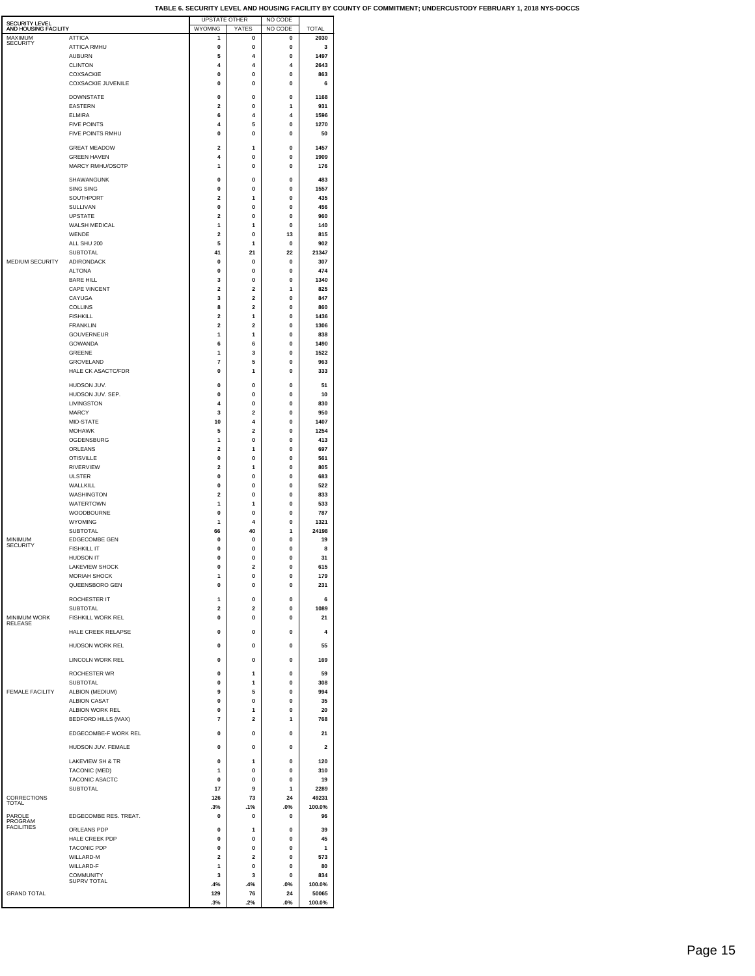| <b>SECURITY LEVEL</b><br>AND HOUSING FACILITY |                                    | <b>UPSTATE OTHER</b><br>WYOMNG | YATES                   | NO CODE<br>NO CODE | <b>TOTAL</b>    |
|-----------------------------------------------|------------------------------------|--------------------------------|-------------------------|--------------------|-----------------|
| MAXIMUM<br><b>SECURITY</b>                    | <b>ATTICA</b>                      | 1                              | 0                       | 0                  | 2030            |
|                                               | <b>ATTICA RMHU</b>                 | 0                              | 0<br>4                  | 0                  | 3               |
|                                               | <b>AUBURN</b><br><b>CLINTON</b>    | 5<br>4                         | 4                       | 0<br>4             | 1497<br>2643    |
|                                               | <b>COXSACKIE</b>                   | 0                              | 0                       | 0                  | 863             |
|                                               | <b>COXSACKIE JUVENILE</b>          | 0                              | 0                       | 0                  | 6               |
|                                               | <b>DOWNSTATE</b>                   | 0                              | 0                       | 0                  | 1168            |
|                                               | <b>EASTERN</b><br><b>ELMIRA</b>    | 2<br>6                         | 0<br>4                  | 1<br>4             | 931<br>1596     |
|                                               | <b>FIVE POINTS</b>                 | 4                              | 5                       | 0                  | 1270            |
|                                               | FIVE POINTS RMHU                   | 0                              | 0                       | 0                  | 50              |
|                                               | <b>GREAT MEADOW</b>                | $\overline{2}$                 | 1                       | 0                  | 1457            |
|                                               | <b>GREEN HAVEN</b>                 | 4                              | $\mathbf{0}$            | $\mathbf{0}$       | 1909            |
|                                               | MARCY RMHU/OSOTP                   | 1                              | 0                       | 0                  | 176             |
|                                               | SHAWANGUNK                         | 0                              | 0                       | 0                  | 483             |
|                                               | SING SING<br>SOUTHPORT             | 0<br>$\overline{\mathbf{2}}$   | 0<br>1                  | 0<br>0             | 1557<br>435     |
|                                               | <b>SULLIVAN</b>                    | 0                              | 0                       | 0                  | 456             |
|                                               | <b>UPSTATE</b>                     | $\overline{\mathbf{2}}$        | 0                       | 0                  | 960             |
|                                               | WALSH MEDICAL<br>WENDE             | 1<br>$\overline{2}$            | 1<br>0                  | 0<br>13            | 140<br>815      |
|                                               | ALL SHU 200                        | 5                              | 1                       | 0                  | 902             |
|                                               | <b>SUBTOTAL</b>                    | 41                             | 21                      | 22                 | 21347           |
| MEDIUM SECURITY                               | <b>ADIRONDACK</b><br><b>ALTONA</b> | 0                              | 0                       | 0                  | 307             |
|                                               | <b>BARE HILL</b>                   | 0<br>3                         | 0<br>0                  | 0<br>0             | 474<br>1340     |
|                                               | CAPE VINCENT                       | 2                              | 2                       | 1                  | 825             |
|                                               | CAYUGA                             | 3                              | 2                       | 0                  | 847             |
|                                               | COLLINS<br><b>FISHKILL</b>         | 8<br>$\overline{\mathbf{2}}$   | 2<br>1                  | 0<br>0             | 860<br>1436     |
|                                               | <b>FRANKLIN</b>                    | $\overline{\mathbf{2}}$        | 2                       | 0                  | 1306            |
|                                               | <b>GOUVERNEUR</b>                  | 1                              | 1                       | 0                  | 838             |
|                                               | GOWANDA<br><b>GREENE</b>           | 6<br>1                         | 6<br>3                  | 0<br>$\mathbf{0}$  | 1490<br>1522    |
|                                               | GROVELAND                          | 7                              | 5                       | 0                  | 963             |
|                                               | <b>HALE CK ASACTC/FDR</b>          | 0                              | 1                       | 0                  | 333             |
|                                               | HUDSON JUV.                        | 0                              | 0                       | 0                  | 51              |
|                                               | HUDSON JUV. SEP.                   | 0                              | 0                       | 0                  | 10              |
|                                               | LIVINGSTON<br>MARCY                | 4<br>3                         | 0<br>2                  | 0<br>0             | 830<br>950      |
|                                               | MID-STATE                          | 10                             | 4                       | 0                  | 1407            |
|                                               | <b>MOHAWK</b>                      | 5                              | $\overline{a}$          | $\mathbf{0}$       | 1254            |
|                                               | OGDENSBURG                         | 1<br>$\overline{2}$            | 0<br>1                  | 0<br>0             | 413<br>697      |
|                                               | ORLEANS<br><b>OTISVILLE</b>        | 0                              | 0                       | 0                  | 561             |
|                                               | RIVERVIEW                          | $\overline{\mathbf{2}}$        | 1                       | 0                  | 805             |
|                                               | <b>ULSTER</b>                      | 0                              | 0                       | 0                  | 683             |
|                                               | WALLKILL<br>WASHINGTON             | 0<br>2                         | 0<br>0                  | 0<br>0             | 522<br>833      |
|                                               | WATERTOWN                          | 1                              | 1                       | 0                  | 533             |
|                                               | WOODBOURNE                         | 0                              | 0                       | 0                  | 787             |
|                                               | <b>WYOMING</b><br>SUBTOTAL         | 1<br>66                        | 4<br>40                 | 0<br>1             | 1321<br>24198   |
| MINIMUM                                       | <b>EDGECOMBE GEN</b>               | 0                              | 0                       | 0                  | 19              |
| SECURITY                                      | <b>FISHKILL IT</b>                 | 0                              | 0                       | 0                  | 8               |
|                                               | HUDSON IT<br><b>LAKEVIEW SHOCK</b> | 0<br>0                         | 0<br>$\overline{a}$     | 0<br>$\mathbf 0$   | 31<br>615       |
|                                               | MORIAH SHOCK                       | 1                              | $\mathbf 0$             | $\mathbf 0$        | 179             |
|                                               | QUEENSBORO GEN                     | 0                              | 0                       | 0                  | 231             |
|                                               | ROCHESTER IT                       | 1                              | 0                       | 0                  | 6               |
|                                               | SUBTOTAL                           | $\overline{\mathbf{2}}$        | $\overline{\mathbf{2}}$ | 0                  | 1089            |
| <b>MINIMUM WORK</b><br>RELEASE                | FISHKILL WORK REL                  | 0                              | 0                       | 0                  | 21              |
|                                               | HALE CREEK RELAPSE                 | 0                              | 0                       | 0                  | 4               |
|                                               | HUDSON WORK REL                    | 0                              | 0                       | 0                  | 55              |
|                                               | LINCOLN WORK REL                   | $\Omega$                       | $\mathbf{0}$            | 0                  | 169             |
|                                               | ROCHESTER WR                       | 0                              | 1                       | 0                  | 59              |
|                                               | SUBTOTAL                           | 0                              | 1                       | 0                  | 308             |
| FEMALE FACILITY                               | ALBION (MEDIUM)<br>ALBION CASAT    | 9<br>0                         | 5<br>0                  | 0<br>0             | 994<br>35       |
|                                               | ALBION WORK REL                    | $\mathbf 0$                    | 1                       | 0                  | 20              |
|                                               | <b>BEDFORD HILLS (MAX)</b>         | 7                              | 2                       | 1                  | 768             |
|                                               | EDGECOMBE-F WORK REL               | 0                              | 0                       | 0                  | 21              |
|                                               | HUDSON JUV. FEMALE                 | 0                              | 0                       | 0                  | 2               |
|                                               | LAKEVIEW SH & TR                   | $\mathbf 0$                    | 1                       | 0                  | 120             |
|                                               | TACONIC (MED)                      | 1                              | $\mathbf{0}$            | $\mathbf{0}$       | 310             |
|                                               | TACONIC ASACTC                     | $\Omega$                       | $\mathbf{0}$            | $\mathbf{0}$       | 19              |
| <b>CORRECTIONS</b>                            | <b>SUBTOTAL</b>                    | 17<br>126                      | 9<br>73                 | 1<br>24            | 2289<br>49231   |
| TOTAL                                         |                                    | .3%                            | .1%                     | .0%                | 100.0%          |
| PAROLE<br>PROGRAM                             | EDGECOMBE RES. TREAT.              | 0                              | 0                       | 0                  | 96              |
| <b>FACILITIES</b>                             | ORLEANS PDP                        | $\mathbf 0$                    | 1                       | 0                  | 39              |
|                                               | HALE CREEK PDP                     | $\Omega$                       | 0                       | 0                  | 45              |
|                                               | <b>TACONIC PDP</b><br>WILLARD-M    | $\mathbf{0}$<br>$\overline{2}$ | $\mathbf{0}$<br>2       | $\mathbf{0}$<br>0  | 1<br>573        |
|                                               | WILLARD-F                          | 1                              | 0                       | $\mathbf{0}$       | 80              |
|                                               | <b>COMMUNITY</b><br>SUPRV TOTAL    | 3                              | 3                       | 0                  | 834             |
| <b>GRAND TOTAL</b>                            |                                    | .4%<br>129                     | .4%<br>76               | .0%<br>24          | 100.0%<br>50065 |
|                                               |                                    | .3%                            | .2%                     | .0%                | 100.0%          |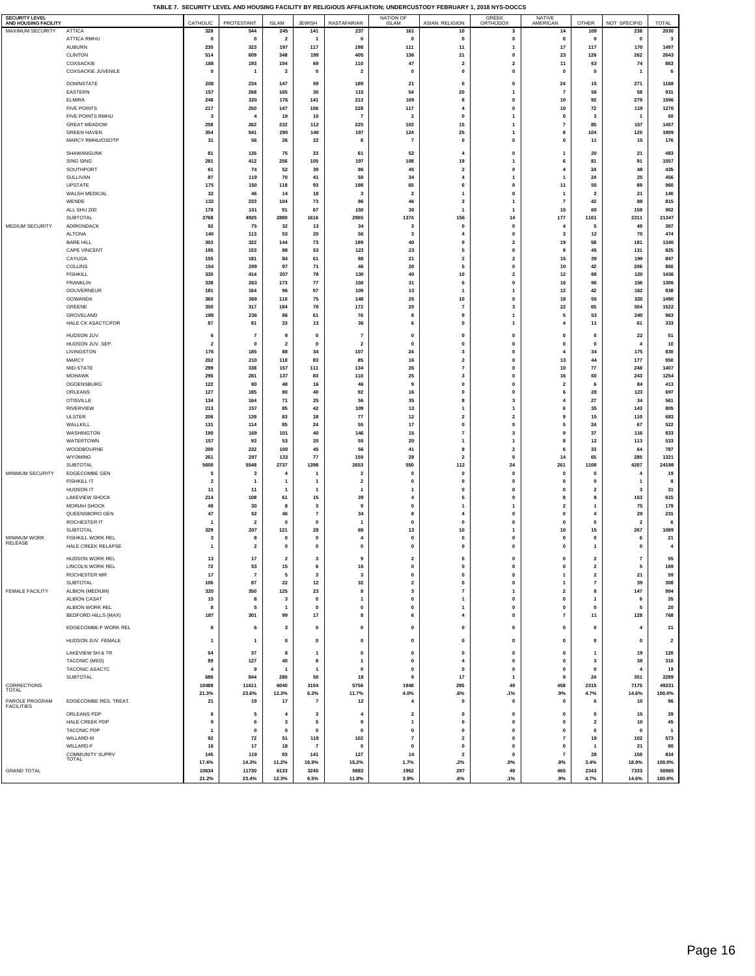**TABLE 7. SECURITY LEVEL AND HOUSING FACILITY BY RELIGIOUS AFFILIATION; UNDERCUSTODY FEBRUARY 1, 2018 NYS-DOCCS**

| <b>SECURITY LEVEL</b>                    |                                           |                               |                         |                         |                                         |                               | <b>NATION OF</b>                        |                                                                                                                                                                                                                                                                                                                                                                                                                         | <b>GREEK</b>                                  | NATIVE                  |                                        |                      |                         |
|------------------------------------------|-------------------------------------------|-------------------------------|-------------------------|-------------------------|-----------------------------------------|-------------------------------|-----------------------------------------|-------------------------------------------------------------------------------------------------------------------------------------------------------------------------------------------------------------------------------------------------------------------------------------------------------------------------------------------------------------------------------------------------------------------------|-----------------------------------------------|-------------------------|----------------------------------------|----------------------|-------------------------|
| AND HOUSING FACILITY<br>MAXIMUM SECURITY | <b>ATTICA</b>                             | CATHOLIC<br>328               | PROTESTANT<br>544       | <b>ISLAM</b><br>245     | <b>JEWISH</b><br>141                    | RASTAFARIAN<br>237            | <b>ISLAM</b><br>161                     | ASIAN RELIGION<br>10                                                                                                                                                                                                                                                                                                                                                                                                    | ORTHODOX<br>3                                 | AMERICAN<br>14          | OTHER<br>109                           | NOT SPECIFID<br>238  | <b>TOTAL</b><br>2030    |
|                                          | ATTICA RMHU                               | $\Omega$                      | $\mathbf{0}$            | $\overline{\mathbf{2}}$ |                                         | $\Omega$                      | $\mathbf{0}$                            | $\mathbf 0$                                                                                                                                                                                                                                                                                                                                                                                                             | $\mathbf{0}$                                  | $\mathbf 0$             | $\mathbf{0}$                           | $\mathbf 0$          | 3                       |
|                                          | <b>AUBURN</b>                             | 235                           | 323                     | 197                     | 117                                     | 198                           | 111                                     | 11                                                                                                                                                                                                                                                                                                                                                                                                                      | $\mathbf{1}$                                  | 17                      | 117                                    | 170                  | 1497                    |
|                                          | <b>CLINTON</b>                            | 514                           | 609                     | 348                     | 199                                     | 405                           | 136                                     | 21                                                                                                                                                                                                                                                                                                                                                                                                                      | $\mathbf{0}$                                  | 23                      | 126                                    | 262                  | 2643                    |
|                                          | COXSACKIE<br>COXSACKIE JUVENILE           | 188<br>$\mathbf 0$            | 193<br>$\mathbf{1}$     | 104<br>$\overline{2}$   | 69<br>$\pmb{0}$                         | 110<br>$\overline{2}$         | 47<br>0                                 | $\overline{\mathbf{2}}$<br>$\pmb{0}$                                                                                                                                                                                                                                                                                                                                                                                    | $\overline{\mathbf{2}}$<br>$\pmb{\mathsf{o}}$ | 11<br>0                 | 63<br>$\mathbf{0}$                     | 74<br>$\mathbf{1}$   | 863<br>6                |
|                                          |                                           |                               |                         |                         |                                         |                               |                                         |                                                                                                                                                                                                                                                                                                                                                                                                                         |                                               |                         |                                        |                      |                         |
|                                          | <b>DOWNSTATE</b><br>EASTERN               | 208<br>157                    | 234<br>268              | 147<br>165              | 59<br>30                                | 189<br>115                    | 21<br>54                                | $\mathbf 0$<br>${\bf 20}$                                                                                                                                                                                                                                                                                                                                                                                               | $\mathbf{0}$<br>$\mathbf{1}$                  | 24<br>$\overline{7}$    | 15<br>56                               | 271<br>58            | 1168<br>931             |
|                                          | <b>ELMIRA</b>                             | 248                           | 320                     | 176                     | 141                                     | 213                           | 109                                     | 8                                                                                                                                                                                                                                                                                                                                                                                                                       | $\mathbf 0$                                   | 10                      | 92                                     | 279                  | 1596                    |
|                                          | <b>FIVE POINTS</b>                        | 217                           | 250                     | 147                     | 106                                     | 228                           | 117                                     | $\overline{\mathbf{4}}$                                                                                                                                                                                                                                                                                                                                                                                                 | $\pmb{0}$                                     | 10                      | 72                                     | 119                  | 1270                    |
|                                          | FIVE POINTS RMHU                          | 3                             | 4                       | 19                      | 10                                      | $\overline{7}$                | $\overline{2}$                          | $\mathbf{0}$                                                                                                                                                                                                                                                                                                                                                                                                            | $\mathbf{1}$                                  | 0                       | $\mathbf{3}$                           | 1                    | 50                      |
|                                          | <b>GREAT MEADOW</b><br><b>GREEN HAVEN</b> | 258<br>354                    | 262<br>541              | 232<br>290              | 112<br>140                              | 225<br>197                    | 103<br>124                              | 15<br>25                                                                                                                                                                                                                                                                                                                                                                                                                | $\mathbf{1}$<br>$\mathbf{1}$                  | 7<br>8                  | 85<br>104                              | 157<br>125           | 1457<br>1909            |
|                                          | MARCY RMHU/OSOTP                          | 31                            | 56                      | 26                      | 22                                      | 8                             | $\overline{7}$                          | $\pmb{0}$                                                                                                                                                                                                                                                                                                                                                                                                               | $\mathbf{0}$                                  | 0                       | 11                                     | 15                   | 176                     |
|                                          | SHAWANGUNK                                | 81                            | 135                     | 75                      | 33                                      | 61                            | 52                                      | 4                                                                                                                                                                                                                                                                                                                                                                                                                       | $\mathbf 0$                                   | 1                       | 20                                     | 21                   | 483                     |
|                                          | SING SING                                 | 281                           | 412                     | 256                     | 105                                     | 197                           | 108                                     | 19                                                                                                                                                                                                                                                                                                                                                                                                                      | $\mathbf{1}$                                  | 6                       | 81                                     | 91                   | 1557                    |
|                                          | SOUTHPORT                                 | 61                            | 74                      | 52                      | 39                                      | 86                            | 45                                      | $\overline{\mathbf{2}}$                                                                                                                                                                                                                                                                                                                                                                                                 | $\mathbf{0}$                                  | $\overline{a}$          | 24                                     | 48                   | 435                     |
|                                          | SULLIVAN                                  | 87                            | 119                     | 70                      | 41                                      | 50                            | 34                                      | $\overline{4}$                                                                                                                                                                                                                                                                                                                                                                                                          | $\mathbf{1}$                                  | 1                       | 24                                     | 25                   | 456                     |
|                                          | UPSTATE<br>WALSH MEDICAL                  | 175<br>32                     | 150<br>46               | 118<br>14               | 93<br>18                                | 198<br>3                      | 65<br>$\overline{\mathbf{2}}$           | 6<br>$\mathbf{1}$                                                                                                                                                                                                                                                                                                                                                                                                       | $\mathbf{0}$<br>$\mathbf{0}$                  | 11<br>$\mathbf{1}$      | 55<br>$\overline{\mathbf{2}}$          | 89<br>21             | 960<br>140              |
|                                          | WENDE                                     | 132                           | 233                     | 104                     | 73                                      | 86                            | 46                                      | 3                                                                                                                                                                                                                                                                                                                                                                                                                       | $\mathbf{1}$                                  | $\overline{7}$          | 42                                     | 88                   | 815                     |
|                                          | ALL SHU 200                               | 178                           | 151                     | 91                      | 67                                      | 150                           | 30                                      | $\overline{1}$                                                                                                                                                                                                                                                                                                                                                                                                          | $\mathbf{1}$                                  | 15                      | 60                                     | 158                  | 902                     |
|                                          | SUBTOTAL                                  | 3768                          | 4925                    | 2880                    | 1616                                    | 2965                          | 1374                                    | 156                                                                                                                                                                                                                                                                                                                                                                                                                     | 14                                            | 177                     | 1161                                   | 2311                 | 21347                   |
| MEDIUM SECURITY                          | ADIRONDACK<br><b>ALTONA</b>               | 92<br>140                     | 75<br>113               | 32<br>53                | 13<br>20                                | 34<br>56                      | 3<br>3                                  | 0<br>$\overline{4}$                                                                                                                                                                                                                                                                                                                                                                                                     | $\mathbf{0}$<br>$\pmb{\mathsf{o}}$            | 4<br>3                  | -5<br>12                               | 49<br>70             | 307<br>474              |
|                                          | <b>BARE HILL</b>                          | 303                           | 322                     | 144                     | 73                                      | 189                           | 40                                      | 9                                                                                                                                                                                                                                                                                                                                                                                                                       | $\overline{2}$                                | 19                      | 58                                     | 181                  | 1340                    |
|                                          | CAPE VINCENT                              | 195                           | 153                     | 88                      | 53                                      | 123                           | 23                                      | 5                                                                                                                                                                                                                                                                                                                                                                                                                       | $\mathbf{0}$                                  | 9                       | 45                                     | 131                  | 825                     |
|                                          | CAYUGA<br>COLLINS                         | 155                           | 181                     | 84                      | 61                                      | 88                            | 21                                      | $\mathbf 2$                                                                                                                                                                                                                                                                                                                                                                                                             | $\overline{2}$                                | 15                      | 39                                     | 199                  | 847                     |
|                                          | <b>FISHKILL</b>                           | 154<br>335                    | 209<br>414              | 97<br>207               | 71<br>78                                | 46<br>130                     | 20<br>40                                | 5<br>10                                                                                                                                                                                                                                                                                                                                                                                                                 | $\mathbf{0}$<br>$\overline{\mathbf{2}}$       | 10<br>12                | 42<br>88                               | 206<br>120           | 860<br>1436             |
|                                          | <b>FRANKLIN</b>                           | 338                           | 263                     | 173                     | 77                                      | 150                           | 31                                      | 6                                                                                                                                                                                                                                                                                                                                                                                                                       | $\pmb{\mathsf{o}}$                            | 16                      | 96                                     | 156                  | 1306                    |
|                                          | GOUVERNEUR                                | 181                           | 164                     | 96                      | 57                                      | 109                           | 13                                      | $\mathbf{1}$                                                                                                                                                                                                                                                                                                                                                                                                            | $\mathbf{1}$                                  | 12                      | 42                                     | 162                  | 838                     |
|                                          | GOWANDA<br>GREENE                         | 360<br>350                    | 369<br>317              | 110<br>184              | 75<br>78                                | 148<br>172                    | 25<br>20                                | $10\,$<br>$\overline{7}$                                                                                                                                                                                                                                                                                                                                                                                                | $\mathbf{0}$<br>3                             | 18<br>22                | 55<br>65                               | 320<br>304           | 1490<br>1522            |
|                                          | GROVELAND                                 | 188                           | 236                     | 86                      | 61                                      | 76                            | 8                                       | 9                                                                                                                                                                                                                                                                                                                                                                                                                       | $\mathbf{1}$                                  | 5                       | 53                                     | 240                  | 963                     |
|                                          | HALE CK ASACTC/FDR                        | 87                            | 81                      | 33                      | 13                                      | 36                            | 6                                       | $\pmb{0}$                                                                                                                                                                                                                                                                                                                                                                                                               | $\mathbf{1}$                                  | 4                       | 11                                     | 61                   | 333                     |
|                                          | HUDSON JUV.                               |                               | $\overline{7}$          | 9                       | $\pmb{0}$                               | $\overline{7}$                | 0                                       | $\mathbf 0$                                                                                                                                                                                                                                                                                                                                                                                                             | $\mathbf{0}$                                  | 0                       | $\mathbf 0$                            | 22                   | 51                      |
|                                          | HUDSON JUV. SEP.                          | $\overline{\mathbf{2}}$       | $\mathbf{0}$            | $\mathbf{2}$            | $\mathbf{0}$                            | $\overline{2}$                | $\mathbf{0}$                            | $\mathbf{0}$                                                                                                                                                                                                                                                                                                                                                                                                            | $\mathbf{0}$                                  | 0                       | $\mathbf 0$                            | $\overline{4}$       | 10                      |
|                                          | LIVINGSTON                                | 176                           | 185                     | 88                      | 34                                      | 107                           | 24                                      | 3                                                                                                                                                                                                                                                                                                                                                                                                                       | $\mathbf{0}$                                  | 4                       | 34                                     | 175                  | 830                     |
|                                          | MARCY                                     | 202<br>299                    | 210<br>338              | 118                     | 83                                      | 85<br>134                     | 16<br>26                                | $\overline{\mathbf{2}}$                                                                                                                                                                                                                                                                                                                                                                                                 | $\mathbf{0}$<br>$\mathbf{0}$                  | 13                      | 44                                     | 177<br>248           | 950<br>1407             |
|                                          | MID-STATE<br><b>MOHAWK</b>                | 296                           | 281                     | 157<br>137              | 111<br>83                               | 110                           | 25                                      | $\pmb{7}$<br>3                                                                                                                                                                                                                                                                                                                                                                                                          | $\mathbf{0}$                                  | 10<br>16                | 77<br>60                               | 243                  | 1254                    |
|                                          | OGDENSBURG                                | 122                           | 80                      | 48                      | 16                                      | 46                            | 9                                       | $\pmb{0}$                                                                                                                                                                                                                                                                                                                                                                                                               | $\mathbf{0}$                                  | $\overline{2}$          | 6                                      | 84                   | 413                     |
|                                          | ORLEANS                                   | 127                           | 185                     | 80                      | 40                                      | 92                            | 16                                      | 0                                                                                                                                                                                                                                                                                                                                                                                                                       | $\mathbf{0}$                                  | 6                       | 28                                     | 123                  | 697                     |
|                                          | <b>OTISVILLE</b><br><b>RIVERVIEW</b>      | 134<br>213                    | 164<br>157              | 71<br>85                | 25<br>42                                | 56<br>109                     | 35<br>13                                | 8<br>$\overline{1}$                                                                                                                                                                                                                                                                                                                                                                                                     | $\overline{\mathbf{3}}$<br>$\mathbf{1}$       | $\overline{4}$<br>6     | $\bf 27$<br>35                         | 34<br>143            | 561<br>805              |
|                                          | <b>ULSTER</b>                             | 206                           | 139                     | 83                      | 28                                      | 77                            | 12                                      | $\mathbf{2}% =\mathbf{2}+\mathbf{2}+\mathbf{3}+\mathbf{5}+\mathbf{5}+\mathbf{5}+\mathbf{6}+\mathbf{6}+\mathbf{5}+\mathbf{5}+\mathbf{6}+\mathbf{6}+\mathbf{5}+\mathbf{6}+\mathbf{6}+\mathbf{5}+\mathbf{5}+\mathbf{6}+\mathbf{6}+\mathbf{6}+\mathbf{5}+\mathbf{6}+\mathbf{6}+\mathbf{6}+\mathbf{6}+\mathbf{6}+\mathbf{6}+\mathbf{6}+\mathbf{6}+\mathbf{6}+\mathbf{6}+\mathbf{6}+\mathbf{6}+\mathbf{6}+\mathbf{6}+\mathbf$ | $\overline{\mathbf{2}}$                       | 9                       | 15                                     | 110                  | 683                     |
|                                          | WALLKILL                                  | 131                           | 114                     | 85                      | 24                                      | 55                            | 17                                      | $\pmb{0}$                                                                                                                                                                                                                                                                                                                                                                                                               | $\mathbf{0}$                                  | 5                       | 24                                     | 67                   | 522                     |
|                                          | WASHINGTON                                | 190                           | 169                     | 101                     | 40                                      | 146                           | 15                                      | $\overline{\mathbf{7}}$                                                                                                                                                                                                                                                                                                                                                                                                 | 3                                             | 9                       | 37                                     | 116                  | 833                     |
|                                          | WATERTOWN<br>WOODBOURNE                   | 157<br>200                    | 93<br>232               | 53<br>100               | 20<br>45                                | 55<br>56                      | 20<br>41                                | $\overline{1}$<br>8                                                                                                                                                                                                                                                                                                                                                                                                     | $\mathbf{1}$<br>$\overline{2}$                | 8<br>6                  | 12<br>33                               | 113<br>64            | 533<br>787              |
|                                          | <b>WYOMING</b>                            | 261                           | 297                     | 133                     | 77                                      | 159                           | 28                                      | $\overline{2}$                                                                                                                                                                                                                                                                                                                                                                                                          | $\mathbf{0}$                                  | 14                      | 65                                     | 285                  | 1321                    |
|                                          | SUBTOTAL                                  | 5600                          | 5548                    | 2737                    | 1398                                    | 2653                          | 550                                     | 112                                                                                                                                                                                                                                                                                                                                                                                                                     | ${\bf 24}$                                    | 261                     | 1108                                   | 4207                 | 24198                   |
| MINIMUM SECURITY                         | EDGECOMBE GEN                             | 5                             | 3                       | 4                       | -1                                      | $\overline{\mathbf{2}}$       | $\mathbf 0$                             | $\mathbf 0$                                                                                                                                                                                                                                                                                                                                                                                                             | $\mathbf 0$                                   | 0                       | $\mathbf 0$                            | 4                    | 19                      |
|                                          | <b>FISHKILL IT</b><br>HUDSON IT           | $\overline{\mathbf{2}}$<br>11 | 1<br>11                 | 1<br>1                  | $\mathbf{1}$<br>$\overline{1}$          | $\overline{\mathbf{2}}$<br>-1 | 0<br>1                                  | $\pmb{0}$<br>$\pmb{0}$                                                                                                                                                                                                                                                                                                                                                                                                  | $\pmb{0}$<br>$\mathbf{0}$                     | 0<br>$\mathbf 0$        | $\mathbf 0$<br>$\overline{\mathbf{2}}$ | 1<br>3               | 8<br>31                 |
|                                          | <b>LAKEVIEW SHOCK</b>                     | 214                           | 108                     | 61                      | 15                                      | 39                            | 4                                       | 5                                                                                                                                                                                                                                                                                                                                                                                                                       | $\Omega$                                      | 8                       | 8                                      | 153                  | 615                     |
|                                          | MORIAH SHOCK                              | 49                            | 30                      | 8                       | 3                                       | 9                             | 0                                       | $\mathbf{1}$                                                                                                                                                                                                                                                                                                                                                                                                            | $\mathbf{1}$                                  | $\overline{a}$          | $\mathbf{1}$                           | 75                   | 179                     |
|                                          | QUEENSBORO GEN                            | 47                            | 52<br>$\overline{2}$    | 46<br>0                 | $\overline{\mathbf{r}}$<br>$\mathbf{0}$ | 34<br>-1                      | 8<br>0                                  | $\overline{4}$<br>0                                                                                                                                                                                                                                                                                                                                                                                                     | $\mathbf 0$<br>$\mathbf{0}$                   | 0<br>$\mathbf 0$        | $\overline{\bf{4}}$<br>$\mathbf 0$     | 29<br>$\overline{2}$ | 231<br>-6               |
|                                          | ROCHESTER IT<br>SUBTOTAL                  | 329                           | 207                     | 121                     | 28                                      | 88                            | 13                                      | 10                                                                                                                                                                                                                                                                                                                                                                                                                      | $\mathbf{1}$                                  | 10                      | 15                                     | 267                  | 1089                    |
| <b>MINIMUM WORK</b>                      | <b>FISHKILL WORK REL</b>                  | 3                             | 8                       | $\mathbf{0}$            | $\Omega$                                | $\overline{\bf{4}}$           | $\mathbf{0}$                            | $\mathbf 0$                                                                                                                                                                                                                                                                                                                                                                                                             | $\mathbf{0}$                                  | $\mathbf 0$             | $\mathbf 0$                            | 6                    | 21                      |
| RELEASE                                  | HALE CREEK RELAPSE                        | 1                             | $\overline{\mathbf{2}}$ | $\mathbf 0$             | $\pmb{0}$                               | $\mathbf 0$                   | 0                                       | $\pmb{0}$                                                                                                                                                                                                                                                                                                                                                                                                               | $\mathbf{0}$                                  | 0                       | $\mathbf{1}$                           | 0                    | $\bf{4}$                |
|                                          | HUDSON WORK REL                           | 13                            | 17                      | $\overline{2}$          | $\overline{\mathbf{3}}$                 | 9                             | $\overline{2}$                          | $\mathbf{0}$                                                                                                                                                                                                                                                                                                                                                                                                            | $\Omega$                                      | $\mathbf{0}$            | $\overline{2}$                         | $\overline{7}$       | 55                      |
|                                          | <b>LINCOLN WORK REL</b>                   | 72                            | 53                      | 15                      | 6                                       | 16                            | $\mathbf 0$                             | $\pmb{0}$                                                                                                                                                                                                                                                                                                                                                                                                               | $\pmb{0}$                                     | 0                       | $\overline{\mathbf{2}}$                | 5                    | 169                     |
|                                          | ROCHESTER WR<br><b>SUBTOTAL</b>           | 17<br>106                     | $\overline{7}$<br>87    | 5<br>22                 | 3<br>$12$                               | 3<br>32                       | $\mathbf{0}$<br>$\overline{\mathbf{2}}$ | $\pmb{\mathsf{o}}$<br>$\pmb{0}$                                                                                                                                                                                                                                                                                                                                                                                         | $\pmb{\mathsf{o}}$<br>$\mathbf{0}$            | $\mathbf{1}$<br>1       | $\overline{2}$<br>$\overline{7}$       | ${\bf 21}$<br>39     | 59<br>308               |
| FEMALE FACILITY                          | ALBION (MEDIUM)                           | 320                           | 350                     | 125                     | 23                                      | 8                             | $\mathbf 3$                             | $\scriptstyle\rm{7}$                                                                                                                                                                                                                                                                                                                                                                                                    | $\mathbf{1}$                                  | $\overline{\mathbf{2}}$ | 8                                      | 147                  | 994                     |
|                                          | ALBION CASAT                              | 15                            | 8                       | 3                       | $\mathbf{0}$                            | $\mathbf{1}$                  | $\pmb{0}$                               | 1                                                                                                                                                                                                                                                                                                                                                                                                                       | $\pmb{0}$                                     | 0                       | $\mathbf{1}$                           | 6                    | 35                      |
|                                          | ALBION WORK REL                           | 8                             | 5                       | 1                       | $\pmb{0}$                               | $\pmb{0}$                     | $\pmb{0}$                               | $\mathbf{1}$                                                                                                                                                                                                                                                                                                                                                                                                            | $\pmb{0}$                                     | 0                       | $\pmb{0}$                              | 5                    | 20                      |
|                                          | <b>BEDFORD HILLS (MAX)</b>                | 187                           | 301                     | 99                      | 17                                      | 8                             | 6                                       | $\overline{4}$                                                                                                                                                                                                                                                                                                                                                                                                          | $\pmb{\mathsf{o}}$                            | $\overline{7}$          | 11                                     | 128                  | 768                     |
|                                          | EDGECOMBE-F WORK REL                      | 8                             | 6                       | 3                       | $\pmb{\mathsf{o}}$                      | $\mathbf{0}$                  | $\mathbf 0$                             | $\pmb{0}$                                                                                                                                                                                                                                                                                                                                                                                                               | $\pmb{0}$                                     | 0                       | $\mathbf{0}$                           | $\overline{4}$       | ${\bf 21}$              |
|                                          | HUDSON JUV. FEMALE                        | 1                             | 1                       | $\mathbf 0$             | $\pmb{0}$                               | $\pmb{0}$                     | $\pmb{0}$                               | $\pmb{0}$                                                                                                                                                                                                                                                                                                                                                                                                               | $\pmb{0}$                                     | 0                       | $\pmb{0}$                              | 0                    | $\overline{\mathbf{2}}$ |
|                                          | LAKEVIEW SH & TR                          | 54                            | 37                      | 8                       | $\overline{1}$                          | $\mathbf{0}$                  | $\mathbf{0}$                            | $\mathbf 0$                                                                                                                                                                                                                                                                                                                                                                                                             | $\mathbf{0}$                                  | $\mathbf{0}$            | $\mathbf{1}$                           | 19                   | 120                     |
|                                          | <b>TACONIC (MED)</b>                      | 89                            | 127                     | 40                      | 8                                       | $\mathbf{1}$                  | $\pmb{0}$                               | $\overline{\mathbf{4}}$                                                                                                                                                                                                                                                                                                                                                                                                 | $\pmb{0}$                                     | 0                       | 3                                      | 38                   | 310                     |
|                                          | TACONIC ASACTC                            | 4                             | 9                       | $\mathbf{1}$            | -1                                      | $\mathbf 0$                   | $\pmb{\mathsf{o}}$                      | $\pmb{\mathsf{o}}$                                                                                                                                                                                                                                                                                                                                                                                                      | $\mathbf{0}$                                  | 0                       | $\mathbf{0}$                           | $\overline{4}$       | 19                      |
| CORRECTIONS                              | SUBTOTAL                                  | 686<br>10489                  | 844<br>11611            | 280<br>6040             | 50<br>3104                              | 18<br>5756                    | 9<br>1948                               | $17\,$<br>295                                                                                                                                                                                                                                                                                                                                                                                                           | $\mathbf{1}$<br>40                            | 9<br>458                | 24<br>2315                             | 351<br>7175          | 2289<br>49231           |
| TOTAL                                    |                                           | 21.3%                         | 23.6%                   | 12.3%                   | 6.3%                                    | 11.7%                         | 4.0%                                    | .6%                                                                                                                                                                                                                                                                                                                                                                                                                     | .1%                                           | .9%                     | 4.7%                                   | 14.6%                | 100.0%                  |
| PAROLE PROGRAM                           | EDGECOMBE RES. TREAT.                     | 21                            | 19                      | 17                      | $\scriptstyle\rm 7$                     | 12                            | $\overline{4}$                          | $\pmb{0}$                                                                                                                                                                                                                                                                                                                                                                                                               | $\pmb{0}$                                     | 0                       | 6                                      | 10                   | 96                      |
| <b>FACILITIES</b>                        | ORLEANS PDP                               | 6                             | 5                       | 4                       | 3                                       | $\overline{4}$                | $\overline{2}$                          | 0                                                                                                                                                                                                                                                                                                                                                                                                                       | $\mathbf 0$                                   | $\mathbf{0}$            | $\mathbf 0$                            | 15                   | 39                      |
|                                          | HALE CREEK PDP                            | 9                             | 6                       | 3                       | 5                                       | 9                             | $\mathbf{1}$                            | $\pmb{0}$                                                                                                                                                                                                                                                                                                                                                                                                               | $\pmb{0}$                                     | 0                       | $\overline{\mathbf{2}}$                | 10                   | 45                      |
|                                          | <b>TACONIC PDP</b>                        | -1                            | $\mathbf{0}$            | $\mathbf{0}$            | $\mathbf{0}$                            | $\mathbf{0}$                  | $\pmb{\mathsf{o}}$                      | $\pmb{\mathsf{o}}$                                                                                                                                                                                                                                                                                                                                                                                                      | $\pmb{\mathsf{o}}$                            | 0                       | $\mathbf 0$                            | $\mathbf{0}$         | $\overline{1}$          |
|                                          | WILLARD-M<br>WILLARD-F                    | 92<br>16                      | 72<br>$17\,$            | 51<br>18                | 119<br>$\overline{7}$                   | 102<br>$\pmb{0}$              | $\scriptstyle\rm 7$<br>$\pmb{0}$        | $\overline{\mathbf{2}}$<br>$\pmb{0}$                                                                                                                                                                                                                                                                                                                                                                                    | $\mathbf{0}$<br>$\pmb{\mathsf{o}}$            | 7<br>0                  | 19<br>$\overline{1}$                   | 102<br>21            | 573<br>80               |
|                                          | COMMUNITY SUPRV                           | 145                           | 119                     | 93                      | 141                                     | 127                           | 14                                      | $\overline{2}$                                                                                                                                                                                                                                                                                                                                                                                                          | $\mathbf{0}$                                  | $\overline{7}$          | 28                                     | 158                  | 834                     |
|                                          | TOTAL                                     | 17.4%                         | 14.3%                   | 11.2%                   | 16.9%                                   | 15.2%                         | 1.7%                                    | .2%                                                                                                                                                                                                                                                                                                                                                                                                                     | $.0\%$                                        | .8%                     | 3.4%                                   | 18.9%                | 100.0%                  |
| <b>GRAND TOTAL</b>                       |                                           | 10634<br>21.2%                | 11730<br>23.4%          | 6133<br>12.3%           | 3245<br>6.5%                            | 5883<br>11.8%                 | 1962<br>3.9%                            | 297<br>.6%                                                                                                                                                                                                                                                                                                                                                                                                              | 40<br>.1%                                     | 465<br>.9%              | 2343<br>4.7%                           | 7333<br>14.6%        | 50065<br>100.0%         |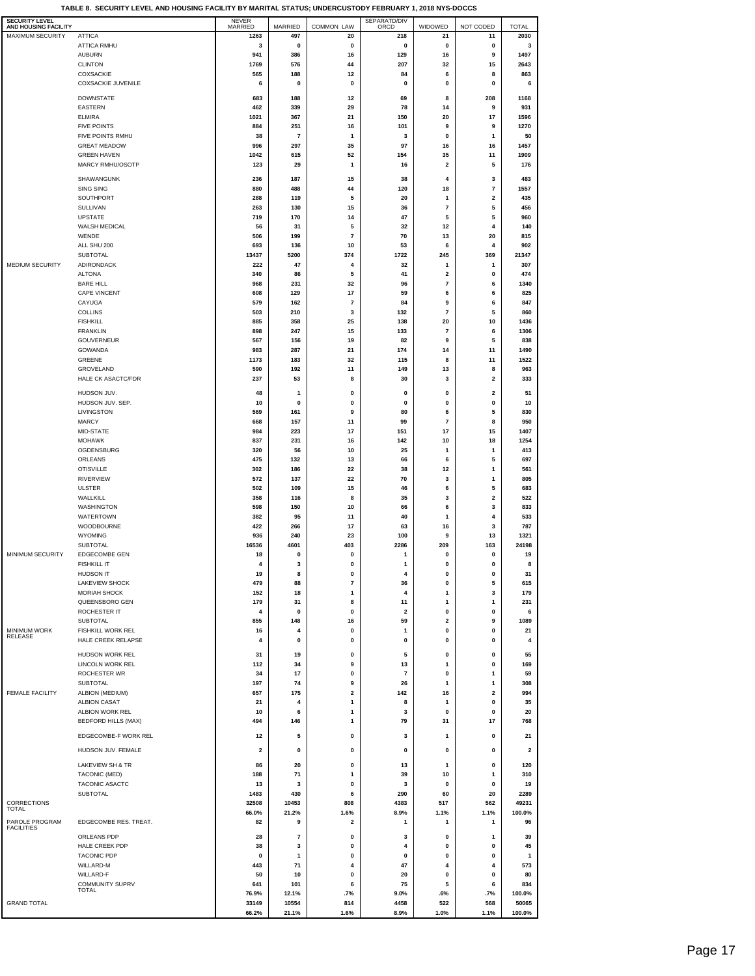| SECURITY LEVEL<br>AND HOUSING FACILITY |                                        | NEVER<br>MARRIED              | MARRIED                        | <b>COMMON LAW</b>              | SEPARATD/DIV<br>ORCD          | WIDOWED                      | NOT CODED                            | <b>TOTAL</b>            |  |
|----------------------------------------|----------------------------------------|-------------------------------|--------------------------------|--------------------------------|-------------------------------|------------------------------|--------------------------------------|-------------------------|--|
| MAXIMUM SECURITY                       | <b>ATTICA</b>                          | 1263                          | 497                            | 20                             | 218                           | 21                           | 11                                   | 2030                    |  |
|                                        | ATTICA RMHU                            | 3<br>941                      | 0                              | 0                              | 0                             | 0                            | 0                                    | 3<br>1497               |  |
|                                        | <b>AUBURN</b><br><b>CLINTON</b>        | 1769                          | 386<br>576                     | 16<br>44                       | 129<br>207                    | 16<br>32                     | 9<br>15                              | 2643                    |  |
|                                        | COXSACKIE                              | 565                           | 188                            | 12                             | 84                            | 6                            | 8                                    | 863                     |  |
|                                        | <b>COXSACKIE JUVENILE</b>              | 6                             | 0                              | $\pmb{0}$                      | 0                             | 0                            | 0                                    | 6                       |  |
|                                        | <b>DOWNSTATE</b>                       | 683                           | 188                            | 12                             | 69                            | 8                            | 208                                  | 1168                    |  |
|                                        | <b>EASTERN</b>                         | 462                           | 339                            | 29                             | 78                            | 14                           | 9                                    | 931                     |  |
|                                        | <b>ELMIRA</b>                          | 1021                          | 367                            | 21                             | 150                           | 20                           | 17                                   | 1596                    |  |
|                                        | <b>FIVE POINTS</b><br>FIVE POINTS RMHU | 884<br>38                     | 251<br>$\overline{\mathbf{r}}$ | 16<br>1                        | 101<br>3                      | 9<br>0                       | 9<br>1                               | 1270<br>50              |  |
|                                        | <b>GREAT MEADOW</b>                    | 996                           | 297                            | 35                             | 97                            | 16                           | 16                                   | 1457                    |  |
|                                        | <b>GREEN HAVEN</b>                     | 1042                          | 615                            | 52                             | 154                           | 35                           | 11                                   | 1909                    |  |
|                                        | MARCY RMHU/OSOTP                       | 123                           | 29                             | 1                              | 16                            | $\overline{\mathbf{2}}$      | 5                                    | 176                     |  |
|                                        | SHAWANGUNK                             | 236                           | 187                            | 15                             | 38                            | 4                            | 3                                    | 483                     |  |
|                                        | SING SING                              | 880                           | 488                            | 44                             | 120                           | 18                           | $\overline{7}$                       | 1557                    |  |
|                                        | SOUTHPORT                              | 288                           | 119                            | 5                              | 20                            | 1                            | $\overline{\mathbf{2}}$              | 435                     |  |
|                                        | SULLIVAN<br><b>UPSTATE</b>             | 263<br>719                    | 130<br>170                     | 15<br>14                       | 36<br>47                      | $\bf 7$<br>5                 | 5<br>5                               | 456<br>960              |  |
|                                        | WALSH MEDICAL                          | 56                            | 31                             | 5                              | 32                            | 12                           | 4                                    | 140                     |  |
|                                        | WENDE                                  | 506                           | 199                            | $\overline{7}$                 | 70                            | 13                           | 20                                   | 815                     |  |
|                                        | ALL SHU 200                            | 693                           | 136                            | 10                             | 53                            | 6                            | 4                                    | 902                     |  |
| MEDIUM SECURITY                        | SUBTOTAL<br>ADIRONDACK                 | 13437<br>222                  | 5200<br>47                     | 374<br>$\overline{\mathbf{A}}$ | 1722<br>32                    | 245<br>1                     | 369<br>$\mathbf{1}$                  | 21347<br>307            |  |
|                                        | <b>ALTONA</b>                          | 340                           | 86                             | 5                              | 41                            | $\overline{\mathbf{2}}$      | 0                                    | 474                     |  |
|                                        | <b>BARE HILL</b>                       | 968                           | 231                            | 32                             | 96                            | $\overline{7}$               | 6                                    | 1340                    |  |
|                                        | <b>CAPE VINCENT</b>                    | 608                           | 129                            | 17                             | 59                            | 6                            | 6                                    | 825                     |  |
|                                        | CAYUGA<br><b>COLLINS</b>               | 579                           | 162                            | $\overline{7}$                 | 84                            | 9                            | 6                                    | 847                     |  |
|                                        | <b>FISHKILL</b>                        | 503<br>885                    | 210<br>358                     | 3<br>25                        | 132<br>138                    | $\overline{7}$<br>20         | 5<br>10                              | 860<br>1436             |  |
|                                        | <b>FRANKLIN</b>                        | 898                           | 247                            | 15                             | 133                           | $\overline{7}$               | 6                                    | 1306                    |  |
|                                        | GOUVERNEUR                             | 567                           | 156                            | 19                             | 82                            | 9                            | 5                                    | 838                     |  |
|                                        | GOWANDA                                | 983                           | 287                            | 21                             | 174                           | 14                           | 11                                   | 1490                    |  |
|                                        | <b>GREENE</b>                          | 1173                          | 183                            | 32                             | 115                           | 8                            | 11                                   | 1522                    |  |
|                                        | GROVELAND<br><b>HALE CK ASACTC/FDR</b> | 590<br>237                    | 192<br>53                      | 11<br>8                        | 149<br>30                     | 13<br>3                      | 8<br>$\overline{\mathbf{2}}$         | 963<br>333              |  |
|                                        |                                        |                               |                                |                                |                               |                              |                                      |                         |  |
|                                        | HUDSON JUV.<br>HUDSON JUV. SEP.        | 48<br>10                      | $\mathbf{1}$<br>0              | 0<br>0                         | 0<br>0                        | 0<br>0                       | $\overline{\mathbf{2}}$<br>0         | 51<br>10                |  |
|                                        | LIVINGSTON                             | 569                           | 161                            | 9                              | 80                            | 6                            | 5                                    | 830                     |  |
|                                        | <b>MARCY</b>                           | 668                           | 157                            | 11                             | 99                            | $\overline{7}$               | 8                                    | 950                     |  |
|                                        | MID-STATE                              | 984                           | 223                            | 17                             | 151                           | 17                           | 15                                   | 1407                    |  |
|                                        | <b>MOHAWK</b>                          | 837                           | 231                            | 16                             | 142                           | 10                           | 18                                   | 1254                    |  |
|                                        | OGDENSBURG<br>ORLEANS                  | 320<br>475                    | 56<br>132                      | 10<br>13                       | 25<br>66                      | 1<br>6                       | 1<br>5                               | 413<br>697              |  |
|                                        | <b>OTISVILLE</b>                       | 302                           | 186                            | 22                             | 38                            | 12                           | $\mathbf{1}$                         | 561                     |  |
|                                        | RIVERVIEW                              | 572                           | 137                            | 22                             | 70                            | 3                            | $\mathbf{1}$                         | 805                     |  |
|                                        | <b>ULSTER</b>                          | 502                           | 109                            | 15                             | 46                            | 6                            | 5                                    | 683                     |  |
|                                        | WALLKILL                               | 358                           | 116                            | 8                              | 35                            | 3                            | $\overline{\mathbf{2}}$              | 522                     |  |
|                                        | WASHINGTON<br>WATERTOWN                | 598<br>382                    | 150<br>95                      | 10<br>11                       | 66<br>40                      | 6<br>1                       | 3<br>4                               | 833<br>533              |  |
|                                        | WOODBOURNE                             | 422                           | 266                            | 17                             | 63                            | 16                           | 3                                    | 787                     |  |
|                                        | <b>WYOMING</b>                         | 936                           | 240                            | 23                             | 100                           | 9                            | 13                                   | 1321                    |  |
|                                        | <b>SUBTOTAL</b>                        | 16536                         | 4601                           | 403                            | 2286                          | 209                          | 163                                  | 24198                   |  |
| MINIMUM SECURITY                       | <b>EDGECOMBE GEN</b>                   | 18<br>$\overline{\mathbf{4}}$ | 0<br>3                         | 0<br>0                         | $\mathbf{1}$                  | $\pmb{0}$<br>$\Omega$        | 0<br>0                               | 19<br>8                 |  |
|                                        | <b>FISHKILL IT</b><br><b>HUDSON IT</b> | 19                            | 8                              | 0                              | 1<br>4                        | 0                            | 0                                    | 31                      |  |
|                                        | <b>LAKEVIEW SHOCK</b>                  | 479                           | 88                             | 7                              | 36                            | 0                            | 5                                    | 615                     |  |
|                                        | <b>MORIAH SHOCK</b>                    | 152                           | 18                             | 1                              | 4                             | 1                            | 3                                    | 179                     |  |
|                                        | QUEENSBORO GEN                         | 179                           | 31                             | 8                              | 11                            | 1                            | 1                                    | 231                     |  |
|                                        | ROCHESTER IT<br>SUBTOTAL               | 4<br>855                      | $\mathbf 0$<br>148             | $\pmb{0}$<br>16                | $\overline{\mathbf{2}}$<br>59 | 0<br>$\overline{\mathbf{2}}$ | 0<br>9                               | 6<br>1089               |  |
| <b>MINIMUM WORK</b>                    | FISHKILL WORK REL                      | 16                            | 4                              | $\pmb{0}$                      | $\mathbf{1}$                  | $\pmb{0}$                    | 0                                    | 21                      |  |
| RELEASE                                | HALE CREEK RELAPSE                     | 4                             | 0                              | 0                              | 0                             | 0                            | 0                                    | 4                       |  |
|                                        | HUDSON WORK REL                        | 31                            | 19                             | 0                              | 5                             | 0                            | 0                                    | 55                      |  |
|                                        | LINCOLN WORK REL                       | 112                           | 34                             | 9                              | 13                            | 1                            | 0                                    | 169                     |  |
|                                        | ROCHESTER WR                           | 34                            | 17                             | 0                              | $\overline{7}$                | 0                            | 1                                    | 59                      |  |
|                                        | SUBTOTAL                               | 197                           | 74                             | 9                              | 26                            | 1                            | 1                                    | 308                     |  |
| FEMALE FACILITY                        | ALBION (MEDIUM)<br><b>ALBION CASAT</b> | 657<br>21                     | 175<br>4                       | 2<br>1                         | 142<br>8                      | 16<br>$\mathbf{1}$           | $\overline{\mathbf{2}}$<br>$\pmb{0}$ | 994<br>35               |  |
|                                        | ALBION WORK REL                        | 10                            | 6                              | 1                              | 3                             | 0                            | 0                                    | 20                      |  |
|                                        | <b>BEDFORD HILLS (MAX)</b>             | 494                           | 146                            | 1                              | 79                            | 31                           | 17                                   | 768                     |  |
|                                        | EDGECOMBE-F WORK REL                   | 12                            | 5                              | 0                              | 3                             | $\mathbf{1}$                 | 0                                    | 21                      |  |
|                                        |                                        |                               |                                |                                |                               |                              |                                      |                         |  |
|                                        | HUDSON JUV. FEMALE                     | $\overline{\mathbf{2}}$       | 0                              | 0                              | 0                             | 0                            | 0                                    | $\overline{\mathbf{2}}$ |  |
|                                        | LAKEVIEW SH & TR                       | 86                            | 20                             | 0                              | 13                            | $\mathbf{1}$                 | 0                                    | 120                     |  |
|                                        | TACONIC (MED)                          | 188                           | 71                             | 1                              | 39                            | 10                           | $\mathbf{1}$                         | 310                     |  |
|                                        | TACONIC ASACTC<br>SUBTOTAL             | 13<br>1483                    | 3<br>430                       | 0<br>6                         | 3<br>290                      | 0<br>60                      | 0<br>20                              | 19<br>2289              |  |
| CORRECTIONS                            |                                        | 32508                         | 10453                          | 808                            | 4383                          | 517                          | 562                                  | 49231                   |  |
| TOTAL                                  |                                        | 66.0%                         | 21.2%                          | 1.6%                           | 8.9%                          | 1.1%                         | 1.1%                                 | 100.0%                  |  |
| PAROLE PROGRAM<br><b>FACILITIES</b>    | EDGECOMBE RES. TREAT.                  | 82                            | 9                              | $\overline{\mathbf{2}}$        | $\mathbf{1}$                  | 1                            | $\mathbf{1}$                         | 96                      |  |
|                                        | ORLEANS PDP                            | 28                            | 7                              | 0                              | 3                             | 0                            | 1                                    | 39                      |  |
|                                        | HALE CREEK PDP                         | 38                            | 3                              | 0                              | 4                             | 0                            | 0                                    | 45                      |  |
|                                        | <b>TACONIC PDP</b>                     | 0                             | $\mathbf{1}$                   | $\pmb{0}$                      | 0                             | 0                            | 0                                    | 1                       |  |
|                                        | WILLARD-M                              | 443                           | 71                             | 4                              | 47                            | 4                            | $\overline{\mathbf{4}}$              | 573                     |  |
|                                        | WILLARD-F<br><b>COMMUNITY SUPRV</b>    | 50<br>641                     | 10<br>101                      | 0<br>6                         | 20<br>75                      | 0<br>5                       | 0<br>6                               | 80<br>834               |  |
|                                        | <b>TOTAL</b>                           | 76.9%                         | 12.1%                          | .7%                            | 9.0%                          | .6%                          | .7%                                  | 100.0%                  |  |
| GRAND TOTAL                            |                                        | 33149                         | 10554                          | 814                            | 4458                          | 522                          | 568                                  | 50065                   |  |
|                                        |                                        | 66.2%                         | 21.1%                          | 1.6%                           | 8.9%                          | 1.0%                         | 1.1%                                 | 100.0%                  |  |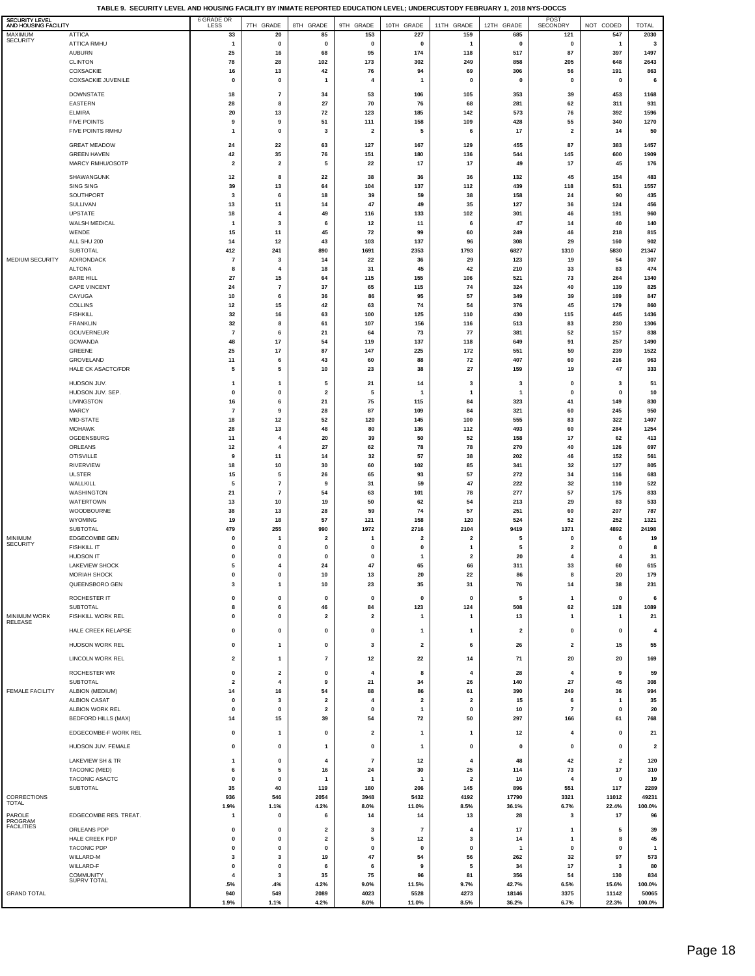**TABLE 9. SECURITY LEVEL AND HOUSING FACILITY BY INMATE REPORTED EDUCATION LEVEL; UNDERCUSTODY FEBRUARY 1, 2018 NYS-DOCCS**

| SECURITY LEVEL<br>AND HOUSING FACILITY |                                           | 6 GRADE OR                             | 7TH GRADE                    | 8TH GRADE                                          | 9TH GRADE                | 10TH GRADE                              | 11TH GRADE                           | 12TH GRADE              | POST<br>SECONDRY              | NOT CODED                 | <b>TOTAL</b>            |
|----------------------------------------|-------------------------------------------|----------------------------------------|------------------------------|----------------------------------------------------|--------------------------|-----------------------------------------|--------------------------------------|-------------------------|-------------------------------|---------------------------|-------------------------|
| MAXIMUM<br><b>SECURITY</b>             | <b>ATTICA</b>                             | 33                                     | 20                           | 85                                                 | 153                      | 227                                     | 159                                  | 685                     | 121                           | 547                       | 2030                    |
|                                        | ATTICA RMHU<br><b>AUBURN</b>              | $\mathbf{1}$<br>25                     | 0<br>16                      | 0<br>68                                            | 0<br>95                  | 0<br>174                                | $\mathbf{1}$<br>118                  | 0<br>517                | 0<br>87                       | $\mathbf{1}$<br>397       | $\mathbf 3$<br>1497     |
|                                        | <b>CLINTON</b>                            | 78                                     | 28                           | 102                                                | 173                      | 302                                     | 249                                  | 858                     | 205                           | 648                       | 2643                    |
|                                        | COXSACKIE<br><b>COXSACKIE JUVENILE</b>    | 16<br>$\mathbf 0$                      | 13<br>$\pmb{0}$              | 42<br>$\mathbf{1}$                                 | 76<br>4                  | 94<br>$\overline{1}$                    | 69<br>$\mathbf 0$                    | 306                     | 56<br>$\mathbf 0$             | 191<br>$\pmb{0}$          | 863                     |
|                                        |                                           |                                        |                              |                                                    |                          |                                         |                                      | 0                       |                               |                           | 6                       |
|                                        | <b>DOWNSTATE</b><br><b>EASTERN</b>        | 18<br>28                               | $\overline{7}$<br>8          | 34<br>27                                           | 53<br>70                 | 106<br>76                               | 105<br>68                            | 353<br>281              | 39<br>62                      | 453<br>311                | 1168<br>931             |
|                                        | <b>ELMIRA</b>                             | 20                                     | 13                           | 72                                                 | 123                      | 185                                     | 142                                  | 573                     | 76                            | 392                       | 1596                    |
|                                        | <b>FIVE POINTS</b><br>FIVE POINTS RMHU    | 9<br>$\mathbf{1}$                      | 9<br>$\pmb{0}$               | 51<br>3                                            | 111<br>$\mathbf 2$       | 158<br>5                                | 109<br>6                             | 428<br>17               | 55<br>$\overline{\mathbf{2}}$ | 340<br>14                 | 1270<br>50              |
|                                        |                                           |                                        |                              |                                                    |                          |                                         |                                      |                         |                               |                           |                         |
|                                        | <b>GREAT MEADOW</b><br><b>GREEN HAVEN</b> | 24<br>42                               | 22<br>35                     | 63<br>76                                           | 127<br>151               | 167<br>180                              | 129<br>136                           | 455<br>544              | 87<br>145                     | 383<br>600                | 1457<br>1909            |
|                                        | MARCY RMHU/OSOTP                          | $\overline{\mathbf{2}}$                | $\overline{\mathbf{2}}$      | 5                                                  | 22                       | 17                                      | 17                                   | 49                      | 17                            | 45                        | 176                     |
|                                        | SHAWANGUNK                                | 12                                     | 8                            | 22                                                 | 38                       | 36                                      | 36                                   | 132                     | 45                            | 154                       | 483                     |
|                                        | SING SING                                 | 39                                     | 13                           | 64                                                 | 104                      | 137                                     | 112                                  | 439                     | 118                           | 531                       | 1557                    |
|                                        | SOUTHPORT<br>SULLIVAN                     | 3<br>13                                | 6<br>11                      | 18<br>14                                           | 39<br>47                 | 59<br>49                                | 38<br>35                             | 158<br>127              | 24<br>36                      | 90<br>124                 | 435<br>456              |
|                                        | <b>UPSTATE</b>                            | 18                                     | $\overline{4}$               | 49                                                 | 116                      | 133                                     | 102                                  | 301                     | 46                            | 191                       | 960                     |
|                                        | WALSH MEDICAL<br>WENDE                    | $\mathbf{1}$<br>15                     | 3<br>11                      | 6<br>45                                            | 12<br>72                 | 11<br>99                                | 6<br>60                              | 47<br>249               | 14<br>46                      | 40<br>218                 | 140<br>815              |
|                                        | ALL SHU 200                               | 14                                     | 12                           | 43                                                 | 103                      | 137                                     | 96                                   | 308                     | 29                            | 160                       | 902                     |
| MEDIUM SECURITY                        | <b>SUBTOTAL</b><br>ADIRONDACK             | 412<br>$\overline{7}$                  | 241<br>3                     | 890<br>14                                          | 1691<br>22               | 2353<br>36                              | 1793<br>29                           | 6827<br>123             | 1310<br>19                    | 5830<br>54                | 21347<br>307            |
|                                        | <b>ALTONA</b>                             | 8                                      | $\overline{4}$               | 18                                                 | 31                       | 45                                      | 42                                   | 210                     | 33                            | 83                        | 474                     |
|                                        | <b>BARE HILL</b>                          | 27                                     | $15\,$                       | 64                                                 | 115                      | 155                                     | 106                                  | 521                     | 73                            | 264                       | 1340                    |
|                                        | <b>CAPE VINCENT</b><br>CAYUGA             | 24<br>10                               | $\overline{7}$<br>6          | 37<br>36                                           | 65<br>86                 | 115<br>95                               | 74<br>57                             | 324<br>349              | 40<br>39                      | 139<br>169                | 825<br>847              |
|                                        | <b>COLLINS</b>                            | 12                                     | 15                           | 42                                                 | 63                       | 74                                      | 54                                   | 376                     | 45                            | 179                       | 860                     |
|                                        | <b>FISHKILL</b><br><b>FRANKLIN</b>        | 32<br>32                               | 16<br>8                      | 63<br>61                                           | 100<br>107               | 125<br>156                              | 110<br>116                           | 430<br>513              | 115<br>83                     | 445<br>230                | 1436<br>1306            |
|                                        | GOUVERNEUR                                | $\overline{7}$                         | 6                            | 21                                                 | 64                       | 73                                      | 77                                   | 381                     | 52                            | 157                       | 838                     |
|                                        | <b>GOWANDA</b>                            | 48                                     | 17                           | 54                                                 | 119                      | 137                                     | 118                                  | 649                     | 91                            | 257                       | 1490                    |
|                                        | GREENE<br>GROVELAND                       | 25<br>11                               | 17<br>6                      | 87<br>43                                           | 147<br>60                | 225<br>88                               | 172<br>72                            | 551<br>407              | 59<br>60                      | 239<br>216                | 1522<br>963             |
|                                        | <b>HALE CK ASACTC/FDR</b>                 | 5                                      | 5                            | 10                                                 | 23                       | 38                                      | 27                                   | 159                     | 19                            | 47                        | 333                     |
|                                        | HUDSON JUV.                               | $\mathbf{1}$                           | $\mathbf{1}$                 | 5                                                  | 21                       | 14                                      | 3                                    | 3                       | $\mathbf 0$                   | 3                         | 51                      |
|                                        | HUDSON JUV. SEP.<br>LIVINGSTON            | $\mathbf 0$<br>16                      | $\pmb{0}$<br>6               | $\overline{\mathbf{2}}$<br>21                      | 5<br>75                  | -1<br>115                               | $\mathbf{1}$<br>84                   | $\mathbf{1}$<br>323     | $\pmb{0}$<br>41               | $\pmb{0}$<br>149          | $10\,$<br>830           |
|                                        | <b>MARCY</b>                              | $\overline{7}$                         | $\boldsymbol{9}$             | 28                                                 | 87                       | 109                                     | 84                                   | 321                     | 60                            | 245                       | 950                     |
|                                        | MID-STATE                                 | 18                                     | 12                           | 52                                                 | 120                      | 145                                     | 100                                  | 555                     | 83                            | 322                       | 1407                    |
|                                        | <b>MOHAWK</b><br>OGDENSBURG               | 28<br>11                               | 13<br>4                      | 48<br>20                                           | 80<br>39                 | 136<br>50                               | 112<br>52                            | 493<br>158              | 60<br>17                      | 284<br>62                 | 1254<br>413             |
|                                        | ORLEANS                                   | 12                                     | 4                            | 27                                                 | 62                       | 78                                      | 78                                   | 270                     | 40                            | 126                       | 697                     |
|                                        | <b>OTISVILLE</b><br><b>RIVERVIEW</b>      | 9<br>18                                | 11<br>10                     | 14<br>30                                           | 32<br>60                 | 57<br>102                               | 38<br>85                             | 202<br>341              | 46<br>32                      | 152<br>127                | 561<br>805              |
|                                        | <b>ULSTER</b>                             | 15                                     | 5                            | 26                                                 | 65                       | 93                                      | 57                                   | 272                     | 34                            | 116                       | 683                     |
|                                        | WALLKILL                                  | 5                                      | $\overline{7}$               | 9                                                  | 31                       | 59                                      | 47                                   | 222                     | 32                            | 110                       | 522                     |
|                                        | WASHINGTON<br><b>WATERTOWN</b>            | 21<br>13                               | $\bf 7$<br>10                | 54<br>19                                           | 63<br>50                 | 101<br>62                               | 78<br>54                             | 277<br>213              | 57<br>29                      | 175<br>83                 | 833<br>533              |
|                                        | WOODBOURNE                                | 38                                     | 13                           | 28                                                 | 59                       | 74                                      | 57                                   | 251                     | 60                            | 207                       | 787                     |
|                                        | WYOMING<br><b>SUBTOTAL</b>                | 19<br>479                              | 18<br>255                    | 57<br>990                                          | 121<br>1972              | 158<br>2716                             | 120<br>2104                          | 524<br>9419             | 52<br>1371                    | 252<br>4892               | 1321<br>24198           |
| <b>MINIMUM</b>                         | <b>EDGECOMBE GEN</b>                      | $\mathbf 0$                            | 1                            | $\overline{\mathbf{2}}$                            | 1                        | $\overline{\mathbf{2}}$                 | $\overline{\mathbf{2}}$              | 5                       | $\mathbf 0$                   | 6                         | 19                      |
| <b>SECURITY</b>                        | <b>FISHKILL IT</b><br><b>HUDSON IT</b>    | $\mathbf 0$                            | $\pmb{0}$                    | $\mathbf 0$                                        | 0                        | $\mathbf{0}$                            | $\mathbf{1}$                         | 5                       | $\overline{\mathbf{2}}$       | $\pmb{0}$                 | 8                       |
|                                        | <b>LAKEVIEW SHOCK</b>                     | $\mathbf 0$<br>5                       | $\pmb{0}$                    | $\mathbf 0$<br>24                                  | 0<br>47                  | $\mathbf{1}$<br>65                      | $\overline{\mathbf{2}}$<br>66        | 20<br>311               | $\overline{\mathbf{4}}$<br>33 | 4<br>60                   | 31<br>615               |
|                                        | MORIAH SHOCK                              | $\mathbf 0$                            | $\pmb{0}$                    | 10                                                 | 13                       | 20                                      | 22                                   | 86                      | 8                             | 20                        | 179                     |
|                                        | QUEENSBORO GEN                            | $\mathbf{3}$                           | $\mathbf{1}$                 | 10                                                 | 23                       | 35                                      | 31                                   | 76                      | 14                            | 38                        | 231                     |
|                                        | ROCHESTER IT<br>SUBTOTAL                  | 0                                      | 0<br>6                       | 0<br>46                                            | 0<br>84                  | 0<br>123                                | 0                                    | 5                       | $\mathbf{1}$                  | 0                         | 6<br>1089               |
| <b>MINIMUM WORK</b>                    | FISHKILL WORK REL                         | 8<br>$\mathbf 0$                       | 0                            | $\overline{\mathbf{2}}$                            | $\overline{\mathbf{2}}$  | 1                                       | 124<br>1                             | 508<br>13               | 62<br>$\mathbf{1}$            | 128<br>1                  | 21                      |
| RELEASE                                | HALE CREEK RELAPSE                        | $\mathbf 0$                            | $\mathbf{0}$                 | $\pmb{0}$                                          | 0                        | $\mathbf{1}$                            | $\mathbf{1}$                         | $\overline{\mathbf{2}}$ | $\mathbf 0$                   | $\pmb{0}$                 | $\overline{4}$          |
|                                        | HUDSON WORK REL                           | $\pmb{0}$                              | 1                            | $\pmb{0}$                                          | 3                        | $\mathbf 2$                             | 6                                    | 26                      | $\overline{\mathbf{2}}$       | 15                        | 55                      |
|                                        | LINCOLN WORK REL                          | $\overline{\mathbf{2}}$                | 1                            | $\overline{7}$                                     | 12                       | 22                                      | 14                                   | 71                      | 20                            | 20                        | 169                     |
|                                        |                                           |                                        |                              |                                                    |                          |                                         |                                      |                         |                               |                           |                         |
|                                        | ROCHESTER WR<br><b>SUBTOTAL</b>           | $\mathbf 0$<br>$\overline{\mathbf{2}}$ | $\overline{\mathbf{2}}$<br>4 | $\pmb{0}$<br>9                                     | 4<br>21                  | 8<br>34                                 | $\overline{4}$<br>26                 | 28<br>140               | $\overline{4}$<br>27          | 9<br>45                   | 59<br>308               |
| <b>FEMALE FACILITY</b>                 | ALBION (MEDIUM)                           | 14                                     | 16                           | 54                                                 | 88                       | 86                                      | 61                                   | 390                     | 249                           | 36                        | 994                     |
|                                        | <b>ALBION CASAT</b><br>ALBION WORK REL    | $\pmb{0}$<br>$\mathbf 0$               | 3<br>$\pmb{0}$               | $\overline{\mathbf{2}}$<br>$\overline{\mathbf{2}}$ | 4<br>0                   | $\overline{\mathbf{2}}$<br>$\mathbf{1}$ | $\overline{\mathbf{2}}$<br>$\pmb{0}$ | 15<br>10                | 6<br>$\overline{7}$           | $\mathbf{1}$<br>$\pmb{0}$ | 35<br>20                |
|                                        | <b>BEDFORD HILLS (MAX)</b>                | 14                                     | 15                           | 39                                                 | 54                       | 72                                      | 50                                   | 297                     | 166                           | 61                        | 768                     |
|                                        | EDGECOMBE-F WORK REL                      | 0                                      | $\mathbf{1}$                 | $\mathbf 0$                                        | $\overline{\mathbf{2}}$  | 1                                       | $\mathbf{1}$                         | 12                      | 4                             | 0                         | 21                      |
|                                        | HUDSON JUV. FEMALE                        | $\pmb{0}$                              | $\pmb{0}$                    | $\mathbf{1}$                                       | 0                        | $\mathbf{1}$                            | 0                                    | 0                       | $\pmb{0}$                     | $\mathbf 0$               | $\overline{\mathbf{2}}$ |
|                                        | LAKEVIEW SH & TR                          | $\mathbf{1}$                           | 0                            | $\overline{4}$                                     | $\overline{\phantom{a}}$ | 12                                      | $\overline{4}$                       | 48                      | 42                            | 2                         | 120                     |
|                                        | TACONIC (MED)                             | 6                                      | 5                            | 16                                                 | 24                       | 30                                      | 25                                   | 114                     | 73                            | 17                        | 310                     |
|                                        | TACONIC ASACTC                            | $\mathbf 0$                            | 0<br>40                      | -1                                                 | $\mathbf{1}$             | -1                                      | $\overline{2}$<br>145                | 10                      | $\overline{\bf{4}}$           | 0<br>117                  | 19<br>2289              |
| CORRECTIONS                            | SUBTOTAL                                  | 35<br>936                              | 546                          | 119<br>2054                                        | 180<br>3948              | 206<br>5432                             | 4192                                 | 896<br>17790            | 551<br>3321                   | 11012                     | 49231                   |
| TOTAL                                  |                                           | 1.9%                                   | 1.1%                         | 4.2%                                               | 8.0%                     | 11.0%                                   | 8.5%                                 | 36.1%                   | 6.7%                          | 22.4%                     | 100.0%                  |
| PAROLE<br>PROGRAM<br><b>FACILITIES</b> | EDGECOMBE RES. TREAT.                     | $\mathbf{1}$                           | $\pmb{0}$                    | 6                                                  | 14                       | 14                                      | 13                                   | 28                      | 3                             | 17                        | 96                      |
|                                        | ORLEANS PDP<br>HALE CREEK PDP             | $\pmb{0}$<br>$\pmb{0}$                 | $\pmb{0}$<br>0               | $\overline{\mathbf{2}}$<br>$\mathbf 2$             | 3<br>5                   | $\overline{\phantom{a}}$<br>12          | $\overline{4}$<br>3                  | 17<br>14                | 1<br>$\mathbf{1}$             | 5<br>8                    | 39<br>45                |
|                                        | <b>TACONIC PDP</b>                        | 0                                      | 0                            | 0                                                  | 0                        | 0                                       | 0                                    | $\mathbf{1}$            | 0                             | 0                         | $\mathbf{1}$            |
|                                        | WILLARD-M                                 | 3                                      | 3                            | 19                                                 | 47                       | 54                                      | 56                                   | 262                     | 32                            | 97                        | 573                     |
|                                        | WILLARD-F<br>COMMUNITY                    | 0<br>$\overline{4}$                    | 0<br>3                       | 6<br>35                                            | 6<br>75                  | 9<br>96                                 | 5<br>81                              | 34<br>356               | 17<br>54                      | 3<br>130                  | 80<br>834               |
|                                        | SUPRV TOTAL                               | .5%                                    | .4%                          | 4.2%                                               | 9.0%                     | 11.5%                                   | 9.7%                                 | 42.7%                   | 6.5%                          | 15.6%                     | 100.0%                  |
| <b>GRAND TOTAL</b>                     |                                           | 940<br>1.9%                            | 549<br>1.1%                  | 2089<br>4.2%                                       | 4023<br>8.0%             | 5528<br>11.0%                           | 4273<br>8.5%                         | 18146<br>36.2%          | 3375<br>6.7%                  | 11142<br>22.3%            | 50065<br>100.0%         |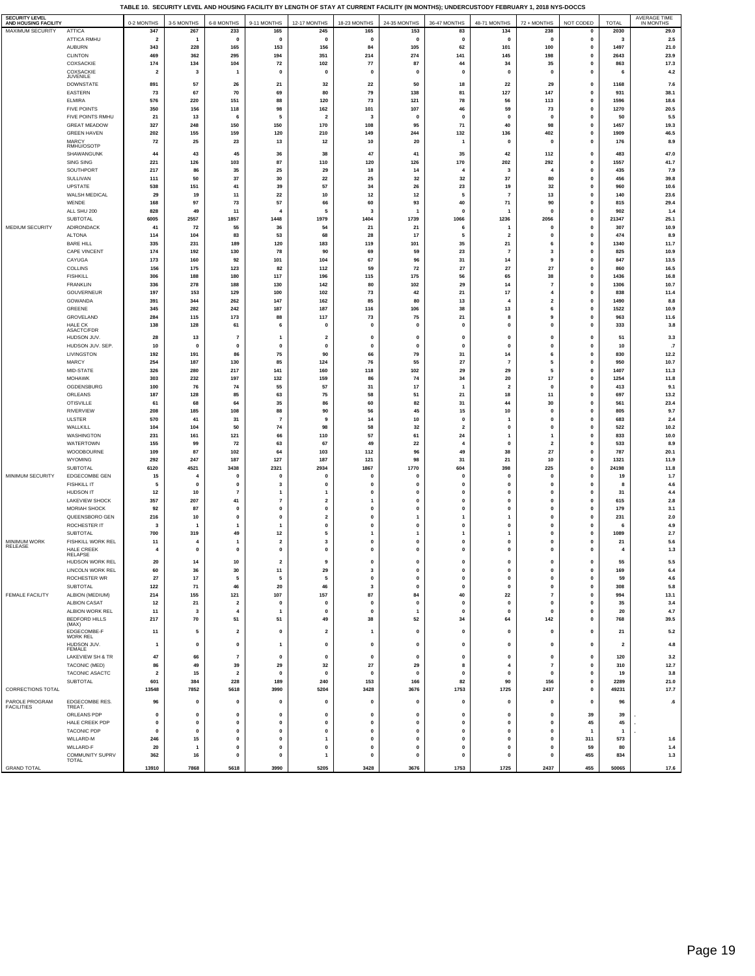**TABLE 10. SECURITY LEVEL AND HOUSING FACILITY BY LENGTH OF STAY AT CURRENT FACILITY (IN MONTHS); UNDERCUSTODY FEBRUARY 1, 2018 NYS-DOCCS**

| <b>SECURITY LEVEL</b><br>AND HOUSING FACILITY |                                   | 0-2 MONTHS              | 3-5 MONTHS              | 6-8 MONTHS                  | 9-11 MONTHS               | 12-17 MONTHS                   | 18-23 MONTHS             | 24-35 MONTHS                | 36-47 MONTHS                | 48-71 MONTHS                 | 72 + MONTHS                      | NOT CODED                   | TOTAL                   | AVERAGE TIME<br>IN MONTHS |
|-----------------------------------------------|-----------------------------------|-------------------------|-------------------------|-----------------------------|---------------------------|--------------------------------|--------------------------|-----------------------------|-----------------------------|------------------------------|----------------------------------|-----------------------------|-------------------------|---------------------------|
| MAXIMUM SECURITY                              | <b>ATTICA</b>                     | 347                     | 267                     | 233                         | 165                       | 245                            | 165                      | 153                         | 83                          | 134                          | 238                              | $\mathbf 0$                 | 2030                    | 29.0                      |
|                                               | ATTICA RMHU                       | $\overline{\mathbf{2}}$ | 1                       | $\mathbf{0}$                | $\mathbf{0}$              | $\mathbf 0$                    | 0                        | $\mathbf{0}$                | $\mathbf 0$                 | $\mathbf 0$                  | $\mathbf{0}$                     | $\mathbf 0$                 | 3                       | 2.5                       |
|                                               | AUBURN                            | 343                     | 228                     | 165                         | 153                       | 156                            | 84                       | 105                         | 62                          | 101                          | 100                              | $\mathbf 0$                 | 1497                    | 21.0                      |
|                                               | <b>CLINTON</b><br>COXSACKIE       | 469<br>174              | 362<br>134              | 295<br>104                  | 194<br>72                 | 351<br>102                     | 214<br>77                | 274<br>87                   | 141<br>44                   | 145<br>34                    | 198<br>35                        | $\mathbf{0}$<br>0           | 2643<br>863             | 23.9<br>17.3              |
|                                               | COXSACKIE                         | $\overline{2}$          | 3                       | -1                          | $\mathbf 0$               | $\mathbf 0$                    | $\mathbf 0$              | $\mathbf{0}$                | $\mathbf 0$                 | $\mathbf 0$                  | $\mathbf 0$                      | $\mathbf{0}$                | 6                       | 4.2                       |
|                                               | JUVENILE<br><b>DOWNSTATE</b>      | 891                     | 57                      | 26                          |                           | 32                             |                          | 50                          |                             |                              | 29                               | $\mathbf 0$                 |                         |                           |
|                                               | EASTERN                           | 73                      | 67                      | 70                          | 21<br>69                  | 80                             | 22<br>79                 | 138                         | 18<br>81                    | 22<br>127                    | 147                              | $\mathbf{0}$                | 1168<br>931             | 7.6<br>38.1               |
|                                               | <b>ELMIRA</b>                     | 576                     | 220                     | 151                         | 88                        | 120                            | 73                       | 121                         | 78                          | 56                           | 113                              | $\mathbf 0$                 | 1596                    | 18.6                      |
|                                               | <b>FIVE POINTS</b>                | 350                     | 156                     | 118                         | 98                        | 162                            | 101                      | 107                         | 46                          | 59                           | 73                               | $\mathbf{0}$                | 1270                    | 20.5                      |
|                                               | FIVE POINTS RMHU                  | 21                      | 13                      |                             | 5                         | $\overline{2}$                 | $\mathbf{3}$             | $\Omega$                    | $\mathbf 0$                 | $\Omega$                     | $\mathbf{0}$                     | 0                           | 50                      | 5.5                       |
|                                               | <b>GREAT MEADOW</b>               | 327                     | 248                     | 150                         | 150                       | 170                            | 108                      | 95                          | 71                          | 40                           | 98                               | $\mathbf 0$                 | 1457                    | 19.3                      |
|                                               | <b>GREEN HAVEN</b><br>MARCY       | 202<br>72               | 155<br>25               | 159<br>23                   | 120<br>13                 | 210<br>12                      | 149<br>10                | 244<br>20                   | 132<br>$\mathbf{1}$         | 136<br>$\mathbf{0}$          | 402<br>$\pmb{0}$                 | $\mathbf 0$<br>$\pmb{0}$    | 1909<br>176             | 46.5<br>8.9               |
|                                               | RMHU/OSOTP                        |                         |                         |                             |                           |                                |                          |                             |                             |                              |                                  |                             |                         |                           |
|                                               | SHAWANGUNK                        | 44                      | 43<br>126               | 45                          | 36<br>87                  | 38                             | 47<br>120                | 41<br>126                   | 35<br>170                   | 42<br>202                    | 112<br>292                       | $\mathbf 0$<br>$\mathbf 0$  | 483<br>1557             | 47.0<br>41.7              |
|                                               | SING SING<br>SOUTHPORT            | 221<br>217              | 86                      | 103<br>35                   | 25                        | 110<br>29                      | 18                       | 14                          |                             | $\mathbf{3}$                 | $\overline{\bf{4}}$              | 0                           | 435                     | 7.9                       |
|                                               | SULLIVAN                          | 111                     | 50                      | 37                          | 30                        | 22                             | 25                       | 32                          | 32                          | 37                           | 80                               | 0                           | 456                     | 39.8                      |
|                                               | <b>UPSTATE</b>                    | 538                     | 151                     | 41                          | 39                        | 57                             | 34                       | 26                          | 23                          | 19                           | 32                               | $\pmb{0}$                   | 960                     | 10.6                      |
|                                               | WALSH MEDICAL                     | 29                      | 19                      | 11                          | 22                        | 10                             | $12$                     | 12                          | 5                           | $\overline{7}$               | 13                               | $\mathbf 0$                 | 140                     | 23.6                      |
|                                               | WENDE                             | 168                     | 97                      | 73                          | 57                        | 66                             | 60                       | 93                          | 40                          | ${\bf 71}$                   | 90                               | $\mathbf 0$                 | 815                     | 29.4                      |
|                                               | ALL SHU 200<br>SUBTOTAL           | 828<br>6005             | 49<br>2557              | 11<br>1857                  | 1448                      | 5<br>1979                      | 3<br>1404                | 1739                        | $\mathbf 0$<br>1066         | 1236                         | $\Omega$<br>2056                 | $\mathbf 0$<br>$\mathbf 0$  | 902<br>21347            | 1.4<br>25.1               |
| MEDIUM SECURITY                               | ADIRONDACK                        | 41                      | 72                      | 55                          | 36                        | 54                             | 21                       | 21                          | -6                          |                              | $\mathbf 0$                      | $\mathbf{0}$                | 307                     | 10.9                      |
|                                               | <b>ALTONA</b>                     | 114                     | 104                     | 83                          | 53                        | 68                             | 28                       | 17                          |                             | $\overline{\mathbf{2}}$      | 0                                | 0                           | 474                     | 8.9                       |
|                                               | <b>BARE HILL</b>                  | 335                     | 231                     | 189                         | 120                       | 183                            | 119                      | 101                         | 35                          | 21                           | 6                                | $\mathbf 0$                 | 1340                    | 11.7                      |
|                                               | <b>CAPE VINCENT</b>               | 174                     | 192                     | 130                         | 78                        | 90                             | 69                       | 59                          | 23                          | $\overline{7}$               | 3                                | $\mathbf 0$                 | 825                     | 10.9                      |
|                                               | CAYUGA<br>COLLINS                 | 173<br>156              | 160<br>175              | 92<br>123                   | 101<br>82                 | 104<br>112                     | 67<br>59                 | 96<br>72                    | 31<br>27                    | 14<br>27                     | 9<br>27                          | $\mathbf 0$                 | 847<br>860              | 13.5                      |
|                                               | <b>FISHKILL</b>                   | 306                     | 188                     | 180                         | 117                       | 196                            | 115                      | 175                         | 56                          | 65                           | 38                               | $\pmb{0}$<br>$\pmb{0}$      | 1436                    | 16.5<br>16.8              |
|                                               | <b>FRANKLIN</b>                   | 336                     | 278                     | 188                         | 130                       | 142                            | 80                       | 102                         | 29                          | 14                           | $\overline{7}$                   | $\mathbf{0}$                | 1306                    | 10.7                      |
|                                               | <b>GOUVERNEUR</b>                 | 197                     | 153                     | 129                         | 100                       | 102                            | 73                       | 42                          | 21                          | 17                           | $\overline{\bf{4}}$              | $\mathbf 0$                 | 838                     | 11.4                      |
|                                               | GOWANDA                           | 391                     | 344                     | 262                         | 147                       | 162                            | 85                       | 80                          | 13                          | $\overline{4}$               | $\overline{\mathbf{2}}$          | $\mathbf 0$                 | 1490                    | 8.8                       |
|                                               | GREENE                            | 345                     | 282                     | 242                         | 187                       | 187                            | 116                      | 106                         | 38                          | 13                           | 6                                | $\pmb{0}$                   | 1522                    | 10.9                      |
|                                               | GROVELAND<br><b>HALE CK</b>       | 284<br>138              | 115<br>128              | 173                         | 88<br>-6                  | 117<br>$\mathbf{0}$            | 73<br>$\mathbf 0$        | 75<br>$\mathbf{0}$          | 21<br>$\mathbf 0$           | 8<br>$\mathbf{0}$            | 9<br>$\mathbf{0}$                | $\mathbf 0$<br>$\mathbf{0}$ | 963<br>333              | 11.6<br>3.8               |
|                                               | ASACTC/FDR                        |                         |                         | 61                          |                           |                                |                          |                             |                             |                              |                                  |                             |                         |                           |
|                                               | HUDSON JUV.                       | 28                      | 13                      | $\overline{7}$              | $\mathbf{1}$              | $\overline{2}$                 | $\mathbf{0}$             | $\mathbf{0}$                | $\mathbf{0}$                | $\mathbf{0}$                 | $\pmb{0}$                        | $\mathbf 0$                 | 51                      | 3.3                       |
|                                               | HUDSON JUV. SEP.                  | 10                      | $\mathbf 0$             | $\mathbf{0}$                | $\mathbf{0}$              | $\mathbf 0$                    | $\mathbf 0$              | $\Omega$                    | $\mathbf 0$                 | $\mathbf{0}$                 | $\mathbf{0}$                     | 0                           | 10                      | .7                        |
|                                               | LIVINGSTON<br>MARCY               | 192<br>254              | 191<br>187              | 86<br>130                   | 75<br>85                  | 90<br>124                      | 66<br>76                 | 79<br>55                    | 31<br>27                    | 14<br>$\overline{7}$         | 6<br>5                           | $\mathbf 0$<br>$\mathbf{0}$ | 830<br>950              | 12.2<br>10.7              |
|                                               | MID-STATE                         | 326                     | 280                     | 217                         | 141                       | 160                            | 118                      | 102                         | 29                          | 29                           | 5                                | $\mathbf 0$                 | 1407                    | 11.3                      |
|                                               | <b>MOHAWK</b>                     | 303                     | 232                     | 197                         | 132                       | 159                            | 86                       | 74                          | 34                          | 20                           | $17\,$                           | $\mathbf 0$                 | 1254                    | 11.8                      |
|                                               | OGDENSBURG                        | 100                     | 76                      | 74                          | 55                        | 57                             | 31                       | 17                          |                             | $\overline{2}$               | $\mathbf{0}$                     | $\mathbf 0$                 | 413                     | 9.1                       |
|                                               | ORLEANS                           | 187                     | 128                     | 85                          | 63                        | 75                             | 58                       | 51                          | 21                          | 18                           | 11                               | $\mathbf 0$                 | 697                     | 13.2                      |
|                                               | <b>OTISVILLE</b>                  | 61                      | 68                      | 64                          | 35                        | 86                             | 60                       | 82<br>45                    | 31                          | 44                           | 30<br>$\pmb{0}$                  | $\mathbf{0}$<br>0           | 561                     | 23.4                      |
|                                               | <b>RIVERVIEW</b><br><b>ULSTER</b> | 208<br>570              | 185<br>41               | 108<br>31                   | 88<br>$\overline{7}$      | 90<br>9                        | 56<br>14                 | 10                          | 15<br>$\mathbf{0}$          | 10                           | $\mathbf{0}$                     | 0                           | 805<br>683              | 9.7<br>2.4                |
|                                               | WALLKILL                          | 104                     | 104                     | 50                          | 74                        | 98                             | 58                       | 32                          | $\overline{\mathbf{2}}$     | $\mathbf{0}$                 | $\mathbf{0}$                     | $\mathbf 0$                 | 522                     | 10.2                      |
|                                               | WASHINGTON                        | 231                     | 161                     | 121                         | 66                        | 110                            | 57                       | 61                          | 24                          | $\mathbf{1}$                 | $\mathbf{1}$                     | 0                           | 833                     | 10.0                      |
|                                               | <b>WATERTOWN</b>                  | 155                     | 99                      | 72                          | 63                        | 67                             | 49                       | 22                          | 4                           | $\mathbf 0$                  | $\overline{2}$                   | $\mathbf{0}$                | 533                     | 8.9                       |
|                                               | WOODBOURNE                        | 109                     | 87                      | 102                         | 64                        | 103                            | 112                      | 96                          | 49                          | 38                           | 27                               | 0                           | 787                     | 20.1                      |
|                                               | WYOMING<br><b>SUBTOTAL</b>        | 292<br>6120             | 247<br>4521             | 187<br>3438                 | 127<br>2321               | 187<br>2934                    | 121<br>1867              | 98<br>1770                  | 31<br>604                   | 21<br>398                    | 10<br>225                        | $\mathbf 0$<br>$\mathbf 0$  | 1321<br>24198           | 11.9<br>11.8              |
| MINIMUM SECURITY                              | EDGECOMBE GEN                     | 15                      | 4                       | $\mathbf{0}$                | $\mathbf{0}$              | $\mathbf{0}$                   | $\mathbf{0}$             | $\mathbf{0}$                | $\mathbf{0}$                | $\mathbf{0}$                 | $\mathbf{0}$                     | $\mathbf 0$                 | 19                      | 1.7                       |
|                                               | <b>FISHKILL IT</b>                | 5                       | c                       | $\mathbf{0}$                | 3                         | $\mathbf 0$                    | $\mathbf 0$              | $\mathbf 0$                 | $\mathbf 0$                 | $\mathbf 0$                  | $\mathbf{0}$                     | $\mathbf{0}$                | 8                       | 4.6                       |
|                                               | HUDSON IT                         | 12                      | 10                      | $\overline{7}$              | $\mathbf{1}$              | $\mathbf{1}$                   | $\mathbf{0}$             | $\mathbf{0}$                | $\pmb{0}$                   | $\mathbf{0}$                 | $\pmb{0}$                        | 0                           | 31                      | 4.4                       |
|                                               | <b>LAKEVIEW SHOCK</b>             | 357                     | 207                     | 41                          | $\overline{\mathbf{z}}$   | $\overline{2}$                 | -1                       | $\mathbf 0$                 | $\mathbf{0}$                | $\mathbf{0}$                 | $\mathbf{0}$                     | $\mathbf{0}$                | 615                     | 2.8                       |
|                                               | MORIAH SHOCK<br>QUEENSBORO GEN    | 92<br>216               | 87<br>10                | $\mathbf 0$<br>$\mathbf{0}$ | $\mathbf 0$<br>$\pmb{0}$  | $\mathbf{0}$<br>$\overline{2}$ | 0<br>$\mathbf 0$         | $\mathbf 0$                 | $\mathbf 0$<br>$\mathbf{1}$ | $\mathbf{0}$                 | $\mathbf 0$<br>$\pmb{0}$         | $\mathbf 0$<br>$\mathbf 0$  | 179<br>231              | 3.1<br>$2.0\,$            |
|                                               | ROCHESTER IT                      | $\mathbf{3}$            |                         |                             | $\overline{1}$            | $\mathbf{0}$                   | $\mathbf 0$              | $\mathbf 0$                 | $\mathbf{0}$                | $\mathbf{0}$                 | $\mathbf{0}$                     | 0                           |                         | 4.9                       |
|                                               | SUBTOTAL                          | 700                     | 319                     | 49                          | 12                        | 5                              | 1                        | 1                           | $\mathbf{1}$                | $\mathbf{1}$                 | $\pmb{0}$                        | 0                           | 1089                    | 2.7                       |
| MINIMUM WORK<br>RELEASE                       | FISHKILL WORK REL                 | 11                      | 4                       | -1                          | $\overline{2}$            | 3                              | $\mathbf 0$              | $\mathbf 0$                 | $\mathbf{0}$                | $\mathbf{0}$                 | $\mathbf{0}$                     | $\mathbf{0}$                | 21                      | 5.6                       |
|                                               | HALE CREEK<br><b>RELAPSE</b>      | 4                       | $\mathbf 0$             | $\mathbf 0$                 | $\pmb{0}$                 | $\mathbf{0}$                   | 0                        | $\mathbf 0$                 | 0                           | $\mathbf{0}$                 | $\mathbf{0}$                     | 0                           | 4                       | 1.3                       |
|                                               | HUDSON WORK REL                   | 20                      | 14                      | 10                          | $\overline{\mathbf{c}}$   | 9                              | $\Omega$                 | $\Omega$                    | 0                           | $\Omega$                     | $\Omega$                         | 0                           | 55                      | 5.5                       |
|                                               | LINCOLN WORK REL                  | 60                      | 36                      | 30                          | 11                        | 29                             | 3                        | $\pmb{0}$                   | $\pmb{0}$                   | $\pmb{0}$                    | $\pmb{0}$                        | $\mathbf 0$                 | 169                     | 6.4                       |
|                                               | ROCHESTER WR                      | 27                      | 17                      | 5                           | 5                         | 5                              | $\mathbf 0$              | $\pmb{\mathsf{o}}$          | $\pmb{0}$                   | $\pmb{0}$                    | $\mathbf 0$                      | $\pmb{0}$                   | 59                      | 4.6                       |
| FEMALE FACILITY                               | SUBTOTAL<br>ALBION (MEDIUM)       | 122<br>214              | 71<br>155               | 46<br>121                   | 20<br>107                 | 46<br>157                      | $\mathbf{3}$<br>87       | $\pmb{0}$<br>84             | $\pmb{0}$<br>40             | $\pmb{0}$<br>22              | $\pmb{0}$<br>$\scriptstyle\rm 7$ | $\pmb{0}$<br>$\mathbf 0$    | 308<br>994              | 5.8<br>13.1               |
|                                               | ALBION CASAT                      | $12$                    | 21                      | $\overline{\mathbf{2}}$     | $\mathbf{0}$              | $\mathbf{0}$                   | $\mathbf 0$              | $\Omega$                    | $\mathbf 0$                 | $\mathbf{0}$                 | $\mathbf{0}$                     | 0                           | 35                      | 3.4                       |
|                                               | ALBION WORK REL                   | 11                      | $\overline{\mathbf{3}}$ | $\overline{4}$              | $\mathbf{1}$              | $\pmb{0}$                      | $\pmb{0}$                | $\overline{1}$              | $\pmb{0}$                   | $\mathbf{0}$                 | $\pmb{0}$                        | 0                           | 20                      | 4.7                       |
|                                               | <b>BEDFORD HILLS</b>              | 217                     | 70                      | 51                          | 51                        | 49                             | 38                       | 52                          | 34                          | 64                           | 142                              | $\pmb{0}$                   | 768                     | 39.5                      |
|                                               | (MAX)<br>EDGECOMBE-F              | 11                      | 5                       | $\overline{\mathbf{2}}$     | $\pmb{0}$                 | $\overline{\mathbf{2}}$        | 1                        | $\pmb{0}$                   | $\pmb{0}$                   | $\mathbf{0}$                 | $\pmb{0}$                        | $\mathbf 0$                 | 21                      | 5.2                       |
|                                               | WORK REL                          |                         |                         |                             |                           |                                |                          |                             |                             |                              |                                  |                             |                         |                           |
|                                               | HUDSON JUV.<br>FEMALE             | $\mathbf{1}$            | 0                       | $\pmb{0}$                   | $\mathbf{1}$              | $\pmb{0}$                      | $\pmb{0}$                | $\pmb{0}$                   | $\pmb{0}$                   | $\pmb{0}$                    | $\pmb{0}$                        | 0                           | $\overline{\mathbf{2}}$ | 4.8                       |
|                                               | LAKEVIEW SH & TR                  | 47                      | 66                      | $\overline{7}$              | $\mathbf{0}$              | $\mathbf{0}$                   | $\mathbf 0$              | $\mathbf 0$                 | $\pmb{0}$                   | $\pmb{0}$                    | $\pmb{0}$                        | 0                           | 120                     | 3.2                       |
|                                               | TACONIC (MED)                     | 86                      | 49                      | 39                          | 29                        | 32                             | 27                       | 29                          | 8                           | $\overline{4}$               | $\scriptstyle\rm 7$              | 0                           | 310                     | 12.7                      |
|                                               | TACONIC ASACTC<br>SUBTOTAL        | $\overline{2}$<br>601   | 15<br>384               | $\overline{2}$<br>228       | $\mathbf{0}$<br>189       | $\mathbf{0}$<br>240            | $\mathbf 0$<br>153       | $\mathbf{0}$<br>166         | $\mathbf{0}$<br>82          | $\mathbf{0}$<br>90           | $\mathbf{0}$<br>156              | 0<br>$\pmb{0}$              | 19                      | 3.8<br>21.0               |
| CORRECTIONS TOTAL                             |                                   | 13548                   | 7852                    | 5618                        | 3990                      | 5204                           | 3428                     | 3676                        | 1753                        | 1725                         | 2437                             | $\pmb{0}$                   | 2289<br>49231           | 17.7                      |
|                                               |                                   |                         |                         |                             |                           |                                |                          |                             |                             |                              |                                  |                             |                         |                           |
| PAROLE PROGRAM<br><b>FACILITIES</b>           | EDGECOMBE RES.<br>TREAT.          | 96                      | 0                       | $\pmb{0}$                   | $\pmb{0}$                 | $\pmb{0}$                      | $\pmb{0}$                | $\pmb{0}$                   | $\pmb{0}$                   | $\pmb{0}$                    | $\pmb{0}$                        | $\mathbf 0$                 | 96                      | $\overline{\mathbf{6}}$   |
|                                               | ORLEANS PDP                       | $\pmb{0}$               | $\mathbf 0$             | $\mathbf{0}$                | $\pmb{0}$                 | $\mathbf{0}$                   | $\pmb{0}$                | $\mathbf{0}$                | $\pmb{0}$                   | $\mathbf{0}$                 | $\pmb{0}$                        | 39                          | 39                      |                           |
|                                               | HALE CREEK PDP                    | $\mathbf{0}$            | $\mathbf 0$             | $\mathbf 0$                 | $\pmb{0}$                 | $\mathbf{0}$                   | $\mathbf 0$              | $\mathbf 0$                 | $\mathbf{0}$                | $\mathbf{0}$                 | $\mathbf{0}$                     | 45                          | 45                      |                           |
|                                               | <b>TACONIC PDP</b>                | $\pmb{0}$               | 0                       | $\pmb{0}$                   | $\pmb{0}$                 | $\pmb{0}$                      | $\pmb{0}$                | $\pmb{0}$                   | $\pmb{0}$                   | $\pmb{0}$                    | $\pmb{0}$                        | $\overline{1}$              | $\mathbf{1}$            |                           |
|                                               | WILLARD-M<br>WILLARD-F            | 246<br>20               | 15<br>$\mathbf{1}$      | $\mathbf 0$<br>$\mathbf{0}$ | $\pmb{0}$<br>$\mathbf{0}$ | $\mathbf{1}$<br>$\mathbf{0}$   | $\pmb{0}$<br>$\mathbf 0$ | $\mathbf{0}$<br>$\mathbf 0$ | $\pmb{0}$<br>$\mathbf{0}$   | $\mathbf{0}$<br>$\mathbf{0}$ | $\pmb{0}$<br>$\mathbf{0}$        | 311<br>59                   | 573<br>80               | $1.6$<br>1.4              |
|                                               | COMMUNITY SUPRV                   | 362                     | 16                      | $\pmb{\mathsf{o}}$          | $\pmb{0}$                 | $\mathbf{1}$                   | $\pmb{0}$                | $\mathbf 0$                 | $\pmb{0}$                   | $\mathbf{0}$                 | $\pmb{0}$                        | 455                         | 834                     | 1.3                       |
|                                               | TOTAL                             |                         |                         |                             |                           |                                |                          |                             |                             |                              |                                  |                             |                         |                           |
| <b>GRAND TOTAL</b>                            |                                   | 13910                   | 7868                    | 5618                        | 3990                      | 5205                           | 3428                     | 3676                        | 1753                        | 1725                         | 2437                             | 455                         | 50065                   | 17.6                      |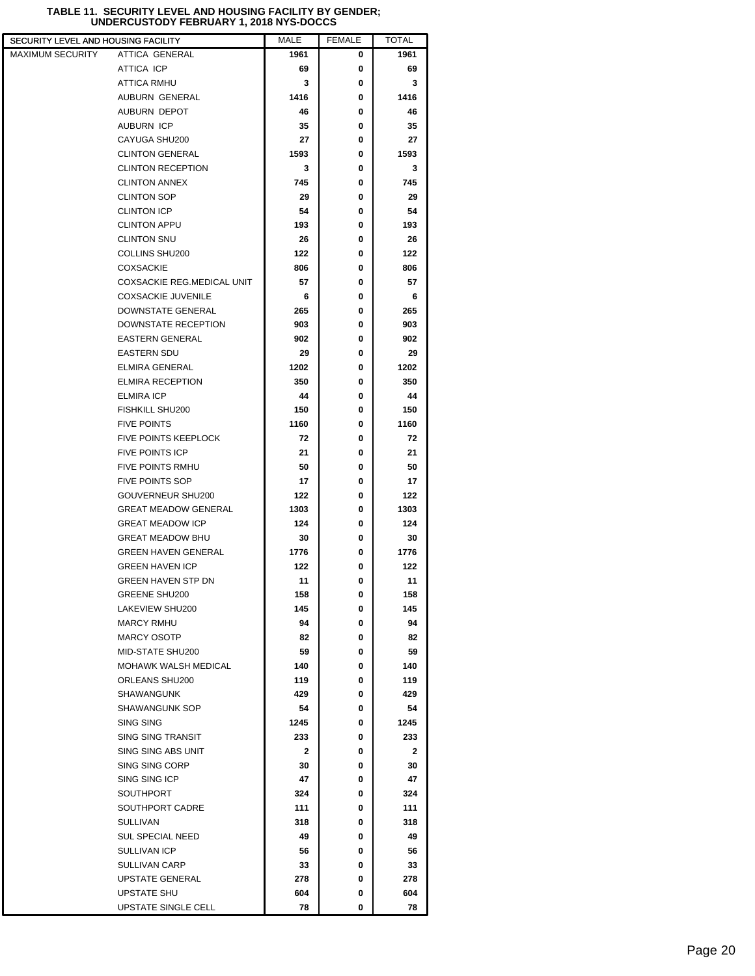| SECURITY LEVEL AND HOUSING FACILITY |                                   | <b>MALE</b>  | <b>FEMALE</b> | <b>TOTAL</b> |
|-------------------------------------|-----------------------------------|--------------|---------------|--------------|
| <b>MAXIMUM SECURITY</b>             | <b>ATTICA GENERAL</b>             | 1961         | 0             | 1961         |
|                                     | ATTICA ICP                        | 69           | 0             | 69           |
|                                     | <b>ATTICA RMHU</b>                | 3            | 0             | 3            |
|                                     | AUBURN GENERAL                    | 1416         | 0             | 1416         |
|                                     | AUBURN DEPOT                      | 46           | 0             | 46           |
|                                     | <b>AUBURN ICP</b>                 | 35           | 0             | 35           |
|                                     | CAYUGA SHU200                     | 27           | 0             | 27           |
|                                     | <b>CLINTON GENERAL</b>            | 1593         | 0             | 1593         |
|                                     | <b>CLINTON RECEPTION</b>          | 3            | 0             | 3            |
|                                     | <b>CLINTON ANNEX</b>              | 745          | 0             | 745          |
|                                     | <b>CLINTON SOP</b>                | 29           | 0             | 29           |
|                                     | <b>CLINTON ICP</b>                | 54           | 0             | 54           |
|                                     | <b>CLINTON APPU</b>               | 193          | 0             | 193          |
|                                     | <b>CLINTON SNU</b>                | 26           | 0             | 26           |
|                                     | COLLINS SHU200                    | 122          | 0             | 122          |
|                                     | <b>COXSACKIE</b>                  | 806          | 0             | 806          |
|                                     | <b>COXSACKIE REG.MEDICAL UNIT</b> | 57           | 0             | 57           |
|                                     | <b>COXSACKIE JUVENILE</b>         | 6            | 0             | 6            |
|                                     | DOWNSTATE GENERAL                 | 265          | 0             | 265          |
|                                     | DOWNSTATE RECEPTION               | 903          | 0             | 903          |
|                                     | <b>EASTERN GENERAL</b>            | 902          | 0             | 902          |
|                                     | <b>EASTERN SDU</b>                | 29           | 0             | 29           |
|                                     | <b>ELMIRA GENERAL</b>             | 1202         | 0             | 1202         |
|                                     | <b>ELMIRA RECEPTION</b>           | 350          | 0             | 350          |
|                                     |                                   | 44           |               |              |
|                                     | <b>ELMIRA ICP</b>                 |              | 0             | 44           |
|                                     | FISHKILL SHU200                   | 150          | 0             | 150          |
|                                     | <b>FIVE POINTS</b>                | 1160         | 0             | 1160         |
|                                     | <b>FIVE POINTS KEEPLOCK</b>       | 72           | 0             | 72           |
|                                     | FIVE POINTS ICP                   | 21           | 0             | 21           |
|                                     | <b>FIVE POINTS RMHU</b>           | 50           | 0             | 50           |
|                                     | <b>FIVE POINTS SOP</b>            | 17           | 0             | 17           |
|                                     | GOUVERNEUR SHU200                 | 122          | 0             | 122          |
|                                     | <b>GREAT MEADOW GENERAL</b>       | 1303         | 0             | 1303         |
|                                     | <b>GREAT MEADOW ICP</b>           | 124          | 0             | 124          |
|                                     | <b>GREAT MEADOW BHU</b>           | 30           | 0             | 30           |
|                                     | <b>GREEN HAVEN GENERAL</b>        | 1776         | 0             | 1776         |
|                                     | <b>GREEN HAVEN ICP</b>            | 122          | 0             | 122          |
|                                     | <b>GREEN HAVEN STP DN</b>         | 11           | 0             | 11           |
|                                     | <b>GREENE SHU200</b>              | 158          | 0             | 158          |
|                                     | LAKEVIEW SHU200                   | 145          | 0             | 145          |
|                                     | <b>MARCY RMHU</b>                 | 94           | 0             | 94           |
|                                     | <b>MARCY OSOTP</b>                | 82           | 0             | 82           |
|                                     | MID-STATE SHU200                  | 59           | 0             | 59           |
|                                     | MOHAWK WALSH MEDICAL              | 140          | 0             | 140          |
|                                     | ORLEANS SHU200                    | 119          | 0             | 119          |
|                                     | <b>SHAWANGUNK</b>                 | 429          | 0             | 429          |
|                                     | SHAWANGUNK SOP                    | 54           | 0             | 54           |
|                                     | SING SING                         | 1245         | 0             | 1245         |
|                                     | <b>SING SING TRANSIT</b>          | 233          | 0             | 233          |
|                                     | SING SING ABS UNIT                | $\mathbf{2}$ | 0             | 2            |
|                                     | SING SING CORP                    | 30           | 0             | 30           |
|                                     | SING SING ICP                     | 47           | 0             | 47           |
|                                     | <b>SOUTHPORT</b>                  | 324          | 0             | 324          |
|                                     | SOUTHPORT CADRE                   | 111          | 0             | 111          |
|                                     | <b>SULLIVAN</b>                   | 318          | 0             | 318          |
|                                     | <b>SUL SPECIAL NEED</b>           | 49           | 0             | 49           |
|                                     | SULLIVAN ICP                      | 56           | 0             | 56           |
|                                     | <b>SULLIVAN CARP</b>              | 33           | 0             | 33           |
|                                     | <b>UPSTATE GENERAL</b>            | 278          | 0             | 278          |
|                                     | UPSTATE SHU                       | 604          | 0             | 604          |
|                                     |                                   |              |               |              |
|                                     | UPSTATE SINGLE CELL               | 78           | 0             | 78           |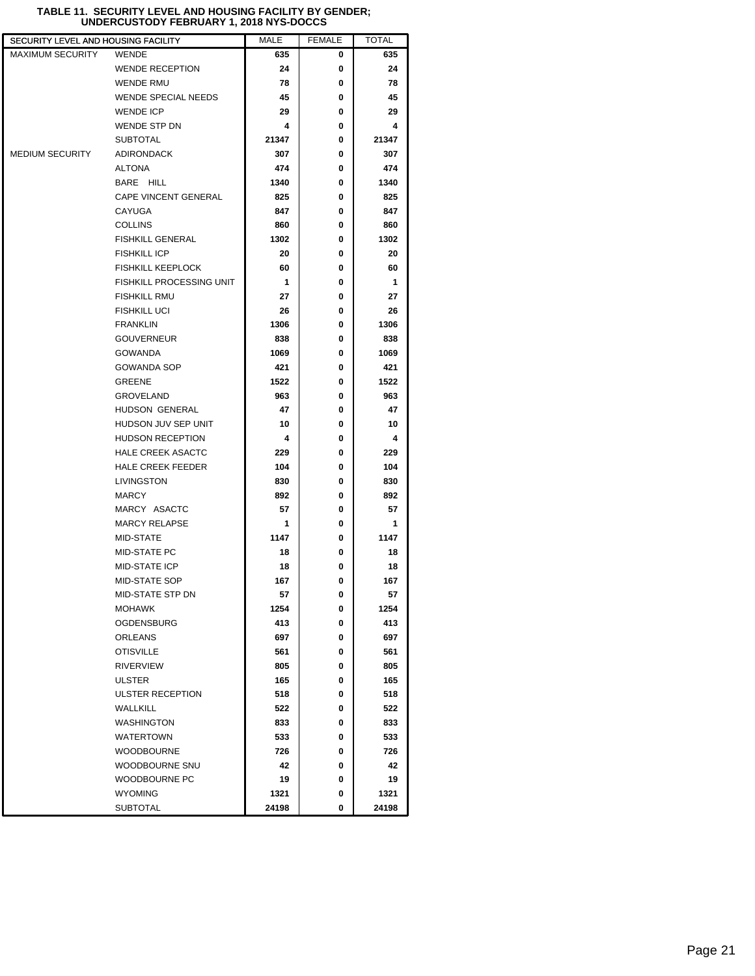| SECURITY LEVEL AND HOUSING FACILITY |                                 | MALE  | <b>FEMALE</b> | TOTAL |  |
|-------------------------------------|---------------------------------|-------|---------------|-------|--|
| MAXIMUM SECURITY                    | <b>WENDE</b>                    | 635   | 0             | 635   |  |
|                                     | <b>WENDE RECEPTION</b>          | 24    | 0             | 24    |  |
|                                     | <b>WENDE RMU</b>                | 78    | 0             | 78    |  |
|                                     | WENDE SPECIAL NEEDS             | 45    | 0             | 45    |  |
|                                     | <b>WENDE ICP</b>                | 29    | 0             | 29    |  |
|                                     | <b>WENDE STP DN</b>             | 4     | 0             | 4     |  |
|                                     | <b>SUBTOTAL</b>                 | 21347 | 0             | 21347 |  |
| MEDIUM SECURITY                     | <b>ADIRONDACK</b>               | 307   | 0             | 307   |  |
|                                     | <b>ALTONA</b>                   | 474   | 0             | 474   |  |
|                                     | BARE HILL                       | 1340  | 0             | 1340  |  |
|                                     | <b>CAPE VINCENT GENERAL</b>     | 825   | 0             | 825   |  |
|                                     | CAYUGA                          | 847   | 0             | 847   |  |
|                                     | <b>COLLINS</b>                  | 860   | 0             | 860   |  |
|                                     | <b>FISHKILL GENERAL</b>         | 1302  | 0             | 1302  |  |
|                                     | <b>FISHKILL ICP</b>             | 20    | 0             | 20    |  |
|                                     | <b>FISHKILL KEEPLOCK</b>        | 60    | 0             | 60    |  |
|                                     | <b>FISHKILL PROCESSING UNIT</b> | 1     | 0             | 1     |  |
|                                     | <b>FISHKILL RMU</b>             | 27    | 0             | 27    |  |
|                                     | <b>FISHKILL UCI</b>             | 26    | 0             | 26    |  |
|                                     | <b>FRANKLIN</b>                 | 1306  | 0             | 1306  |  |
|                                     | <b>GOUVERNEUR</b>               | 838   | 0             | 838   |  |
|                                     | <b>GOWANDA</b>                  | 1069  | 0             | 1069  |  |
|                                     | <b>GOWANDA SOP</b>              | 421   | 0             | 421   |  |
|                                     | <b>GREENE</b>                   | 1522  | 0             | 1522  |  |
|                                     | <b>GROVELAND</b>                | 963   | 0             | 963   |  |
|                                     | HUDSON GENERAL                  | 47    | 0             | 47    |  |
|                                     | HUDSON JUV SEP UNIT             | 10    | 0             | 10    |  |
|                                     | <b>HUDSON RECEPTION</b>         | 4     | 0             | 4     |  |
|                                     | <b>HALE CREEK ASACTC</b>        | 229   | 0             | 229   |  |
|                                     | <b>HALE CREEK FEEDER</b>        | 104   | 0             | 104   |  |
|                                     | LIVINGSTON                      | 830   | 0             | 830   |  |
|                                     | <b>MARCY</b>                    | 892   | 0             | 892   |  |
|                                     | MARCY ASACTC                    | 57    | 0             | 57    |  |
|                                     | <b>MARCY RELAPSE</b>            | 1     | 0             | 1     |  |
|                                     | MID-STATE                       | 1147  | 0             | 1147  |  |
|                                     | <b>MID-STATE PC</b>             | 18    | 0             | 18    |  |
|                                     | <b>MID-STATE ICP</b>            | 18    | 0             | 18    |  |
|                                     | MID-STATE SOP                   | 167   | 0             | 167   |  |
|                                     | MID-STATE STP DN                | 57    | 0             | 57    |  |
|                                     | <b>MOHAWK</b>                   | 1254  | 0             | 1254  |  |
|                                     | <b>OGDENSBURG</b>               | 413   | 0             | 413   |  |
|                                     | <b>ORLEANS</b>                  | 697   | 0             | 697   |  |
|                                     | <b>OTISVILLE</b>                | 561   | 0             | 561   |  |
|                                     | <b>RIVERVIEW</b>                | 805   | 0             | 805   |  |
|                                     | <b>ULSTER</b>                   | 165   | 0             | 165   |  |
|                                     | ULSTER RECEPTION                | 518   | 0             | 518   |  |
|                                     | <b>WALLKILL</b>                 | 522   | 0             | 522   |  |
|                                     | <b>WASHINGTON</b>               | 833   | 0             | 833   |  |
|                                     | WATERTOWN                       | 533   | 0             | 533   |  |
|                                     | <b>WOODBOURNE</b>               | 726   | 0             | 726   |  |
|                                     | WOODBOURNE SNU                  | 42    | 0             | 42    |  |
|                                     | WOODBOURNE PC                   | 19    | 0             | 19    |  |
|                                     | <b>WYOMING</b>                  | 1321  | 0             | 1321  |  |
|                                     | <b>SUBTOTAL</b>                 | 24198 | 0             | 24198 |  |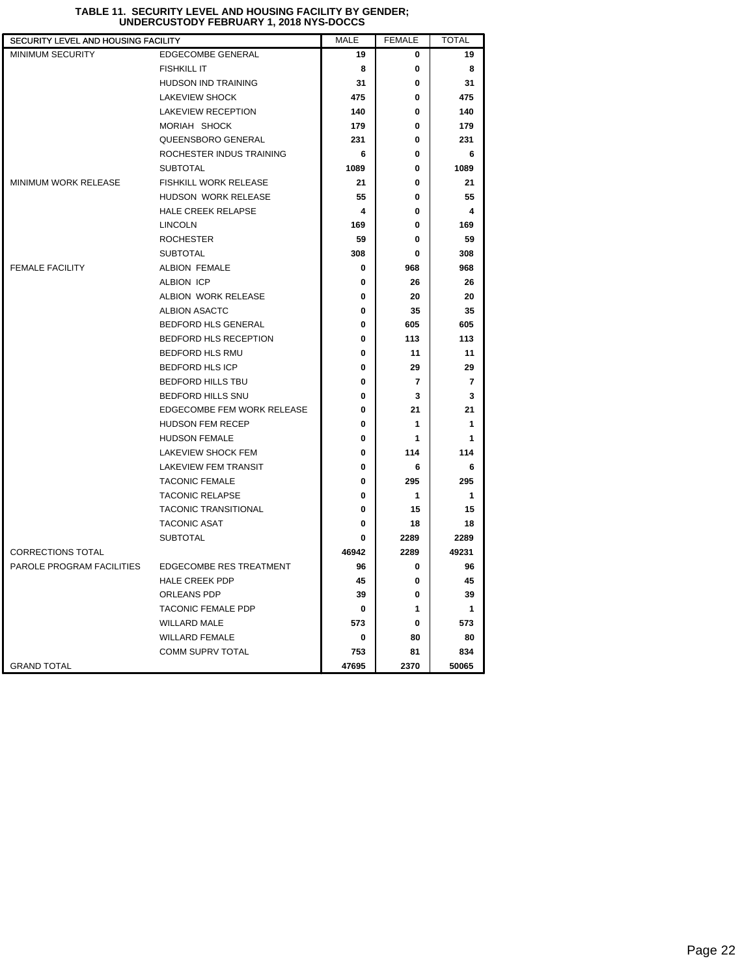| SECURITY LEVEL AND HOUSING FACILITY |                                | MALE  | <b>FEMALE</b> | <b>TOTAL</b>   |
|-------------------------------------|--------------------------------|-------|---------------|----------------|
| <b>MINIMUM SECURITY</b>             | <b>EDGECOMBE GENERAL</b>       | 19    | 0             | 19             |
|                                     | <b>FISHKILL IT</b>             | 8     | 0             | 8              |
|                                     | HUDSON IND TRAINING            | 31    | 0             | 31             |
|                                     | <b>LAKEVIEW SHOCK</b>          | 475   | 0             | 475            |
|                                     | <b>LAKEVIEW RECEPTION</b>      | 140   | 0             | 140            |
|                                     | MORIAH SHOCK                   | 179   | 0             | 179            |
|                                     | QUEENSBORO GENERAL             | 231   | 0             | 231            |
|                                     | ROCHESTER INDUS TRAINING       | 6     | 0             | 6              |
|                                     | <b>SUBTOTAL</b>                | 1089  | 0             | 1089           |
| MINIMUM WORK RELEASE                | <b>FISHKILL WORK RELEASE</b>   | 21    | 0             | 21             |
|                                     | HUDSON WORK RELEASE            | 55    | 0             | 55             |
|                                     | <b>HALE CREEK RELAPSE</b>      | 4     | 0             | 4              |
|                                     | <b>LINCOLN</b>                 | 169   | 0             | 169            |
|                                     | <b>ROCHESTER</b>               | 59    | 0             | 59             |
|                                     | <b>SUBTOTAL</b>                | 308   | 0             | 308            |
| <b>FEMALE FACILITY</b>              | <b>ALBION FEMALE</b>           | 0     | 968           | 968            |
|                                     | <b>ALBION ICP</b>              | 0     | 26            | 26             |
|                                     | ALBION WORK RELEASE            | 0     | 20            | 20             |
|                                     | ALBION ASACTC                  | 0     | 35            | 35             |
|                                     | <b>BEDFORD HLS GENERAL</b>     | 0     | 605           | 605            |
|                                     | BEDFORD HLS RECEPTION          | 0     | 113           | 113            |
|                                     | BEDFORD HLS RMU                | 0     | 11            | 11             |
|                                     | <b>BEDFORD HLS ICP</b>         | 0     | 29            | 29             |
|                                     | BEDFORD HILLS TBU              | 0     | 7             | $\overline{7}$ |
|                                     | BEDFORD HILLS SNU              | 0     | 3             | 3              |
|                                     | EDGECOMBE FEM WORK RELEASE     | 0     | 21            | 21             |
|                                     | HUDSON FEM RECEP               | 0     | 1             | 1              |
|                                     | <b>HUDSON FEMALE</b>           | 0     | 1             | 1              |
|                                     | LAKEVIEW SHOCK FEM             | 0     | 114           | 114            |
|                                     | <b>LAKEVIEW FEM TRANSIT</b>    | 0     | 6             | 6              |
|                                     | <b>TACONIC FEMALE</b>          | 0     | 295           | 295            |
|                                     | <b>TACONIC RELAPSE</b>         | 0     | 1             | 1              |
|                                     | TACONIC TRANSITIONAL           | 0     | 15            | 15             |
|                                     | <b>TACONIC ASAT</b>            | 0     | 18            | 18             |
|                                     | <b>SUBTOTAL</b>                | 0     | 2289          | 2289           |
| <b>CORRECTIONS TOTAL</b>            |                                | 46942 | 2289          | 49231          |
| PAROLE PROGRAM FACILITIES           | <b>EDGECOMBE RES TREATMENT</b> | 96    | 0             | 96             |
|                                     | HALE CREEK PDP                 | 45    | 0             | 45             |
|                                     | ORLEANS PDP                    | 39    | 0             | 39             |
|                                     | TACONIC FEMALE PDP             | 0     | 1             | 1              |
|                                     | <b>WILLARD MALE</b>            | 573   | 0             | 573            |
|                                     | <b>WILLARD FEMALE</b>          | 0     | 80            | 80             |
|                                     | COMM SUPRV TOTAL               | 753   | 81            | 834            |
| <b>GRAND TOTAL</b>                  |                                | 47695 | 2370          | 50065          |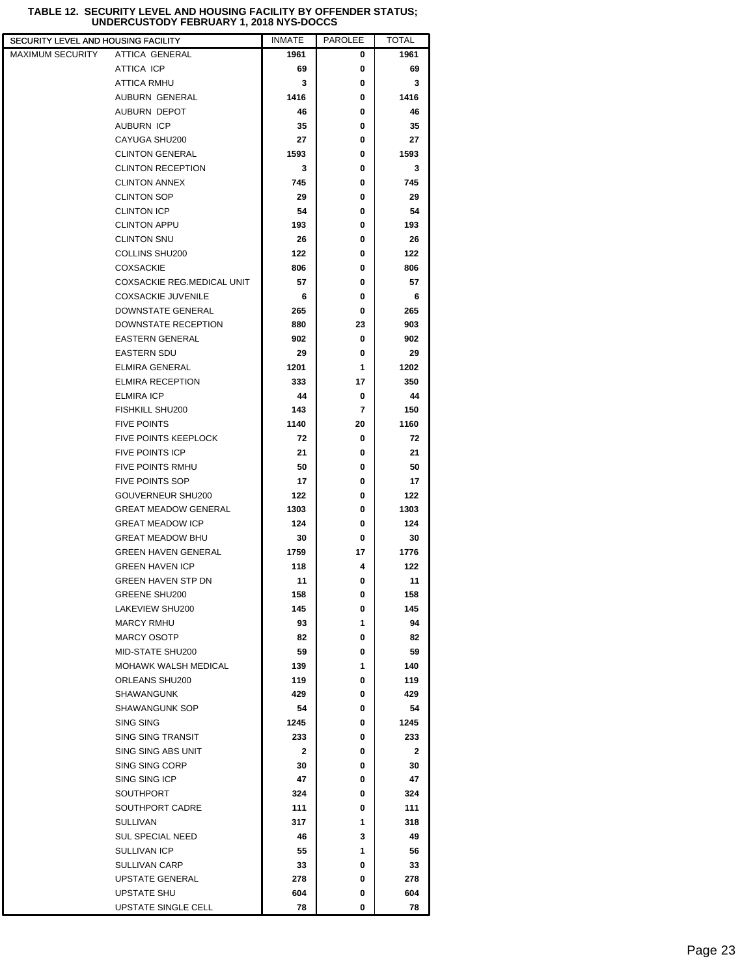## **TABLE 12. SECURITY LEVEL AND HOUSING FACILITY BY OFFENDER STATUS; UNDERCUSTODY FEBRUARY 1, 2018 NYS-DOCCS**

| SECURITY LEVEL AND HOUSING FACILITY |                                   | <b>INMATE</b> | <b>PAROLEE</b> | <b>TOTAL</b> |
|-------------------------------------|-----------------------------------|---------------|----------------|--------------|
| <b>MAXIMUM SECURITY</b>             | ATTICA GENERAL                    | 1961          | 0              | 1961         |
|                                     | ATTICA ICP                        | 69            | 0              | 69           |
|                                     | <b>ATTICA RMHU</b>                | 3             | 0              | 3            |
|                                     | AUBURN GENERAL                    | 1416          | 0              | 1416         |
|                                     | AUBURN DEPOT                      | 46            | 0              | 46           |
|                                     | AUBURN ICP                        | 35            | 0              | 35           |
|                                     | CAYUGA SHU200                     | 27            | 0              | 27           |
|                                     | <b>CLINTON GENERAL</b>            | 1593          | 0              | 1593         |
|                                     | <b>CLINTON RECEPTION</b>          | 3             | 0              | 3            |
|                                     | <b>CLINTON ANNEX</b>              | 745           | 0              | 745          |
|                                     | <b>CLINTON SOP</b>                | 29            | 0              | 29           |
|                                     | <b>CLINTON ICP</b>                | 54            | 0              | 54           |
|                                     | <b>CLINTON APPU</b>               | 193           | 0              | 193          |
|                                     | <b>CLINTON SNU</b>                | 26            | 0              | 26           |
|                                     | COLLINS SHU200                    | 122           | 0              | 122          |
|                                     | <b>COXSACKIE</b>                  | 806           | 0              | 806          |
|                                     | <b>COXSACKIE REG.MEDICAL UNIT</b> | 57            | 0              | 57           |
|                                     | <b>COXSACKIE JUVENILE</b>         | 6             | 0              | 6            |
|                                     | DOWNSTATE GENERAL                 | 265           | 0              | 265          |
|                                     | DOWNSTATE RECEPTION               | 880           | 23             | 903          |
|                                     | <b>EASTERN GENERAL</b>            | 902           | 0              | 902          |
|                                     | <b>EASTERN SDU</b>                | 29            | 0              | 29           |
|                                     | ELMIRA GENERAL                    | 1201          | 1              | 1202         |
|                                     | <b>ELMIRA RECEPTION</b>           | 333           | 17             | 350          |
|                                     | <b>ELMIRA ICP</b>                 | 44            | 0              | 44           |
|                                     | <b>FISHKILL SHU200</b>            | 143           | 7              | 150          |
|                                     | <b>FIVE POINTS</b>                | 1140          | 20             | 1160         |
|                                     | <b>FIVE POINTS KEEPLOCK</b>       | 72            | 0              | 72           |
|                                     | <b>FIVE POINTS ICP</b>            | 21            | 0              | 21           |
|                                     | <b>FIVE POINTS RMHU</b>           | 50            | 0              | 50           |
|                                     | <b>FIVE POINTS SOP</b>            | 17            | 0              | 17           |
|                                     | GOUVERNEUR SHU200                 | 122           | 0              | 122          |
|                                     | <b>GREAT MEADOW GENERAL</b>       | 1303          | 0              | 1303         |
|                                     | <b>GREAT MEADOW ICP</b>           | 124           | 0              | 124          |
|                                     | <b>GREAT MEADOW BHU</b>           | 30            | 0              | 30           |
|                                     | <b>GREEN HAVEN GENERAL</b>        | 1759          | 17             | 1776         |
|                                     | <b>GREEN HAVEN ICP</b>            | 118           | 4              | 122          |
|                                     | <b>GREEN HAVEN STP DN</b>         | 11            | 0              | 11           |
|                                     | <b>GREENE SHU200</b>              | 158           | 0              | 158          |
|                                     | LAKEVIEW SHU200                   | 145           | 0              | 145          |
|                                     | <b>MARCY RMHU</b>                 | 93            | 1              | 94           |
|                                     | <b>MARCY OSOTP</b>                | 82            | 0              | 82           |
|                                     | MID-STATE SHU200                  | 59            | 0              | 59           |
|                                     | MOHAWK WALSH MEDICAL              | 139           | 1              | 140          |
|                                     | ORLEANS SHU200                    | 119           | 0              | 119          |
|                                     | SHAWANGUNK                        | 429           | 0              | 429          |
|                                     | SHAWANGUNK SOP                    | 54            | 0              | 54           |
|                                     | <b>SING SING</b>                  | 1245          | 0              | 1245         |
|                                     | SING SING TRANSIT                 | 233           | 0              | 233          |
|                                     | SING SING ABS UNIT                | 2             | 0              | 2            |
|                                     | SING SING CORP                    | 30            | 0              | 30           |
|                                     | SING SING ICP                     | 47            | 0              | 47           |
|                                     | <b>SOUTHPORT</b>                  | 324           | 0              | 324          |
|                                     | SOUTHPORT CADRE                   | 111           | 0              | 111          |
|                                     | SULLIVAN                          | 317           | 1              | 318          |
|                                     | <b>SUL SPECIAL NEED</b>           | 46            | 3              | 49           |
|                                     | SULLIVAN ICP                      | 55            | 1              | 56           |
|                                     | SULLIVAN CARP                     | 33            | 0              | 33           |
|                                     | UPSTATE GENERAL                   | 278           | 0              |              |
|                                     | UPSTATE SHU                       | 604           | 0              | 278<br>604   |
|                                     |                                   |               | 0              |              |
|                                     | UPSTATE SINGLE CELL               | 78            |                | 78           |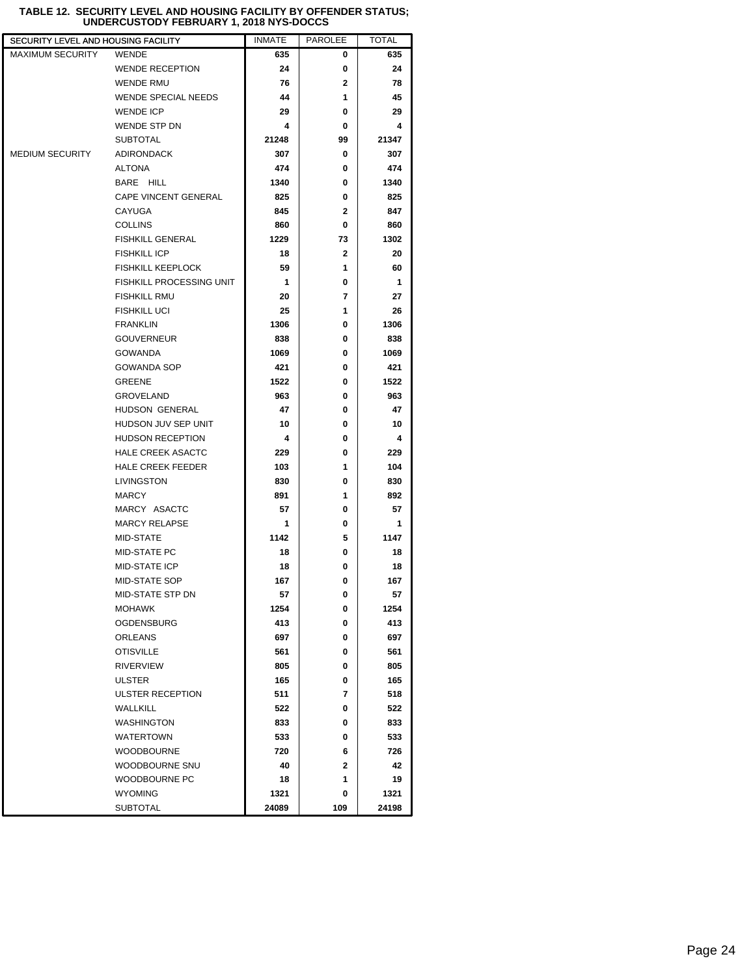| SECURITY LEVEL AND HOUSING FACILITY |                            | <b>INMATE</b> | <b>PAROLEE</b> | <b>TOTAL</b> |  |
|-------------------------------------|----------------------------|---------------|----------------|--------------|--|
| <b>MAXIMUM SECURITY</b>             | <b>WENDE</b>               | 635           | 0              | 635          |  |
|                                     | <b>WENDE RECEPTION</b>     | 24            | 0              | 24           |  |
|                                     | WENDE RMU                  | 76            | $\overline{2}$ | 78           |  |
|                                     | <b>WENDE SPECIAL NEEDS</b> | 44            | 1              | 45           |  |
|                                     | <b>WENDE ICP</b>           | 29            | 0              | 29           |  |
|                                     | WENDE STP DN               | 4             | 0              | 4            |  |
|                                     | <b>SUBTOTAL</b>            | 21248         | 99             | 21347        |  |
| <b>MEDIUM SECURITY</b>              | <b>ADIRONDACK</b>          | 307           | 0              | 307          |  |
|                                     | <b>ALTONA</b>              | 474           | 0              | 474          |  |
|                                     | BARE HILL                  | 1340          | 0              | 1340         |  |
|                                     | CAPE VINCENT GENERAL       | 825           | 0              | 825          |  |
|                                     | CAYUGA                     | 845           | $\mathbf{2}$   | 847          |  |
|                                     | <b>COLLINS</b>             | 860           | 0              | 860          |  |
|                                     | <b>FISHKILL GENERAL</b>    | 1229          | 73             | 1302         |  |
|                                     | <b>FISHKILL ICP</b>        | 18            | 2              | 20           |  |
|                                     | <b>FISHKILL KEEPLOCK</b>   | 59            | 1              | 60           |  |
|                                     | FISHKILL PROCESSING UNIT   | 1             | 0              | 1            |  |
|                                     | <b>FISHKILL RMU</b>        | 20            | 7              | 27           |  |
|                                     | <b>FISHKILL UCI</b>        | 25            | 1              | 26           |  |
|                                     | <b>FRANKLIN</b>            | 1306          | 0              | 1306         |  |
|                                     | <b>GOUVERNEUR</b>          | 838           | 0              | 838          |  |
|                                     | <b>GOWANDA</b>             | 1069          | 0              | 1069         |  |
|                                     | <b>GOWANDA SOP</b>         | 421           | 0              | 421          |  |
|                                     | <b>GREENE</b>              | 1522          | 0              | 1522         |  |
|                                     | <b>GROVELAND</b>           | 963           | 0              | 963          |  |
|                                     | HUDSON GENERAL             | 47            | 0              | 47           |  |
|                                     | HUDSON JUV SEP UNIT        | 10            | 0              | 10           |  |
|                                     | <b>HUDSON RECEPTION</b>    | 4             | 0              | 4            |  |
|                                     | <b>HALE CREEK ASACTC</b>   | 229           | 0              | 229          |  |
|                                     | <b>HALE CREEK FEEDER</b>   | 103           | 1              | 104          |  |
|                                     | LIVINGSTON                 | 830           | 0              | 830          |  |
|                                     | <b>MARCY</b>               | 891           | 1              | 892          |  |
|                                     | MARCY ASACTC               | 57            | 0              | 57           |  |
|                                     | <b>MARCY RELAPSE</b>       | 1             | 0              | 1            |  |
|                                     | MID-STATE                  | 1142          | 5              | 1147         |  |
|                                     | MID-STATE PC               | 18            | 0              | 18           |  |
|                                     | MID-STATE ICP              | 18            | 0              | 18           |  |
|                                     | <b>MID-STATE SOP</b>       | 167           | $\bf{0}$       | 167          |  |
|                                     | MID-STATE STP DN           | 57            | 0              | 57           |  |
|                                     | MOHAWK                     | 1254          | 0              | 1254         |  |
|                                     | <b>OGDENSBURG</b>          | 413           | 0              | 413          |  |
|                                     | <b>ORLEANS</b>             | 697           | 0              | 697          |  |
|                                     | <b>OTISVILLE</b>           | 561           | 0              | 561          |  |
|                                     | RIVERVIEW                  | 805           | 0              | 805          |  |
|                                     | ULSTER                     | 165           | 0              | 165          |  |
|                                     | ULSTER RECEPTION           | 511           | 7              | 518          |  |
|                                     | <b>WALLKILL</b>            | 522           | 0              | 522          |  |
|                                     | WASHINGTON                 | 833           | 0              | 833          |  |
|                                     | <b>WATERTOWN</b>           | 533           | 0              | 533          |  |
|                                     | <b>WOODBOURNE</b>          | 720           | 6              | 726          |  |
|                                     | WOODBOURNE SNU             | 40            | $\mathbf{2}$   | 42           |  |
|                                     | WOODBOURNE PC              | 18            | 1              | 19           |  |
|                                     | <b>WYOMING</b>             | 1321          | 0              | 1321         |  |
|                                     | <b>SUBTOTAL</b>            | 24089         | 109            | 24198        |  |

#### **TABLE 12. SECURITY LEVEL AND HOUSING FACILITY BY OFFENDER STATUS; UNDERCUSTODY FEBRUARY 1, 2018 NYS-DOCCS**